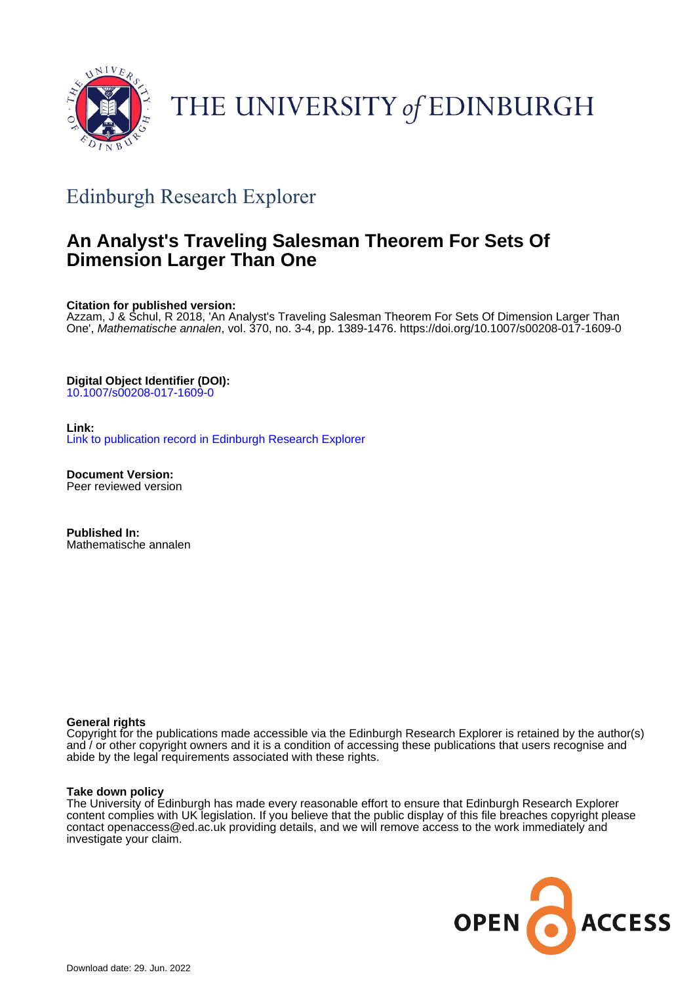

# THE UNIVERSITY of EDINBURGH

# Edinburgh Research Explorer

# **An Analyst's Traveling Salesman Theorem For Sets Of Dimension Larger Than One**

**Citation for published version:**

Azzam, J & Schul, R 2018, 'An Analyst's Traveling Salesman Theorem For Sets Of Dimension Larger Than One', Mathematische annalen, vol. 370, no. 3-4, pp. 1389-1476.<https://doi.org/10.1007/s00208-017-1609-0>

**Digital Object Identifier (DOI):**

[10.1007/s00208-017-1609-0](https://doi.org/10.1007/s00208-017-1609-0)

**Link:** [Link to publication record in Edinburgh Research Explorer](https://www.research.ed.ac.uk/en/publications/40286e02-f641-48fb-81df-6c911c74852b)

**Document Version:** Peer reviewed version

**Published In:** Mathematische annalen

## **General rights**

Copyright for the publications made accessible via the Edinburgh Research Explorer is retained by the author(s) and / or other copyright owners and it is a condition of accessing these publications that users recognise and abide by the legal requirements associated with these rights.

## **Take down policy**

The University of Edinburgh has made every reasonable effort to ensure that Edinburgh Research Explorer content complies with UK legislation. If you believe that the public display of this file breaches copyright please contact openaccess@ed.ac.uk providing details, and we will remove access to the work immediately and investigate your claim.

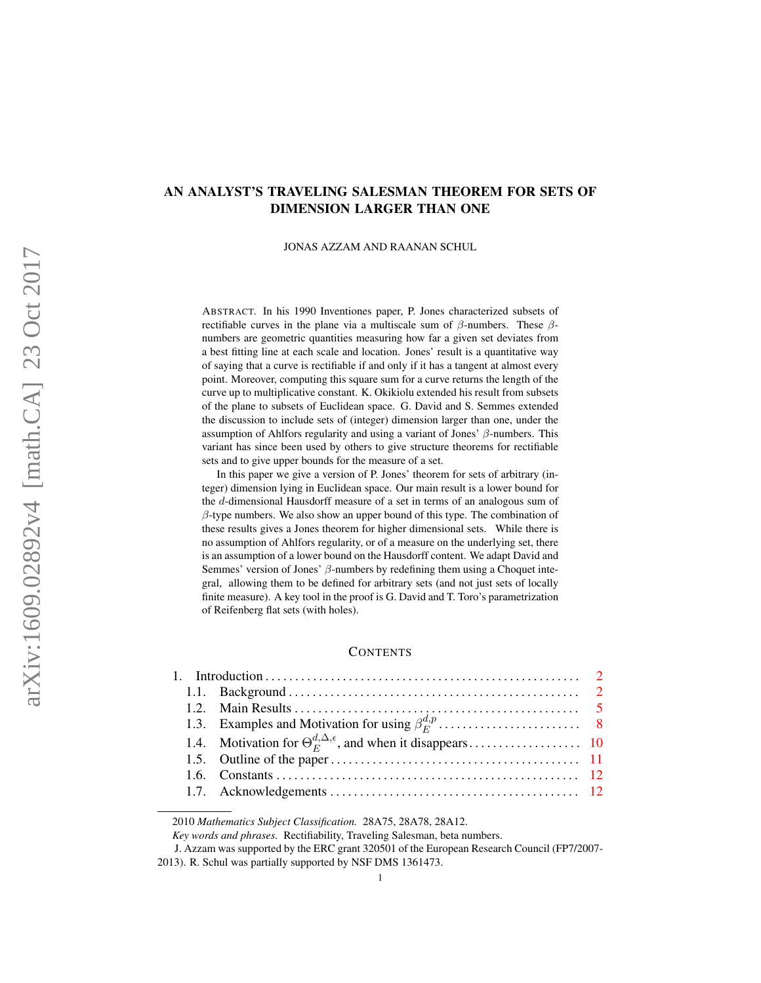# AN ANALYST'S TRAVELING SALESMAN THEOREM FOR SETS OF DIMENSION LARGER THAN ONE

#### JONAS AZZAM AND RAANAN SCHUL

ABSTRACT. In his 1990 Inventiones paper, P. Jones characterized subsets of rectifiable curves in the plane via a multiscale sum of  $\beta$ -numbers. These  $\beta$ numbers are geometric quantities measuring how far a given set deviates from a best fitting line at each scale and location. Jones' result is a quantitative way of saying that a curve is rectifiable if and only if it has a tangent at almost every point. Moreover, computing this square sum for a curve returns the length of the curve up to multiplicative constant. K. Okikiolu extended his result from subsets of the plane to subsets of Euclidean space. G. David and S. Semmes extended the discussion to include sets of (integer) dimension larger than one, under the assumption of Ahlfors regularity and using a variant of Jones'  $\beta$ -numbers. This variant has since been used by others to give structure theorems for rectifiable sets and to give upper bounds for the measure of a set.

In this paper we give a version of P. Jones' theorem for sets of arbitrary (integer) dimension lying in Euclidean space. Our main result is a lower bound for the d-dimensional Hausdorff measure of a set in terms of an analogous sum of  $\beta$ -type numbers. We also show an upper bound of this type. The combination of these results gives a Jones theorem for higher dimensional sets. While there is no assumption of Ahlfors regularity, or of a measure on the underlying set, there is an assumption of a lower bound on the Hausdorff content. We adapt David and Semmes' version of Jones'  $\beta$ -numbers by redefining them using a Choquet integral, allowing them to be defined for arbitrary sets (and not just sets of locally finite measure). A key tool in the proof is G. David and T. Toro's parametrization of Reifenberg flat sets (with holes).

#### **CONTENTS**

| 1.1. Background $\ldots$ $\ldots$ $\ldots$ $\ldots$ $2$ |  |
|---------------------------------------------------------|--|
|                                                         |  |
|                                                         |  |
|                                                         |  |
|                                                         |  |
|                                                         |  |
|                                                         |  |
|                                                         |  |

2010 *Mathematics Subject Classification.* 28A75, 28A78, 28A12.

*Key words and phrases.* Rectifiability, Traveling Salesman, beta numbers.

J. Azzam was supported by the ERC grant 320501 of the European Research Council (FP7/2007- 2013). R. Schul was partially supported by NSF DMS 1361473.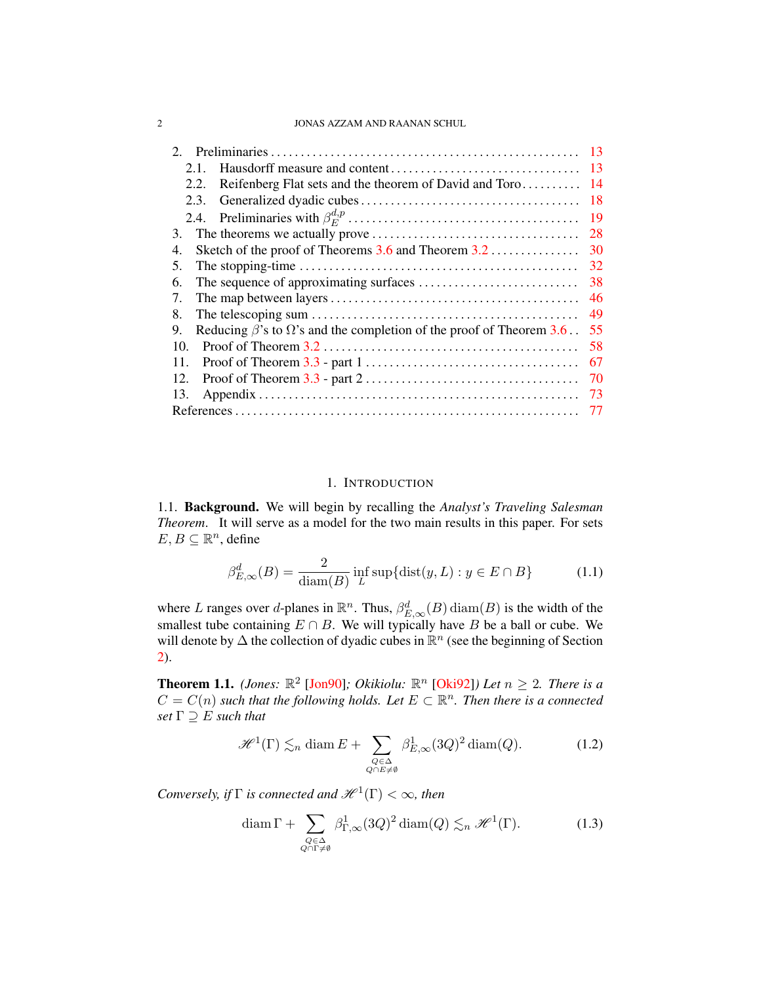#### 2 JONAS AZZAM AND RAANAN SCHUL

| $\mathcal{D}_{\mathcal{L}}$                                                                                    | 13 |
|----------------------------------------------------------------------------------------------------------------|----|
| 2.1.                                                                                                           | 13 |
| Reifenberg Flat sets and the theorem of David and Toro<br>2.2.                                                 | 14 |
| 2.3.                                                                                                           | 18 |
|                                                                                                                | 19 |
| 3.                                                                                                             | 28 |
| Sketch of the proof of Theorems $3.6$ and Theorem $3.2$<br>4.                                                  | 30 |
| 5.                                                                                                             | 32 |
| 6.                                                                                                             |    |
| 7.                                                                                                             | 46 |
| 8.                                                                                                             | 49 |
| Reducing $\beta$ 's to $\Omega$ 's and the completion of the proof of Theorem 3.6.<br>9.                       | 55 |
| 10.                                                                                                            | 58 |
| 11.                                                                                                            | 67 |
| Proof of Theorem $3.3$ - part $2 \ldots \ldots \ldots \ldots \ldots \ldots \ldots \ldots \ldots \ldots$<br>12. | 70 |
| 13.                                                                                                            | 73 |
|                                                                                                                |    |

#### 1. INTRODUCTION

<span id="page-2-1"></span><span id="page-2-0"></span>1.1. Background. We will begin by recalling the *Analyst's Traveling Salesman Theorem*. It will serve as a model for the two main results in this paper. For sets  $E, B \subseteq \mathbb{R}^n$ , define

$$
\beta_{E,\infty}^d(B) = \frac{2}{\text{diam}(B)} \inf_L \sup \{ \text{dist}(y,L) : y \in E \cap B \}
$$
 (1.1)

where L ranges over d-planes in  $\mathbb{R}^n$ . Thus,  $\beta_{E,\infty}^d(B)$  diam $(B)$  is the width of the smallest tube containing  $E \cap B$ . We will typically have B be a ball or cube. We will denote by  $\Delta$  the collection of dyadic cubes in  $\mathbb{R}^n$  (see the beginning of Section [2\)](#page-13-0).

**Theorem 1.1.** *(Jones:*  $\mathbb{R}^2$  [\[Jon90\]](#page-78-0)*; Okikiolu:*  $\mathbb{R}^n$  [\[Oki92\]](#page-78-1)*)* Let  $n \geq 2$ *. There is a*  $C = C(n)$  such that the following holds. Let  $E \subset \mathbb{R}^n$ . Then there is a connected *set* Γ ⊇ E *such that*

<span id="page-2-3"></span>
$$
\mathcal{H}^{1}(\Gamma) \lesssim_{n} \text{diam}\, E + \sum_{\substack{Q \in \Delta \\ Q \cap E \neq \emptyset}} \beta_{E,\infty}^{1}(3Q)^{2} \text{diam}(Q). \tag{1.2}
$$

*Conversely, if*  $\Gamma$  *is connected and*  $\mathscr{H}^1(\Gamma) < \infty$ *, then* 

<span id="page-2-2"></span>
$$
\operatorname{diam}\Gamma + \sum_{\substack{Q \in \Delta \\ Q \cap \Gamma \neq \emptyset}} \beta_{\Gamma,\infty}^1(3Q)^2 \operatorname{diam}(Q) \lesssim_n \mathcal{H}^1(\Gamma). \tag{1.3}
$$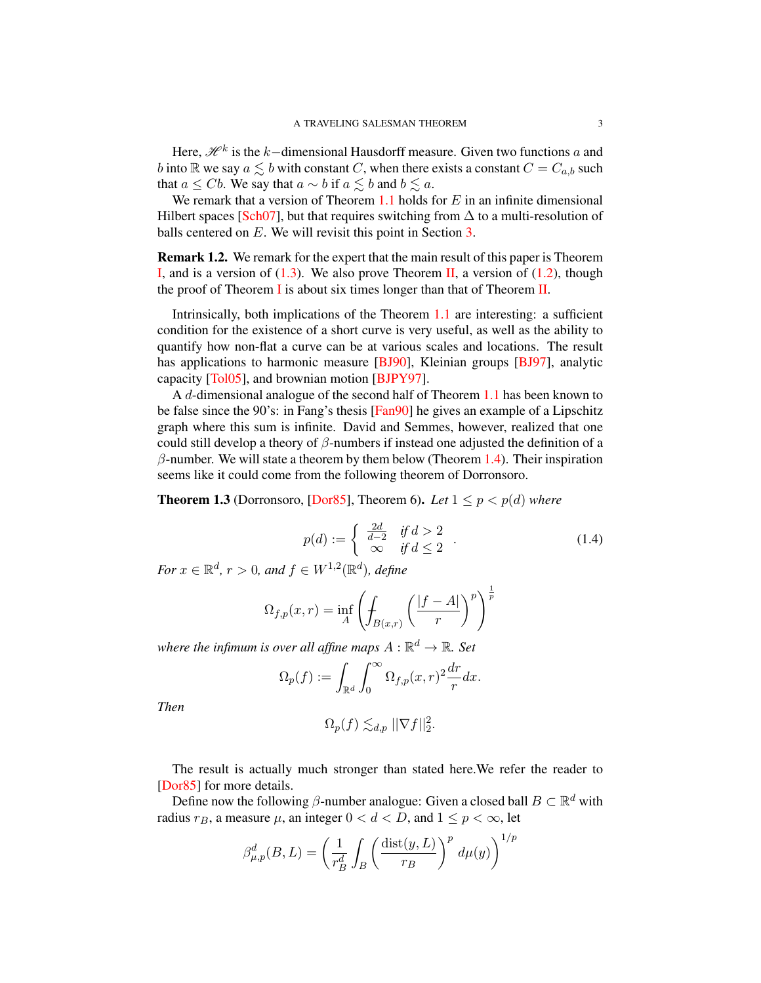Here,  $\mathcal{H}^k$  is the  $k-$ dimensional Hausdorff measure. Given two functions  $a$  and b into R we say  $a \leq b$  with constant C, when there exists a constant  $C = C_{a,b}$  such that  $a \leq Cb$ . We say that  $a \sim b$  if  $a \leq b$  and  $b \leq a$ .

We remark that a version of Theorem  $1.1$  holds for  $E$  in an infinite dimensional Hilbert spaces [\[Sch07\]](#page-79-0), but that requires switching from  $\Delta$  to a multi-resolution of balls centered on E. We will revisit this point in Section [3.](#page-28-0)

Remark 1.2. We remark for the expert that the main result of this paper is Theorem [I,](#page-7-0) and is a version of  $(1.3)$ . We also prove Theorem [II,](#page-7-1) a version of  $(1.2)$ , though the proof of Theorem [I](#page-7-0) is about six times longer than that of Theorem [II.](#page-7-1)

Intrinsically, both implications of the Theorem [1.1](#page-2-2) are interesting: a sufficient condition for the existence of a short curve is very useful, as well as the ability to quantify how non-flat a curve can be at various scales and locations. The result has applications to harmonic measure [\[BJ90\]](#page-77-1), Kleinian groups [\[BJ97\]](#page-77-2), analytic capacity [\[Tol05\]](#page-79-1), and brownian motion [\[BJPY97\]](#page-77-3).

A d-dimensional analogue of the second half of Theorem [1.1](#page-2-2) has been known to be false since the 90's: in Fang's thesis [\[Fan90\]](#page-78-2) he gives an example of a Lipschitz graph where this sum is infinite. David and Semmes, however, realized that one could still develop a theory of  $\beta$ -numbers if instead one adjusted the definition of a  $\beta$ -number. We will state a theorem by them below (Theorem [1.4\)](#page-4-0). Their inspiration seems like it could come from the following theorem of Dorronsoro.

**Theorem 1.3** (Dorronsoro, [\[Dor85\]](#page-78-3), Theorem 6). Let  $1 \leq p \leq p(d)$  where

<span id="page-3-0"></span>
$$
p(d) := \begin{cases} \frac{2d}{d-2} & \text{if } d > 2 \\ \infty & \text{if } d \le 2 \end{cases} . \tag{1.4}
$$

*For*  $x \in \mathbb{R}^d$ ,  $r > 0$ *, and*  $f \in W^{1,2}(\mathbb{R}^d)$ *, define* 

$$
\Omega_{f,p}(x,r) = \inf_A \left( \int_{B(x,r)} \left( \frac{|f-A|}{r} \right)^p \right)^{\frac{1}{p}}
$$

where the infimum is over all affine maps  $A:\mathbb{R}^d \rightarrow \mathbb{R}$ . Set

$$
\Omega_p(f) := \int_{\mathbb{R}^d} \int_0^\infty \Omega_{f,p}(x,r)^2 \frac{dr}{r} dx.
$$

*Then*

$$
\Omega_p(f) \lesssim_{d,p} ||\nabla f||_2^2.
$$

The result is actually much stronger than stated here.We refer the reader to [\[Dor85\]](#page-78-3) for more details.

Define now the following  $\beta$ -number analogue: Given a closed ball  $B \subset \mathbb{R}^d$  with radius  $r_B$ , a measure  $\mu$ , an integer  $0 < d < D$ , and  $1 \le p < \infty$ , let

$$
\beta_{\mu,p}^d(B,L) = \left(\frac{1}{r_B^d} \int_B \left(\frac{\text{dist}(y,L)}{r_B}\right)^p d\mu(y)\right)^{1/p}
$$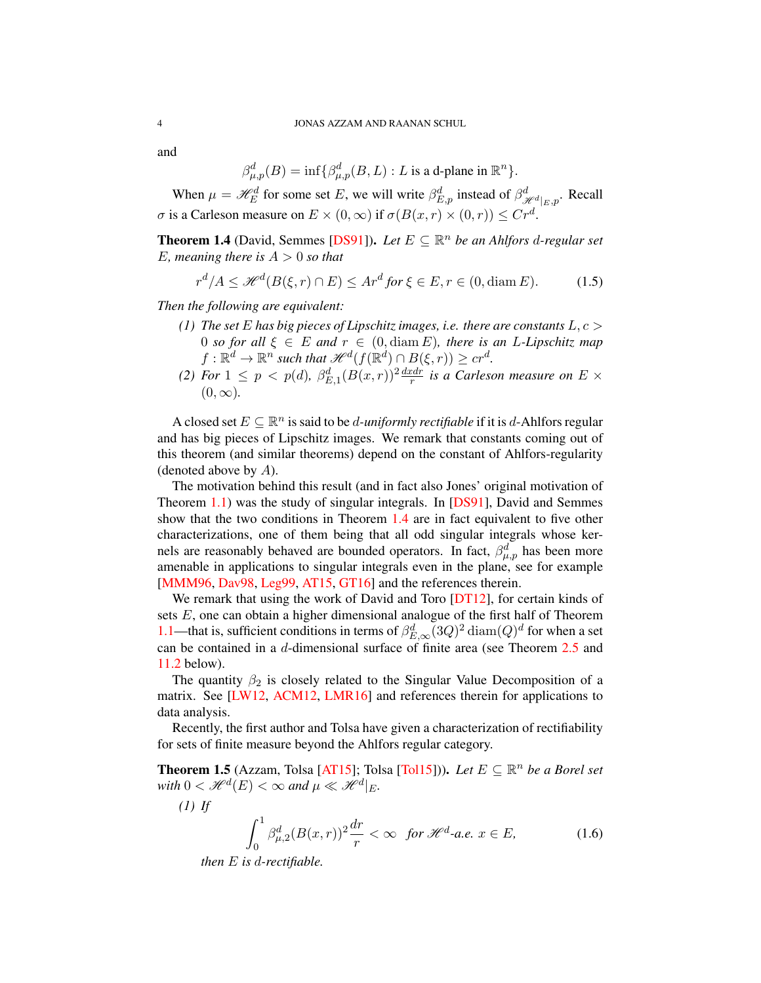and

$$
\beta_{\mu,p}^d(B)=\inf\{\beta_{\mu,p}^d(B,L): L\text{ is a d-plane in }\mathbb{R}^n\}.
$$

When  $\mu = \mathcal{H}_E^d$  for some set E, we will write  $\beta_{E,p}^d$  instead of  $\beta_{\mathcal{H}^d|_E,p}^d$ . Recall σ is a Carleson measure on  $E \times (0, \infty)$  if  $\sigma(B(x, r) \times (0, r)) \leq Cr^d$ .

**Theorem 1.4** (David, Semmes [\[DS91\]](#page-78-4)). Let  $E \subseteq \mathbb{R}^n$  be an Ahlfors d-regular set E, meaning there is  $A > 0$  so that

$$
r^d/A \le \mathcal{H}^d(B(\xi, r) \cap E) \le Ar^d \text{ for } \xi \in E, r \in (0, \text{diam } E). \tag{1.5}
$$

*Then the following are equivalent:*

- *(1) The set* E *has big pieces of Lipschitz images, i.e. there are constants* L, c > 0 *so for all*  $\xi \in E$  *and*  $r \in (0, \text{diam } E)$ *, there is an L-Lipschitz map*  $f: \mathbb{R}^d \to \mathbb{R}^n$  such that  $\mathscr{H}^d(f(\mathbb{R}^d) \cap B(\xi, r)) \geq c r^d$ .
- <span id="page-4-0"></span>(2) For  $1 \leq p \lt p(d)$ ,  $\beta_{E,1}^d (B(x,r))^2 \frac{dx dr}{r}$  is a Carleson measure on  $E \times$  $(0, \infty)$ .

A closed set  $E \subseteq \mathbb{R}^n$  is said to be *d-uniformly rectifiable* if it is *d*-Ahlfors regular and has big pieces of Lipschitz images. We remark that constants coming out of this theorem (and similar theorems) depend on the constant of Ahlfors-regularity (denoted above by  $A$ ).

The motivation behind this result (and in fact also Jones' original motivation of Theorem [1.1\)](#page-2-2) was the study of singular integrals. In [\[DS91\]](#page-78-4), David and Semmes show that the two conditions in Theorem [1.4](#page-4-0) are in fact equivalent to five other characterizations, one of them being that all odd singular integrals whose kernels are reasonably behaved are bounded operators. In fact,  $\beta_{\mu,p}^d$  has been more amenable in applications to singular integrals even in the plane, see for example [\[MMM96,](#page-78-5) [Dav98,](#page-78-6) [Leg99,](#page-78-7) [AT15,](#page-77-4) [GT16\]](#page-78-8) and the references therein.

We remark that using the work of David and Toro [\[DT12\]](#page-78-9), for certain kinds of sets E, one can obtain a higher dimensional analogue of the first half of Theorem [1.1—](#page-2-2)that is, sufficient conditions in terms of  $\beta_{E,\infty}^d (3Q)^2 \text{ diam}(Q)^d$  for when a set can be contained in a d-dimensional surface of finite area (see Theorem [2.5](#page-16-0) and [11.2](#page-67-1) below).

The quantity  $\beta_2$  is closely related to the Singular Value Decomposition of a matrix. See [\[LW12,](#page-78-10) [ACM12,](#page-77-5) [LMR16\]](#page-78-11) and references therein for applications to data analysis.

Recently, the first author and Tolsa have given a characterization of rectifiability for sets of finite measure beyond the Ahlfors regular category.

**Theorem 1.5** (Azzam, Tolsa [\[AT15\]](#page-77-4); Tolsa [\[Tol15\]](#page-79-2))). *Let*  $E \subseteq \mathbb{R}^n$  *be a Borel set* with  $0 < \mathcal{H}^{d}(E) < \infty$  and  $\mu \ll \mathcal{H}^{d}|_{E}$ .

*(1) If*

<span id="page-4-1"></span>
$$
\int_0^1 \beta_{\mu,2}^d (B(x,r))^2 \frac{dr}{r} < \infty \quad \text{for } \mathcal{H}^d \text{-a.e. } x \in E,\tag{1.6}
$$

*then* E *is* d*-rectifiable.*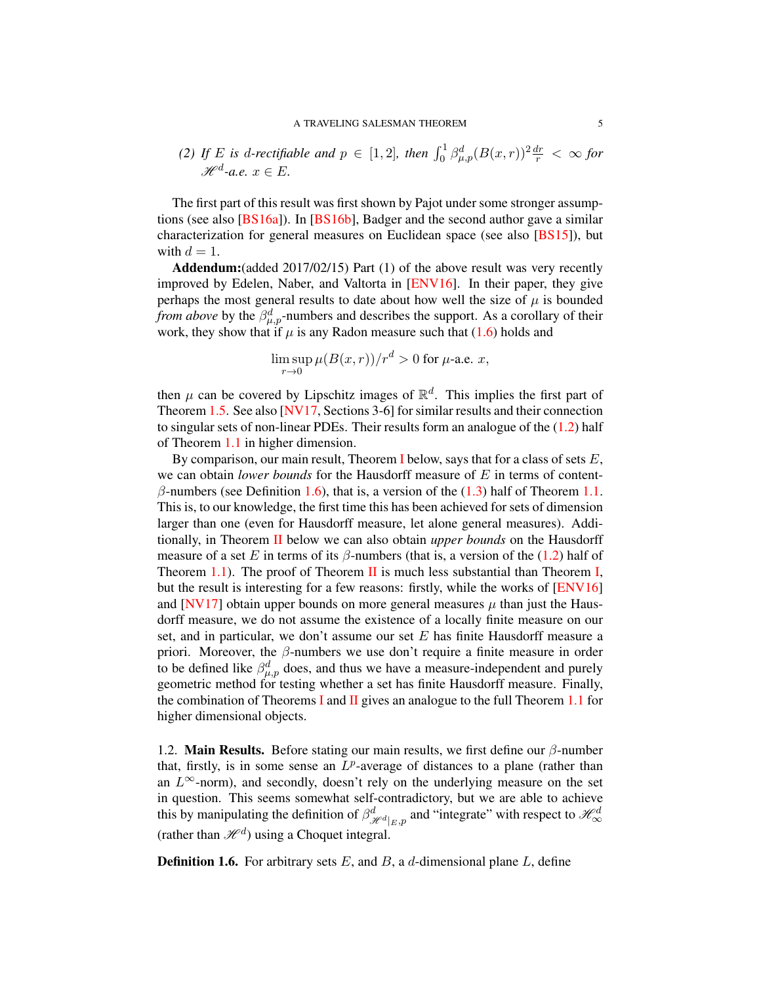<span id="page-5-1"></span>(2) If E is d-rectifiable and 
$$
p \in [1,2]
$$
, then  $\int_0^1 \beta_{\mu,p}^d (B(x,r))^2 \frac{dr}{r} < \infty$  for  $\mathcal{H}^d$ -a.e.  $x \in E$ .

The first part of this result was first shown by Pajot under some stronger assumptions (see also [\[BS16a\]](#page-77-6)). In [\[BS16b\]](#page-77-7), Badger and the second author gave a similar characterization for general measures on Euclidean space (see also [\[BS15\]](#page-77-8)), but with  $d = 1$ .

Addendum: (added 2017/02/15) Part (1) of the above result was very recently improved by Edelen, Naber, and Valtorta in [\[ENV16\]](#page-78-12). In their paper, they give perhaps the most general results to date about how well the size of  $\mu$  is bounded *from above* by the  $\beta_{\mu,p}^d$ -numbers and describes the support. As a corollary of their work, they show that if  $\mu$  is any Radon measure such that [\(1.6\)](#page-4-1) holds and

$$
\limsup_{r \to 0} \mu(B(x,r))/r^d > 0
$$
 for  $\mu$ -a.e. x,

then  $\mu$  can be covered by Lipschitz images of  $\mathbb{R}^d$ . This implies the first part of Theorem [1.5.](#page-5-1) See also [\[NV17,](#page-78-13) Sections 3-6] for similar results and their connection to singular sets of non-linear PDEs. Their results form an analogue of the [\(1.2\)](#page-2-3) half of Theorem [1.1](#page-2-2) in higher dimension.

By comparison, our main result, Theorem [I](#page-7-0) below, says that for a class of sets  $E$ , we can obtain *lower bounds* for the Hausdorff measure of E in terms of content $β$ -numbers (see Definition [1.6\)](#page-5-2), that is, a version of the [\(1.3\)](#page-2-2) half of Theorem [1.1.](#page-2-2) This is, to our knowledge, the first time this has been achieved for sets of dimension larger than one (even for Hausdorff measure, let alone general measures). Additionally, in Theorem [II](#page-7-1) below we can also obtain *upper bounds* on the Hausdorff measure of a set E in terms of its  $\beta$ -numbers (that is, a version of the [\(1.2\)](#page-2-3) half of Theorem [1.1\)](#page-2-2). The proof of Theorem  $\overline{II}$  $\overline{II}$  $\overline{II}$  is much less substantial than Theorem [I,](#page-7-0) but the result is interesting for a few reasons: firstly, while the works of [\[ENV16\]](#page-78-12) and [\[NV17\]](#page-78-13) obtain upper bounds on more general measures  $\mu$  than just the Hausdorff measure, we do not assume the existence of a locally finite measure on our set, and in particular, we don't assume our set  $E$  has finite Hausdorff measure a priori. Moreover, the  $\beta$ -numbers we use don't require a finite measure in order to be defined like  $\beta_{\mu,p}^d$  does, and thus we have a measure-independent and purely geometric method for testing whether a set has finite Hausdorff measure. Finally, the combination of Theorems [I](#page-7-0) and [II](#page-7-1) gives an analogue to the full Theorem [1.1](#page-2-2) for higher dimensional objects.

<span id="page-5-0"></span>1.2. Main Results. Before stating our main results, we first define our  $\beta$ -number that, firstly, is in some sense an  $L^p$ -average of distances to a plane (rather than an  $L^{\infty}$ -norm), and secondly, doesn't rely on the underlying measure on the set in question. This seems somewhat self-contradictory, but we are able to achieve this by manipulating the definition of  $\beta^d_{\mathscr{H}^d|_{E,p}}$  and "integrate" with respect to  $\mathscr{H}^d_{\infty}$ (rather than  $\mathcal{H}^{d}$ ) using a Choquet integral.

<span id="page-5-2"></span>**Definition 1.6.** For arbitrary sets  $E$ , and  $B$ , a d-dimensional plane  $L$ , define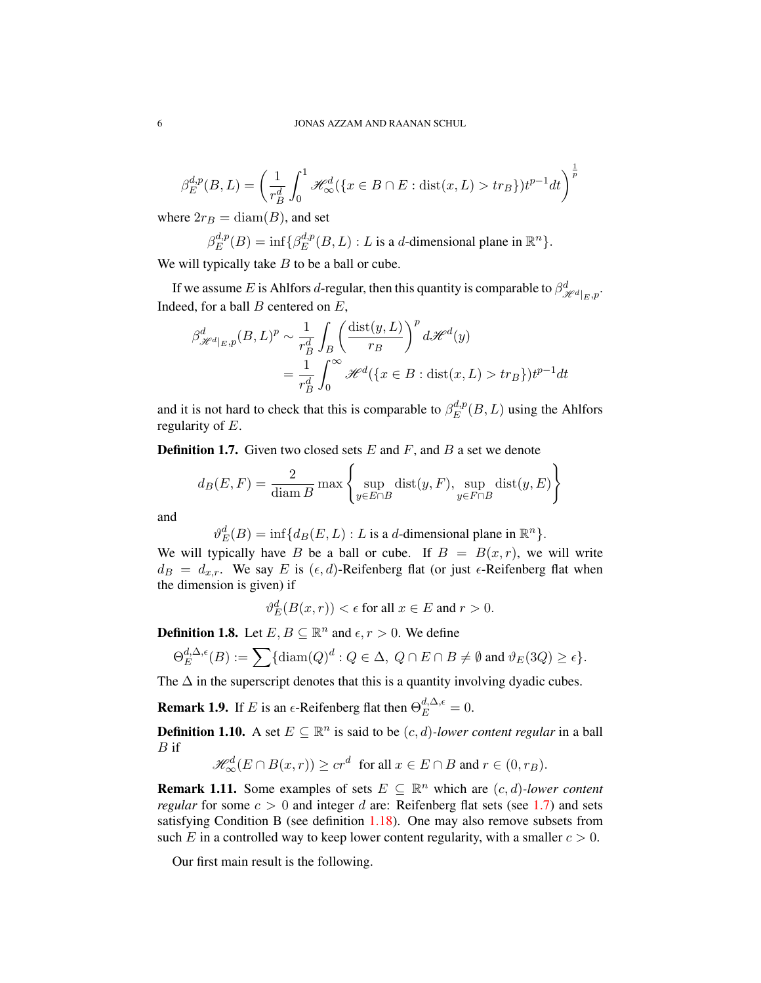$$
\beta_E^{d,p}(B,L) = \left(\frac{1}{r_B^d} \int_0^1 \mathcal{H}_\infty^d(\{x \in B \cap E : \text{dist}(x,L) > tr_B\}) t^{p-1} dt\right)^{\frac{1}{p}}
$$

where  $2r_B = \text{diam}(B)$ , and set

$$
\beta_E^{d,p}(B) = \inf \{ \beta_E^{d,p}(B,L) : L \text{ is a } d\text{-dimensional plane in } \mathbb{R}^n \}.
$$

We will typically take  $B$  to be a ball or cube.

If we assume E is Ahlfors d-regular, then this quantity is comparable to  $\beta^d_{\mathscr{H}^d|_{E, \mathcal{P}}}$ . Indeed, for a ball  $B$  centered on  $E$ ,

$$
\beta_{\mathcal{H}^d|_E, p}^d(B, L)^p \sim \frac{1}{r_B^d} \int_B \left( \frac{\text{dist}(y, L)}{r_B} \right)^p d\mathcal{H}^d(y)
$$

$$
= \frac{1}{r_B^d} \int_0^\infty \mathcal{H}^d(\{x \in B : \text{dist}(x, L) > tr_B\}) t^{p-1} dt
$$

and it is not hard to check that this is comparable to  $\beta_E^{d,p}$  $E^{a,p}(B,L)$  using the Ahlfors regularity of E.

<span id="page-6-0"></span>**Definition 1.7.** Given two closed sets  $E$  and  $F$ , and  $B$  a set we denote

$$
d_B(E, F) = \frac{2}{\text{diam } B} \max \left\{ \sup_{y \in E \cap B} \text{dist}(y, F), \sup_{y \in F \cap B} \text{dist}(y, E) \right\}
$$

and

 $\vartheta_{E}^{d}(B) = \inf \{ d_{B}(E, L) : L \text{ is a } d\text{-dimensional plane in } \mathbb{R}^{n} \}.$ 

We will typically have B be a ball or cube. If  $B = B(x, r)$ , we will write  $d_B = d_{x,r}$ . We say E is  $(\epsilon, d)$ -Reifenberg flat (or just  $\epsilon$ -Reifenberg flat when the dimension is given) if

$$
\vartheta_E^d(B(x,r)) < \epsilon \text{ for all } x \in E \text{ and } r > 0.
$$

<span id="page-6-1"></span>**Definition 1.8.** Let  $E, B \subseteq \mathbb{R}^n$  and  $\epsilon, r > 0$ . We define

$$
\Theta_E^{d,\Delta,\epsilon}(B) := \sum \{ \operatorname{diam}(Q)^d : Q \in \Delta, \ Q \cap E \cap B \neq \emptyset \text{ and } \vartheta_E(3Q) \geq \epsilon \}.
$$

The  $\Delta$  in the superscript denotes that this is a quantity involving dyadic cubes.

**Remark 1.9.** If E is an  $\epsilon$ -Reifenberg flat then  $\Theta_E^{d,\Delta,\epsilon} = 0$ .

**Definition 1.10.** A set  $E \subseteq \mathbb{R}^n$  is said to be  $(c, d)$ *-lower content regular* in a ball  $B$  if

$$
\mathcal{H}^d_{\infty}(E \cap B(x,r)) \ge cr^d \text{ for all } x \in E \cap B \text{ and } r \in (0,r_B).
$$

**Remark 1.11.** Some examples of sets  $E \subseteq \mathbb{R}^n$  which are  $(c, d)$ *-lower content regular* for some  $c > 0$  and integer d are: Reifenberg flat sets (see [1.7\)](#page-6-0) and sets satisfying Condition B (see definition [1.18\)](#page-11-1). One may also remove subsets from such E in a controlled way to keep lower content regularity, with a smaller  $c > 0$ .

Our first main result is the following.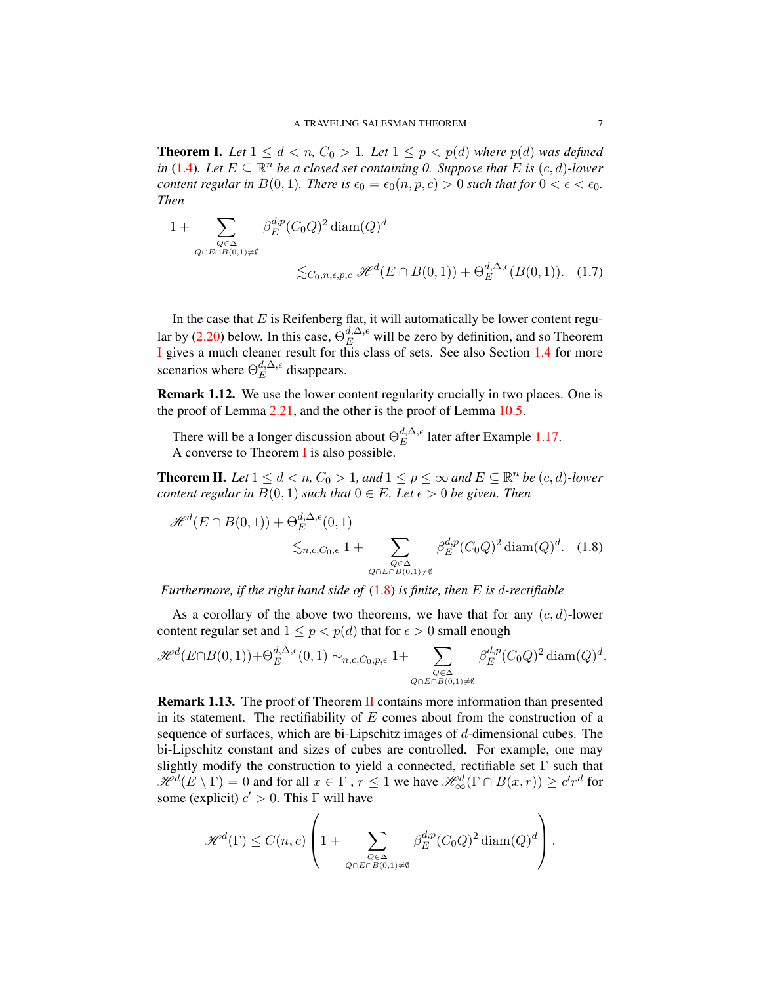**Theorem I.** Let  $1 \leq d < n$ ,  $C_0 > 1$ . Let  $1 \leq p < p(d)$  where  $p(d)$  was defined *in* [\(1.4\)](#page-3-0). Let  $E \subseteq \mathbb{R}^n$  be a closed set containing 0. Suppose that E is  $(c, d)$ -lower *content regular in*  $B(0, 1)$ *. There is*  $\epsilon_0 = \epsilon_0(n, p, c) > 0$  *such that for*  $0 < \epsilon < \epsilon_0$ *. Then*

<span id="page-7-0"></span>
$$
1 + \sum_{\substack{Q \in \Delta \\ Q \cap E \cap B(0,1) \neq \emptyset}} \beta_E^{d,p} (C_0 Q)^2 \operatorname{diam}(Q)^d
$$
  

$$
\lesssim_{C_0, n, \epsilon, p, c} \mathcal{H}^d(E \cap B(0,1)) + \Theta_E^{d, \Delta, \epsilon}(B(0,1)). \quad (1.7)
$$

In the case that  $E$  is Reifenberg flat, it will automatically be lower content regu-lar by [\(2.20\)](#page-16-0) below. In this case,  $\Theta_E^{d,\Delta,\epsilon}$  will be zero by definition, and so Theorem [I](#page-7-0) gives a much cleaner result for this class of sets. See also Section [1.4](#page-10-0) for more scenarios where  $\Theta_E^{d,\Delta,\epsilon}$  $E^{a,\Delta,\epsilon}$  disappears.

Remark 1.12. We use the lower content regularity crucially in two places. One is the proof of Lemma [2.21,](#page-25-0) and the other is the proof of Lemma [10.5.](#page-63-0)

There will be a longer discussion about  $\Theta_E^{d,\Delta,\epsilon}$  $E^{a,\Delta,\epsilon}$  later after Example [1.17.](#page-10-1) A converse to Theorem [I](#page-7-0) is also possible.

**Theorem II.** Let  $1 \le d < n$ ,  $C_0 > 1$ , and  $1 \le p \le \infty$  and  $E \subseteq \mathbb{R}^n$  be  $(c, d)$ *-lower content regular in*  $B(0,1)$  *such that*  $0 \in E$ *. Let*  $\epsilon > 0$  *be given. Then* 

<span id="page-7-1"></span>
$$
\mathcal{H}^{d}(E \cap B(0,1)) + \Theta_{E}^{d,\Delta,\epsilon}(0,1)
$$
  

$$
\lesssim_{n,c,C_0,\epsilon} 1 + \sum_{\substack{Q \in \Delta \\ Q \cap E \cap B(0,1) \neq \emptyset}} \beta_{E}^{d,p}(C_0 Q)^2 \operatorname{diam}(Q)^d. \quad (1.8)
$$

*Furthermore, if the right hand side of* [\(1.8\)](#page-7-1) *is finite, then* E *is* d*-rectifiable*

As a corollary of the above two theorems, we have that for any  $(c, d)$ -lower content regular set and  $1 \le p \le p(d)$  that for  $\epsilon > 0$  small enough

$$
\mathcal{H}^{d}(E \cap B(0,1)) + \Theta_{E}^{d,\Delta,\epsilon}(0,1) \sim_{n,c,C_0,p,\epsilon} 1 + \sum_{\substack{Q \in \Delta \\ Q \cap E \cap B(0,1) \neq \emptyset}} \beta_{E}^{d,p}(C_0Q)^2 \operatorname{diam}(Q)^d.
$$

Remark 1.13. The proof of Theorem [II](#page-7-1) contains more information than presented in its statement. The rectifiability of  $E$  comes about from the construction of a sequence of surfaces, which are bi-Lipschitz images of d-dimensional cubes. The bi-Lipschitz constant and sizes of cubes are controlled. For example, one may slightly modify the construction to yield a connected, rectifiable set  $\Gamma$  such that  $\mathscr{H}^d(E \setminus \Gamma) = 0$  and for all  $x \in \Gamma$  ,  $r \le 1$  we have  $\mathscr{H}^d_\infty(\Gamma \cap B(x,r)) \ge c'r^d$  for some (explicit)  $c' > 0$ . This  $\Gamma$  will have

$$
\mathscr{H}^{d}(\Gamma) \leq C(n,c) \left( 1 + \sum_{Q \in \Delta \atop Q \cap E \cap B(0,1) \neq \emptyset} \beta_E^{d,p}(C_0Q)^2 \operatorname{diam}(Q)^d \right).
$$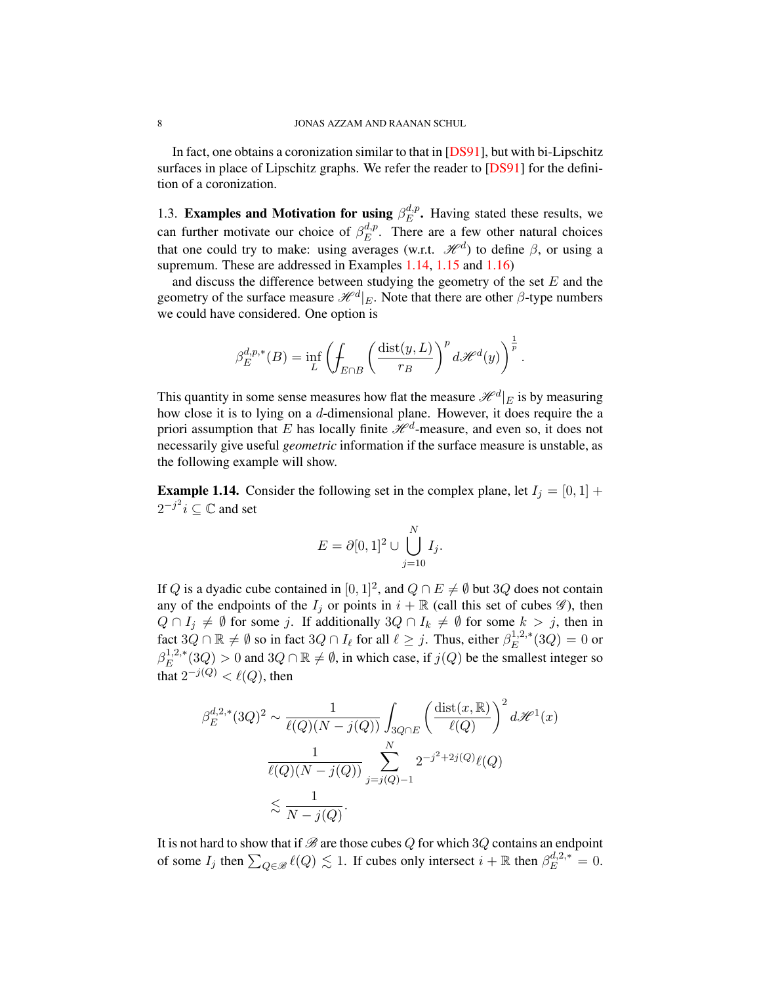In fact, one obtains a coronization similar to that in [\[DS91\]](#page-78-4), but with bi-Lipschitz surfaces in place of Lipschitz graphs. We refer the reader to [\[DS91\]](#page-78-4) for the definition of a coronization.

<span id="page-8-0"></span>1.3. Examples and Motivation for using  $\beta_E^{d,p}$  $E^{\mu,p}_{E}$ . Having stated these results, we can further motivate our choice of  $\beta_E^{d,p}$  $E^{a,p}_{E}$ . There are a few other natural choices that one could try to make: using averages (w.r.t.  $\mathcal{H}^{d}$ ) to define  $\beta$ , or using a supremum. These are addressed in Examples [1.14,](#page-8-1) [1.15](#page-9-0) and [1.16\)](#page-9-1)

and discuss the difference between studying the geometry of the set  $E$  and the geometry of the surface measure  $\mathcal{H}^d|_E$ . Note that there are other  $\beta$ -type numbers we could have considered. One option is

$$
\beta_E^{d,p,*}(B)=\inf_L\left(\int_{E\cap B}\left(\frac{\mathop\mathrm{dist}(y,L)}{r_B}\right)^pd\mathscr{H}^d(y)\right)^{\frac{1}{p}}.
$$

This quantity in some sense measures how flat the measure  $\mathscr{H}^d|_E$  is by measuring how close it is to lying on a d-dimensional plane. However, it does require the a priori assumption that E has locally finite  $\mathcal{H}^d$ -measure, and even so, it does not necessarily give useful *geometric* information if the surface measure is unstable, as the following example will show.

<span id="page-8-1"></span>**Example 1.14.** Consider the following set in the complex plane, let  $I_j = [0, 1] +$  $2^{-j^2}$  $i \subseteq \mathbb{C}$  and set

$$
E = \partial [0,1]^2 \cup \bigcup_{j=10}^N I_j.
$$

If Q is a dyadic cube contained in  $[0, 1]^2$ , and  $Q \cap E \neq \emptyset$  but 3Q does not contain any of the endpoints of the  $I_j$  or points in  $i + \mathbb{R}$  (call this set of cubes  $\mathscr{G}$ ), then  $Q \cap I_j \neq \emptyset$  for some j. If additionally  $3Q \cap I_k \neq \emptyset$  for some  $k > j$ , then in fact  $3Q \cap \mathbb{R} \neq \emptyset$  so in fact  $3Q \cap I_{\ell}$  for all  $\ell \geq j$ . Thus, either  $\beta_E^{1,2,*}$  $E^{1,2,*}(3Q) = 0$  or  $\beta_E^{1,2,*}$  $E^{1,2,*}(3Q) > 0$  and  $3Q \cap \mathbb{R} \neq \emptyset$ , in which case, if  $j(Q)$  be the smallest integer so that  $2^{-j(Q)} < \ell(Q)$ , then

$$
\beta_E^{d,2,*}(3Q)^2 \sim \frac{1}{\ell(Q)(N-j(Q))} \int_{3Q \cap E} \left(\frac{\text{dist}(x,\mathbb{R})}{\ell(Q)}\right)^2 d\mathcal{H}^1(x)
$$

$$
\frac{1}{\ell(Q)(N-j(Q))} \sum_{j=j(Q)-1}^N 2^{-j^2+2j(Q)} \ell(Q)
$$

$$
\lesssim \frac{1}{N-j(Q)}.
$$

It is not hard to show that if  $\mathcal B$  are those cubes  $Q$  for which  $3Q$  contains an endpoint of some  $I_j$  then  $\sum_{Q \in \mathcal{B}} \ell(Q) \lesssim 1$ . If cubes only intersect  $i + \mathbb{R}$  then  $\beta_E^{d,2,*} = 0$ .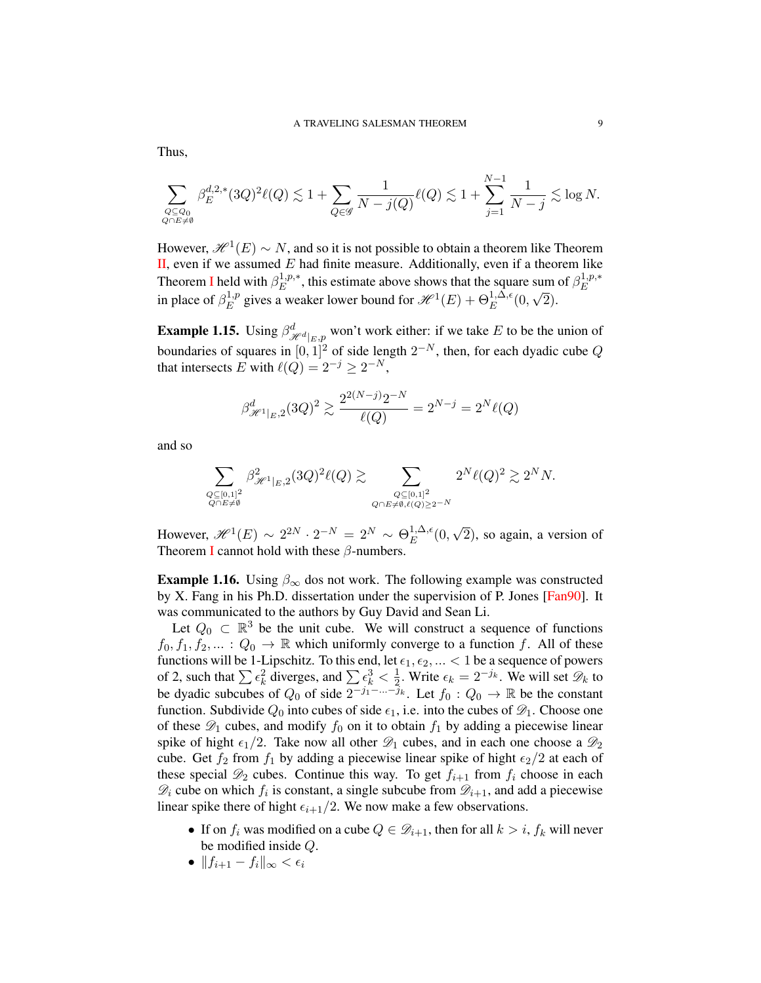$$
\sum_{\substack{Q \subseteq Q_0 \\ Q \cap E \neq \emptyset}} \beta_E^{d,2,*}(3Q)^2\ell(Q) \lesssim 1 + \sum_{Q \in \mathscr{G}} \frac{1}{N-j(Q)}\ell(Q) \lesssim 1 + \sum_{j=1}^{N-1} \frac{1}{N-j} \lesssim \log N.
$$

However,  $\mathscr{H}^1(E) \sim N$ , and so it is not possible to obtain a theorem like Theorem  $II$ , even if we assumed  $E$  had finite measure. Additionally, even if a theorem like Theorem [I](#page-7-0) held with  $\beta_E^{1,p,*}$  $E^{1,p,*}$ , this estimate above shows that the square sum of  $\beta_E^{1,p,*}$ E in place of  $\beta_E^{1,p}$  $E^{1,p}_E$  gives a weaker lower bound for  $\mathcal{H}^1(E) + \Theta^{1,\Delta,\epsilon}_E(0,$ √ 2).

<span id="page-9-0"></span>**Example 1.15.** Using  $\beta_{\mathcal{H}^d|_{E,p}}^d$  won't work either: if we take E to be the union of boundaries of squares in  $[0,1]^2$  of side length  $2^{-N}$ , then, for each dyadic cube Q that intersects E with  $\ell(Q) = 2^{-j} \geq 2^{-N}$ ,

$$
\beta_{\mathscr{H}^1|_E,2}^d(3Q)^2 \gtrsim \frac{2^{2(N-j)}2^{-N}}{\ell(Q)} = 2^{N-j} = 2^N \ell(Q)
$$

and so

$$
\sum_{\substack{Q \subseteq [0,1]^2 \\ Q \cap E \neq \emptyset}} \beta^2_{\mathscr{H}^1|_E,2} (3Q)^2 \ell(Q) \gtrsim \sum_{\substack{Q \subseteq [0,1]^2 \\ Q \cap E \neq \emptyset, \ell(Q) \geq 2^{-N}}} 2^N \ell(Q)^2 \gtrsim 2^N N.
$$

However,  $\mathscr{H}^1(E) \sim 2^{2N} \cdot 2^{-N} = 2^N \sim \Theta_E^{1,\Delta,\epsilon}$  $E^{1,\Delta,\epsilon}(0,$ √ 2), so again, a version of Theorem [I](#page-7-0) cannot hold with these  $\beta$ -numbers.

<span id="page-9-1"></span>**Example 1.16.** Using  $\beta_{\infty}$  dos not work. The following example was constructed by X. Fang in his Ph.D. dissertation under the supervision of P. Jones [\[Fan90\]](#page-78-2). It was communicated to the authors by Guy David and Sean Li.

Let  $Q_0 \subset \mathbb{R}^3$  be the unit cube. We will construct a sequence of functions  $f_0, f_1, f_2, \ldots : Q_0 \to \mathbb{R}$  which uniformly converge to a function f. All of these functions will be 1-Lipschitz. To this end, let  $\epsilon_1, \epsilon_2, ... < 1$  be a sequence of powers of 2, such that  $\sum \epsilon_k^2$  diverges, and  $\sum \epsilon_k^3 < \frac{1}{2}$  $\frac{1}{2}$ . Write  $\epsilon_k = 2^{-j_k}$ . We will set  $\mathscr{D}_k$  to be dyadic subcubes of  $Q_0$  of side  $2^{-j_1-\ldots-j_k}$ . Let  $f_0: Q_0 \to \mathbb{R}$  be the constant function. Subdivide  $Q_0$  into cubes of side  $\epsilon_1$ , i.e. into the cubes of  $\mathscr{D}_1$ . Choose one of these  $\mathscr{D}_1$  cubes, and modify  $f_0$  on it to obtain  $f_1$  by adding a piecewise linear spike of hight  $\epsilon_1/2$ . Take now all other  $\mathcal{D}_1$  cubes, and in each one choose a  $\mathcal{D}_2$ cube. Get  $f_2$  from  $f_1$  by adding a piecewise linear spike of hight  $\epsilon_2/2$  at each of these special  $\mathcal{D}_2$  cubes. Continue this way. To get  $f_{i+1}$  from  $f_i$  choose in each  $\mathscr{D}_i$  cube on which  $f_i$  is constant, a single subcube from  $\mathscr{D}_{i+1}$ , and add a piecewise linear spike there of hight  $\epsilon_{i+1}/2$ . We now make a few observations.

- If on  $f_i$  was modified on a cube  $Q \in \mathcal{D}_{i+1}$ , then for all  $k > i$ ,  $f_k$  will never be modified inside Q.
- $||f_{i+1} f_i||_{\infty} < \epsilon_i$

Thus,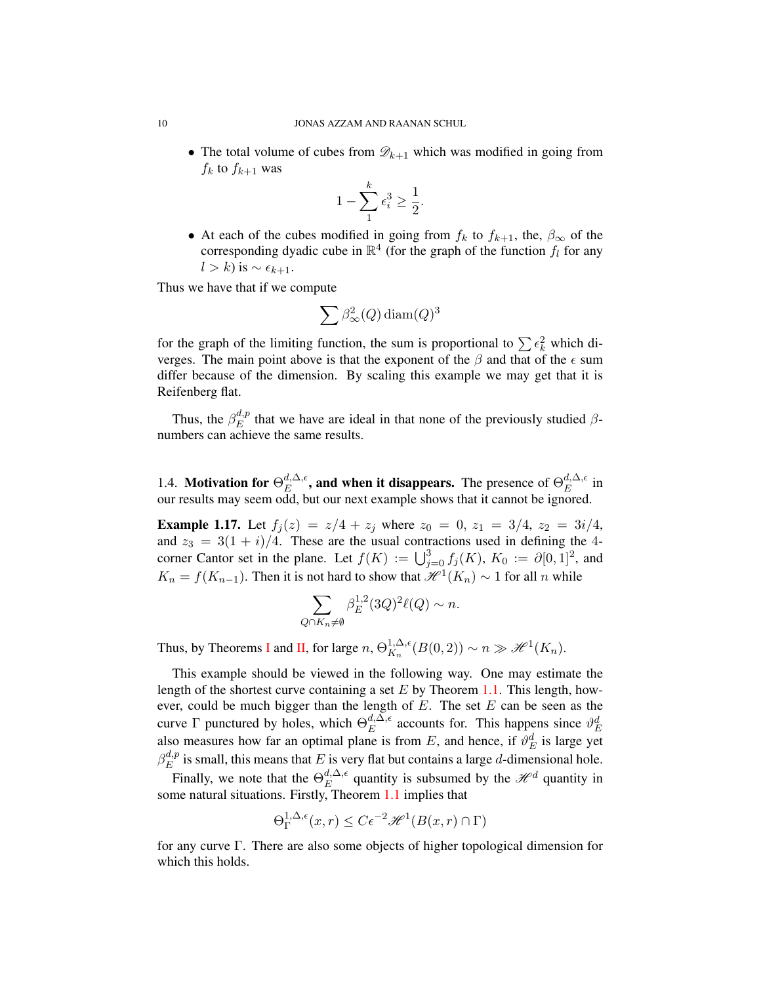• The total volume of cubes from  $\mathscr{D}_{k+1}$  which was modified in going from  $f_k$  to  $f_{k+1}$  was

$$
1 - \sum_{1}^{k} \epsilon_i^3 \ge \frac{1}{2}.
$$

• At each of the cubes modified in going from  $f_k$  to  $f_{k+1}$ , the,  $\beta_{\infty}$  of the corresponding dyadic cube in  $\mathbb{R}^4$  (for the graph of the function  $f_l$  for any  $l > k$ ) is  $\sim \epsilon_{k+1}$ .

Thus we have that if we compute

$$
\sum \beta_{\infty}^2(Q)\operatorname{diam}(Q)^3
$$

for the graph of the limiting function, the sum is proportional to  $\sum \epsilon_k^2$  which diverges. The main point above is that the exponent of the  $\beta$  and that of the  $\epsilon$  sum differ because of the dimension. By scaling this example we may get that it is Reifenberg flat.

Thus, the  $\beta_E^{d,p}$  $E_E^{a,p}$  that we have are ideal in that none of the previously studied  $\beta$ numbers can achieve the same results.

<span id="page-10-0"></span>1.4. Motivation for  $\Theta_E^{d,\Delta,\epsilon}$  $_{E}^{d,\Delta,\epsilon}$ , and when it disappears. The presence of  $\Theta_{E}^{d,\Delta,\epsilon}$  $E^{a,\Delta,\epsilon}$  in our results may seem odd, but our next example shows that it cannot be ignored.

<span id="page-10-1"></span>**Example 1.17.** Let  $f_j(z) = z/4 + z_j$  where  $z_0 = 0$ ,  $z_1 = 3/4$ ,  $z_2 = 3i/4$ , and  $z_3 = 3(1 + i)/4$ . These are the usual contractions used in defining the 4corner Cantor set in the plane. Let  $f(K) := \bigcup_{j=0}^{3} f_j(K)$ ,  $K_0 := \partial [0,1]^2$ , and  $K_n = f(K_{n-1})$ . Then it is not hard to show that  $\mathcal{H}^1(K_n) \sim 1$  for all n while

$$
\sum_{Q \cap K_n \neq \emptyset} \beta_E^{1,2} (3Q)^2 \ell(Q) \sim n.
$$

Thus, by Theorems [I](#page-7-0) and [II,](#page-7-1) for large  $n, \Theta_{K_n}^{1,\Delta,\epsilon}$  ${}_{K_n}^{1,\Delta,\epsilon}(B(0,2)) \sim n \gg \mathscr{H}^1(K_n).$ 

This example should be viewed in the following way. One may estimate the length of the shortest curve containing a set  $E$  by Theorem [1.1.](#page-2-2) This length, however, could be much bigger than the length of  $E$ . The set  $E$  can be seen as the curve  $\Gamma$  punctured by holes, which  $\Theta_E^{d,\Delta,\epsilon}$  $E^{d,\Delta,\epsilon}$  accounts for. This happens since  $\vartheta_E^d$ also measures how far an optimal plane is from E, and hence, if  $\mathcal{V}_E^d$  is large yet  $\beta_E^{d,p}$  $\binom{a,p}{E}$  is small, this means that E is very flat but contains a large d-dimensional hole.

Finally, we note that the  $\Theta_E^{d,\Delta,\epsilon}$  $E^{d,\Delta,\epsilon}$  quantity is subsumed by the  $\mathcal{H}^d$  quantity in some natural situations. Firstly, Theorem [1.1](#page-2-2) implies that

$$
\Theta_{\Gamma}^{1,\Delta,\epsilon}(x,r) \le C\epsilon^{-2} \mathcal{H}^1(B(x,r)\cap \Gamma)
$$

for any curve Γ. There are also some objects of higher topological dimension for which this holds.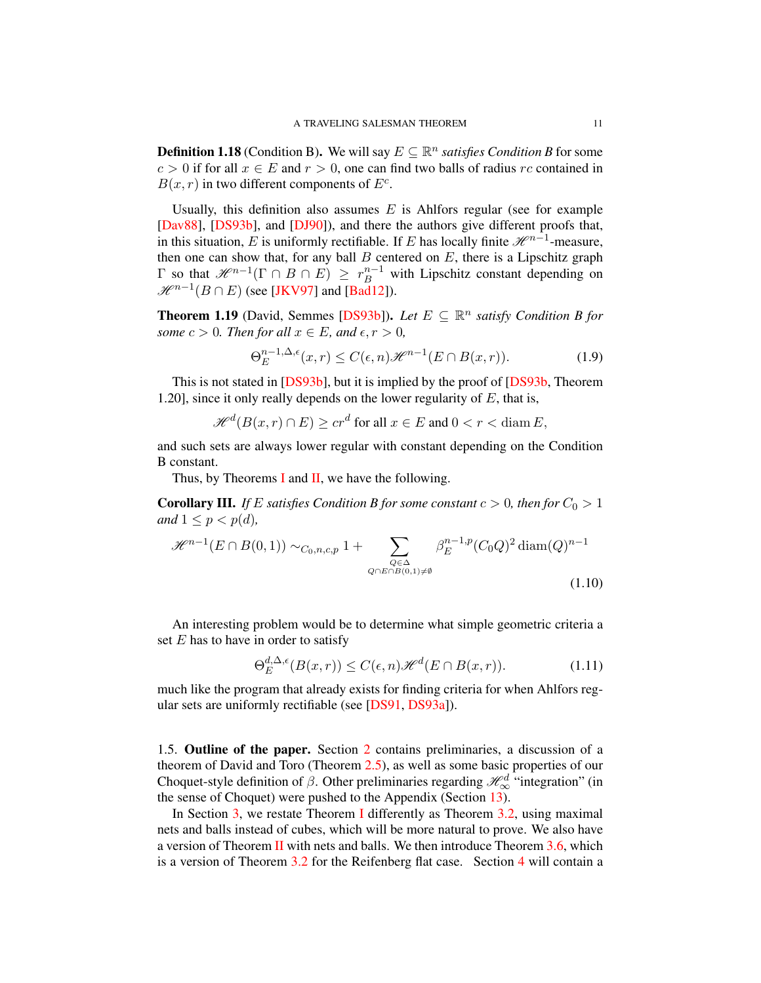<span id="page-11-1"></span>**Definition 1.18** (Condition B). We will say  $E \subseteq \mathbb{R}^n$  satisfies Condition B for some  $c > 0$  if for all  $x \in E$  and  $r > 0$ , one can find two balls of radius rc contained in  $B(x, r)$  in two different components of  $E^c$ .

Usually, this definition also assumes  $E$  is Ahlfors regular (see for example [\[Dav88\]](#page-77-9), [\[DS93b\]](#page-78-14), and [\[DJ90\]](#page-78-15)), and there the authors give different proofs that, in this situation, E is uniformly rectifiable. If E has locally finite  $\mathcal{H}^{n-1}$ -measure, then one can show that, for any ball  $B$  centered on  $E$ , there is a Lipschitz graph Γ so that  $\mathcal{H}^{n-1}$ (Γ ∩  $B \cap E$ ) ≥  $r_B^{n-1}$  with Lipschitz constant depending on  $\mathscr{H}^{n-1}(B \cap E)$  (see [\[JKV97\]](#page-78-16) and [\[Bad12\]](#page-77-10)).

**Theorem 1.19** (David, Semmes [\[DS93b\]](#page-78-14)). Let  $E \subseteq \mathbb{R}^n$  satisfy Condition B for *some*  $c > 0$ *. Then for all*  $x \in E$ *, and*  $\epsilon, r > 0$ *,* 

$$
\Theta_E^{n-1,\Delta,\epsilon}(x,r) \le C(\epsilon,n)\mathcal{H}^{n-1}(E \cap B(x,r)).\tag{1.9}
$$

This is not stated in [\[DS93b\]](#page-78-14), but it is implied by the proof of [\[DS93b,](#page-78-14) Theorem 1.20], since it only really depends on the lower regularity of  $E$ , that is,

$$
\mathcal{H}^d(B(x,r)\cap E)\ge cr^d \text{ for all } x\in E \text{ and } 0
$$

and such sets are always lower regular with constant depending on the Condition B constant.

Thus, by Theorems [I](#page-7-0) and  $II$ , we have the following.

**Corollary III.** *If* E *satisfies Condition B for some constant*  $c > 0$ *, then for*  $C_0 > 1$ *and*  $1 \leq p \leq p(d)$ *,* 

$$
\mathcal{H}^{n-1}(E \cap B(0,1)) \sim_{C_0,n,c,p} 1 + \sum_{\substack{Q \in \Delta \\ Q \cap E \cap B(0,1) \neq \emptyset}} \beta_E^{n-1,p}(C_0 Q)^2 \operatorname{diam}(Q)^{n-1}
$$
\n(1.10)

An interesting problem would be to determine what simple geometric criteria a set  $E$  has to have in order to satisfy

$$
\Theta_E^{d,\Delta,\epsilon}(B(x,r)) \le C(\epsilon,n)\mathcal{H}^d(E \cap B(x,r)).\tag{1.11}
$$

much like the program that already exists for finding criteria for when Ahlfors regular sets are uniformly rectifiable (see [\[DS91,](#page-78-4) [DS93a\]](#page-78-17)).

<span id="page-11-0"></span>1.5. Outline of the paper. Section [2](#page-13-0) contains preliminaries, a discussion of a theorem of David and Toro (Theorem [2.5\)](#page-16-0), as well as some basic properties of our Choquet-style definition of  $\beta$ . Other preliminaries regarding  $\mathcal{H}_{\infty}^{d}$  "integration" (in the sense of Choquet) were pushed to the Appendix (Section [13\)](#page-73-0).

In Section [3,](#page-28-0) we restate Theorem [I](#page-7-0) differently as Theorem [3.2,](#page-29-0) using maximal nets and balls instead of cubes, which will be more natural to prove. We also have a version of Theorem [II](#page-7-1) with nets and balls. We then introduce Theorem  $3.6$ , which is a version of Theorem [3.2](#page-29-0) for the Reifenberg flat case. Section [4](#page-30-1) will contain a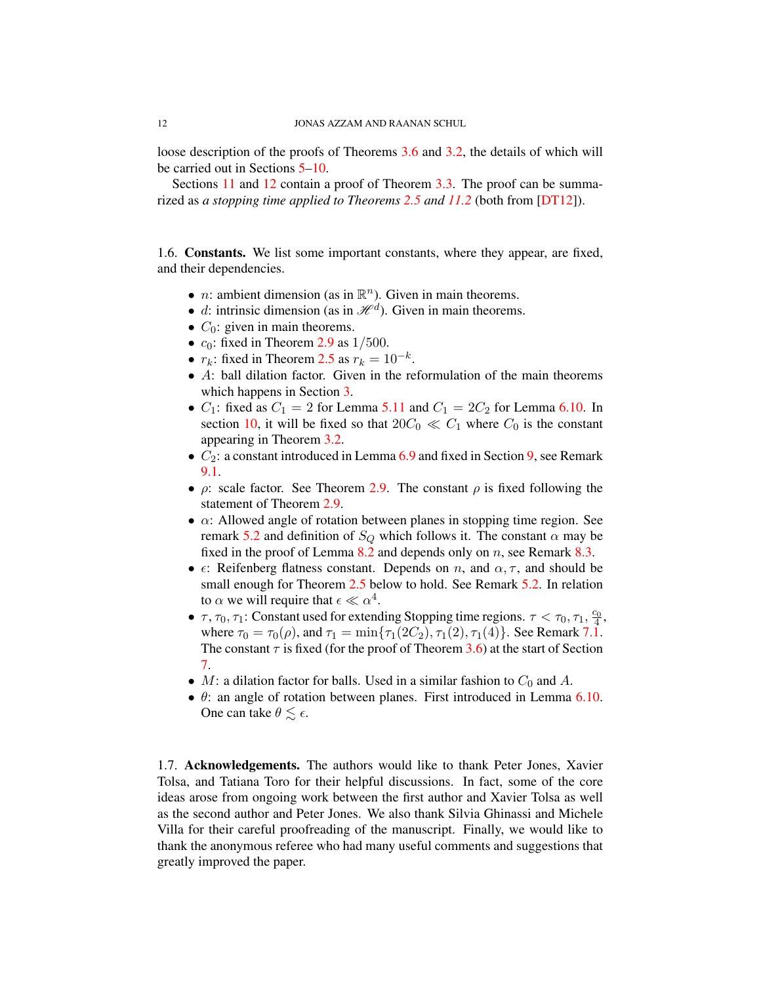loose description of the proofs of Theorems [3.6](#page-30-0) and [3.2,](#page-29-0) the details of which will be carried out in Sections [5–](#page-32-0)[10.](#page-58-0)

Sections [11](#page-67-0) and [12](#page-70-0) contain a proof of Theorem [3.3.](#page-29-1) The proof can be summarized as *a stopping time applied to Theorems [2.5](#page-16-0) and [11.2](#page-67-1)* (both from [\[DT12\]](#page-78-9)).

<span id="page-12-0"></span>1.6. Constants. We list some important constants, where they appear, are fixed, and their dependencies.

- *n*: ambient dimension (as in  $\mathbb{R}^n$ ). Given in main theorems.
- d: intrinsic dimension (as in  $\mathcal{H}^d$ ). Given in main theorems.
- $C_0$ : given in main theorems.
- $c_0$ : fixed in Theorem [2.9](#page-18-1) as  $1/500$ .
- $r_k$ : fixed in Theorem [2.5](#page-16-0) as  $r_k = 10^{-k}$ .
- A: ball dilation factor. Given in the reformulation of the main theorems which happens in Section [3.](#page-28-0)
- $C_1$ : fixed as  $C_1 = 2$  for Lemma [5.11](#page-36-0) and  $C_1 = 2C_2$  for Lemma [6.10.](#page-44-0) In section [10,](#page-58-0) it will be fixed so that  $20C_0 \ll C_1$  where  $C_0$  is the constant appearing in Theorem [3.2.](#page-29-0)
- $C_2$ : a constant introduced in Lemma [6.9](#page-43-0) and fixed in Section [9,](#page-55-0) see Remark [9.1.](#page-56-0)
- $\rho$ : scale factor. See Theorem [2.9.](#page-18-1) The constant  $\rho$  is fixed following the statement of Theorem [2.9.](#page-18-1)
- $\alpha$ : Allowed angle of rotation between planes in stopping time region. See remark [5.2](#page-32-1) and definition of  $S_Q$  which follows it. The constant  $\alpha$  may be fixed in the proof of Lemma  $8.2$  and depends only on n, see Remark  $8.3$ .
- $\epsilon$ : Reifenberg flatness constant. Depends on n, and  $\alpha$ ,  $\tau$ , and should be small enough for Theorem [2.5](#page-16-0) below to hold. See Remark [5.2.](#page-32-1) In relation to  $\alpha$  we will require that  $\epsilon \ll \alpha^4$ .
- $\tau$ ,  $\tau_0$ ,  $\tau_1$ : Constant used for extending Stopping time regions.  $\tau < \tau_0$ ,  $\tau_1$ ,  $\frac{c_0}{4}$ , where  $\tau_0 = \tau_0(\rho)$ , and  $\tau_1 = \min{\tau_1(2C_2), \tau_1(2), \tau_1(4)}$ . See Remark [7.1.](#page-46-1) The constant  $\tau$  is fixed (for the proof of Theorem [3.6\)](#page-30-0) at the start of Section [7.](#page-46-0)
- M: a dilation factor for balls. Used in a similar fashion to  $C_0$  and A.
- $\bullet$   $\theta$ : an angle of rotation between planes. First introduced in Lemma [6.10.](#page-44-0) One can take  $\theta \lesssim \epsilon$ .

<span id="page-12-1"></span>1.7. Acknowledgements. The authors would like to thank Peter Jones, Xavier Tolsa, and Tatiana Toro for their helpful discussions. In fact, some of the core ideas arose from ongoing work between the first author and Xavier Tolsa as well as the second author and Peter Jones. We also thank Silvia Ghinassi and Michele Villa for their careful proofreading of the manuscript. Finally, we would like to thank the anonymous referee who had many useful comments and suggestions that greatly improved the paper.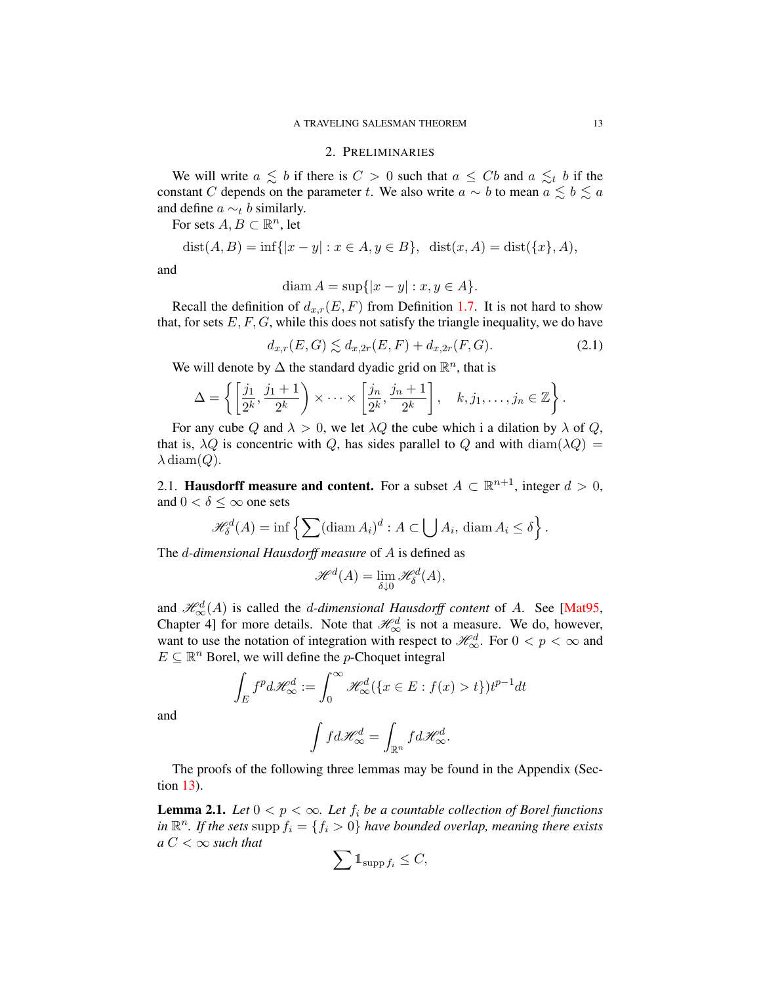#### 2. PRELIMINARIES

<span id="page-13-0"></span>We will write  $a \leq b$  if there is  $C > 0$  such that  $a \leq Cb$  and  $a \leq t$  b if the constant C depends on the parameter t. We also write  $a \sim b$  to mean  $a \leq b \leq a$ and define  $a \sim_t b$  similarly.

For sets  $A, B \subset \mathbb{R}^n$ , let

$$
dist(A, B) = inf{ |x - y| : x \in A, y \in B } , \ \ dist(x, A) = dist({x}, A),
$$

and

$$
\operatorname{diam} A = \sup\{|x - y| : x, y \in A\}.
$$

Recall the definition of  $d_{x,r}(E, F)$  from Definition [1.7.](#page-6-0) It is not hard to show that, for sets  $E, F, G$ , while this does not satisfy the triangle inequality, we do have

$$
d_{x,r}(E,G) \lesssim d_{x,2r}(E,F) + d_{x,2r}(F,G). \tag{2.1}
$$

We will denote by  $\Delta$  the standard dyadic grid on  $\mathbb{R}^n$ , that is

$$
\Delta = \left\{ \left[ \frac{j_1}{2^k}, \frac{j_1+1}{2^k} \right) \times \cdots \times \left[ \frac{j_n}{2^k}, \frac{j_n+1}{2^k} \right], \quad k, j_1, \ldots, j_n \in \mathbb{Z} \right\}.
$$

For any cube Q and  $\lambda > 0$ , we let  $\lambda Q$  the cube which i a dilation by  $\lambda$  of Q, that is,  $\lambda Q$  is concentric with Q, has sides parallel to Q and with  $\text{diam}(\lambda Q)$  =  $\lambda$  diam(Q).

<span id="page-13-1"></span>2.1. **Hausdorff measure and content.** For a subset  $A \subset \mathbb{R}^{n+1}$ , integer  $d > 0$ , and  $0 < \delta \leq \infty$  one sets

$$
\mathcal{H}_{\delta}^{d}(A) = \inf \left\{ \sum (\operatorname{diam} A_i)^d : A \subset \bigcup A_i, \, \operatorname{diam} A_i \le \delta \right\}.
$$

The d*-dimensional Hausdorff measure* of A is defined as

$$
\mathscr{H}^d(A) = \lim_{\delta \downarrow 0} \mathscr{H}^d_{\delta}(A),
$$

and  $\mathcal{H}^d_{\infty}(A)$  is called the *d*-dimensional Hausdorff content of A. See [\[Mat95,](#page-78-18) Chapter 4] for more details. Note that  $\mathcal{H}_{\infty}^{d}$  is not a measure. We do, however, want to use the notation of integration with respect to  $\mathcal{H}_{\infty}^d$ . For  $0 < p < \infty$  and  $E \subseteq \mathbb{R}^n$  Borel, we will define the *p*-Choquet integral

$$
\int_{E} f^{p} d\mathscr{H}_{\infty}^{d} := \int_{0}^{\infty} \mathscr{H}_{\infty}^{d} (\{x \in E : f(x) > t\}) t^{p-1} dt
$$

and

$$
\int f d\mathscr{H}^d_{\infty} = \int_{\mathbb{R}^n} f d\mathscr{H}^d_{\infty}.
$$

The proofs of the following three lemmas may be found in the Appendix (Section [13\)](#page-73-0).

**Lemma 2.1.** *Let*  $0 < p < \infty$ *. Let*  $f_i$  *be a countable collection of Borel functions in*  $\mathbb{R}^n$ *. If the sets* supp  $f_i = \{f_i > 0\}$  *have bounded overlap, meaning there exists*  $a C < \infty$  *such that* 

$$
\sum 1_{\mathrm{supp} f_i} \leq C,
$$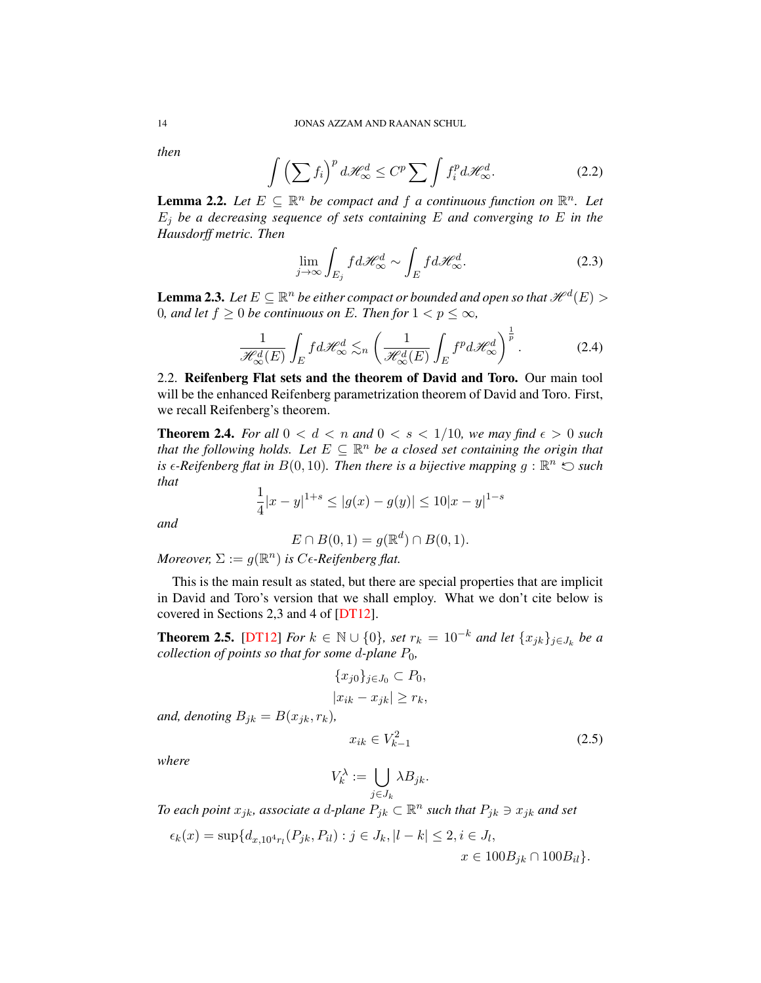*then*

<span id="page-14-3"></span>
$$
\int \left(\sum f_i\right)^p d\mathcal{H}_{\infty}^d \le C^p \sum \int f_i^p d\mathcal{H}_{\infty}^d.
$$
\n(2.2)

**Lemma 2.2.** Let  $E \subseteq \mathbb{R}^n$  be compact and f a continuous function on  $\mathbb{R}^n$ . Let  $E_i$  *be a decreasing sequence of sets containing*  $E$  *and converging to*  $E$  *in the Hausdorff metric. Then*

$$
\lim_{j \to \infty} \int_{E_j} f d\mathcal{H}_{\infty}^d \sim \int_E f d\mathcal{H}_{\infty}^d.
$$
\n(2.3)

<span id="page-14-1"></span>**Lemma 2.3.** Let  $E \subseteq \mathbb{R}^n$  be either compact or bounded and open so that  $\mathscr{H}^d(E)$   $>$ 0*, and let*  $f \ge 0$  *be continuous on* E. Then for  $1 < p \le \infty$ *,* 

<span id="page-14-2"></span>
$$
\frac{1}{\mathcal{H}_{\infty}^{d}(E)} \int_{E} f d\mathcal{H}_{\infty}^{d} \lesssim_{n} \left( \frac{1}{\mathcal{H}_{\infty}^{d}(E)} \int_{E} f^{p} d\mathcal{H}_{\infty}^{d} \right)^{\frac{1}{p}}.
$$
 (2.4)

<span id="page-14-0"></span>2.2. Reifenberg Flat sets and the theorem of David and Toro. Our main tool will be the enhanced Reifenberg parametrization theorem of David and Toro. First, we recall Reifenberg's theorem.

**Theorem 2.4.** For all  $0 < d < n$  and  $0 < s < 1/10$ , we may find  $\epsilon > 0$  such that the following holds. Let  $E \subseteq \mathbb{R}^n$  be a closed set containing the origin that is  $\epsilon$ -Reifenberg flat in  $B(0, 10)$ . Then there is a bijective mapping  $g : \mathbb{R}^n \leq \textit{such}$ *that*

$$
\frac{1}{4}|x-y|^{1+s} \le |g(x)-g(y)| \le 10|x-y|^{1-s}
$$

*and*

$$
E \cap B(0,1) = g(\mathbb{R}^d) \cap B(0,1).
$$

*Moreover,*  $\Sigma := g(\mathbb{R}^n)$  *is C* $\epsilon$ -Reifenberg flat.

This is the main result as stated, but there are special properties that are implicit in David and Toro's version that we shall employ. What we don't cite below is covered in Sections 2,3 and 4 of [\[DT12\]](#page-78-9).

**Theorem 2.5.** [\[DT12\]](#page-78-9) *For*  $k \in \mathbb{N} \cup \{0\}$ *, set*  $r_k = 10^{-k}$  *and let*  $\{x_{jk}\}_{j \in J_k}$  *be a collection of points so that for some d-plane*  $P_0$ *,* 

$$
\{x_{j0}\}_{j\in J_0} \subset P_0,
$$
  
\n
$$
|x_{ik} - x_{jk}| \ge r_k,
$$
  
\nand, denoting  $B_{jk} = B(x_{jk}, r_k),$   
\n
$$
x_{ik} \in V_{k-1}^2
$$
\n(2.5)

*where*

$$
V_k^\lambda:=\bigcup_{j\in J_k}\lambda B_{jk}.
$$

*To each point*  $x_{jk}$ *, associate a d-plane*  $P_{jk} \subset \mathbb{R}^n$  such that  $P_{jk} \ni x_{jk}$  and set

$$
\epsilon_k(x) = \sup \{ d_{x,10^4 r_l}(P_{jk}, P_{il}) : j \in J_k, |l - k| \le 2, i \in J_l, x \in 100B_{jk} \cap 100B_{il} \}.
$$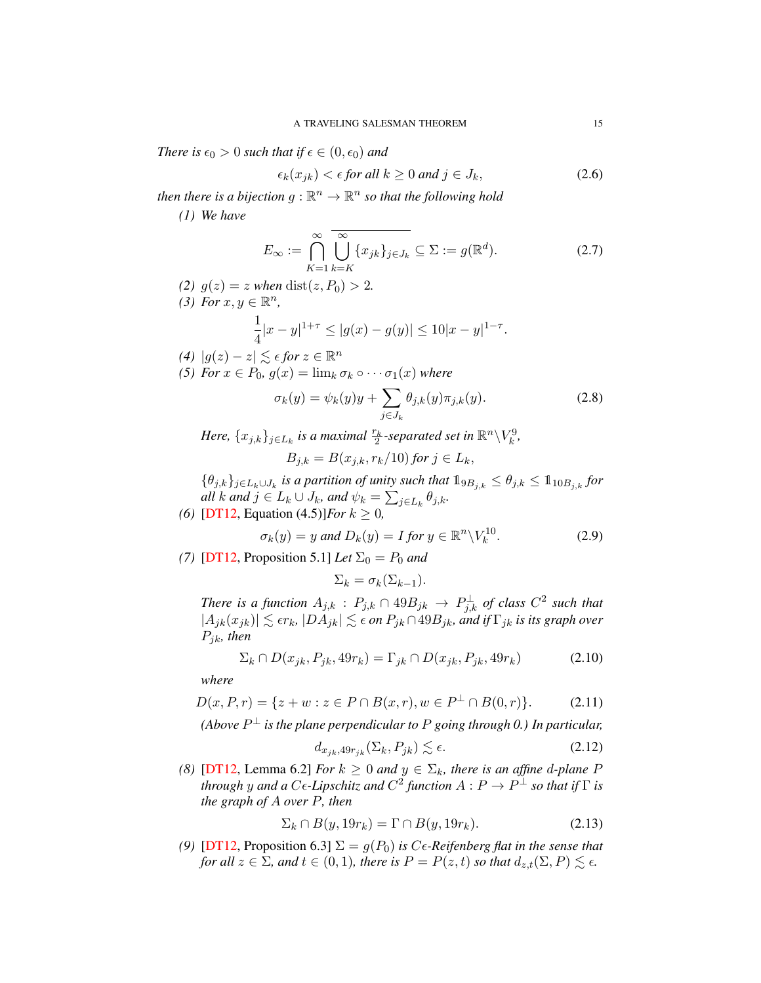*There is*  $\epsilon_0 > 0$  *such that if*  $\epsilon \in (0, \epsilon_0)$  *and* 

$$
\epsilon_k(x_{jk}) < \epsilon \text{ for all } k \ge 0 \text{ and } j \in J_k,\tag{2.6}
$$

then there is a bijection  $g : \mathbb{R}^n \to \mathbb{R}^n$  so that the following hold

*(1) We have*

$$
E_{\infty} := \bigcap_{K=1}^{\infty} \overline{\bigcup_{k=K}^{\infty} \{x_{jk}\}_{j\in J_k}} \subseteq \Sigma := g(\mathbb{R}^d).
$$
 (2.7)

- *(2)*  $g(z) = z$  *when* dist $(z, P_0) > 2$ . (3) For  $x, y \in \mathbb{R}^n$ , 1  $\frac{1}{4}|x-y|^{1+\tau} \le |g(x)-g(y)| \le 10|x-y|^{1-\tau}.$
- *(4)*  $|g(z) z|$   $\leq$  *∈ for*  $z \in \mathbb{R}^n$ *(5) For*  $x \in P_0$ *,*  $g(x) = \lim_k \sigma_k \circ \cdots \sigma_1(x)$  *where*

<span id="page-15-1"></span>
$$
\sigma_k(y) = \psi_k(y)y + \sum_{j \in J_k} \theta_{j,k}(y)\pi_{j,k}(y). \tag{2.8}
$$

Here,  $\{x_{j,k}\}_{j\in L_k}$  is a maximal  $\frac{r_k}{2}$ -separated set in  $\mathbb{R}^n\backslash V_k^9$ ,  $B_{j,k} = B(x_{j,k}, r_k/10)$  *for*  $j \in L_k$ ,

 ${θ_{j,k}}_{j∈L_k∪J_k}$  is a partition of unity such that  $1_{9B_{j,k}} ≤ θ_{j,k} ≤ 1_{10B_{j,k}}$  for *all*  $k$  *and*  $j \in L_k \cup J_k$ *, and*  $\psi_k = \sum_{j \in L_k} \theta_{j,k}$ *. (6)* [\[DT12,](#page-78-9) Equation (4.5)]*For*  $k \ge 0$ *,* 

$$
\sigma_k(y) = y \text{ and } D_k(y) = I \text{ for } y \in \mathbb{R}^n \backslash V_k^{10}.
$$
 (2.9)

*(7)* [\[DT12,](#page-78-9) Proposition 5.1] *Let*  $\Sigma_0 = P_0$  *and* 

 $\Sigma_k = \sigma_k(\Sigma_{k-1}).$ 

*There is a function*  $A_{j,k}$  *:*  $P_{j,k} \cap 49B_{jk} \to P_{j,k}^{\perp}$  *of class*  $C^2$  *such that*  $|A_{jk}(x_{jk})| \lesssim \epsilon r_k$ ,  $|DA_{jk}| \lesssim \epsilon$  on  $P_{jk} \cap 49B_{jk}$ *, and if*  $\Gamma_{jk}$  *is its graph over* Pjk*, then*

$$
\Sigma_k \cap D(x_{jk}, P_{jk}, 49r_k) = \Gamma_{jk} \cap D(x_{jk}, P_{jk}, 49r_k)
$$
\n(2.10)

*where*

$$
D(x, P, r) = \{ z + w : z \in P \cap B(x, r), w \in P^{\perp} \cap B(0, r) \}. \tag{2.11}
$$

(Above  $P^{\perp}$  is the plane perpendicular to  $P$  going through 0.) In particular,

$$
d_{x_{jk}, 49r_{jk}}(\Sigma_k, P_{jk}) \lesssim \epsilon. \tag{2.12}
$$

*(8)* [\[DT12,](#page-78-9) Lemma 6.2] *For*  $k \geq 0$  *and*  $y \in \Sigma_k$ *, there is an affine d-plane P* through  $y$  and a  $C$ e-Lipschitz and  $C^2$  function  $A: P \to P^\perp$  so that if  $\Gamma$  is *the graph of* A *over* P*, then*

<span id="page-15-0"></span>
$$
\Sigma_k \cap B(y, 19r_k) = \Gamma \cap B(y, 19r_k). \tag{2.13}
$$

*(9)* [\[DT12,](#page-78-9) Proposition 6.3]  $\Sigma = g(P_0)$  *is C<sub>6</sub>-Reifenberg flat in the sense that for all*  $z \in \Sigma$ *, and*  $t \in (0,1)$ *, there is*  $P = P(z,t)$  *so that*  $d_{z,t}(\Sigma, P) \lesssim \epsilon$ *.*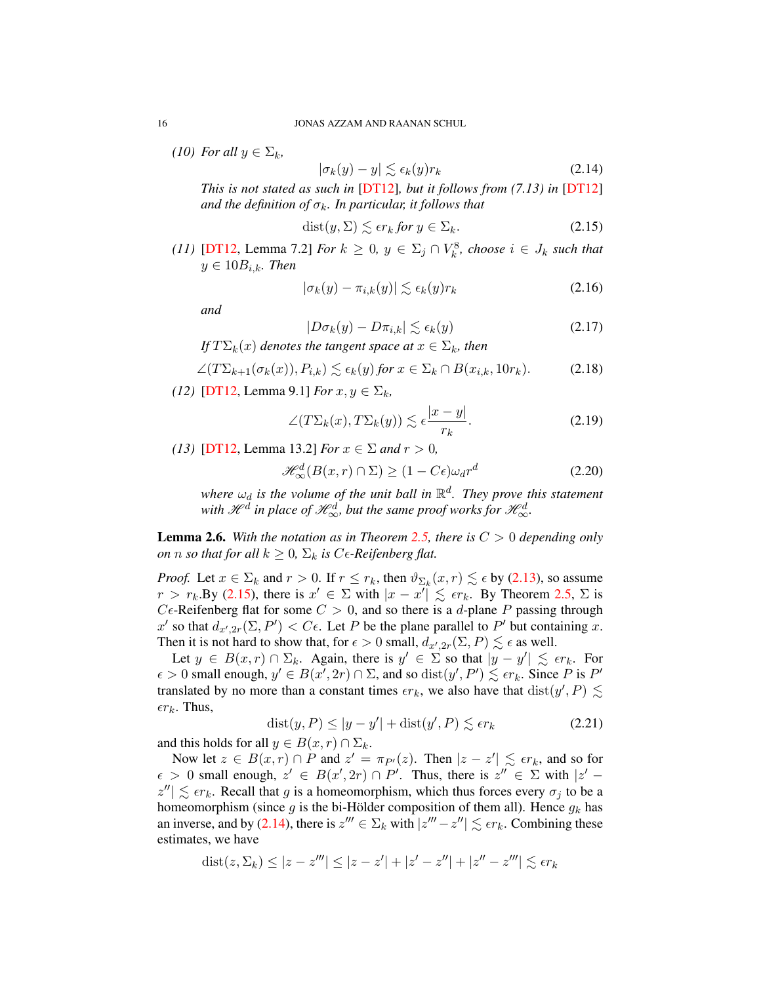*(10) For all*  $y \in \Sigma_k$ *,* 

<span id="page-16-2"></span>
$$
|\sigma_k(y) - y| \lesssim \epsilon_k(y)r_k \tag{2.14}
$$

*This is not stated as such in* [\[DT12\]](#page-78-9)*, but it follows from (7.13) in* [\[DT12\]](#page-78-9) *and the definition of*  $\sigma_k$ *. In particular, it follows that* 

<span id="page-16-1"></span>
$$
dist(y, \Sigma) \lesssim \epsilon r_k \text{ for } y \in \Sigma_k. \tag{2.15}
$$

*(11)* [\[DT12,](#page-78-9) Lemma 7.2] *For*  $k \geq 0$ ,  $y \in \Sigma_j \cap V_k^8$ , *choose*  $i \in J_k$  *such that*  $y \in 10B_{i,k}$ *. Then* 

$$
|\sigma_k(y) - \pi_{i,k}(y)| \lesssim \epsilon_k(y)r_k
$$
\n(2.16)

*and*

$$
|D\sigma_k(y) - D\pi_{i,k}| \lesssim \epsilon_k(y) \tag{2.17}
$$

*If*  $T\Sigma_k(x)$  *denotes the tangent space at*  $x \in \Sigma_k$ *, then* 

$$
\angle(T\Sigma_{k+1}(\sigma_k(x)), P_{i,k}) \lesssim \epsilon_k(y) \text{ for } x \in \Sigma_k \cap B(x_{i,k}, 10r_k). \tag{2.18}
$$

*(12)* [\[DT12,](#page-78-9) Lemma 9.1] *For*  $x, y \in \Sigma_k$ ,

$$
\angle(T\Sigma_k(x), T\Sigma_k(y)) \lesssim \epsilon \frac{|x-y|}{r_k}.\tag{2.19}
$$

*(13)* [\[DT12,](#page-78-9) Lemma 13.2] *For*  $x \in \Sigma$  *and*  $r > 0$ *,* 

<span id="page-16-0"></span>
$$
\mathcal{H}_{\infty}^{d}(B(x,r)\cap\Sigma)\geq(1-C\epsilon)\omega_{d}r^{d}\qquad(2.20)
$$

where  $\omega_d$  is the volume of the unit ball in  $\mathbb{R}^d$ . They prove this statement with  $\mathscr{H}^d$  in place of  $\mathscr{H}^d_{\infty}$ , but the same proof works for  $\mathscr{H}^d_{\infty}$ .

**Lemma 2.6.** With the notation as in Theorem [2.5,](#page-16-0) there is  $C > 0$  depending only *on n so that for all*  $k \geq 0$ ,  $\Sigma_k$  *is* C $\epsilon$ -Reifenberg flat.

*Proof.* Let  $x \in \Sigma_k$  and  $r > 0$ . If  $r \leq r_k$ , then  $\vartheta_{\Sigma_k}(x, r) \lesssim \epsilon$  by [\(2.13\)](#page-15-0), so assume  $r > r_k$ . By [\(2.15\)](#page-16-1), there is  $x' \in \Sigma$  with  $|x - x'| \leq \epsilon r_k$ . By Theorem [2.5,](#page-16-0)  $\Sigma$  is  $C\epsilon$ -Reifenberg flat for some  $C > 0$ , and so there is a d-plane P passing through x' so that  $d_{x',2r}(\Sigma, P') < C\epsilon$ . Let P be the plane parallel to P' but containing x. Then it is not hard to show that, for  $\epsilon > 0$  small,  $d_{\alpha',2r}(\Sigma, P) \lesssim \epsilon$  as well.

Let  $y \in B(x,r) \cap \Sigma_k$ . Again, there is  $y' \in \Sigma$  so that  $|y - y'| \leq \epsilon r_k$ . For  $\epsilon > 0$  small enough,  $y' \in B(x', 2r) \cap \Sigma$ , and so  $dist(y', P') \lesssim \epsilon r_k$ . Since P is P' translated by no more than a constant times  $\epsilon r_k$ , we also have that  $dist(y', P) \lesssim$  $\epsilon r_k$ . Thus,

<span id="page-16-3"></span>
$$
dist(y, P) \le |y - y'| + dist(y', P) \lesssim \epsilon r_k
$$
\n(2.21)

and this holds for all  $y \in B(x, r) \cap \Sigma_k$ .

Now let  $z \in B(x,r) \cap P$  and  $z' = \pi_{P'}(z)$ . Then  $|z - z'| \lesssim \epsilon r_k$ , and so for  $\epsilon > 0$  small enough,  $z' \in B(x', 2r) \cap P'$ . Thus, there is  $z'' \in \Sigma$  with  $|z' - z|$  $|z''| \lesssim \epsilon r_k$ . Recall that g is a homeomorphism, which thus forces every  $\sigma_j$  to be a homeomorphism (since g is the bi-Hölder composition of them all). Hence  $g_k$  has an inverse, and by [\(2.14\)](#page-16-2), there is  $z''' \in \Sigma_k$  with  $|z''' - z''| \lesssim \epsilon r_k$ . Combining these estimates, we have

$$
dist(z, \Sigma_k) \le |z - z'''| \le |z - z'| + |z' - z''| + |z'' - z'''| \lesssim \epsilon r_k
$$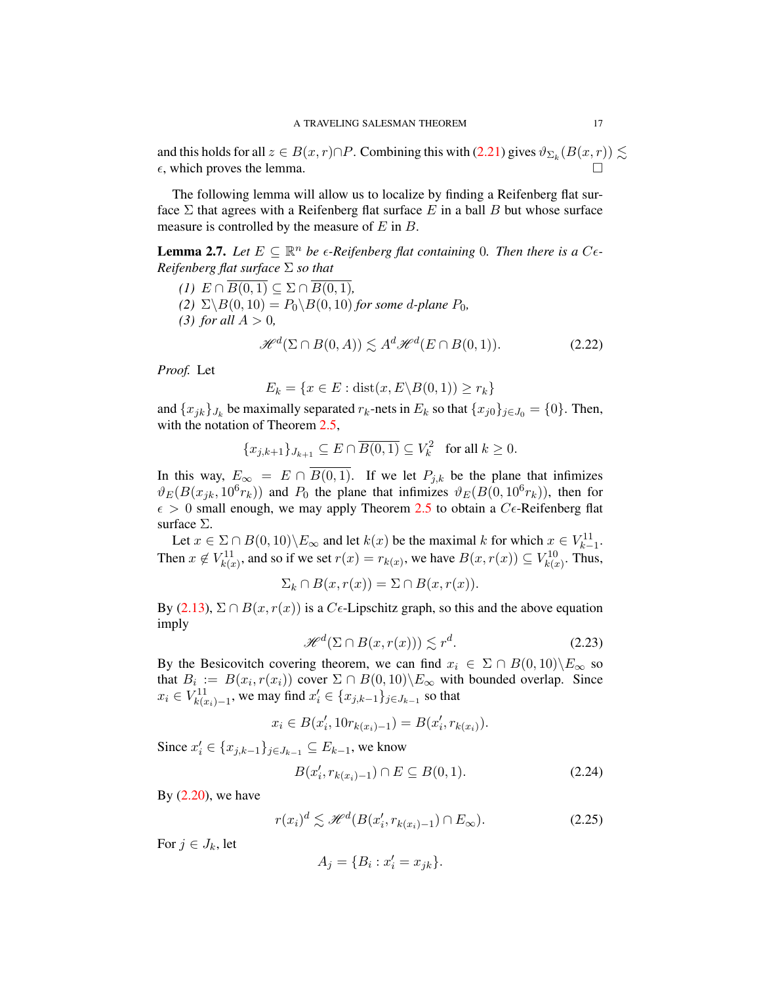and this holds for all  $z \in B(x,r) \cap P$ . Combining this with [\(2.21\)](#page-16-3) gives  $\vartheta_{\Sigma_k}(B(x,r)) \lesssim$  $\epsilon$ , which proves the lemma.

The following lemma will allow us to localize by finding a Reifenberg flat surface  $\Sigma$  that agrees with a Reifenberg flat surface E in a ball B but whose surface measure is controlled by the measure of  $E$  in  $B$ .

**Lemma 2.7.** Let  $E \subseteq \mathbb{R}^n$  be  $\epsilon$ -Reifenberg flat containing 0. Then there is a  $C\epsilon$ -*Reifenberg flat surface* Σ *so that*

*(1)*  $E \cap \overline{B(0,1)} \subseteq \Sigma \cap \overline{B(0,1)}$ , *(2)*  $\Sigma \backslash B(0, 10) = P_0 \backslash B(0, 10)$  *for some d-plane*  $P_0$ *, (3) for all*  $A > 0$ *,* 

$$
\mathcal{H}^d(\Sigma \cap B(0, A)) \lesssim A^d \mathcal{H}^d(E \cap B(0, 1)).\tag{2.22}
$$

*Proof.* Let

$$
E_k = \{x \in E : \text{dist}(x, E \setminus B(0, 1)) \ge r_k\}
$$

and  $\{x_{jk}\}_{J_k}$  be maximally separated  $r_k$ -nets in  $E_k$  so that  $\{x_{j0}\}_{j\in J_0} = \{0\}$ . Then, with the notation of Theorem [2.5,](#page-16-0)

$$
\{x_{j,k+1}\}_{J_{k+1}} \subseteq E \cap \overline{B(0,1)} \subseteq V_k^2 \quad \text{for all } k \ge 0.
$$

In this way,  $E_{\infty} = E \cap \overline{B(0,1)}$ . If we let  $P_{j,k}$  be the plane that infimizes  $\vartheta_E(B(x_{jk}, 10^6 r_k))$  and  $P_0$  the plane that infimizes  $\vartheta_E(B(0, 10^6 r_k))$ , then for  $\epsilon > 0$  small enough, we may apply Theorem [2.5](#page-16-0) to obtain a C $\epsilon$ -Reifenberg flat surface Σ.

Let  $x \in \Sigma \cap B(0, 10) \backslash E_{\infty}$  and let  $k(x)$  be the maximal k for which  $x \in V_{k-1}^{11}$ . Then  $x \notin V_{k(x)}^{11}$ , and so if we set  $r(x) = r_{k(x)}$ , we have  $B(x, r(x)) \subseteq V_{k(x)}^{10}$ . Thus,

$$
\Sigma_k \cap B(x, r(x)) = \Sigma \cap B(x, r(x)).
$$

By [\(2.13\)](#page-15-0),  $\Sigma \cap B(x, r(x))$  is a C $\epsilon$ -Lipschitz graph, so this and the above equation imply

<span id="page-17-0"></span>
$$
\mathcal{H}^d(\Sigma \cap B(x, r(x))) \lesssim r^d. \tag{2.23}
$$

By the Besicovitch covering theorem, we can find  $x_i \in \Sigma \cap B(0, 10) \backslash E_{\infty}$  so that  $B_i := B(x_i, r(x_i))$  cover  $\Sigma \cap B(0, 10) \backslash E_\infty$  with bounded overlap. Since  $x_i \in V_{k(x_i)-1}^{11}$ , we may find  $x'_i \in \{x_{j,k-1}\}_{j \in J_{k-1}}$  so that

$$
x_i \in B(x'_i, 10r_{k(x_i)-1}) = B(x'_i, r_{k(x_i)}).
$$

Since  $x'_i \in \{x_{j,k-1}\}_{j \in J_{k-1}} \subseteq E_{k-1}$ , we know

<span id="page-17-2"></span>
$$
B(x_i', r_{k(x_i)-1}) \cap E \subseteq B(0, 1). \tag{2.24}
$$

By  $(2.20)$ , we have

<span id="page-17-1"></span>
$$
r(x_i)^d \lesssim \mathcal{H}^d(B(x_i', r_{k(x_i)-1}) \cap E_{\infty}).
$$
\n(2.25)

For  $j \in J_k$ , let

$$
A_j = \{B_i : x'_i = x_{jk}\}.
$$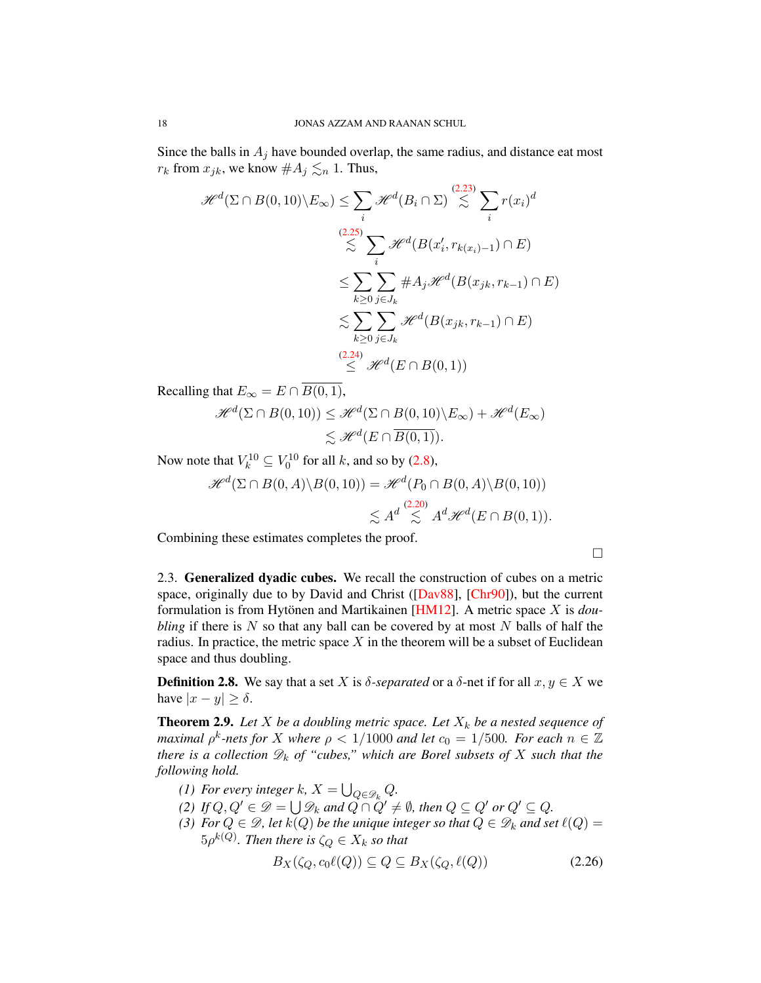Since the balls in  $A_i$  have bounded overlap, the same radius, and distance eat most  $r_k$  from  $x_{jk}$ , we know  $\#A_j \lesssim_n 1$ . Thus,

$$
\mathcal{H}^{d}(\Sigma \cap B(0,10)\setminus E_{\infty}) \leq \sum_{i} \mathcal{H}^{d}(B_{i} \cap \Sigma) \overset{(2.23)}{\lesssim} \sum_{i} r(x_{i})^{d}
$$
\n
$$
\overset{(2.25)}{\lesssim} \sum_{i} \mathcal{H}^{d}(B(x'_{i}, r_{k(x_{i})-1}) \cap E)
$$
\n
$$
\leq \sum_{k \geq 0} \sum_{j \in J_{k}} \#A_{j} \mathcal{H}^{d}(B(x_{jk}, r_{k-1}) \cap E)
$$
\n
$$
\lesssim \sum_{k \geq 0} \sum_{j \in J_{k}} \mathcal{H}^{d}(B(x_{jk}, r_{k-1}) \cap E)
$$
\n
$$
\overset{(2.24)}{\leq} \mathcal{H}^{d}(E \cap B(0, 1))
$$

Recalling that  $E_{\infty} = E \cap \overline{B(0,1)}$ ,

$$
\mathcal{H}^d(\Sigma \cap B(0, 10)) \leq \mathcal{H}^d(\Sigma \cap B(0, 10) \setminus E_\infty) + \mathcal{H}^d(E_\infty)
$$
  

$$
\lesssim \mathcal{H}^d(E \cap \overline{B(0, 1)}).
$$

Now note that  $V_k^{10} \subseteq V_0^{10}$  for all k, and so by [\(2.8\)](#page-15-1),

$$
\mathcal{H}^d(\Sigma \cap B(0, A) \setminus B(0, 10)) = \mathcal{H}^d(P_0 \cap B(0, A) \setminus B(0, 10))
$$
  

$$
\lesssim A^d \lesssim A^d \mathcal{H}^d(E \cap B(0, 1)).
$$

Combining these estimates completes the proof.

 $\Box$ 

<span id="page-18-0"></span>2.3. Generalized dyadic cubes. We recall the construction of cubes on a metric space, originally due to by David and Christ ([\[Dav88\]](#page-77-9), [\[Chr90\]](#page-77-11)), but the current formulation is from Hytönen and Martikainen [[HM12\]](#page-78-19). A metric space X is *doubling* if there is  $N$  so that any ball can be covered by at most  $N$  balls of half the radius. In practice, the metric space  $X$  in the theorem will be a subset of Euclidean space and thus doubling.

**Definition 2.8.** We say that a set X is  $\delta$ -separated or a  $\delta$ -net if for all  $x, y \in X$  we have  $|x - y| \ge \delta$ .

**Theorem 2.9.** Let X be a doubling metric space. Let  $X_k$  be a nested sequence of *maximal*  $\rho^k$ -nets for X where  $\rho < 1/1000$  and let  $c_0 = 1/500$ . For each  $n \in \mathbb{Z}$ *there is a collection*  $\mathscr{D}_k$  *of "cubes," which are Borel subsets of* X *such that the following hold.*

- *(1)* For every integer k,  $X = \bigcup_{Q \in \mathscr{D}_k} Q$ .
- *(2) If*  $Q, Q' \in \mathscr{D} = \bigcup \mathscr{D}_k$  and  $Q \cap Q' \neq \emptyset$ , then  $Q \subseteq Q'$  or  $Q' \subseteq Q$ .
- *(3) For*  $Q \in \mathcal{D}$ *, let*  $k(Q)$  *be the unique integer so that*  $Q \in \mathcal{D}_k$  *and set*  $\ell(Q)$  =  $5\rho^{k(Q)}.$  Then there is  $\zeta_Q\in X_k$  so that

<span id="page-18-1"></span>
$$
B_X(\zeta_Q, c_0 \ell(Q)) \subseteq Q \subseteq B_X(\zeta_Q, \ell(Q)) \tag{2.26}
$$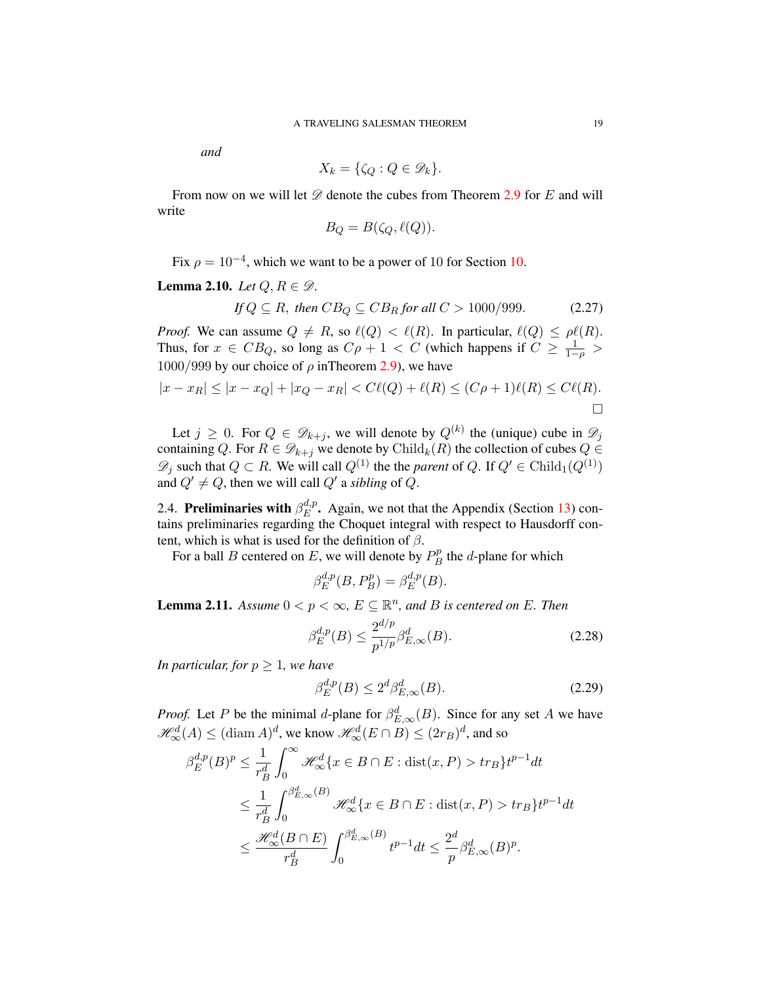*and*

$$
X_k = \{ \zeta_Q : Q \in \mathscr{D}_k \}.
$$

From now on we will let  $\mathscr D$  denote the cubes from Theorem [2.9](#page-18-1) for E and will write

$$
B_Q = B(\zeta_Q, \ell(Q)).
$$

Fix  $\rho = 10^{-4}$ , which we want to be a power of 10 for Section [10.](#page-58-0)

# Lemma 2.10. *Let*  $Q, R \in \mathcal{D}$ .

<span id="page-19-1"></span>If 
$$
Q \subseteq R
$$
, then  $CB_Q \subseteq CB_R$  for all  $C > 1000/999$ . (2.27)

*Proof.* We can assume  $Q \neq R$ , so  $\ell(Q) < \ell(R)$ . In particular,  $\ell(Q) \leq \rho \ell(R)$ . Thus, for  $x \in CB_Q$ , so long as  $C\rho + 1 < C$  (which happens if  $C \ge \frac{1}{1-\rho} >$  $1000/999$  by our choice of  $\rho$  in Theorem [2.9\)](#page-18-1), we have

$$
|x - x_R| \le |x - x_Q| + |x_Q - x_R| < C\ell(Q) + \ell(R) \le (C\rho + 1)\ell(R) \le C\ell(R).
$$

Let  $j \geq 0$ . For  $Q \in \mathscr{D}_{k+j}$ , we will denote by  $Q^{(k)}$  the (unique) cube in  $\mathscr{D}_j$ containing Q. For  $R \in \mathcal{D}_{k+j}$  we denote by Child<sub>k</sub> $(R)$  the collection of cubes  $Q \in$  $\mathscr{D}_j$  such that  $Q \subset R$ . We will call  $Q^{(1)}$  the the *parent* of Q. If  $Q' \in \text{Child}_1(Q^{(1)})$ and  $Q' \neq Q$ , then we will call  $Q'$  a *sibling* of  $Q$ .

<span id="page-19-0"></span>2.4. Preliminaries with  $\beta_E^{d,p}$  $E^{\mu,p}$ . Again, we not that the Appendix (Section [13\)](#page-73-0) contains preliminaries regarding the Choquet integral with respect to Hausdorff content, which is what is used for the definition of  $\beta$ .

For a ball B centered on E, we will denote by  $P_B^p$  $B^p$  the *d*-plane for which

$$
\beta_E^{d,p}(B, P_B^p) = \beta_E^{d,p}(B).
$$

<span id="page-19-2"></span>**Lemma 2.11.** Assume  $0 < p < \infty$ ,  $E \subseteq \mathbb{R}^n$ , and B is centered on E. Then

$$
\beta_E^{d,p}(B) \le \frac{2^{d/p}}{p^{1/p}} \beta_{E,\infty}^d(B). \tag{2.28}
$$

*In particular, for*  $p \geq 1$ *, we have* 

$$
\beta_E^{d,p}(B) \le 2^d \beta_{E,\infty}^d(B). \tag{2.29}
$$

*Proof.* Let P be the minimal d-plane for  $\beta_{E,\infty}^d(B)$ . Since for any set A we have  $\mathcal{H}^d_{\infty}(A) \leq (\text{diam }A)^d$ , we know  $\mathcal{H}^d_{\infty}(E \cap B) \leq (2r_B)^d$ , and so

$$
\beta_E^{d,p}(B)^p \le \frac{1}{r_B^d} \int_0^\infty \mathcal{H}_\infty^d \{x \in B \cap E : \text{dist}(x, P) > tr_B\} t^{p-1} dt
$$
  

$$
\le \frac{1}{r_B^d} \int_0^{\beta_{E,\infty}^d(B)} \mathcal{H}_\infty^d \{x \in B \cap E : \text{dist}(x, P) > tr_B\} t^{p-1} dt
$$
  

$$
\le \frac{\mathcal{H}_\infty^d(B \cap E)}{r_B^d} \int_0^{\beta_{E,\infty}^d(B)} t^{p-1} dt \le \frac{2^d}{p} \beta_{E,\infty}^d(B)^p.
$$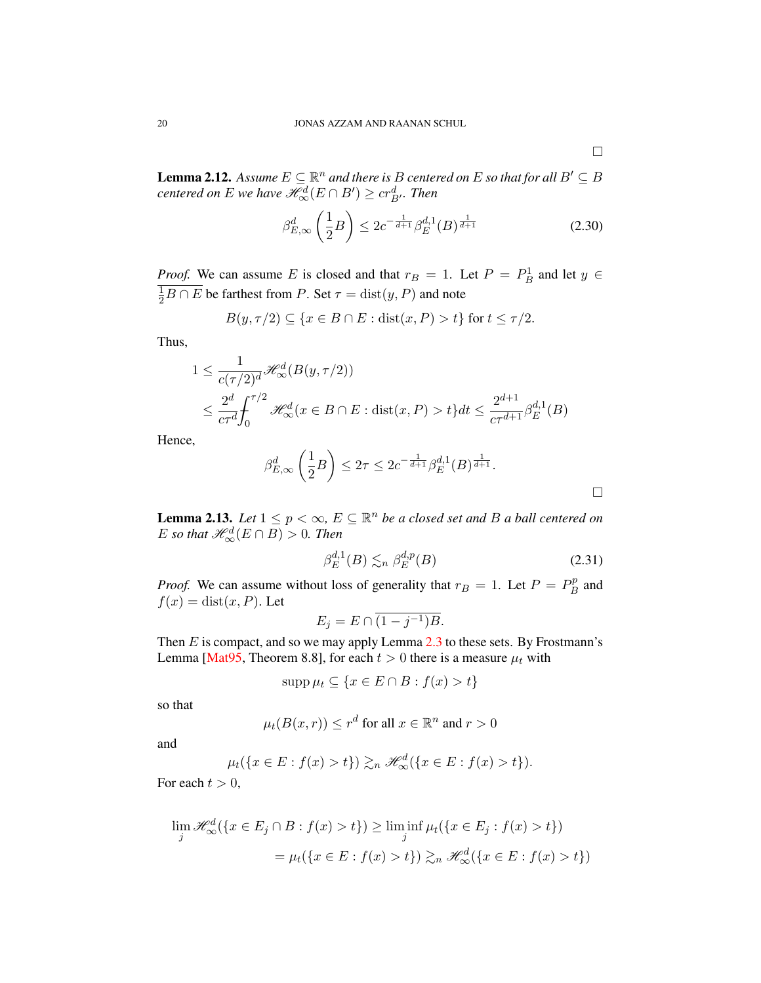**Lemma 2.12.** Assume  $E \subseteq \mathbb{R}^n$  and there is B centered on E so that for all  $B' \subseteq B$  $\emph{centered on $E$ we have $\mathscr{H}^d_\infty(E\cap B')\geq cr^d_{B'}$. Then}$ 

<span id="page-20-1"></span>
$$
\beta_{E,\infty}^d \left(\frac{1}{2}B\right) \le 2c^{-\frac{1}{d+1}} \beta_E^{d,1}(B)^{\frac{1}{d+1}} \tag{2.30}
$$

*Proof.* We can assume E is closed and that  $r_B = 1$ . Let  $P = P_B^1$  and let  $y \in$  $\frac{1}{2}B \cap E$  be farthest from P. Set  $\tau = \text{dist}(y, P)$  and note

$$
B(y, \tau/2) \subseteq \{x \in B \cap E : \text{dist}(x, P) > t\} \text{ for } t \le \tau/2.
$$

Thus,

$$
1 \leq \frac{1}{c(\tau/2)^d} \mathcal{H}_{\infty}^d(B(y, \tau/2))
$$
  

$$
\leq \frac{2^d}{c\tau^d} \int_0^{\tau/2} \mathcal{H}_{\infty}^d(x \in B \cap E : \text{dist}(x, P) > t \} dt \leq \frac{2^{d+1}}{c\tau^{d+1}} \beta_E^{d,1}(B)
$$

Hence,

$$
\beta_{E,\infty}^d \left( \frac{1}{2} B \right) \leq 2\tau \leq 2c^{-\frac{1}{d+1}} \beta_E^{d,1}(B)^{\frac{1}{d+1}}.
$$

**Lemma 2.13.** Let  $1 \leq p < \infty$ ,  $E \subseteq \mathbb{R}^n$  be a closed set and B a ball centered on E so that  $\mathcal{H}^d_{\infty}(E \cap B) > 0$ . Then

<span id="page-20-0"></span>
$$
\beta_E^{d,1}(B) \lesssim_n \beta_E^{d,p}(B) \tag{2.31}
$$

*Proof.* We can assume without loss of generality that  $r_B = 1$ . Let  $P = P_B^p$  $B^p$  and  $f(x) = \text{dist}(x, P)$ . Let

$$
E_j = E \cap \overline{(1-j^{-1})B}.
$$

Then  $E$  is compact, and so we may apply Lemma  $2.3$  to these sets. By Frostmann's Lemma [\[Mat95,](#page-78-18) Theorem 8.8], for each  $t > 0$  there is a measure  $\mu_t$  with

$$
\operatorname{supp}\mu_t \subseteq \{x \in E \cap B : f(x) > t\}
$$

so that

$$
\mu_t(B(x,r)) \le r^d
$$
 for all  $x \in \mathbb{R}^n$  and  $r > 0$ 

and

$$
\mu_t(\{x \in E : f(x) > t\}) \gtrsim_n \mathcal{H}^d_\infty(\{x \in E : f(x) > t\}).
$$

For each  $t > 0$ ,

$$
\lim_{j} \mathcal{H}_{\infty}^{d}(\lbrace x \in E_{j} \cap B : f(x) > t \rbrace) \ge \liminf_{j} \mu_{t}(\lbrace x \in E_{j} : f(x) > t \rbrace)
$$

$$
= \mu_{t}(\lbrace x \in E : f(x) > t \rbrace) \gtrsim_{n} \mathcal{H}_{\infty}^{d}(\lbrace x \in E : f(x) > t \rbrace)
$$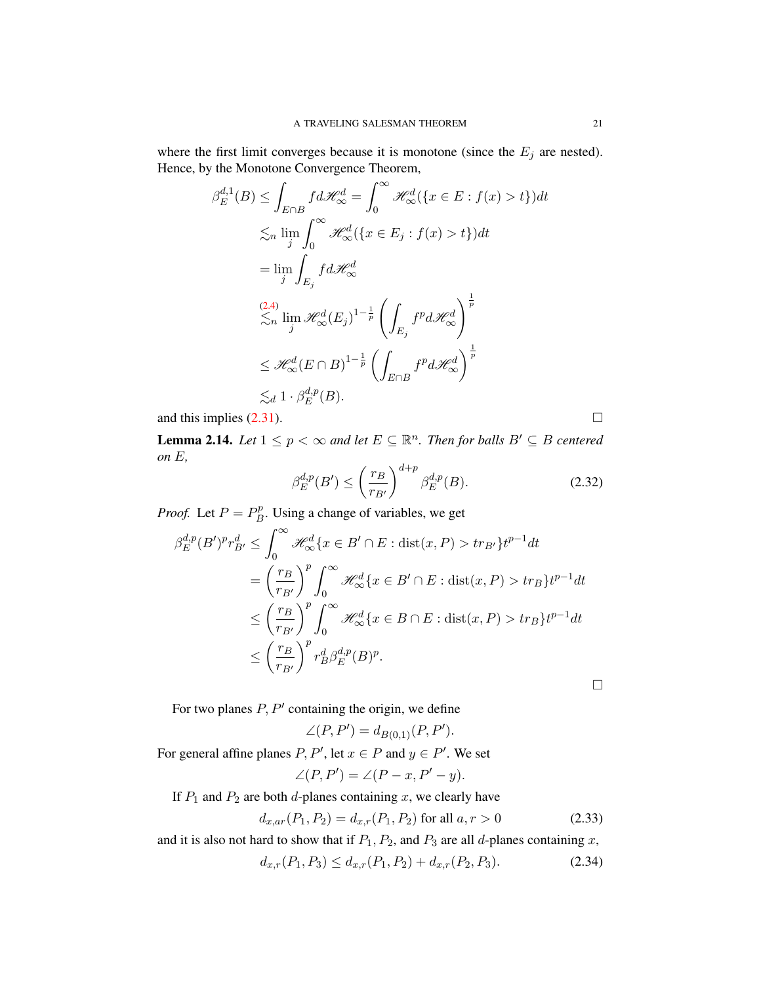where the first limit converges because it is monotone (since the  $E_j$  are nested). Hence, by the Monotone Convergence Theorem,

$$
\beta_E^{d,1}(B) \le \int_{E \cap B} f d\mathcal{H}_{\infty}^d = \int_0^{\infty} \mathcal{H}_{\infty}^d (\{x \in E : f(x) > t\}) dt
$$
  
\n
$$
\le n \lim_{j} \int_0^{\infty} \mathcal{H}_{\infty}^d (\{x \in E_j : f(x) > t\}) dt
$$
  
\n
$$
= \lim_{j} \int_{E_j} f d\mathcal{H}_{\infty}^d
$$
  
\n
$$
\le n \lim_{j} \mathcal{H}_{\infty}^d (E_j)^{1-\frac{1}{p}} \left( \int_{E_j} f^p d\mathcal{H}_{\infty}^d \right)^{\frac{1}{p}}
$$
  
\n
$$
\le \mathcal{H}_{\infty}^d (E \cap B)^{1-\frac{1}{p}} \left( \int_{E \cap B} f^p d\mathcal{H}_{\infty}^d \right)^{\frac{1}{p}}
$$
  
\n
$$
\le d \cdot 1 \cdot \beta_E^{d,p}(B).
$$

and this implies  $(2.31)$ .

**Lemma 2.14.** Let  $1 \leq p < \infty$  and let  $E \subseteq \mathbb{R}^n$ . Then for balls  $B' \subseteq B$  centered *on* E*,*

$$
\beta_E^{d,p}(B') \le \left(\frac{r_B}{r_{B'}}\right)^{d+p} \beta_E^{d,p}(B). \tag{2.32}
$$

*Proof.* Let  $P = P_B^p$  $B^p$ . Using a change of variables, we get

$$
\beta_E^{d,p}(B')^p r_{B'}^d \le \int_0^\infty \mathcal{H}_\infty^d \{x \in B' \cap E : \text{dist}(x, P) > tr_{B'}\} t^{p-1} dt
$$
  
\n
$$
= \left(\frac{r_B}{r_{B'}}\right)^p \int_0^\infty \mathcal{H}_\infty^d \{x \in B' \cap E : \text{dist}(x, P) > tr_B\} t^{p-1} dt
$$
  
\n
$$
\le \left(\frac{r_B}{r_{B'}}\right)^p \int_0^\infty \mathcal{H}_\infty^d \{x \in B \cap E : \text{dist}(x, P) > tr_B\} t^{p-1} dt
$$
  
\n
$$
\le \left(\frac{r_B}{r_{B'}}\right)^p r_B^d \beta_E^{d,p}(B)^p.
$$

For two planes  $P, P'$  containing the origin, we define

$$
\angle(P, P') = d_{B(0,1)}(P, P').
$$

For general affine planes  $P, P'$ , let  $x \in P$  and  $y \in P'$ . We set

$$
\angle(P, P') = \angle(P - x, P' - y).
$$

If  $P_1$  and  $P_2$  are both d-planes containing x, we clearly have

<span id="page-21-1"></span>
$$
d_{x,ar}(P_1, P_2) = d_{x,r}(P_1, P_2) \text{ for all } a, r > 0 \tag{2.33}
$$

and it is also not hard to show that if  $P_1$ ,  $P_2$ , and  $P_3$  are all d-planes containing x,

<span id="page-21-0"></span>
$$
d_{x,r}(P_1, P_3) \le d_{x,r}(P_1, P_2) + d_{x,r}(P_2, P_3). \tag{2.34}
$$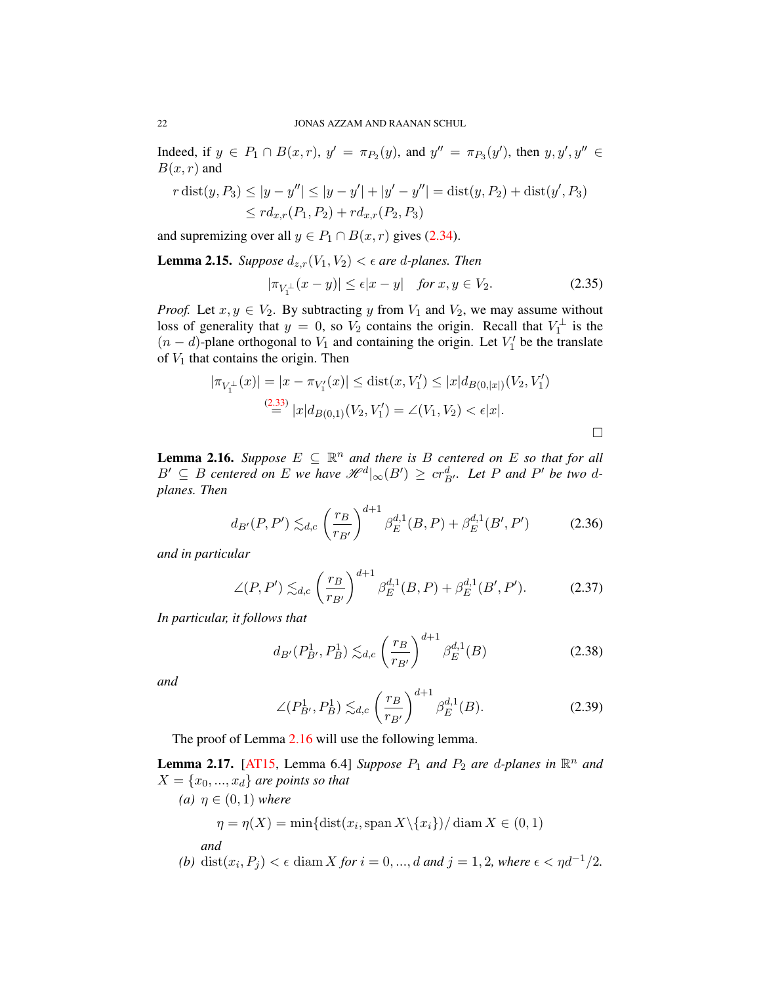Indeed, if  $y \in P_1 \cap B(x,r)$ ,  $y' = \pi_{P_2}(y)$ , and  $y'' = \pi_{P_3}(y')$ , then  $y, y', y'' \in$  $B(x, r)$  and

$$
r \operatorname{dist}(y, P_3) \le |y - y''| \le |y - y'| + |y' - y''| = \operatorname{dist}(y, P_2) + \operatorname{dist}(y', P_3)
$$
  

$$
\le r d_{x,r}(P_1, P_2) + r d_{x,r}(P_2, P_3)
$$

and supremizing over all  $y \in P_1 \cap B(x, r)$  gives [\(2.34\)](#page-21-0).

**Lemma 2.15.** *Suppose*  $d_{z,r}(V_1, V_2) < \epsilon$  are d-planes. Then

$$
|\pi_{V_1^{\perp}}(x-y)| \le \epsilon |x-y| \quad \text{for } x, y \in V_2. \tag{2.35}
$$

*Proof.* Let  $x, y \in V_2$ . By subtracting y from  $V_1$  and  $V_2$ , we may assume without loss of generality that  $y = 0$ , so  $V_2$  contains the origin. Recall that  $V_1^{\perp}$  is the  $(n - d)$ -plane orthogonal to  $V_1$  and containing the origin. Let  $V'_1$  be the translate of  $V_1$  that contains the origin. Then

$$
|\pi_{V_1^{\perp}}(x)| = |x - \pi_{V_1'}(x)| \leq \text{dist}(x, V_1') \leq |x| d_{B(0, |x|)}(V_2, V_1')
$$
  

$$
\stackrel{(2.33)}{=} |x| d_{B(0, 1)}(V_2, V_1') = \angle(V_1, V_2) < \epsilon |x|.
$$

<span id="page-22-0"></span>**Lemma 2.16.** *Suppose*  $E \subseteq \mathbb{R}^n$  *and there is* B *centered on* E *so that for all*  $B' \subseteq B$  centered on E we have  $\mathcal{H}^{d}|_{\infty}(B') \geq cr_{B'}^{d}$ . Let P and P' be two d*planes. Then*

$$
d_{B'}(P, P') \lesssim_{d,c} \left(\frac{r_B}{r_{B'}}\right)^{d+1} \beta_E^{d,1}(B, P) + \beta_E^{d,1}(B', P') \tag{2.36}
$$

*and in particular*

$$
\angle(P, P') \lesssim_{d,c} \left(\frac{r_B}{r_{B'}}\right)^{d+1} \beta_E^{d,1}(B, P) + \beta_E^{d,1}(B', P'). \tag{2.37}
$$

*In particular, it follows that*

$$
d_{B'}(P_{B'}^1, P_B^1) \lesssim_{d,c} \left(\frac{r_B}{r_{B'}}\right)^{d+1} \beta_E^{d,1}(B) \tag{2.38}
$$

*and*

$$
\angle(P_{B'}^1, P_B^1) \lesssim_{d,c} \left(\frac{r_B}{r_{B'}}\right)^{d+1} \beta_E^{d,1}(B). \tag{2.39}
$$

The proof of Lemma [2.16](#page-22-0) will use the following lemma.

**Lemma 2.17.** [\[AT15,](#page-77-4) Lemma 6.4] *Suppose*  $P_1$  *and*  $P_2$  *are d-planes in*  $\mathbb{R}^n$  *and*  $X = \{x_0, ..., x_d\}$  are points so that

(a) 
$$
\eta \in (0, 1)
$$
 where  
\n $\eta = \eta(X) = \min\{\text{dist}(x_i, \text{span } X \setminus \{x_i\}) / \text{diam } X \in (0, 1)$   
\nand

(b) 
$$
dist(x_i, P_j) < \epsilon \, diam X
$$
 for  $i = 0, \ldots, d$  and  $j = 1, 2$ , where  $\epsilon < \eta d^{-1}/2$ .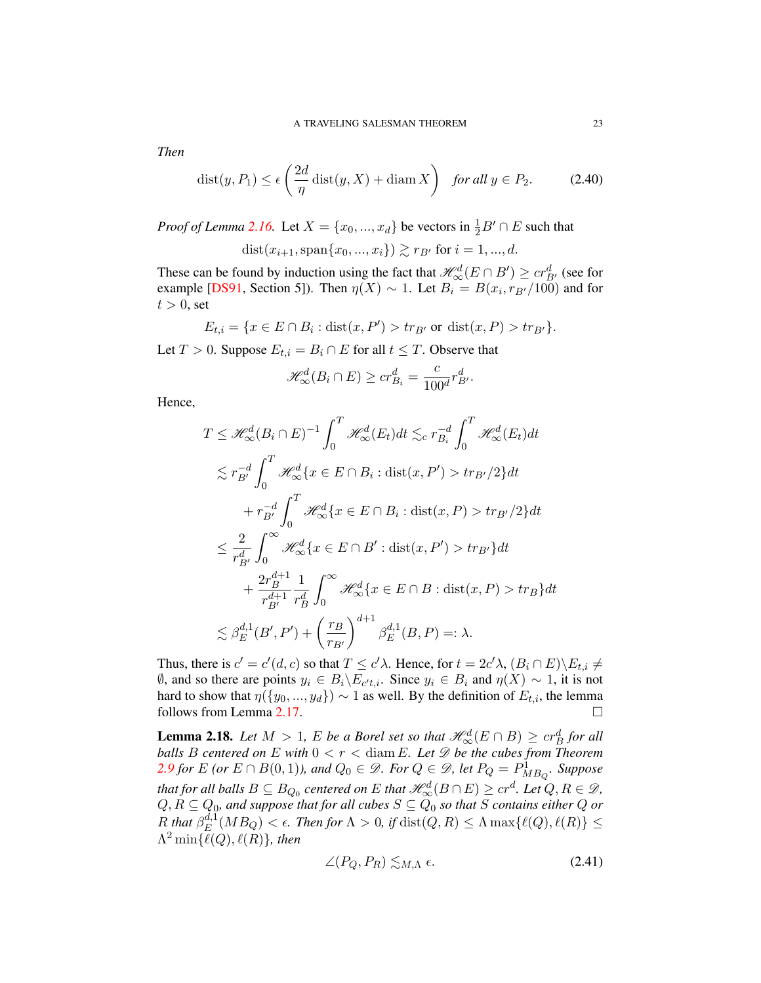*Then*

<span id="page-23-0"></span>
$$
dist(y, P_1) \le \epsilon \left(\frac{2d}{\eta} \operatorname{dist}(y, X) + \operatorname{diam} X\right) \quad \text{for all } y \in P_2. \tag{2.40}
$$

*Proof of Lemma* [2.16.](#page-22-0) Let  $X = \{x_0, ..., x_d\}$  be vectors in  $\frac{1}{2}B' \cap E$  such that

dist $(x_{i+1}, \text{span}\{x_0, ..., x_i\}) \gtrsim r_{B'}$  for  $i = 1, ..., d$ .

These can be found by induction using the fact that  $\mathcal{H}^d_{\infty}(E \cap B') \geq cr^d_{B'}$  (see for example [\[DS91,](#page-78-4) Section 5]). Then  $\eta(X) \sim 1$ . Let  $B_i = B(x_i, r_{B'}/100)$  and for  $t > 0$ , set

$$
E_{t,i} = \{ x \in E \cap B_i : \text{dist}(x, P') > tr_{B'} \text{ or } \text{dist}(x, P) > tr_{B'} \}.
$$

Let  $T > 0$ . Suppose  $E_{t,i} = B_i \cap E$  for all  $t \leq T$ . Observe that

$$
\mathcal{H}^d_{\infty}(B_i \cap E) \ge cr_{B_i}^d = \frac{c}{100^d} r_{B'}^d.
$$

Hence,

$$
T \leq \mathcal{H}_{\infty}^{d}(B_{i} \cap E)^{-1} \int_{0}^{T} \mathcal{H}_{\infty}^{d}(E_{t})dt \lesssim_{c} r_{B_{i}}^{-d} \int_{0}^{T} \mathcal{H}_{\infty}^{d}(E_{t})dt
$$
  
\n
$$
\lesssim r_{B'}^{-d} \int_{0}^{T} \mathcal{H}_{\infty}^{d}\left\{x \in E \cap B_{i} : \text{dist}(x, P') > tr_{B'}/2\right\}dt
$$
  
\n
$$
+ r_{B'}^{-d} \int_{0}^{T} \mathcal{H}_{\infty}^{d}\left\{x \in E \cap B_{i} : \text{dist}(x, P) > tr_{B'}/2\right\}dt
$$
  
\n
$$
\leq \frac{2}{r_{B'}^{d}} \int_{0}^{\infty} \mathcal{H}_{\infty}^{d}\left\{x \in E \cap B' : \text{dist}(x, P') > tr_{B'}\right\}dt
$$
  
\n
$$
+ \frac{2r_{B}^{d+1}}{r_{B'}^{d+1}} \frac{1}{r_{B}^{d}} \int_{0}^{\infty} \mathcal{H}_{\infty}^{d}\left\{x \in E \cap B : \text{dist}(x, P) > tr_{B}\right\}dt
$$
  
\n
$$
\lesssim \beta_{E}^{d,1}(B', P') + \left(\frac{r_{B}}{r_{B'}}\right)^{d+1} \beta_{E}^{d,1}(B, P) =: \lambda.
$$

Thus, there is  $c' = c'(d, c)$  so that  $T \le c' \lambda$ . Hence, for  $t = 2c' \lambda$ ,  $(B_i \cap E) \setminus E_{t,i} \ne$  $\emptyset$ , and so there are points  $y_i \in B_i \backslash E_{c't,i}$ . Since  $y_i \in B_i$  and  $\eta(X) \sim 1$ , it is not hard to show that  $\eta({y_0},...,y_d)\rangle \sim 1$  as well. By the definition of  $E_{t,i}$ , the lemma follows from Lemma [2.17.](#page-23-0)

**Lemma 2.18.** Let  $M > 1$ , E be a Borel set so that  $\mathcal{H}^d_{\infty}(E \cap B) \geq cr^d_B$  for all *balls* B centered on E with  $0 < r <$  diam E. Let  $\mathscr{D}$  be the cubes from Theorem *[2.9](#page-18-1) for*  $E$  *(or*  $E \cap B(0,1)$ *), and*  $Q_0 \in \mathscr{D}$ *. For*  $Q \in \mathscr{D}$ *, let*  $P_Q = P^1_{MB_Q}$ *. Suppose* that for all balls  $B\subseteq B_{Q_0}$  centered on  $E$  that  $\mathscr{H}^d_\infty(B\cap E)\geq cr^d$ . Let  $Q,R\in\mathscr{D}$ ,  $Q, R \subseteq Q_0$ , and suppose that for all cubes  $S \subseteq Q_0$  so that  $S$  contains either  $Q$  or  $R$  that  $\beta_E^{d,1}$  $E^{a,1}(MB_Q) < \epsilon$ . Then for  $\Lambda > 0$ , if  $\text{dist}(Q, R) \leq \Lambda \max\{\ell(Q), \ell(R)\} \leq \epsilon$  $\Lambda^2$  min $\{\ell(Q), \ell(R)\}\$ , then

<span id="page-23-1"></span>
$$
\angle (P_Q, P_R) \lesssim_{M,\Lambda} \epsilon. \tag{2.41}
$$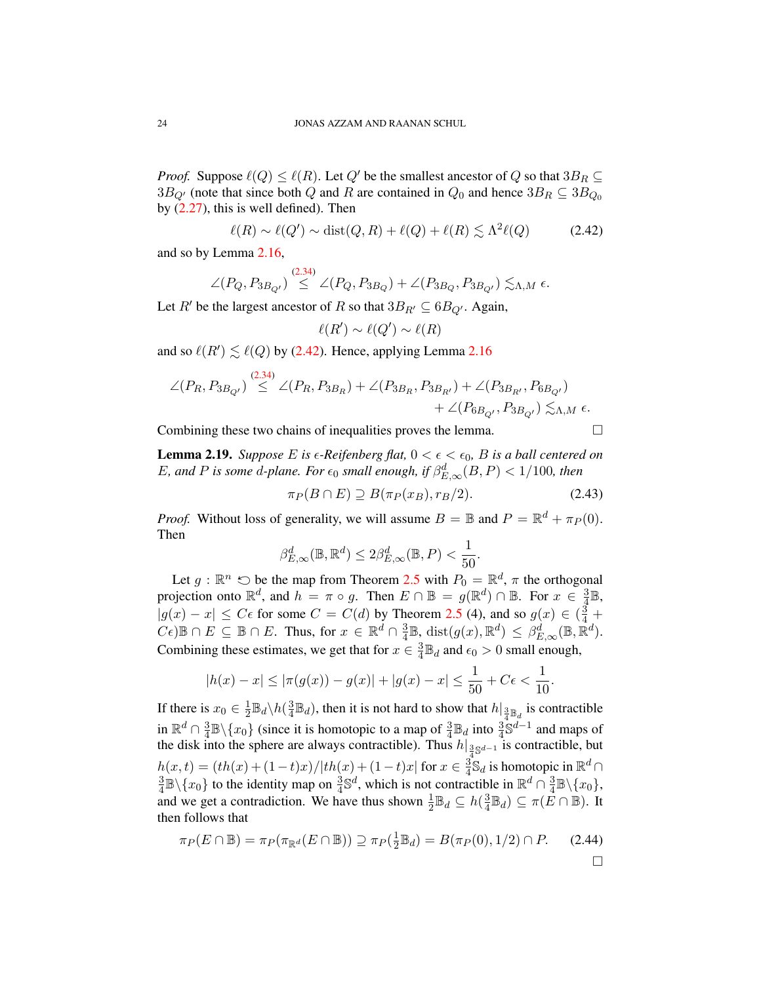*Proof.* Suppose  $\ell(Q) \leq \ell(R)$ . Let  $Q'$  be the smallest ancestor of Q so that  $3B_R \subseteq$  $3B_{Q'}$  (note that since both Q and R are contained in  $Q_0$  and hence  $3B_R \subseteq 3B_{Q_0}$ by  $(2.27)$ , this is well defined). Then

<span id="page-24-0"></span>
$$
\ell(R) \sim \ell(Q') \sim \text{dist}(Q, R) + \ell(Q) + \ell(R) \lesssim \Lambda^2 \ell(Q) \tag{2.42}
$$

and so by Lemma [2.16,](#page-22-0)

$$
\angle(P_Q, P_{3B_{Q'}}) \stackrel{(2.34)}{\leq} \angle(P_Q, P_{3B_Q}) + \angle(P_{3B_Q}, P_{3B_{Q'}}) \lesssim_{\Lambda, M} \epsilon.
$$

Let R' be the largest ancestor of R so that  $3B_{R'} \subseteq 6B_{Q'}$ . Again,

$$
\ell(R') \sim \ell(Q') \sim \ell(R)
$$

and so  $\ell(R') \lesssim \ell(Q)$  by [\(2.42\)](#page-24-0). Hence, applying Lemma [2.16](#page-22-0)

$$
\angle (P_R, P_{3B_{Q'}}) \stackrel{(2.34)}{\leq} \angle (P_R, P_{3B_R}) + \angle (P_{3B_R}, P_{3B_{R'}}) + \angle (P_{3B_{R'}}, P_{6B_{Q'}}) + \angle (P_{6B_{Q'}}, P_{3B_{Q'}}) \lesssim_{\Lambda, M} \epsilon.
$$

Combining these two chains of inequalities proves the lemma.  $\Box$ 

**Lemma 2.19.** *Suppose* E is  $\epsilon$ -Reifenberg flat,  $0 < \epsilon < \epsilon_0$ , B is a ball centered on E, and P is some d-plane. For  $\epsilon_0$  small enough, if  $\beta_{E,\infty}^d(B, P) < 1/100$ , then

<span id="page-24-1"></span>
$$
\pi_P(B \cap E) \supseteq B(\pi_P(x_B), r_B/2). \tag{2.43}
$$

*Proof.* Without loss of generality, we will assume  $B = \mathbb{B}$  and  $P = \mathbb{R}^d + \pi_P(0)$ . Then

$$
\beta_{E,\infty}^d(\mathbb{B},\mathbb{R}^d) \leq 2\beta_{E,\infty}^d(\mathbb{B},P) < \frac{1}{50}.
$$

Let  $g : \mathbb{R}^n \circlearrowright$  be the map from Theorem [2.5](#page-16-0) with  $P_0 = \mathbb{R}^d$ ,  $\pi$  the orthogonal projection onto  $\mathbb{R}^d$ , and  $h = \pi \circ g$ . Then  $E \cap \mathbb{B} = g(\mathbb{R}^d) \cap \mathbb{B}$ . For  $x \in \frac{3}{4}$  $\frac{3}{4} \mathbb{B}$ ,  $|g(x) - x| \leq C\epsilon$  for some  $C = C(d)$  by Theorem [2.5](#page-16-0) (4), and so  $g(x) \in \left(\frac{3}{4}\right) +$  $(C_{\epsilon})\mathbb{B}\cap E \subseteq \mathbb{B}\cap E$ . Thus, for  $x \in \mathbb{R}^d \cap \frac{3}{4}$  $\frac{3}{4}\mathbb{B}, \text{ dist}(g(x), \mathbb{R}^d) \leq \beta_{E, \infty}^d(\mathbb{B}, \overline{\mathbb{R}}^d).$ Combining these estimates, we get that for  $x \in \frac{3}{4}$  $\frac{3}{4} \mathbb{B}_d$  and  $\epsilon_0 > 0$  small enough,

$$
|h(x) - x| \le |\pi(g(x)) - g(x)| + |g(x) - x| \le \frac{1}{50} + C\epsilon < \frac{1}{10}.
$$

If there is  $x_0 \in \frac{1}{2}$  $\frac{1}{2} \mathbb{B}_d \backslash h(\frac{3}{4}$  $\frac{3}{4}$  $\mathbb{B}_d$ ), then it is not hard to show that  $h|_{\frac{3}{4} \mathbb{B}_d}$  is contractible in  $\mathbb{R}^d \cap \frac{3}{4}$  $\frac{3}{4}\mathbb{B}\setminus\{x_0\}$  (since it is homotopic to a map of  $\frac{3}{4}\mathbb{B}_d$  into  $\frac{3}{4}\mathbb{S}^{d-1}$  and maps of the disk into the sphere are always contractible). Thus  $h|_{\frac{3}{4} \mathbb{S}^{d-1}}$  is contractible, but  $h(x,t) = (th(x) + (1-t)x)/|th(x) + (1-t)x|$  for  $x \in \frac{3}{4}$  $\frac{3}{4}$ S<sub>d</sub> is homotopic in  $\mathbb{R}^d$  ∩ 3  $\frac{3}{4}\mathbb{B}\setminus\{x_0\}$  to the identity map on  $\frac{3}{4}\mathbb{S}^d$ , which is not contractible in  $\mathbb{R}^d \cap \frac{3}{4}$  $\frac{3}{4}\mathbb{B}\backslash\{x_0\},\,$ and we get a contradiction. We have thus shown  $\frac{1}{2} \mathbb{B}_d \subseteq h(\frac{3}{4})$  $\frac{3}{4}\mathbb{B}_d$ )  $\subseteq \pi(E \cap \mathbb{B})$ . It then follows that

$$
\pi_P(E \cap \mathbb{B}) = \pi_P(\pi_{\mathbb{R}^d}(E \cap \mathbb{B})) \supseteq \pi_P(\frac{1}{2}\mathbb{B}_d) = B(\pi_P(0), 1/2) \cap P. \tag{2.44}
$$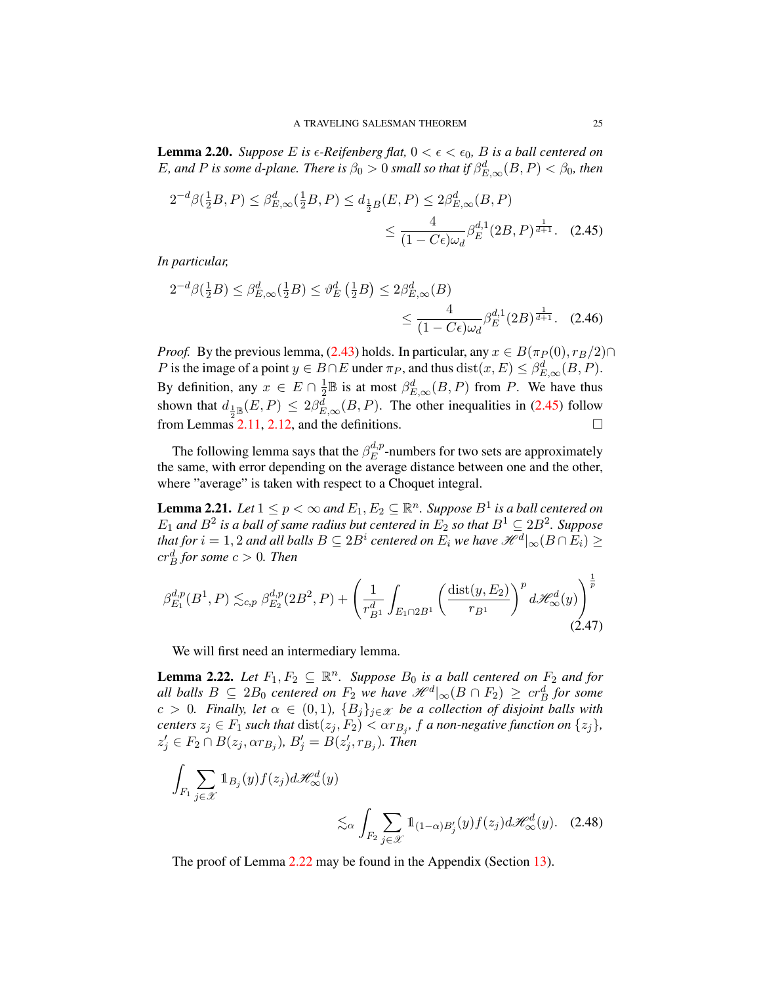**Lemma 2.20.** *Suppose* E is  $\epsilon$ -Reifenberg flat,  $0 < \epsilon < \epsilon_0$ , B is a ball centered on E, and P is some d-plane. There is  $\beta_0 > 0$  small so that if  $\beta_{E,\infty}^d(B, P) < \beta_0$ , then

<span id="page-25-1"></span>
$$
2^{-d}\beta(\frac{1}{2}B, P) \le \beta_{E,\infty}^d(\frac{1}{2}B, P) \le d_{\frac{1}{2}B}(E, P) \le 2\beta_{E,\infty}^d(B, P)
$$
  

$$
\le \frac{4}{(1 - C\epsilon)\omega_d} \beta_E^{d,1}(2B, P)^{\frac{1}{d+1}}.
$$
 (2.45)

*In particular,*

$$
2^{-d}\beta(\frac{1}{2}B) \le \beta_{E,\infty}^d(\frac{1}{2}B) \le \vartheta_E^d(\frac{1}{2}B) \le 2\beta_{E,\infty}^d(B) \le \frac{4}{(1 - C\epsilon)\omega_d} \beta_E^{d,1}(2B)^{\frac{1}{d+1}}.
$$
 (2.46)

*Proof.* By the previous lemma, [\(2.43\)](#page-24-1) holds. In particular, any  $x \in B(\pi_P(0), r_B/2) \cap$ P is the image of a point  $y \in B \cap E$  under  $\pi_P$ , and thus  $dist(x, E) \leq \beta_{E, \infty}^d(B, P)$ . By definition, any  $x \in E \cap \frac{1}{2}$  $\frac{1}{2}$  B is at most  $\beta_{E,\infty}^d(B, P)$  from P. We have thus shown that  $d_{\frac{1}{2} \mathbb{B}}(E, P) \leq 2\beta_{E, \infty}^d(B, P)$ . The other inequalities in [\(2.45\)](#page-25-1) follow from Lemmas  $2.11$ , [2.12,](#page-20-1) and the definitions.

The following lemma says that the  $\beta_E^{d,p}$  $E^{a,p}$ -numbers for two sets are approximately the same, with error depending on the average distance between one and the other, where "average" is taken with respect to a Choquet integral.

<span id="page-25-0"></span>**Lemma 2.21.** Let  $1 \leq p < \infty$  and  $E_1, E_2 \subseteq \mathbb{R}^n$ . Suppose  $B^1$  is a ball centered on  $E_1$  and  $B^2$  is a ball of same radius but centered in  $E_2$  so that  $B^1 \subseteq 2B^2$ . Suppose that for  $i=1,2$  and all balls  $B\subseteq 2B^i$  centered on  $E_i$  we have  $\mathscr{H}^d|_{\infty}(B\cap E_i)\geq 0$  $cr^d_B$  for some  $c > 0$ . Then

$$
\beta_{E_1}^{d,p}(B^1, P) \lesssim_{c,p} \beta_{E_2}^{d,p}(2B^2, P) + \left(\frac{1}{r_{B^1}^d} \int_{E_1 \cap 2B^1} \left(\frac{\text{dist}(y, E_2)}{r_{B^1}}\right)^p d\mathcal{H}_{\infty}^d(y)\right)^{\frac{1}{p}} (2.47)
$$

We will first need an intermediary lemma.

<span id="page-25-2"></span>**Lemma 2.22.** Let  $F_1, F_2 \subseteq \mathbb{R}^n$ . Suppose  $B_0$  is a ball centered on  $F_2$  and for *all balls*  $B \subseteq 2B_0$  *centered on*  $F_2$  *we have*  $\mathscr{H}^d|_{\infty}(B \cap F_2) \geq cr^d_B$  for some  $c > 0$ *. Finally, let*  $\alpha \in (0,1)$ ,  $\{B_j\}_{j \in \mathcal{X}}$  *be a collection of disjoint balls with centers*  $z_j \in F_1$  *such that*  $dist(z_j, F_2) < \alpha r_{B_j}$ ,  $f$  *a non-negative function on*  $\{z_j\}$ ,  $z'_{j} \in F_{2} \cap B(z_{j}, \alpha r_{B_{j}}), B'_{j} = B(z'_{j}, r_{B_{j}}).$  Then

$$
\int_{F_1} \sum_{j \in \mathcal{X}} \mathbb{1}_{B_j}(y) f(z_j) d\mathcal{H}_{\infty}^d(y)
$$
\n
$$
\lesssim_{\alpha} \int_{F_2} \sum_{j \in \mathcal{X}} \mathbb{1}_{(1-\alpha)B'_j}(y) f(z_j) d\mathcal{H}_{\infty}^d(y). \quad (2.48)
$$

The proof of Lemma [2.22](#page-25-2) may be found in the Appendix (Section [13\)](#page-73-0).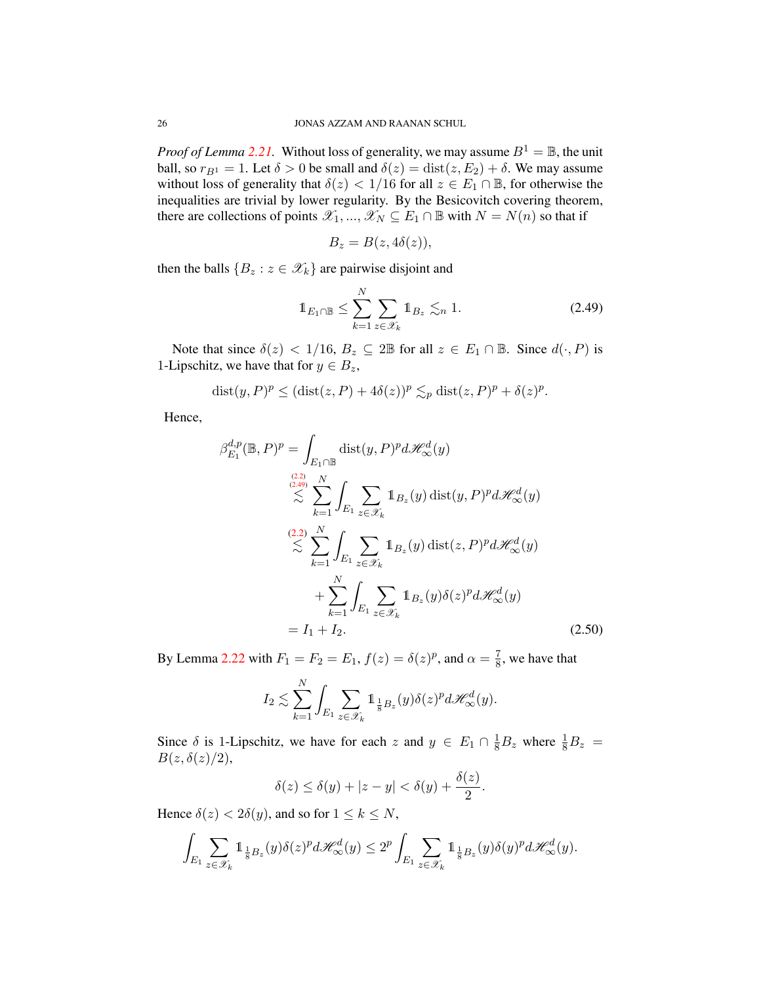*Proof of Lemma* [2.21.](#page-25-0) Without loss of generality, we may assume  $B^1 = \mathbb{B}$ , the unit ball, so  $r_{B1} = 1$ . Let  $\delta > 0$  be small and  $\delta(z) = \text{dist}(z, E_2) + \delta$ . We may assume without loss of generality that  $\delta(z) < 1/16$  for all  $z \in E_1 \cap \mathbb{B}$ , for otherwise the inequalities are trivial by lower regularity. By the Besicovitch covering theorem, there are collections of points  $\mathscr{X}_1, ..., \mathscr{X}_N \subseteq E_1 \cap \mathbb{B}$  with  $N = N(n)$  so that if

$$
B_z = B(z, 4\delta(z)),
$$

then the balls  ${B_z : z \in \mathcal{X}_k}$  are pairwise disjoint and

<span id="page-26-0"></span>
$$
\mathbb{1}_{E_1 \cap \mathbb{B}} \le \sum_{k=1}^N \sum_{z \in \mathscr{X}_k} \mathbb{1}_{B_z} \lesssim_n 1. \tag{2.49}
$$

Note that since  $\delta(z) < 1/16$ ,  $B_z \subseteq 2\mathbb{B}$  for all  $z \in E_1 \cap \mathbb{B}$ . Since  $d(\cdot, P)$  is 1-Lipschitz, we have that for  $y \in B_z$ ,

$$
dist(y, P)^p \leq (dist(z, P) + 4\delta(z))^p \lesssim_p dist(z, P)^p + \delta(z)^p.
$$

Hence,

$$
\beta_{E_1}^{d,p}(\mathbb{B}, P)^p = \int_{E_1 \cap \mathbb{B}} \text{dist}(y, P)^p d\mathcal{H}_{\infty}^{d}(y)
$$
  
\n
$$
\lesssim \sum_{k=1}^{(2,2)} \int_{E_1} \sum_{z \in \mathcal{X}_k} \mathbb{1}_{B_z}(y) \text{dist}(y, P)^p d\mathcal{H}_{\infty}^{d}(y)
$$
  
\n
$$
\lesssim \sum_{k=1}^{(2,2)} \int_{E_1} \sum_{z \in \mathcal{X}_k} \mathbb{1}_{B_z}(y) \text{dist}(z, P)^p d\mathcal{H}_{\infty}^{d}(y)
$$
  
\n
$$
+ \sum_{k=1}^N \int_{E_1} \sum_{z \in \mathcal{X}_k} \mathbb{1}_{B_z}(y) \delta(z)^p d\mathcal{H}_{\infty}^{d}(y)
$$
  
\n
$$
= I_1 + I_2.
$$
 (2.50)

By Lemma [2.22](#page-25-2) with  $F_1 = F_2 = E_1$ ,  $f(z) = \delta(z)^p$ , and  $\alpha = \frac{7}{8}$  $\frac{7}{8}$ , we have that

$$
I_2 \lesssim \sum_{k=1}^N \int_{E_1} \sum_{z \in \mathscr{X}_k} \mathbb{1}_{\frac{1}{8}B_z}(y) \delta(z)^p d\mathscr{H}^d_{\infty}(y).
$$

Since  $\delta$  is 1-Lipschitz, we have for each z and  $y \in E_1 \cap \frac{1}{8}B_z$  where  $\frac{1}{8}B_z$  =  $B(z, \delta(z)/2),$ 

$$
\delta(z) \le \delta(y) + |z - y| < \delta(y) + \frac{\delta(z)}{2}.
$$

Hence  $\delta(z) < 2\delta(y)$ , and so for  $1 \leq k \leq N$ ,

$$
\int_{E_1} \sum_{z \in \mathscr{X}_k} \mathbb{1}_{\frac{1}{8}B_z}(y) \delta(z)^p d\mathscr{H}^d_\infty(y) \leq 2^p \int_{E_1} \sum_{z \in \mathscr{X}_k} \mathbb{1}_{\frac{1}{8}B_z}(y) \delta(y)^p d\mathscr{H}^d_\infty(y).
$$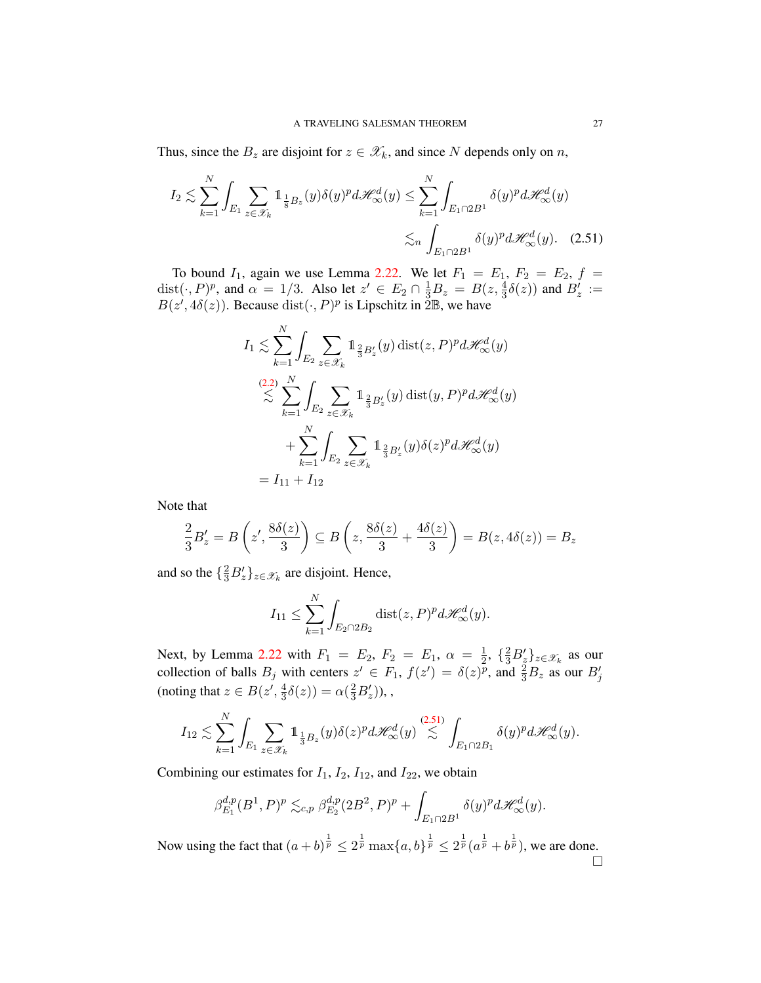Thus, since the  $B_z$  are disjoint for  $z \in \mathcal{X}_k$ , and since N depends only on n,

$$
I_2 \lesssim \sum_{k=1}^N \int_{E_1} \sum_{z \in \mathscr{X}_k} \mathbb{1}_{\frac{1}{8}B_z}(y) \delta(y)^p d\mathscr{H}^d_{\infty}(y) \le \sum_{k=1}^N \int_{E_1 \cap 2B^1} \delta(y)^p d\mathscr{H}^d_{\infty}(y)
$$

$$
\lesssim_n \int_{E_1 \cap 2B^1} \delta(y)^p d\mathscr{H}^d_{\infty}(y). \quad (2.51)
$$

To bound  $I_1$ , again we use Lemma [2.22.](#page-25-2) We let  $F_1 = E_1$ ,  $F_2 = E_2$ ,  $f =$ dist $(\cdot, P)^p$ , and  $\alpha = 1/3$ . Also let  $z' \in E_2 \cap \frac{1}{3}B_z = B(z, \frac{4}{3}\delta(z))$  and  $B'_z :=$  $B(z', 4\delta(z))$ . Because  $dist(\cdot, P)^p$  is Lipschitz in  $\tilde{2} \mathbb{B}$ , we have

<span id="page-27-0"></span>
$$
I_1 \lesssim \sum_{k=1}^N \int_{E_2} \sum_{z \in \mathscr{X}_k} \mathbb{1}_{\frac{2}{3}B'_z}(y) \operatorname{dist}(z, P)^p d\mathscr{H}^d_{\infty}(y)
$$
  

$$
\lesssim \sum_{k=1}^{(2,2)} \int_{E_2} \sum_{z \in \mathscr{X}_k} \mathbb{1}_{\frac{2}{3}B'_z}(y) \operatorname{dist}(y, P)^p d\mathscr{H}^d_{\infty}(y)
$$
  

$$
+ \sum_{k=1}^N \int_{E_2} \sum_{z \in \mathscr{X}_k} \mathbb{1}_{\frac{2}{3}B'_z}(y) \delta(z)^p d\mathscr{H}^d_{\infty}(y)
$$
  
=  $I_{11} + I_{12}$ 

Note that

$$
\frac{2}{3}B'_z = B\left(z',\frac{8\delta(z)}{3}\right) \subseteq B\left(z,\frac{8\delta(z)}{3} + \frac{4\delta(z)}{3}\right) = B(z,4\delta(z)) = B_z
$$

and so the  $\{\frac{2}{3}B_z'\}_{z \in \mathcal{X}_k}$  are disjoint. Hence,

$$
I_{11} \leq \sum_{k=1}^{N} \int_{E_2 \cap 2B_2} \text{dist}(z, P)^p d\mathcal{H}^d_{\infty}(y).
$$

Next, by Lemma [2.22](#page-25-2) with  $F_1 = E_2, F_2 = E_1, \alpha = \frac{1}{2}$  $\frac{1}{2}$ ,  $\{\frac{2}{3}B_z'\}_{z \in \mathscr{X}_k}$  as our collection of balls  $B_j$  with centers  $z' \in F_1$ ,  $f(z') = \delta(z)^p$ , and  $\frac{2}{3}B_z$  as our  $B'_j$ (noting that  $z \in B(z', \frac{4}{3})$  $\frac{4}{3}\delta(z)$ ) =  $\alpha(\frac{2}{3}B'_z)$ ),,

$$
I_{12} \lesssim \sum_{k=1}^N \int_{E_1} \sum_{z \in \mathscr{X}_k} \mathbb{1}_{\frac{1}{3}B_z}(y) \delta(z)^p d\mathscr{H}^d_{\infty}(y) \stackrel{(2.51)}{\lesssim} \int_{E_1 \cap 2B_1} \delta(y)^p d\mathscr{H}^d_{\infty}(y).
$$

Combining our estimates for  $I_1$ ,  $I_2$ ,  $I_{12}$ , and  $I_{22}$ , we obtain

$$
\beta_{E_1}^{d,p}(B^1,P)^p \lesssim_{c,p} \beta_{E_2}^{d,p}(2B^2,P)^p + \int_{E_1 \cap 2B^1} \delta(y)^p d\mathcal{H}_{\infty}^d(y).
$$

Now using the fact that  $(a+b)^{\frac{1}{p}} \leq 2^{\frac{1}{p}} \max\{a,b\}^{\frac{1}{p}} \leq 2^{\frac{1}{p}}(a^{\frac{1}{p}}+b^{\frac{1}{p}})$ , we are done.  $\Box$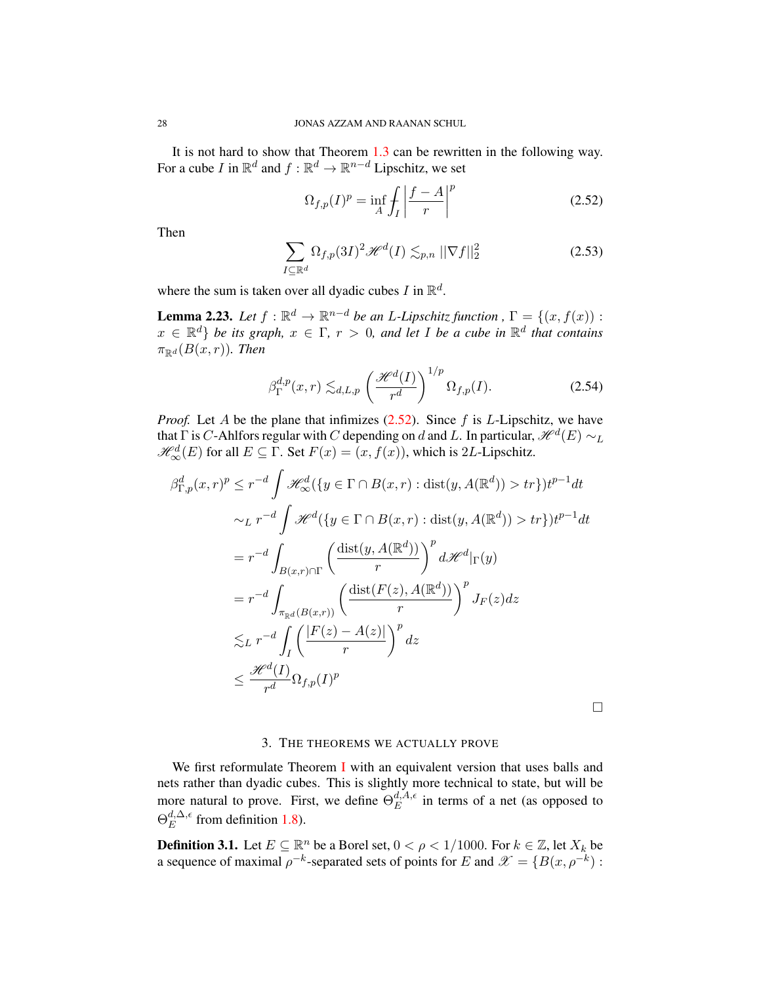It is not hard to show that Theorem [1.3](#page-3-0) can be rewritten in the following way. For a cube I in  $\mathbb{R}^d$  and  $f : \mathbb{R}^d \to \mathbb{R}^{n-d}$  Lipschitz, we set

<span id="page-28-1"></span>
$$
\Omega_{f,p}(I)^p = \inf_A \int_I \left| \frac{f-A}{r} \right|^p \tag{2.52}
$$

Then

$$
\sum_{I \subseteq \mathbb{R}^d} \Omega_{f,p}(3I)^2 \mathcal{H}^d(I) \lesssim_{p,n} ||\nabla f||_2^2 \tag{2.53}
$$

where the sum is taken over all dyadic cubes I in  $\mathbb{R}^d$ .

**Lemma 2.23.** *Let*  $f : \mathbb{R}^d \to \mathbb{R}^{n-d}$  *be an L-Lipschitz function* ,  $\Gamma = \{(x, f(x)) :$  $x \in \mathbb{R}^d$  *be its graph,*  $x \in \Gamma$ ,  $r > 0$ , and let I be a cube in  $\mathbb{R}^d$  that contains  $\pi_{\mathbb{R}^d}(B(x,r))$ *. Then* 

$$
\beta_{\Gamma}^{d,p}(x,r) \lesssim_{d,L,p} \left(\frac{\mathcal{H}^d(I)}{r^d}\right)^{1/p} \Omega_{f,p}(I). \tag{2.54}
$$

*Proof.* Let A be the plane that infimizes  $(2.52)$ . Since f is L-Lipschitz, we have that  $\Gamma$  is  $C$ -Ahlfors regular with  $C$  depending on  $d$  and  $L.$  In particular,  $\mathscr{H}^{d}(E)\sim_{L}$  $\mathcal{H}_{\infty}^{d}(E)$  for all  $E \subseteq \Gamma$ . Set  $F(x) = (x, f(x))$ , which is 2L-Lipschitz.

$$
\beta_{\Gamma,p}^d(x,r)^p \le r^{-d} \int \mathcal{H}_{\infty}^d(\{y \in \Gamma \cap B(x,r) : \text{dist}(y, A(\mathbb{R}^d)) > tr\}) t^{p-1} dt
$$
  

$$
\sim_L r^{-d} \int \mathcal{H}^d(\{y \in \Gamma \cap B(x,r) : \text{dist}(y, A(\mathbb{R}^d)) > tr\}) t^{p-1} dt
$$
  

$$
= r^{-d} \int_{B(x,r) \cap \Gamma} \left(\frac{\text{dist}(y, A(\mathbb{R}^d))}{r}\right)^p d\mathcal{H}^d|_{\Gamma}(y)
$$
  

$$
= r^{-d} \int_{\pi_{\mathbb{R}^d}(B(x,r))} \left(\frac{\text{dist}(F(z), A(\mathbb{R}^d))}{r}\right)^p J_F(z) dz
$$
  

$$
\lesssim_L r^{-d} \int_I \left(\frac{|F(z) - A(z)|}{r}\right)^p dz
$$
  

$$
\le \frac{\mathcal{H}^d(I)}{r^d} \Omega_{f,p}(I)^p
$$

#### 3. THE THEOREMS WE ACTUALLY PROVE

<span id="page-28-0"></span>We first reformulate Theorem [I](#page-7-0) with an equivalent version that uses balls and nets rather than dyadic cubes. This is slightly more technical to state, but will be more natural to prove. First, we define  $\Theta_E^{d, A, \epsilon}$  $E^{a,A,\epsilon}$  in terms of a net (as opposed to  $\Theta^{d,\Delta,\epsilon}_E$  $E^{a,\Delta,\epsilon}$  from definition [1.8\)](#page-6-1).

**Definition 3.1.** Let  $E \subseteq \mathbb{R}^n$  be a Borel set,  $0 < \rho < 1/1000$ . For  $k \in \mathbb{Z}$ , let  $X_k$  be a sequence of maximal  $\rho^{-k}$ -separated sets of points for E and  $\mathscr{X} = \{B(x, \rho^{-k}) :$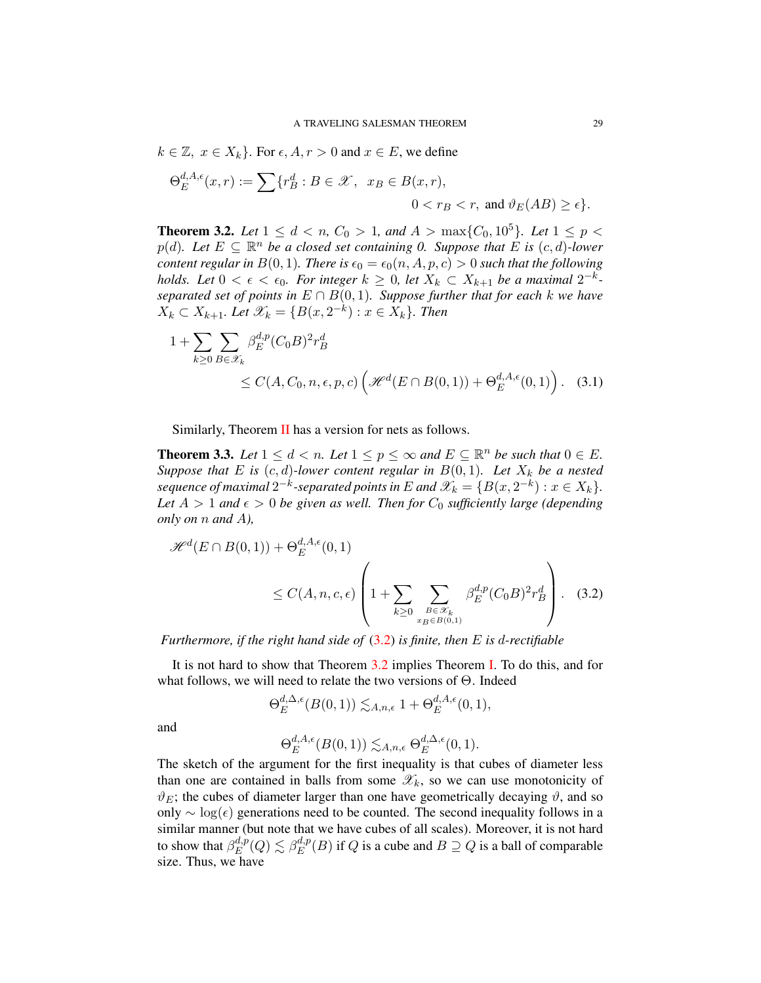$k \in \mathbb{Z}, x \in X_k$ . For  $\epsilon, A, r > 0$  and  $x \in E$ , we define

$$
\Theta_E^{d,A,\epsilon}(x,r) := \sum \{r_B^d : B \in \mathcal{X}, \ x_B \in B(x,r),
$$
  

$$
0 < r_B < r, \text{ and } \vartheta_E(AB) \ge \epsilon\}.
$$

**Theorem 3.2.** Let  $1 \leq d < n$ ,  $C_0 > 1$ , and  $A > \max\{C_0, 10^5\}$ . Let  $1 \leq p <$  $p(d)$ *. Let*  $E \subseteq \mathbb{R}^n$  *be a closed set containing 0. Suppose that*  $E$  *is*  $(c, d)$ *-lower content regular in*  $B(0, 1)$ *. There is*  $\epsilon_0 = \epsilon_0(n, A, p, c) > 0$  *such that the following holds.* Let  $0 < \epsilon < \epsilon_0$ . For integer  $k \geq 0$ , let  $X_k \subset X_{k+1}$  be a maximal  $2^{-k}$ *separated set of points in*  $E \cap B(0,1)$ *. Suppose further that for each k we have*  $X_k$  ⊂  $X_{k+1}$ *. Let*  $\mathscr{X}_k = \{B(x, 2^{-k}) : x \in X_k\}$ *. Then* 

$$
1 + \sum_{k \ge 0} \sum_{B \in \mathscr{X}_k} \beta_E^{d, p} (C_0 B)^2 r_B^d
$$
  
 
$$
\le C(A, C_0, n, \epsilon, p, c) \left( \mathscr{H}^d(E \cap B(0, 1)) + \Theta_E^{d, A, \epsilon}(0, 1) \right). \quad (3.1)
$$

<span id="page-29-0"></span>Similarly, Theorem [II](#page-7-1) has a version for nets as follows.

**Theorem 3.3.** *Let*  $1 \leq d < n$ *. Let*  $1 \leq p \leq \infty$  *and*  $E \subseteq \mathbb{R}^n$  *be such that*  $0 \in E$ *. Suppose that*  $E$  *is*  $(c, d)$ *-lower content regular in*  $B(0, 1)$ *. Let*  $X_k$  *be a nested sequence of maximal*  $2^{-k}$ -separated points in E and  $\mathscr{X}_k = \{B(x, 2^{-k}) : x \in X_k\}.$ Let  $A > 1$  and  $\epsilon > 0$  be given as well. Then for  $C_0$  sufficiently large (depending *only on* n *and* A*),*

$$
\mathcal{H}^{d}(E \cap B(0,1)) + \Theta_{E}^{d,A,\epsilon}(0,1)
$$
  
\n
$$
\leq C(A,n,c,\epsilon) \left(1 + \sum_{k \geq 0} \sum_{B \in \mathcal{X}_{k} \atop x_{B} \in B(0,1)} \beta_{E}^{d,p}(C_{0}B)^{2} r_{B}^{d}\right).
$$
 (3.2)

*Furthermore, if the right hand side of* [\(3.2\)](#page-29-1) *is finite, then* E *is* d*-rectifiable*

It is not hard to show that Theorem [3.2](#page-29-0) implies Theorem [I.](#page-7-0) To do this, and for what follows, we will need to relate the two versions of  $\Theta$ . Indeed

<span id="page-29-1"></span>
$$
\Theta_E^{d,\Delta,\epsilon}(B(0,1)) \lesssim_{A,n,\epsilon} 1 + \Theta_E^{d,A,\epsilon}(0,1),
$$

and

$$
\Theta_E^{d,A,\epsilon}(B(0,1)) \lesssim_{A,n,\epsilon} \Theta_E^{d,\Delta,\epsilon}(0,1).
$$

The sketch of the argument for the first inequality is that cubes of diameter less than one are contained in balls from some  $\mathscr{X}_k$ , so we can use monotonicity of  $\vartheta_E$ ; the cubes of diameter larger than one have geometrically decaying  $\vartheta$ , and so only  $\sim$  log( $\epsilon$ ) generations need to be counted. The second inequality follows in a similar manner (but note that we have cubes of all scales). Moreover, it is not hard to show that  $\beta_E^{d,p}$  ${d,p\choose E}(Q)\lesssim \beta_E^{d,p}$  $E^{a,p}(B)$  if Q is a cube and  $B \supseteq Q$  is a ball of comparable size. Thus, we have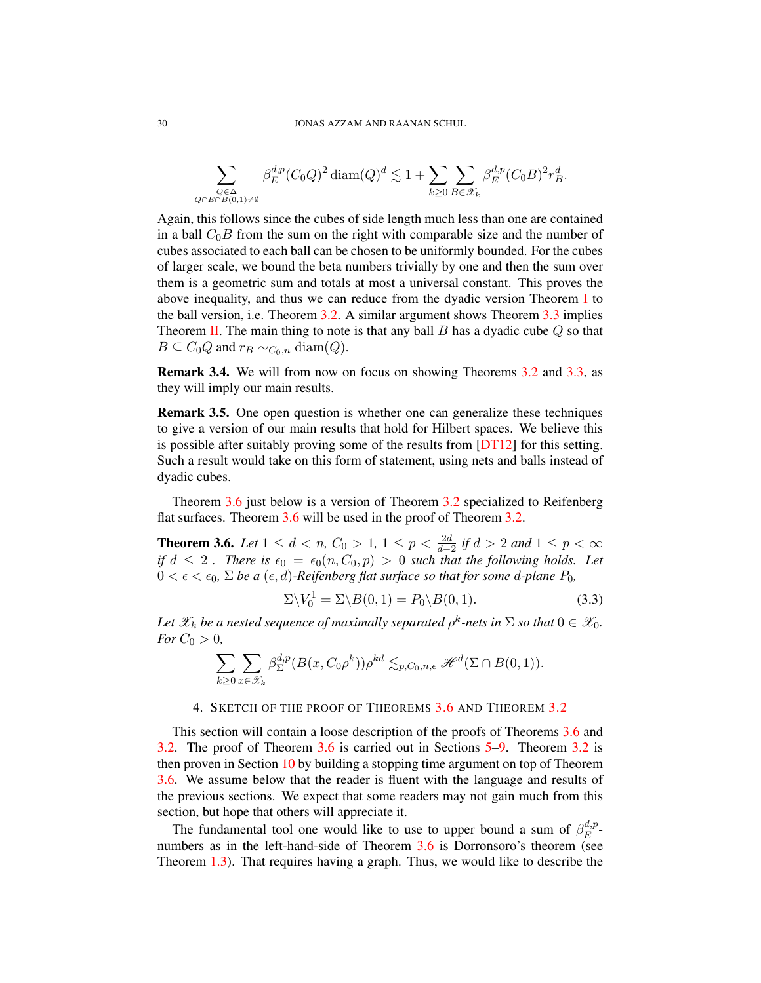$$
\sum_{\substack{Q \in \Delta \\ \lambda \in \Omega(0,1) \neq \emptyset}} \beta_E^{d,p} (C_0 Q)^2 \operatorname{diam}(Q)^d \lesssim 1 + \sum_{k \ge 0} \sum_{B \in \mathscr{X}_k} \beta_E^{d,p} (C_0 B)^2 r_B^d.
$$

Again, this follows since the cubes of side length much less than one are contained in a ball  $C_0B$  from the sum on the right with comparable size and the number of cubes associated to each ball can be chosen to be uniformly bounded. For the cubes of larger scale, we bound the beta numbers trivially by one and then the sum over them is a geometric sum and totals at most a universal constant. This proves the above inequality, and thus we can reduce from the dyadic version Theorem [I](#page-7-0) to the ball version, i.e. Theorem [3.2.](#page-29-0) A similar argument shows Theorem [3.3](#page-29-1) implies Theorem [II.](#page-7-1) The main thing to note is that any ball  $B$  has a dyadic cube  $Q$  so that  $B \subseteq C_0Q$  and  $r_B \sim_{C_0,n} \text{diam}(Q)$ .

Remark 3.4. We will from now on focus on showing Theorems [3.2](#page-29-0) and [3.3,](#page-29-1) as they will imply our main results.

Remark 3.5. One open question is whether one can generalize these techniques to give a version of our main results that hold for Hilbert spaces. We believe this is possible after suitably proving some of the results from [\[DT12\]](#page-78-9) for this setting. Such a result would take on this form of statement, using nets and balls instead of dyadic cubes.

Theorem [3.6](#page-30-0) just below is a version of Theorem [3.2](#page-29-0) specialized to Reifenberg flat surfaces. Theorem [3.6](#page-30-0) will be used in the proof of Theorem [3.2.](#page-29-0)

<span id="page-30-0"></span>**Theorem 3.6.** *Let*  $1 \le d < n$ ,  $C_0 > 1$ ,  $1 \le p < \frac{2d}{d-2}$  if  $d > 2$  and  $1 \le p < \infty$ *if*  $d \leq 2$ . There is  $\epsilon_0 = \epsilon_0(n, C_0, p) > 0$  such that the following holds. Let  $0 < \epsilon < \epsilon_0$ ,  $\Sigma$  *be a*  $(\epsilon, d)$ *-Reifenberg flat surface so that for some d-plane P*<sub>0</sub>,

$$
\Sigma \backslash V_0^1 = \Sigma \backslash B(0,1) = P_0 \backslash B(0,1). \tag{3.3}
$$

Let  $\mathscr{X}_k$  be a nested sequence of maximally separated  $\rho^k$ -nets in  $\Sigma$  so that  $0 \in \mathscr{X}_0$ . *For*  $C_0 > 0$ *,* 

$$
\sum_{k\geq 0}\sum_{x\in \mathscr{X}_k}\beta^{d,p}_{\Sigma}(B(x,C_0\rho^k))\rho^{kd}\lesssim_{p,C_0,n,\epsilon} \mathscr{H}^d(\Sigma\cap B(0,1)).
$$

#### 4. SKETCH OF THE PROOF OF THEOREMS [3.6](#page-30-0) AND THEOREM [3.2](#page-29-0)

<span id="page-30-1"></span>This section will contain a loose description of the proofs of Theorems [3.6](#page-30-0) and [3.2.](#page-29-0) The proof of Theorem [3.6](#page-30-0) is carried out in Sections [5](#page-32-0)[–9.](#page-55-0) Theorem [3.2](#page-29-0) is then proven in Section [10](#page-58-0) by building a stopping time argument on top of Theorem [3.6.](#page-30-0) We assume below that the reader is fluent with the language and results of the previous sections. We expect that some readers may not gain much from this section, but hope that others will appreciate it.

The fundamental tool one would like to use to upper bound a sum of  $\beta_E^{d,p}$  $E^{a,p}$ -numbers as in the left-hand-side of Theorem [3.6](#page-30-0) is Dorronsoro's theorem (see Theorem [1.3\)](#page-3-0). That requires having a graph. Thus, we would like to describe the

 $Q$ ∩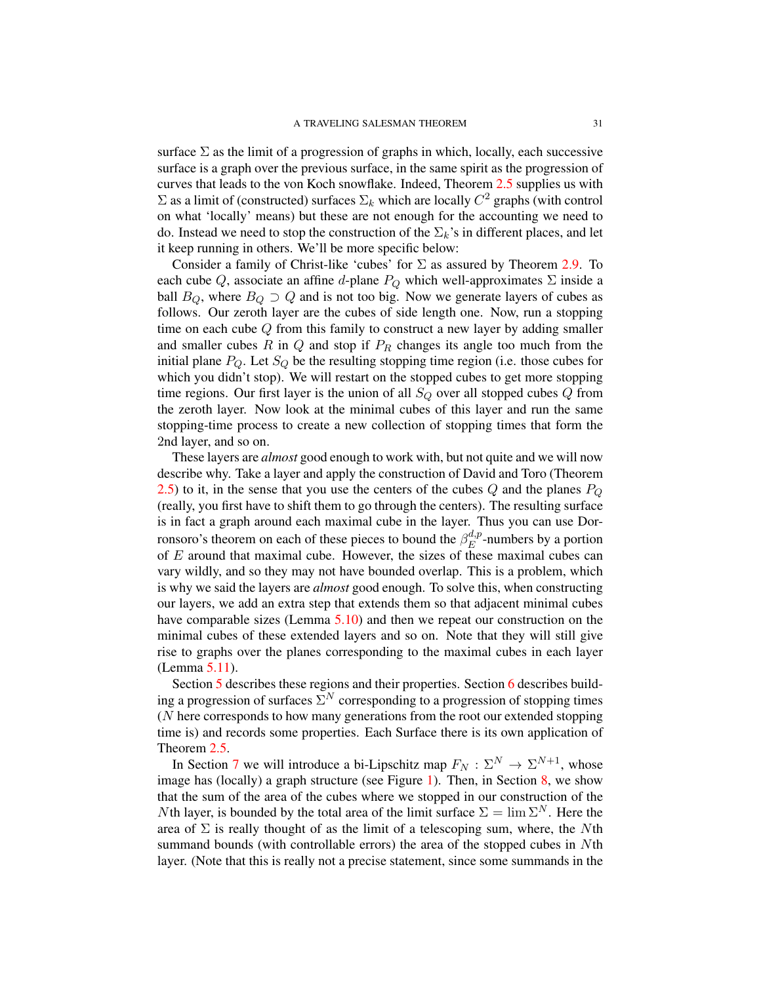surface  $\Sigma$  as the limit of a progression of graphs in which, locally, each successive surface is a graph over the previous surface, in the same spirit as the progression of curves that leads to the von Koch snowflake. Indeed, Theorem [2.5](#page-16-0) supplies us with  $\Sigma$  as a limit of (constructed) surfaces  $\Sigma_k$  which are locally  $C^2$  graphs (with control on what 'locally' means) but these are not enough for the accounting we need to do. Instead we need to stop the construction of the  $\Sigma_k$ 's in different places, and let it keep running in others. We'll be more specific below:

Consider a family of Christ-like 'cubes' for  $\Sigma$  as assured by Theorem [2.9.](#page-18-1) To each cube Q, associate an affine d-plane  $P_Q$  which well-approximates  $\Sigma$  inside a ball  $B_Q$ , where  $B_Q \supset Q$  and is not too big. Now we generate layers of cubes as follows. Our zeroth layer are the cubes of side length one. Now, run a stopping time on each cube Q from this family to construct a new layer by adding smaller and smaller cubes R in  $Q$  and stop if  $P_R$  changes its angle too much from the initial plane  $P_Q$ . Let  $S_Q$  be the resulting stopping time region (i.e. those cubes for which you didn't stop). We will restart on the stopped cubes to get more stopping time regions. Our first layer is the union of all  $S_Q$  over all stopped cubes  $Q$  from the zeroth layer. Now look at the minimal cubes of this layer and run the same stopping-time process to create a new collection of stopping times that form the 2nd layer, and so on.

These layers are *almost* good enough to work with, but not quite and we will now describe why. Take a layer and apply the construction of David and Toro (Theorem [2.5\)](#page-16-0) to it, in the sense that you use the centers of the cubes  $Q$  and the planes  $P_Q$ (really, you first have to shift them to go through the centers). The resulting surface is in fact a graph around each maximal cube in the layer. Thus you can use Dorronsoro's theorem on each of these pieces to bound the  $\beta_E^{d,p}$  $E^{a,p}$ -numbers by a portion of  $E$  around that maximal cube. However, the sizes of these maximal cubes can vary wildly, and so they may not have bounded overlap. This is a problem, which is why we said the layers are *almost* good enough. To solve this, when constructing our layers, we add an extra step that extends them so that adjacent minimal cubes have comparable sizes (Lemma [5.10\)](#page-35-0) and then we repeat our construction on the minimal cubes of these extended layers and so on. Note that they will still give rise to graphs over the planes corresponding to the maximal cubes in each layer (Lemma [5.11\)](#page-36-0).

Section [5](#page-32-0) describes these regions and their properties. Section [6](#page-38-0) describes building a progression of surfaces  $\Sigma^N$  corresponding to a progression of stopping times (N here corresponds to how many generations from the root our extended stopping time is) and records some properties. Each Surface there is its own application of Theorem [2.5.](#page-16-0)

In Section [7](#page-46-0) we will introduce a bi-Lipschitz map  $F_N : \Sigma^N \to \Sigma^{N+1}$ , whose image has (locally) a graph structure (see Figure [1\)](#page-48-0). Then, in Section [8,](#page-49-0) we show that the sum of the area of the cubes where we stopped in our construction of the Nth layer, is bounded by the total area of the limit surface  $\Sigma = \lim \Sigma^N$ . Here the area of  $\Sigma$  is really thought of as the limit of a telescoping sum, where, the Nth summand bounds (with controllable errors) the area of the stopped cubes in Nth layer. (Note that this is really not a precise statement, since some summands in the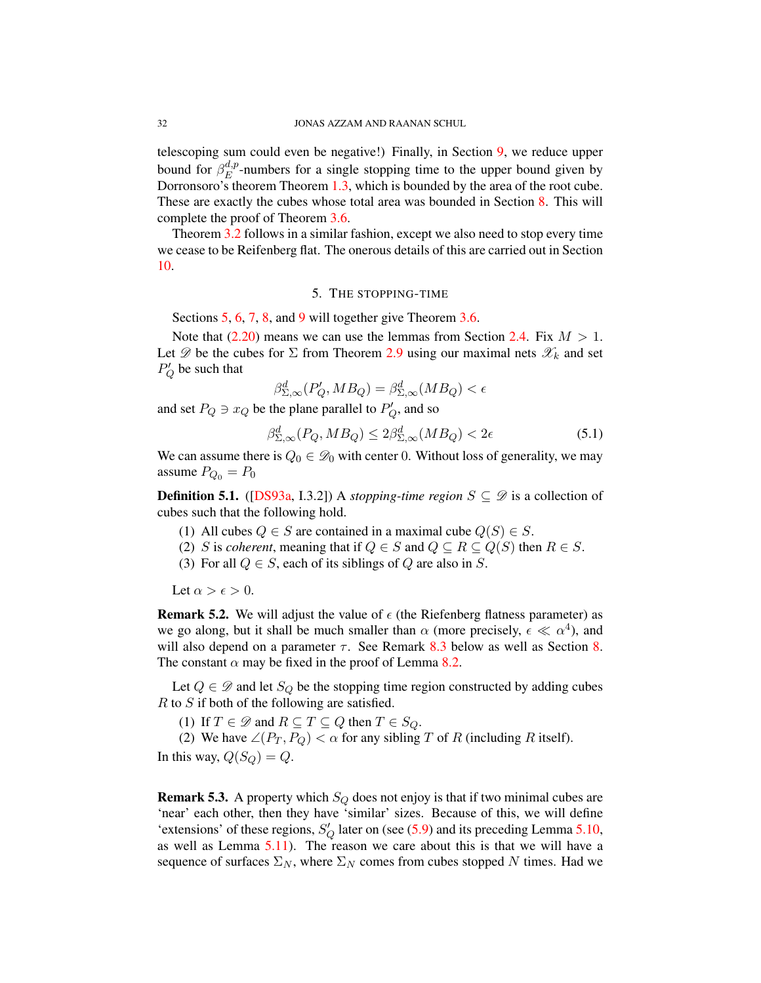telescoping sum could even be negative!) Finally, in Section [9,](#page-55-0) we reduce upper bound for  $\beta_E^{d,p}$  $E^{a,p}$ -numbers for a single stopping time to the upper bound given by Dorronsoro's theorem Theorem [1.3,](#page-3-0) which is bounded by the area of the root cube. These are exactly the cubes whose total area was bounded in Section [8.](#page-49-0) This will complete the proof of Theorem [3.6.](#page-30-0)

Theorem [3.2](#page-29-0) follows in a similar fashion, except we also need to stop every time we cease to be Reifenberg flat. The onerous details of this are carried out in Section [10.](#page-58-0)

### 5. THE STOPPING-TIME

<span id="page-32-0"></span>Sections [5,](#page-32-0) [6,](#page-38-0) [7,](#page-46-0) [8,](#page-49-0) and [9](#page-55-0) will together give Theorem [3.6.](#page-30-0)

Note that  $(2.20)$  means we can use the lemmas from Section [2.4.](#page-19-0) Fix  $M > 1$ . Let  $\mathscr D$  be the cubes for  $\Sigma$  from Theorem [2.9](#page-18-1) using our maximal nets  $\mathscr X_k$  and set  $P'_Q$  be such that

$$
\beta_{\Sigma,\infty}^d(P'_Q, MB_Q) = \beta_{\Sigma,\infty}^d(MB_Q) < \epsilon
$$

and set  $P_Q \ni x_Q$  be the plane parallel to  $P'_Q$ , and so

$$
\beta_{\Sigma,\infty}^d(P_Q, MB_Q) \le 2\beta_{\Sigma,\infty}^d(MB_Q) < 2\epsilon \tag{5.1}
$$

We can assume there is  $Q_0 \in \mathcal{D}_0$  with center 0. Without loss of generality, we may assume  $P_{Q_0} = P_0$ 

**Definition 5.1.** ([\[DS93a,](#page-78-17) I.3.2]) A *stopping-time region*  $S \subseteq \mathcal{D}$  is a collection of cubes such that the following hold.

- (1) All cubes  $Q \in S$  are contained in a maximal cube  $Q(S) \in S$ .
- (2) S is *coherent*, meaning that if  $Q \in S$  and  $Q \subseteq R \subseteq Q(S)$  then  $R \in S$ .
- (3) For all  $Q \in S$ , each of its siblings of Q are also in S.

Let  $\alpha > \epsilon > 0$ .

<span id="page-32-1"></span>**Remark 5.2.** We will adjust the value of  $\epsilon$  (the Riefenberg flatness parameter) as we go along, but it shall be much smaller than  $\alpha$  (more precisely,  $\epsilon \ll \alpha^4$ ), and will also depend on a parameter  $\tau$ . See Remark [8.3](#page-51-0) below as well as Section [8.](#page-49-0) The constant  $\alpha$  may be fixed in the proof of Lemma [8.2.](#page-49-1)

Let  $Q \in \mathscr{D}$  and let  $S_Q$  be the stopping time region constructed by adding cubes R to S if both of the following are satisfied.

(1) If  $T \in \mathcal{D}$  and  $R \subseteq T \subseteq Q$  then  $T \in S_Q$ .

(2) We have  $\angle (P_T, P_Q) < \alpha$  for any sibling T of R (including R itself).

In this way,  $Q(S_Q) = Q$ .

**Remark 5.3.** A property which  $S_Q$  does not enjoy is that if two minimal cubes are 'near' each other, then they have 'similar' sizes. Because of this, we will define 'extensions' of these regions,  $S'_{Q}$  later on (see [\(5.9\)](#page-36-1) and its preceding Lemma [5.10,](#page-35-0) as well as Lemma [5.11\)](#page-36-0). The reason we care about this is that we will have a sequence of surfaces  $\Sigma_N$ , where  $\Sigma_N$  comes from cubes stopped N times. Had we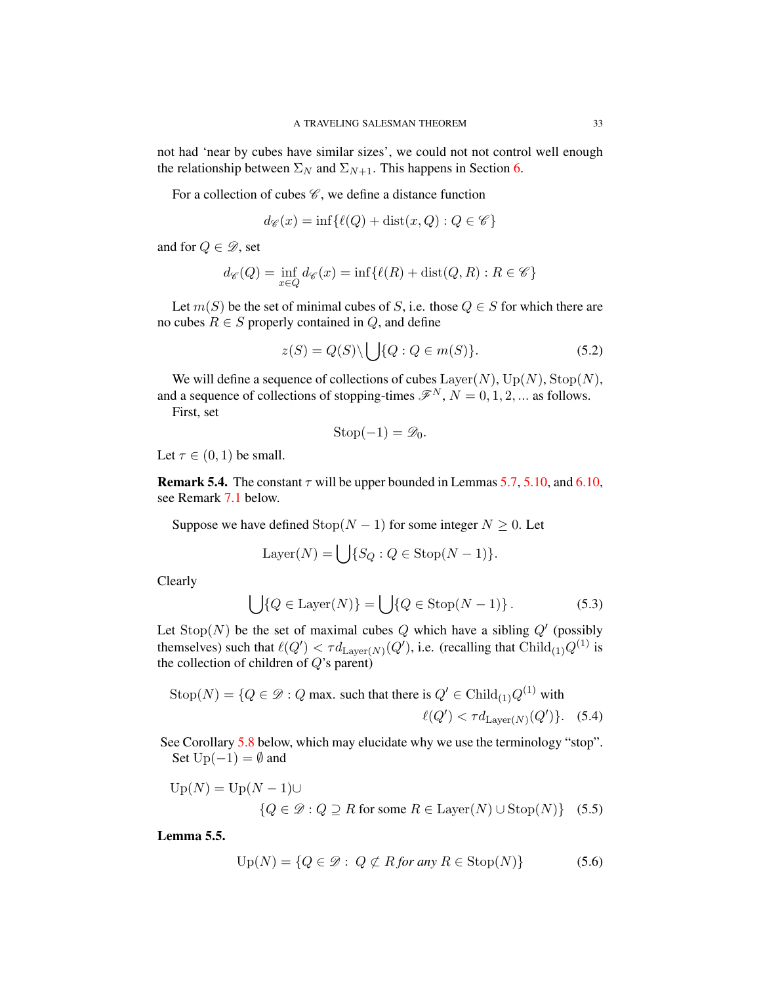not had 'near by cubes have similar sizes', we could not not control well enough the relationship between  $\Sigma_N$  and  $\Sigma_{N+1}$ . This happens in Section [6.](#page-38-0)

For a collection of cubes  $\mathscr{C}$ , we define a distance function

$$
d_{\mathscr{C}}(x) = \inf \{ \ell(Q) + \text{dist}(x, Q) : Q \in \mathscr{C} \}
$$

and for  $Q \in \mathscr{D}$ , set

$$
d_{\mathscr{C}}(Q) = \inf_{x \in Q} d_{\mathscr{C}}(x) = \inf \{ \ell(R) + \text{dist}(Q, R) : R \in \mathscr{C} \}
$$

Let  $m(S)$  be the set of minimal cubes of S, i.e. those  $Q \in S$  for which there are no cubes  $R \in S$  properly contained in  $Q$ , and define

$$
z(S) = Q(S) \setminus \bigcup \{Q : Q \in m(S)\}.
$$
\n(5.2)

We will define a sequence of collections of cubes  $\text{Layer}(N)$ ,  $\text{Up}(N)$ ,  $\text{Stop}(N)$ , and a sequence of collections of stopping-times  $\mathscr{F}^N$ ,  $N = 0, 1, 2, ...$  as follows.

First, set

$$
\mathrm{Stop}(-1) = \mathscr{D}_0.
$$

Let  $\tau \in (0,1)$  be small.

**Remark 5.4.** The constant  $\tau$  will be upper bounded in Lemmas [5.7,](#page-34-0) [5.10,](#page-35-0) and [6.10,](#page-44-0) see Remark [7.1](#page-46-1) below.

Suppose we have defined  $\text{Stop}(N-1)$  for some integer  $N \geq 0$ . Let

$$
Layer(N) = \bigcup \{ S_Q : Q \in Stop(N-1) \}.
$$

Clearly

<span id="page-33-2"></span><span id="page-33-1"></span>
$$
\bigcup \{ Q \in \text{Layer}(N) \} = \bigcup \{ Q \in \text{Stop}(N-1) \}.
$$
 (5.3)

Let  $\text{Stop}(N)$  be the set of maximal cubes Q which have a sibling  $Q'$  (possibly themselves) such that  $\ell(Q') < \tau d_{\mathrm{Layer}(N)}(Q')$ , i.e. (recalling that  $\mathrm{Child}_{(1)}Q^{(1)}$  is the collection of children of  $Q$ 's parent)

$$
\text{Stop}(N) = \{Q \in \mathcal{D} : Q \text{ max. such that there is } Q' \in \text{Child}_{(1)}Q^{(1)} \text{ with}
$$

$$
\ell(Q') < \tau d_{\text{Layer}(N)}(Q')\}.\tag{5.4}
$$

See Corollary [5.8](#page-35-1) below, which may elucidate why we use the terminology "stop". Set  $Up(-1) = \emptyset$  and

$$
\text{Up}(N) = \text{Up}(N-1) \cup \{Q \in \mathcal{D} : Q \supseteq R \text{ for some } R \in \text{Layer}(N) \cup \text{Stop}(N)\} \quad (5.5)
$$

Lemma 5.5.

<span id="page-33-0"></span>
$$
Up(N) = \{Q \in \mathcal{D} : Q \not\subset R \text{ for any } R \in \text{Stop}(N)\}\
$$
 (5.6)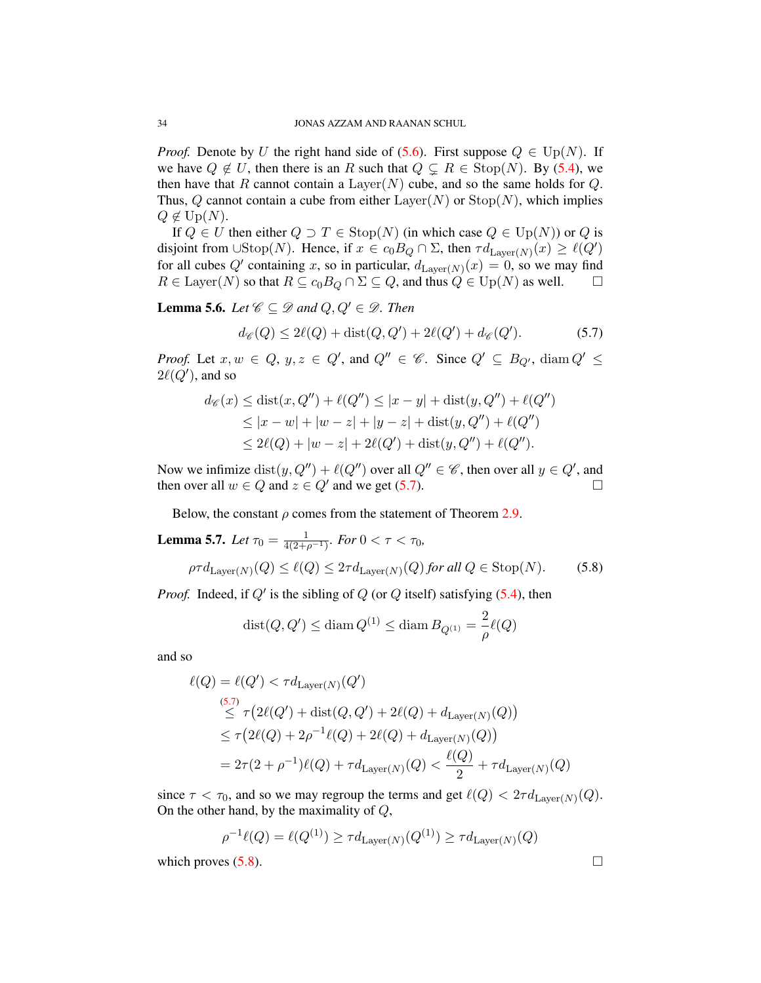*Proof.* Denote by U the right hand side of [\(5.6\)](#page-33-0). First suppose  $Q \in \mathrm{Up}(N)$ . If we have  $Q \notin U$ , then there is an R such that  $Q \subseteq R \in \text{Stop}(N)$ . By [\(5.4\)](#page-33-1), we then have that R cannot contain a  $\text{Layer}(N)$  cube, and so the same holds for Q. Thus, Q cannot contain a cube from either  $\text{Layer}(N)$  or  $\text{Stop}(N)$ , which implies  $Q \notin \mathrm{Up}(N)$ .

If  $Q \in U$  then either  $Q \supset T \in \text{Stop}(N)$  (in which case  $Q \in \text{Up}(N)$ ) or  $Q$  is disjoint from  $\cup \text{Stop}(N)$ . Hence, if  $x \in c_0B_Q \cap \Sigma$ , then  $\tau d_{\text{Layer}(N)}(x) \ge \ell(Q')$ for all cubes Q' containing x, so in particular,  $d_{\text{Layer}(N)}(x) = 0$ , so we may find  $R \in \text{Layer}(N)$  so that  $R \subseteq c_0B_Q \cap \Sigma \subseteq Q$ , and thus  $Q \in \text{Up}(N)$  as well.  $\square$ 

**Lemma 5.6.** *Let*  $\mathcal{C} \subseteq \mathcal{D}$  *and*  $Q, Q' \in \mathcal{D}$ *. Then* 

<span id="page-34-1"></span>
$$
d_{\mathscr{C}}(Q) \le 2\ell(Q) + \text{dist}(Q, Q') + 2\ell(Q') + d_{\mathscr{C}}(Q'). \tag{5.7}
$$

*Proof.* Let  $x, w \in Q$ ,  $y, z \in Q'$ , and  $Q'' \in \mathscr{C}$ . Since  $Q' \subseteq B_{Q'}$ , diam  $Q' \leq$  $2\ell(Q')$ , and so

$$
d_{\mathscr{C}}(x) \le \text{dist}(x, Q'') + \ell(Q'') \le |x - y| + \text{dist}(y, Q'') + \ell(Q'')
$$
  
\n
$$
\le |x - w| + |w - z| + |y - z| + \text{dist}(y, Q'') + \ell(Q'')
$$
  
\n
$$
\le 2\ell(Q) + |w - z| + 2\ell(Q') + \text{dist}(y, Q'') + \ell(Q'').
$$

Now we infimize  $dist(y, Q'') + \ell(Q'')$  over all  $Q'' \in \mathscr{C}$ , then over all  $y \in Q'$ , and then over all  $w \in Q$  and  $z \in Q'$  and we get [\(5.7\)](#page-34-1).

Below, the constant  $\rho$  comes from the statement of Theorem [2.9.](#page-18-1)

<span id="page-34-2"></span><span id="page-34-0"></span>**Lemma 5.7.** Let 
$$
\tau_0 = \frac{1}{4(2+\rho^{-1})}
$$
. For  $0 < \tau < \tau_0$ ,  $\rho \tau d_{\text{Layer}(N)}(Q) \leq \ell(Q) \leq 2\tau d_{\text{Layer}(N)}(Q)$  for all  $Q \in \text{Stop}(N)$ . (5.8)

*Proof.* Indeed, if  $Q'$  is the sibling of  $Q$  (or  $Q$  itself) satisfying  $(5.4)$ , then

$$
\mathop\mathrm{dist}(Q,Q')\leq \mathop\mathrm{diam}\nolimits Q^{(1)}\leq \mathop\mathrm{diam}\nolimits B_{Q^{(1)}}=\frac{2}{\rho}\ell(Q)
$$

and so

$$
\ell(Q) = \ell(Q') < \tau d_{\text{Layer}(N)}(Q')
$$
  
\n
$$
\leq \tau (2\ell(Q') + \text{dist}(Q, Q') + 2\ell(Q) + d_{\text{Layer}(N)}(Q))
$$
  
\n
$$
\leq \tau (2\ell(Q) + 2\rho^{-1}\ell(Q) + 2\ell(Q) + d_{\text{Layer}(N)}(Q))
$$
  
\n
$$
= 2\tau (2 + \rho^{-1})\ell(Q) + \tau d_{\text{Layer}(N)}(Q) < \frac{\ell(Q)}{2} + \tau d_{\text{Layer}(N)}(Q)
$$

since  $\tau < \tau_0$ , and so we may regroup the terms and get  $\ell(Q) < 2\tau d_{\text{Layer}(N)}(Q)$ . On the other hand, by the maximality of  $Q$ ,

$$
\rho^{-1}\ell(Q) = \ell(Q^{(1)}) \ge \tau d_{\text{Layer}(N)}(Q^{(1)}) \ge \tau d_{\text{Layer}(N)}(Q)
$$

which proves  $(5.8)$ .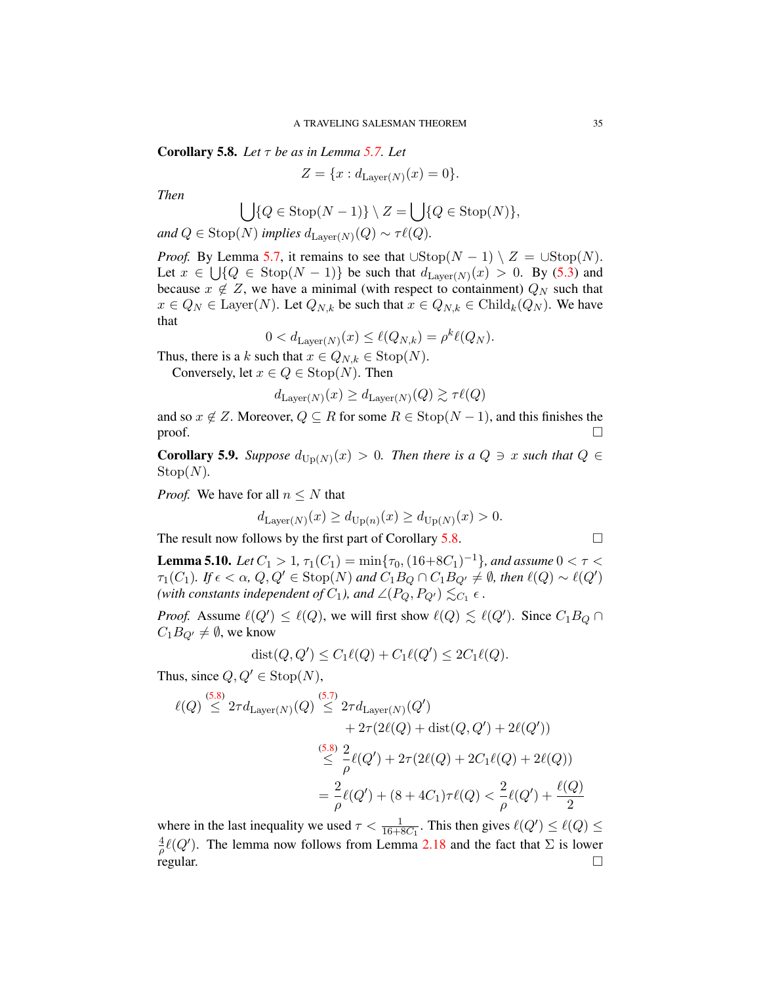<span id="page-35-1"></span>Corollary 5.8. *Let* τ *be as in Lemma [5.7.](#page-34-0) Let*

$$
Z = \{x : d_{\text{Layer}(N)}(x) = 0\}.
$$

*Then*

$$
\bigcup \{ Q \in \text{Stop}(N-1) \} \setminus Z = \bigcup \{ Q \in \text{Stop}(N) \},
$$

and  $Q \in \text{Stop}(N)$  implies  $d_{\text{Layer}(N)}(Q) \sim \tau \ell(Q)$ .

*Proof.* By Lemma [5.7,](#page-34-0) it remains to see that  $\cup \text{Stop}(N-1) \setminus Z = \cup \text{Stop}(N)$ . Let  $x \in \bigcup \{Q \in \text{Stop}(N-1)\}\$  be such that  $d_{\text{Layer}(N)}(x) > 0$ . By [\(5.3\)](#page-33-2) and because  $x \notin Z$ , we have a minimal (with respect to containment)  $Q_N$  such that  $x \in Q_N \in \text{Layer}(N)$ . Let  $Q_{N,k}$  be such that  $x \in Q_{N,k} \in \text{Child}_k(Q_N)$ . We have that

$$
0 < d_{\text{Layer}(N)}(x) \le \ell(Q_{N,k}) = \rho^k \ell(Q_N).
$$

Thus, there is a k such that  $x \in Q_{N,k} \in \text{Stop}(N)$ .

Conversely, let  $x \in Q \in \text{Stop}(N)$ . Then

$$
d_{\text{Layer}(N)}(x) \geq d_{\text{Layer}(N)}(Q) \gtrsim \tau \ell(Q)
$$

and so  $x \notin Z$ . Moreover,  $Q \subseteq R$  for some  $R \in \text{Stop}(N-1)$ , and this finishes the proof.  $\Box$ 

**Corollary 5.9.** Suppose  $d_{\text{Up}(N)}(x) > 0$ . Then there is a  $Q \ni x$  such that  $Q \in$  $Stop(N)$ .

*Proof.* We have for all  $n \leq N$  that

$$
d_{\text{Layer}(N)}(x) \ge d_{\text{Up}(n)}(x) \ge d_{\text{Up}(N)}(x) > 0.
$$

The result now follows by the first part of Corollary [5.8.](#page-35-1)

<span id="page-35-0"></span>**Lemma 5.10.** Let 
$$
C_1 > 1
$$
,  $\tau_1(C_1) = \min{\{\tau_0, (16+8C_1)^{-1}\}}$ , and assume  $0 < \tau < \tau_1(C_1)$ . If  $\epsilon < \alpha$ ,  $Q, Q' \in \text{Stop}(N)$  and  $C_1 B_Q \cap C_1 B_{Q'} \neq \emptyset$ , then  $\ell(Q) \sim \ell(Q')$  (with constants independent of  $C_1$ ), and  $\angle(P_Q, P_{Q'}) \lesssim_{C_1} \epsilon$ .

*Proof.* Assume  $\ell(Q') \leq \ell(Q)$ , we will first show  $\ell(Q) \leq \ell(Q')$ . Since  $C_1B_Q \cap$  $C_1B_{Q'}\neq \emptyset$ , we know

$$
dist(Q, Q') \le C_1 \ell(Q) + C_1 \ell(Q') \le 2C_1 \ell(Q).
$$

Thus, since  $Q, Q' \in \text{Stop}(N)$ ,

$$
\ell(Q) \stackrel{(5.8)}{\leq} 2\tau d_{\text{Layer}(N)}(Q) \stackrel{(5.7)}{\leq} 2\tau d_{\text{Layer}(N)}(Q')
$$
  
+  $2\tau(2\ell(Q) + \text{dist}(Q, Q') + 2\ell(Q'))$   
 $\stackrel{(5.8)}{\leq} \frac{2}{\rho}\ell(Q') + 2\tau(2\ell(Q) + 2C_1\ell(Q) + 2\ell(Q))$   
=  $\frac{2}{\rho}\ell(Q') + (8 + 4C_1)\tau\ell(Q) < \frac{2}{\rho}\ell(Q') + \frac{\ell(Q)}{2}$ 

where in the last inequality we used  $\tau < \frac{1}{16+8C_1}$ . This then gives  $\ell(Q') \leq \ell(Q) \leq$ 4  $\frac{4}{\rho}\ell(Q')$ . The lemma now follows from Lemma [2.18](#page-23-1) and the fact that  $\Sigma$  is lower regular.  $\square$ 

$$
\Box
$$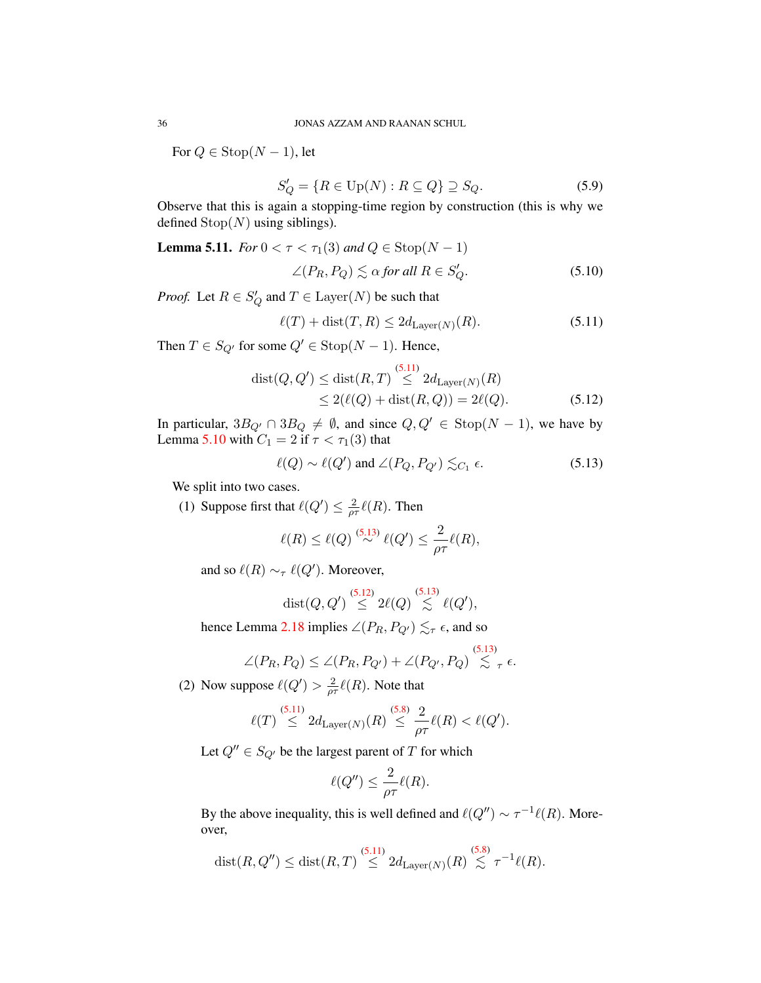For  $Q \in \text{Stop}(N-1)$ , let

$$
S'_Q = \{ R \in \text{Up}(N) : R \subseteq Q \} \supseteq S_Q. \tag{5.9}
$$

Observe that this is again a stopping-time region by construction (this is why we defined  $\text{Stop}(N)$  using siblings).

**Lemma 5.11.** *For*  $0 < \tau < \tau_1(3)$  *and*  $Q \in \text{Stop}(N - 1)$ 

<span id="page-36-3"></span>
$$
\angle (P_R, P_Q) \lesssim \alpha \text{ for all } R \in S'_Q. \tag{5.10}
$$

*Proof.* Let  $R \in S_Q'$  and  $T \in \text{Layer}(N)$  be such that

<span id="page-36-2"></span><span id="page-36-0"></span>
$$
\ell(T) + \text{dist}(T, R) \le 2d_{\text{Layer}(N)}(R). \tag{5.11}
$$

Then  $T \in S_{Q'}$  for some  $Q' \in \text{Stop}(N-1)$ . Hence,

$$
dist(Q, Q') \leq dist(R, T) \stackrel{(5.11)}{\leq} 2d_{\text{Layer}(N)}(R)
$$
  
 
$$
\leq 2(\ell(Q) + dist(R, Q)) = 2\ell(Q).
$$
 (5.12)

In particular,  $3B_{Q'} \cap 3B_Q \neq \emptyset$ , and since  $Q, Q' \in \text{Stop}(N - 1)$ , we have by Lemma [5.10](#page-35-0) with  $C_1 = 2$  if  $\tau < \tau_1(3)$  that

<span id="page-36-1"></span>
$$
\ell(Q) \sim \ell(Q') \text{ and } \angle(P_Q, P_{Q'}) \lesssim_{C_1} \epsilon. \tag{5.13}
$$

We split into two cases.

(1) Suppose first that  $\ell(Q') \leq \frac{2}{\omega}$  $\frac{2}{\rho\tau}\ell(R)$ . Then

$$
\ell(R) \leq \ell(Q) \stackrel{(5.13)}{\sim} \ell(Q') \leq \frac{2}{\rho \tau} \ell(R),
$$

and so  $\ell(R) \sim_{\tau} \ell(Q')$ . Moreover,

$$
\textnormal{dist}(Q,Q') \stackrel{(5.12)}{\leq} 2\ell(Q) \stackrel{(5.13)}{\lesssim} \ell(Q'),
$$

hence Lemma [2.18](#page-23-0) implies  $\angle (P_R, P_{Q'}) \lesssim_{\tau} \epsilon$ , and so

$$
\angle(P_R, P_Q) \le \angle(P_R, P_{Q'}) + \angle(P_{Q'}, P_Q) \stackrel{(5.13)}{\lesssim} \tau \epsilon.
$$

(2) Now suppose  $\ell(Q') > \frac{2}{\omega}$  $\frac{2}{\rho\tau}\ell(R)$ . Note that

$$
\ell(T) \stackrel{(5.11)}{\leq} 2d_{\text{Layer}(N)}(R) \stackrel{(5.8)}{\leq} \frac{2}{\rho \tau} \ell(R) < \ell(Q').
$$

Let  $Q'' \in S_{Q'}$  be the largest parent of T for which

$$
\ell(Q'') \leq \frac{2}{\rho \tau} \ell(R).
$$

By the above inequality, this is well defined and  $\ell(Q'') \sim \tau^{-1} \ell(R)$ . Moreover,

$$
\text{dist}(R, Q'') \le \text{dist}(R, T) \stackrel{(5.11)}{\le} 2d_{\text{Layer}(N)}(R) \stackrel{(5.8)}{\lesssim} \tau^{-1}\ell(R).
$$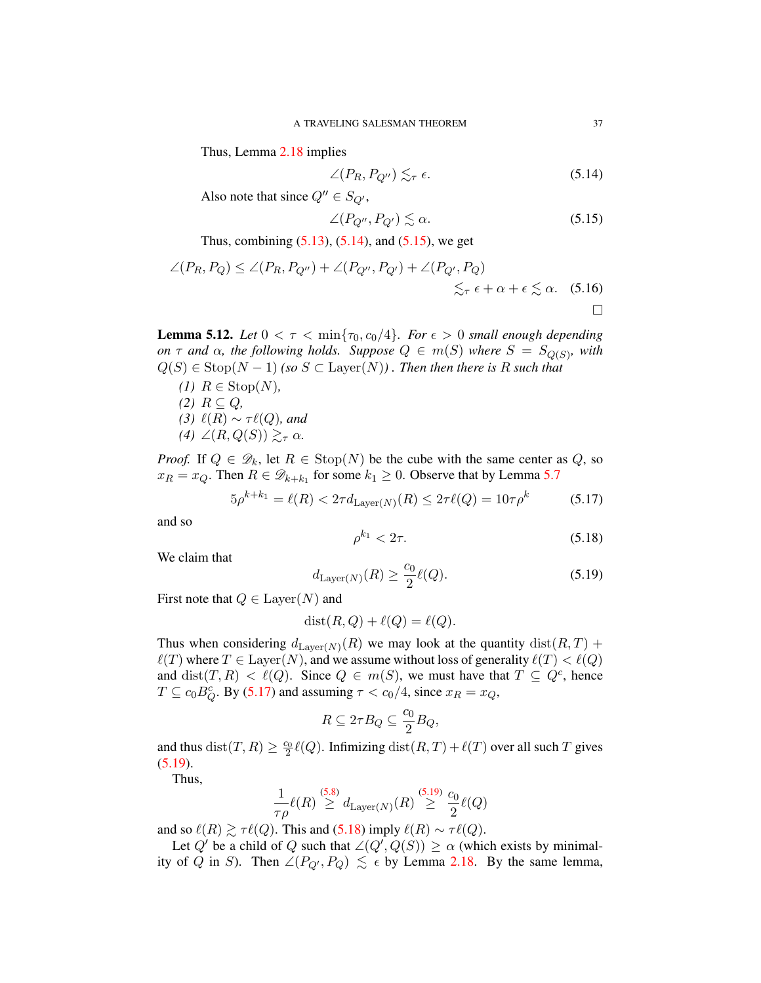Thus, Lemma [2.18](#page-23-0) implies

<span id="page-37-0"></span>
$$
\angle(P_R, P_{Q''}) \lesssim_{\tau} \epsilon. \tag{5.14}
$$

Also note that since  $Q'' \in S_{Q'}$ ,

<span id="page-37-1"></span>
$$
\angle (P_{Q''}, P_{Q'}) \lesssim \alpha. \tag{5.15}
$$

Thus, combining  $(5.13)$ ,  $(5.14)$ , and  $(5.15)$ , we get

$$
\angle(P_R, P_Q) \le \angle(P_R, P_{Q''}) + \angle(P_{Q''}, P_{Q'}) + \angle(P_{Q'}, P_Q) \n\lesssim_{\tau} \epsilon + \alpha + \epsilon \lesssim \alpha. \quad (5.16)
$$

<span id="page-37-5"></span>**Lemma 5.12.** *Let*  $0 < \tau < \min\{\tau_0, c_0/4\}$ *. For*  $\epsilon > 0$  *small enough depending on*  $\tau$  *and*  $\alpha$ *, the following holds. Suppose*  $Q \in m(S)$  *where*  $S = S_{Q(S)}$ *, with*  $Q(S) \in \text{Stop}(N-1)$  *(so*  $S \subset \text{Layer}(N)$ *)*. Then then there is R such that

*(1)*  $R \text{ ∈ Stop}(N)$ , *(2)*  $R ⊆ Q$ *, (3)*  $\ell(R) \sim \tau \ell(Q)$ *, and* (4)  $\angle (R, Q(S)) \geq_{\tau} \alpha$ .

*Proof.* If  $Q \in \mathcal{D}_k$ , let  $R \in \text{Stop}(N)$  be the cube with the same center as Q, so  $x_R = x_Q$ . Then  $R \in \mathcal{D}_{k+k_1}$  for some  $k_1 \geq 0$ . Observe that by Lemma [5.7](#page-34-1)

<span id="page-37-2"></span>
$$
5\rho^{k+k_1} = \ell(R) < 2\tau d_{\text{Layer}(N)}(R) \le 2\tau \ell(Q) = 10\tau \rho^k \tag{5.17}
$$

and so

<span id="page-37-4"></span>
$$
\rho^{k_1} < 2\tau. \tag{5.18}
$$

We claim that

<span id="page-37-3"></span>
$$
d_{\text{Layer}(N)}(R) \ge \frac{c_0}{2}\ell(Q). \tag{5.19}
$$

First note that  $Q \in \text{Layer}(N)$  and

$$
dist(R, Q) + \ell(Q) = \ell(Q).
$$

Thus when considering  $d_{\text{Layer}(N)}(R)$  we may look at the quantity  $\text{dist}(R, T)$  +  $\ell(T)$  where  $T \in \text{Layer}(N)$ , and we assume without loss of generality  $\ell(T) < \ell(Q)$ and  $dist(T, R) < \ell(Q)$ . Since  $Q \in m(S)$ , we must have that  $T \subseteq Q^c$ , hence  $T \subseteq c_0 B_Q^c$ . By [\(5.17\)](#page-37-2) and assuming  $\tau < c_0/4$ , since  $x_R = x_Q$ ,

$$
R\subseteq 2\tau B_Q\subseteq \frac{c_0}{2}B_Q,
$$

and thus  $dist(T, R) \ge \frac{c_0}{2}\ell(Q)$ . Infimizing  $dist(R, T) + \ell(T)$  over all such T gives [\(5.19\)](#page-37-3).

Thus,

$$
\frac{1}{\tau \rho} \ell(R) \stackrel{\text{(5.8)}}{\geq} d_{\text{Layer}(N)}(R) \stackrel{\text{(5.19)}}{\geq} \frac{c_0}{2} \ell(Q)
$$

and so  $\ell(R) \gtrsim \tau \ell(Q)$ . This and [\(5.18\)](#page-37-4) imply  $\ell(R) \sim \tau \ell(Q)$ .

Let Q' be a child of Q such that  $\angle (Q', Q(S)) \geq \alpha$  (which exists by minimality of Q in S). Then  $\angle (P_{Q'}, P_Q) \leq \epsilon$  by Lemma [2.18.](#page-23-0) By the same lemma,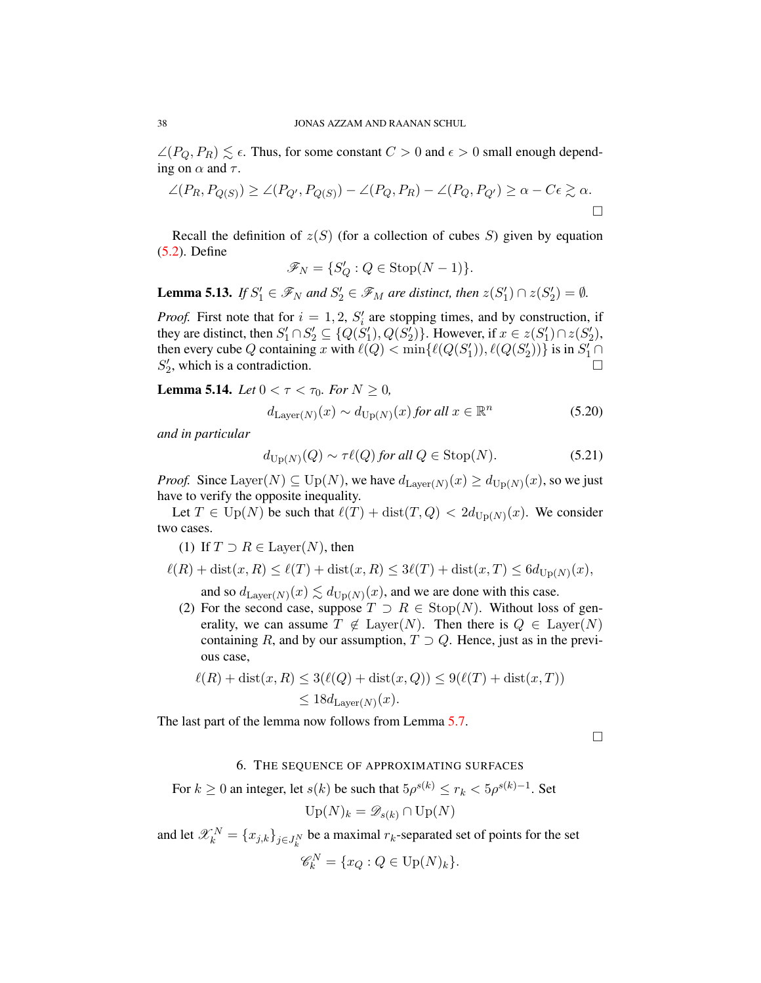$\angle(P_Q, P_R) \lesssim \epsilon$ . Thus, for some constant  $C > 0$  and  $\epsilon > 0$  small enough depending on  $\alpha$  and  $\tau$ .

$$
\angle(P_R, P_{Q(S)}) \ge \angle(P_{Q'}, P_{Q(S)}) - \angle(P_Q, P_R) - \angle(P_Q, P_{Q'}) \ge \alpha - C\epsilon \ge \alpha.
$$

Recall the definition of  $z(S)$  (for a collection of cubes S) given by equation [\(5.2\)](#page-33-0). Define

$$
\mathscr{F}_N = \{ S'_Q : Q \in \text{Stop}(N-1) \}.
$$

<span id="page-38-1"></span>**Lemma 5.13.** *If*  $S'_1 \in \mathcal{F}_N$  *and*  $S'_2 \in \mathcal{F}_M$  *are distinct, then*  $z(S'_1) \cap z(S'_2) = \emptyset$ *.* 

*Proof.* First note that for  $i = 1, 2, S_i'$  are stopping times, and by construction, if they are distinct, then  $S'_1 \cap S'_2 \subseteq \{Q(S'_1), Q(S'_2)\}\$ . However, if  $x \in z(S'_1) \cap z(S'_2)$ , then every cube Q containing x with  $\ell(Q) < \min{\{\ell(Q(S'_1)), \ell(Q(S'_2))\}}$  is in  $S'_1 \cap$  $S'_2$ , which is a contradiction.

**Lemma 5.14.** *Let*  $0 < \tau < \tau_0$ *. For*  $N \ge 0$ *,* 

$$
d_{\text{Layer}(N)}(x) \sim d_{\text{Up}(N)}(x) \text{ for all } x \in \mathbb{R}^n \tag{5.20}
$$

*and in particular*

<span id="page-38-0"></span>
$$
d_{\text{Up}(N)}(Q) \sim \tau \ell(Q) \text{ for all } Q \in \text{Stop}(N). \tag{5.21}
$$

*Proof.* Since Layer(N)  $\subseteq$  Up(N), we have  $d_{\text{Layer}(N)}(x) \ge d_{\text{Up}(N)}(x)$ , so we just have to verify the opposite inequality.

Let  $T \in \text{Up}(N)$  be such that  $\ell(T) + \text{dist}(T, Q) < 2d_{\text{Up}(N)}(x)$ . We consider two cases.

(1) If  $T \supset R \in \text{Layer}(N)$ , then

$$
\ell(R) + \text{dist}(x, R) \le \ell(T) + \text{dist}(x, R) \le 3\ell(T) + \text{dist}(x, T) \le 6d_{\text{Up}(N)}(x),
$$

and so  $d_{\text{Layer}(N)}(x) \lesssim d_{\text{Up}(N)}(x)$ , and we are done with this case.

(2) For the second case, suppose  $T \supset R \in \text{Stop}(N)$ . Without loss of generality, we can assume  $T \notin \text{Layer}(N)$ . Then there is  $Q \in \text{Layer}(N)$ containing R, and by our assumption,  $T \supset Q$ . Hence, just as in the previous case,

$$
\ell(R) + \text{dist}(x, R) \le 3(\ell(Q) + \text{dist}(x, Q)) \le 9(\ell(T) + \text{dist}(x, T))
$$
  

$$
\le 18d_{\text{Layer}(N)}(x).
$$

The last part of the lemma now follows from Lemma [5.7.](#page-34-1)

 $\Box$ 

#### 6. THE SEQUENCE OF APPROXIMATING SURFACES

For  $k \geq 0$  an integer, let  $s(k)$  be such that  $5\rho^{s(k)} \leq r_k < 5\rho^{s(k)-1}$ . Set  $Up(N)_k = \mathscr{D}_{s(k)} \cap Up(N)$ 

and let  $\mathscr{X}_k^N = \{x_{j,k}\}_{j \in J_k^N}$  be a maximal  $r_k$ -separated set of points for the set

$$
\mathscr{C}_k^N = \{x_Q : Q \in \mathrm{Up}(N)_k\}.
$$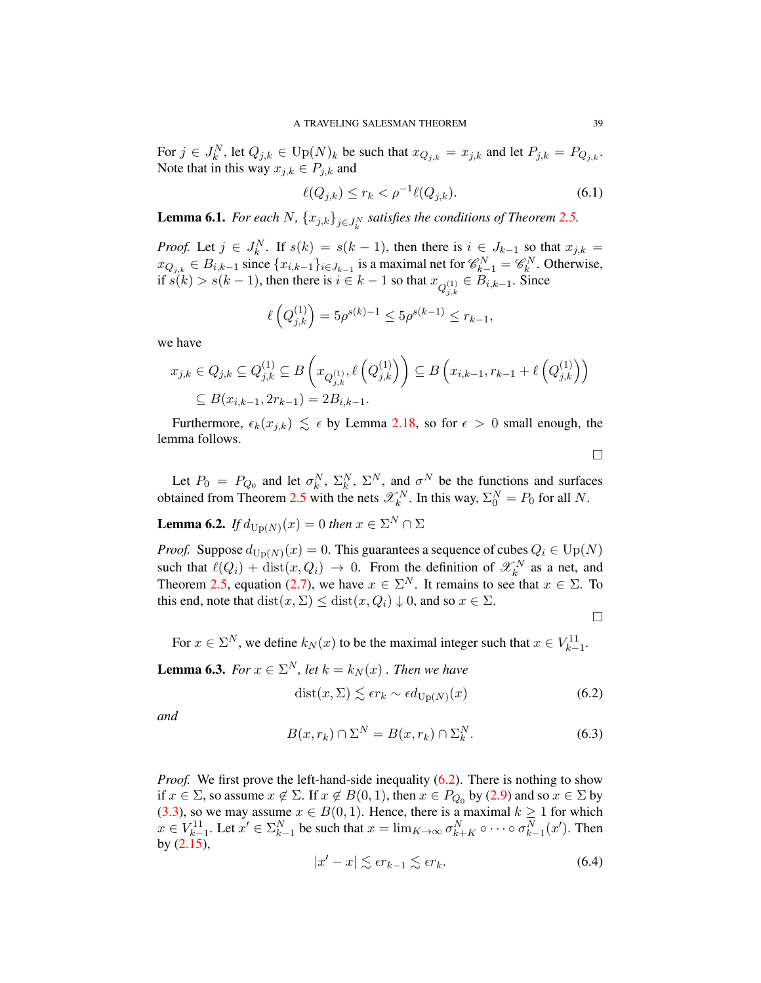For  $j \in J_k^N$ , let  $Q_{j,k} \in \mathrm{Up}(N)_k$  be such that  $x_{Q_{j,k}} = x_{j,k}$  and let  $P_{j,k} = P_{Q_{j,k}}$ . Note that in this way  $x_{j,k} \in P_{j,k}$  and

<span id="page-39-1"></span>
$$
\ell(Q_{j,k}) \le r_k < \rho^{-1} \ell(Q_{j,k}).\tag{6.1}
$$

<span id="page-39-6"></span>**Lemma 6.1.** *For each*  $N$ ,  $\{x_{j,k}\}_{j\in J_k^N}$  satisfies the conditions of Theorem [2.5.](#page-16-0)

*Proof.* Let  $j \in J_k^N$ . If  $s(k) = s(k-1)$ , then there is  $i \in J_{k-1}$  so that  $x_{j,k} =$  $x_{Q_{j,k}} \in B_{i,k-1}$  since  $\{x_{i,k-1}\}_{i \in J_{k-1}}$  is a maximal net for  $\mathscr{C}_{k-1}^N = \mathscr{C}_{k}^N$ . Otherwise, if  $s(k) > s(k-1)$ , then there is  $i \in k-1$  so that  $x_{Q_{j,k}^{(1)}} \in B_{i,k-1}$ . Since

$$
\ell\left(Q_{j,k}^{(1)}\right) = 5\rho^{s(k)-1} \le 5\rho^{s(k-1)} \le r_{k-1},
$$

we have

$$
x_{j,k} \in Q_{j,k} \subseteq Q_{j,k}^{(1)} \subseteq B\left(x_{Q_{j,k}^{(1)}}, \ell\left(Q_{j,k}^{(1)}\right)\right) \subseteq B\left(x_{i,k-1}, r_{k-1} + \ell\left(Q_{j,k}^{(1)}\right)\right) \subseteq B(x_{i,k-1}, 2r_{k-1}) = 2B_{i,k-1}.
$$

Furthermore,  $\epsilon_k(x_{j,k}) \leq \epsilon$  by Lemma [2.18,](#page-23-0) so for  $\epsilon > 0$  small enough, the lemma follows.

 $\Box$ 

Let  $P_0 = P_{Q_0}$  and let  $\sigma_k^N$ ,  $\Sigma_k^N$ ,  $\Sigma_k^N$ , and  $\sigma^N$  be the functions and surfaces obtained from Theorem [2.5](#page-16-0) with the nets  $\mathscr{X}_{k}^{N}$ . In this way,  $\Sigma_{0}^{N} = P_{0}$  for all N.

<span id="page-39-4"></span>**Lemma 6.2.** *If*  $d_{\text{Up}(N)}(x) = 0$  *then*  $x \in \Sigma^N \cap \Sigma$ 

*Proof.* Suppose  $d_{\text{Up}(N)}(x) = 0$ . This guarantees a sequence of cubes  $Q_i \in \text{Up}(N)$ such that  $\ell(Q_i) + \text{dist}(x, Q_i) \to 0$ . From the definition of  $\mathscr{X}_k^N$  as a net, and Theorem [2.5,](#page-16-0) equation [\(2.7\)](#page-15-0), we have  $x \in \Sigma^N$ . It remains to see that  $x \in \Sigma$ . To this end, note that  $dist(x, \Sigma) \leq dist(x, Q_i) \downarrow 0$ , and so  $x \in \Sigma$ .

 $\Box$ 

For  $x \in \Sigma^N$ , we define  $k_N(x)$  to be the maximal integer such that  $x \in V_{k-1}^{11}$ .

<span id="page-39-5"></span>**Lemma 6.3.** *For*  $x \in \Sigma^N$ , *let*  $k = k_N(x)$  *. Then we have* 

<span id="page-39-0"></span>
$$
dist(x, \Sigma) \lesssim \epsilon r_k \sim \epsilon d_{\text{Up}(N)}(x) \tag{6.2}
$$

*and*

<span id="page-39-3"></span>
$$
B(x, r_k) \cap \Sigma^N = B(x, r_k) \cap \Sigma_k^N. \tag{6.3}
$$

*Proof.* We first prove the left-hand-side inequality [\(6.2\)](#page-39-0). There is nothing to show if  $x \in \Sigma$ , so assume  $x \notin \Sigma$ . If  $x \notin B(0, 1)$ , then  $x \in P_{Q_0}$  by [\(2.9\)](#page-15-1) and so  $x \in \Sigma$  by [\(3.3\)](#page-30-0), so we may assume  $x \in B(0, 1)$ . Hence, there is a maximal  $k \ge 1$  for which  $x \in V_{k-1}^{11}$ . Let  $x' \in \Sigma_{k-1}^N$  be such that  $x = \lim_{K \to \infty} \sigma_{k+K}^N \circ \cdots \circ \sigma_{k-1}^N(x')$ . Then by [\(2.15\)](#page-16-1),

<span id="page-39-2"></span>
$$
|x'-x| \lesssim \epsilon r_{k-1} \lesssim \epsilon r_k. \tag{6.4}
$$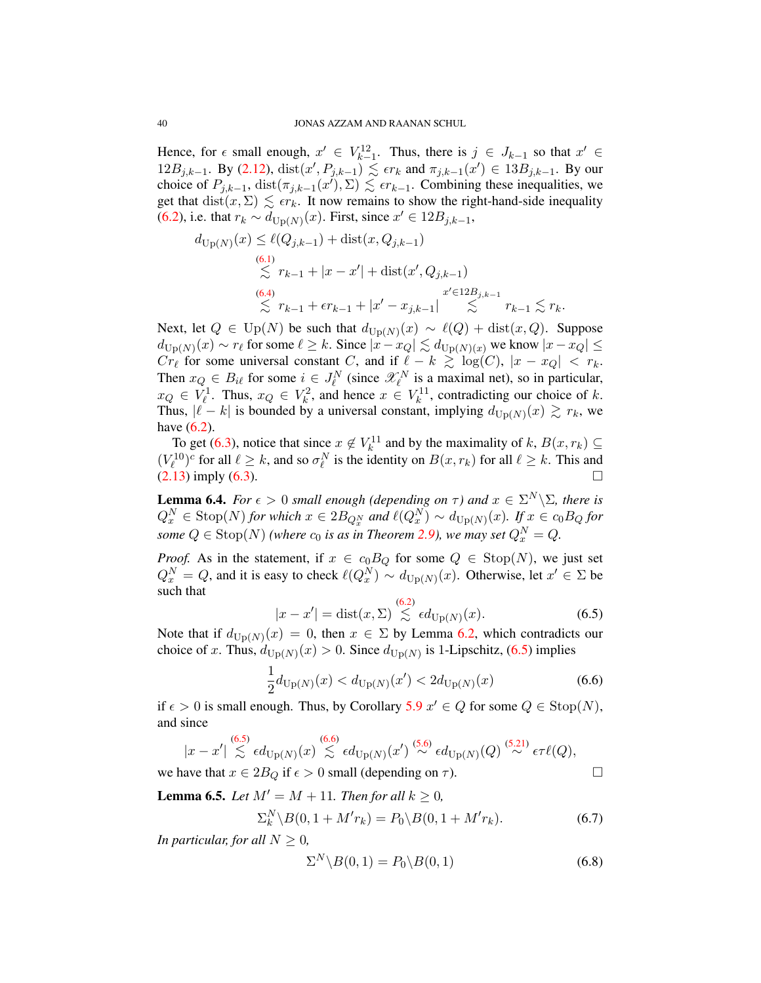Hence, for  $\epsilon$  small enough,  $x' \in V_{k-1}^{12}$ . Thus, there is  $j \in J_{k-1}$  so that  $x' \in$ 12B<sub>j,k−1</sub>. By [\(2.12\)](#page-15-2), dist(x', P<sub>j,k−1</sub>)  $\leq$  *εr<sub>k</sub>* and  $\pi_{j,k-1}(x')$  ∈ 13B<sub>j,k−1</sub>. By our choice of  $P_{j,k-1}$ ,  $dist(\pi_{j,k-1}(x'), \Sigma) \leq \epsilon r_{k-1}$ . Combining these inequalities, we get that  $dist(x, \Sigma) \leq \epsilon r_k$ . It now remains to show the right-hand-side inequality [\(6.2\)](#page-39-0), i.e. that  $r_k \sim d_{\text{Up}(N)}(x)$ . First, since  $x' \in 12B_{j,k-1}$ ,

$$
d_{\text{Up}(N)}(x) \leq \ell(Q_{j,k-1}) + \text{dist}(x, Q_{j,k-1})
$$
  
\n
$$
\lesssim r_{k-1} + |x - x'| + \text{dist}(x', Q_{j,k-1})
$$
  
\n
$$
\lesssim \frac{(6.4)}{\lesssim r_{k-1} + \epsilon r_{k-1} + |x' - x_{j,k-1}|} \lesssim \frac{x' \in 12B_{j,k-1}}{r_{k-1}} \lesssim r_k.
$$

Next, let  $Q \in \mathrm{Up}(N)$  be such that  $d_{\mathrm{Up}(N)}(x) \sim \ell(Q) + \mathrm{dist}(x, Q)$ . Suppose  $d_{\text{Up}(N)}(x) \sim r_\ell$  for some  $\ell \geq k$ . Since  $|x-x_Q| \lesssim d_{\text{Up}(N)(x)}$  we know  $|x-x_Q| \leq$  $Cr_{\ell}$  for some universal constant C, and if  $\ell - k \ge \log(C)$ ,  $|x - x_Q| < r_k$ . Then  $x_Q \in B_{i\ell}$  for some  $i \in J_{\ell}^N$  (since  $\mathscr{X}_{\ell}^N$  is a maximal net), so in particular,  $x_Q \in V_\ell^1$ . Thus,  $x_Q \in V_k^2$ , and hence  $x \in V_k^{11}$ , contradicting our choice of k. Thus,  $|\ell - k|$  is bounded by a universal constant, implying  $d_{\text{Up}(N)}(x) \gtrsim r_k$ , we have [\(6.2\)](#page-39-0).

To get [\(6.3\)](#page-39-3), notice that since  $x \notin V_k^{11}$  and by the maximality of  $k, B(x, r_k) \subseteq$  $(V_{\ell}^{10})^c$  for all  $\ell \geq k$ , and so  $\sigma_{\ell}^N$  is the identity on  $B(x, r_k)$  for all  $\ell \geq k$ . This and  $(2.13)$  imply  $(6.3)$ .

<span id="page-40-4"></span>**Lemma 6.4.** *For*  $\epsilon > 0$  *small enough (depending on*  $\tau$ ) *and*  $x \in \Sigma^N \setminus \Sigma$ *, there is*  $Q_x^N \in \text{Stop}(N)$  for which  $x \in 2B_{Q_x^N}$  and  $\ell(Q_x^N) \sim d_{\text{Up}(N)}(x)$ *. If*  $x \in c_0B_Q$  for some  $Q \in \text{Stop}(N)$  (where  $c_0$  is as in Theorem [2.9\)](#page-18-0), we may set  $Q_x^N = Q$ .

*Proof.* As in the statement, if  $x \in c_0B_Q$  for some  $Q \in \text{Stop}(N)$ , we just set  $Q_x^N = Q$ , and it is easy to check  $\ell(Q_x^N) \sim d_{\text{Up}(N)}(x)$ . Otherwise, let  $x' \in \Sigma$  be such that  $\alpha$ 

<span id="page-40-0"></span>
$$
|x - x'| = \text{dist}(x, \Sigma) \overset{(0,2)}{\lesssim} \epsilon d_{\text{Up}(N)}(x). \tag{6.5}
$$

Note that if  $d_{\text{Up}(N)}(x) = 0$ , then  $x \in \Sigma$  by Lemma [6.2,](#page-39-4) which contradicts our choice of x. Thus,  $d_{\text{Up}(N)}(x) > 0$ . Since  $d_{\text{Up}(N)}$  is 1-Lipschitz, [\(6.5\)](#page-40-0) implies

<span id="page-40-1"></span>
$$
\frac{1}{2}d_{\text{Up}(N)}(x) < d_{\text{Up}(N)}(x') < 2d_{\text{Up}(N)}(x) \tag{6.6}
$$

if  $\epsilon > 0$  is small enough. Thus, by Corollary [5.9](#page-35-1)  $x' \in Q$  for some  $Q \in \text{Stop}(N)$ , and since

$$
|x-x'| \stackrel{(6.5)}{\lesssim} \epsilon d_{\text{Up}(N)}(x) \stackrel{(6.6)}{\lesssim} \epsilon d_{\text{Up}(N)}(x') \stackrel{(5.6)}{\sim} \epsilon d_{\text{Up}(N)}(Q) \stackrel{(5.21)}{\sim} \epsilon \tau \ell(Q),
$$

we have that  $x \in 2B_Q$  if  $\epsilon > 0$  small (depending on  $\tau$ ).

**Lemma 6.5.** *Let*  $M' = M + 11$ *. Then for all*  $k \ge 0$ *,* 

<span id="page-40-2"></span>
$$
\Sigma_k^N \backslash B(0, 1 + M'r_k) = P_0 \backslash B(0, 1 + M'r_k). \tag{6.7}
$$

*In particular, for all*  $N \geq 0$ *,* 

<span id="page-40-3"></span>
$$
\Sigma^N \backslash B(0,1) = P_0 \backslash B(0,1) \tag{6.8}
$$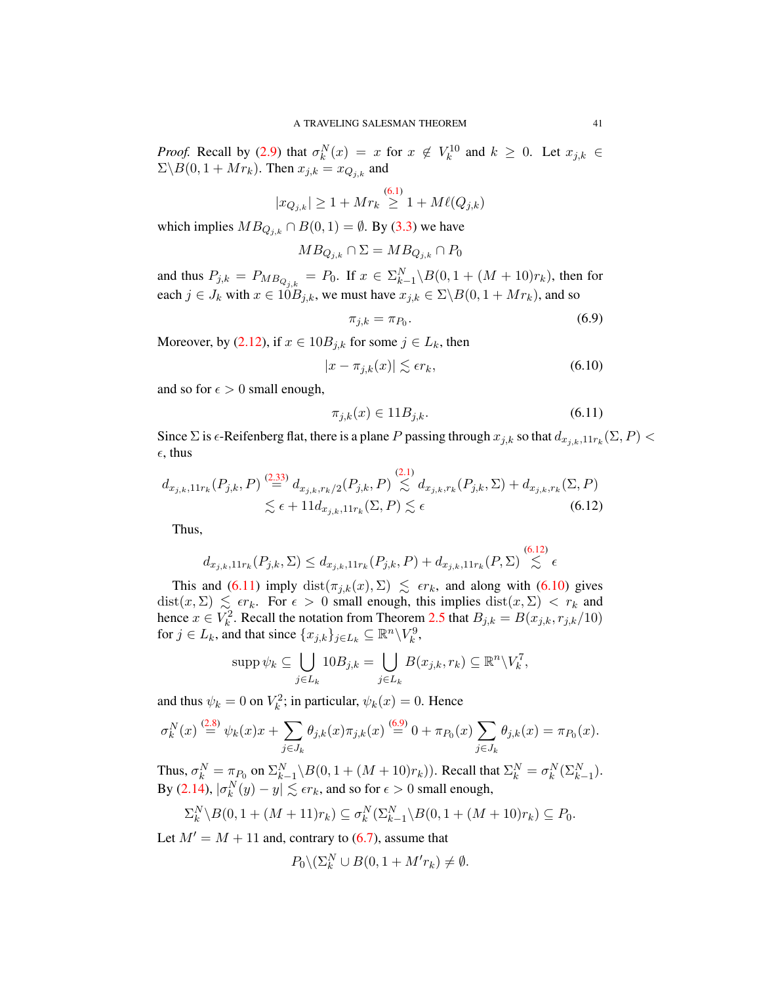*Proof.* Recall by [\(2.9\)](#page-15-1) that  $\sigma_k^N(x) = x$  for  $x \notin V_k^{10}$  and  $k \ge 0$ . Let  $x_{j,k} \in$  $\Sigma \backslash B(0, 1 + Mr_k)$ . Then  $x_{j,k} = x_{Q_{j,k}}$  and

$$
|x_{Q_{j,k}}| \geq 1+Mr_k \overset{(6.1)}{\geq} 1+M\ell(Q_{j,k})
$$

which implies  $MB_{Q_{i,k}} \cap B(0,1) = \emptyset$ . By [\(3.3\)](#page-30-0) we have

$$
MB_{Q_{j,k}} \cap \Sigma = MB_{Q_{j,k}} \cap P_0
$$

and thus  $P_{j,k} = P_{MB_{Q_{j,k}}} = P_0$ . If  $x \in \sum_{k=1}^{N} \setminus B(0, 1 + (M + 10)r_k)$ , then for each  $j \in J_k$  with  $x \in 10B_{j,k}$ , we must have  $x_{j,k} \in \Sigma \backslash B(0, 1 + Mr_k)$ , and so

<span id="page-41-3"></span>
$$
\pi_{j,k} = \pi_{P_0}.\tag{6.9}
$$

Moreover, by [\(2.12\)](#page-15-2), if  $x \in 10B_{j,k}$  for some  $j \in L_k$ , then

<span id="page-41-2"></span>
$$
|x - \pi_{j,k}(x)| \lesssim \epsilon r_k,\tag{6.10}
$$

and so for  $\epsilon > 0$  small enough,

<span id="page-41-1"></span><span id="page-41-0"></span>
$$
\pi_{j,k}(x) \in 11B_{j,k}.\tag{6.11}
$$

Since  $\Sigma$  is  $\epsilon$ -Reifenberg flat, there is a plane P passing through  $x_{j,k}$  so that  $d_{x_{j,k},11r_k}(\Sigma, P)$  <  $\epsilon$ , thus

$$
d_{x_{j,k},11r_k}(P_{j,k},P) \stackrel{(2.33)}{=} d_{x_{j,k},r_k/2}(P_{j,k},P) \stackrel{(2.1)}{\lesssim} d_{x_{j,k},r_k}(P_{j,k},\Sigma) + d_{x_{j,k},r_k}(\Sigma,P) \n\lesssim \epsilon + 11d_{x_{j,k},11r_k}(\Sigma,P) \lesssim \epsilon
$$
\n(6.12)

Thus,

$$
d_{x_{j,k},11r_k}(P_{j,k},\Sigma) \le d_{x_{j,k},11r_k}(P_{j,k},P) + d_{x_{j,k},11r_k}(P,\Sigma) \stackrel{(6.12)}{\lesssim} \epsilon
$$

This and [\(6.11\)](#page-41-1) imply  $dist(\pi_{j,k}(x), \Sigma) \leq \epsilon r_k$ , and along with [\(6.10\)](#page-41-2) gives  $dist(x, \Sigma) \leq \epsilon r_k$ . For  $\epsilon > 0$  small enough, this implies  $dist(x, \Sigma) < r_k$  and hence  $x \in V_k^2$ . Recall the notation from Theorem [2.5](#page-16-0) that  $B_{j,k} = B(x_{j,k}, r_{j,k}/10)$ for  $j \in L_k$ , and that since  $\{x_{j,k}\}_{j \in L_k} \subseteq \mathbb{R}^n \setminus V_k^9$ ,

$$
\operatorname{supp} \psi_k \subseteq \bigcup_{j \in L_k} 10B_{j,k} = \bigcup_{j \in L_k} B(x_{j,k}, r_k) \subseteq \mathbb{R}^n \backslash V_k^7,
$$

and thus  $\psi_k = 0$  on  $V_k^2$ ; in particular,  $\psi_k(x) = 0$ . Hence

$$
\sigma_k^N(x) \stackrel{(2.8)}{=} \psi_k(x)x + \sum_{j \in J_k} \theta_{j,k}(x)\pi_{j,k}(x) \stackrel{(6.9)}{=} 0 + \pi_{P_0}(x) \sum_{j \in J_k} \theta_{j,k}(x) = \pi_{P_0}(x).
$$

Thus,  $\sigma_k^N = \pi_{P_0}$  on  $\Sigma_{k-1}^N \setminus B(0, 1 + (M + 10)r_k)$ ). Recall that  $\Sigma_k^N = \sigma_k^N(\Sigma_{k-1}^N)$ . By [\(2.14\)](#page-16-2),  $|\sigma_k^N(y) - y| \lesssim \epsilon r_k$ , and so for  $\epsilon > 0$  small enough,

$$
\Sigma_k^N \backslash B(0,1+(M+11)r_k) \subseteq \sigma_k^N(\Sigma_{k-1}^N \backslash B(0,1+(M+10)r_k) \subseteq P_0.
$$

Let  $M' = M + 11$  and, contrary to [\(6.7\)](#page-40-2), assume that

$$
P_0 \setminus (\Sigma_k^N \cup B(0, 1 + M' r_k) \neq \emptyset.
$$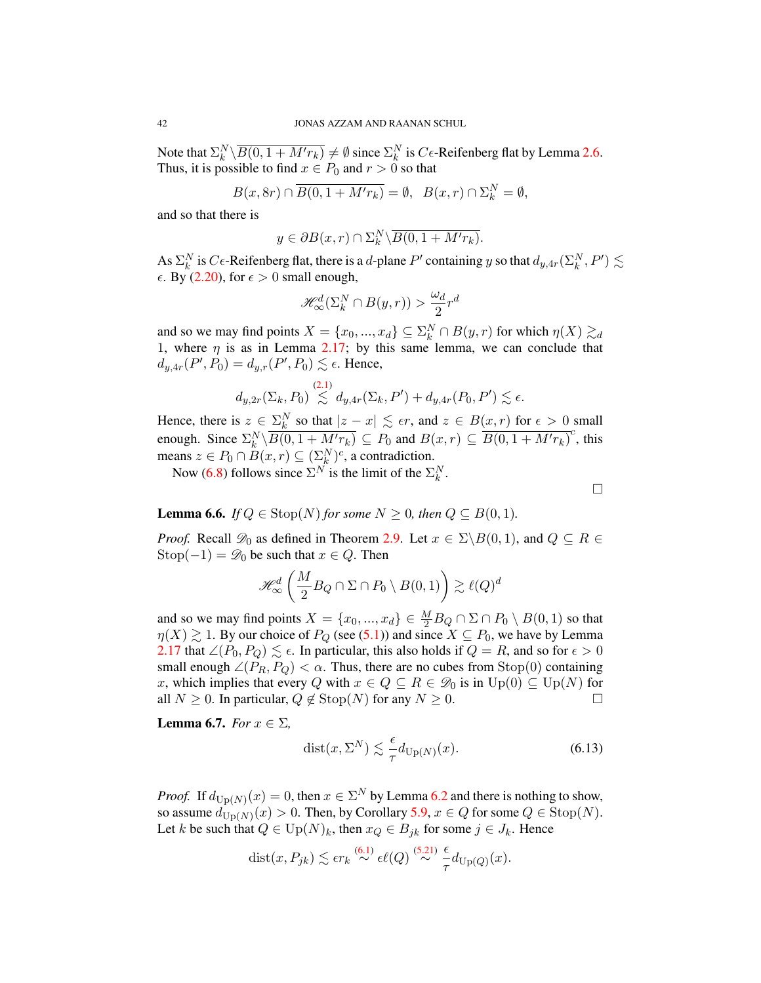Note that  $\Sigma_k^N \setminus \overline{B(0, 1 + M'r_k)} \neq \emptyset$  since  $\Sigma_k^N$  is  $C\epsilon$ -Reifenberg flat by Lemma [2.6.](#page-16-3) Thus, it is possible to find  $x \in P_0$  and  $r > 0$  so that

$$
B(x,8r) \cap \overline{B(0,1+M'r_k)} = \emptyset, \ \ B(x,r) \cap \Sigma_k^N = \emptyset,
$$

and so that there is

$$
y \in \partial B(x, r) \cap \Sigma_k^N \backslash \overline{B(0, 1 + M' r_k)}.
$$

As  $\Sigma_k^N$  is  $C\epsilon$ -Reifenberg flat, there is a d-plane  $P'$  containing y so that  $d_{y,4r}(\Sigma_k^N,P') \lesssim$  $\epsilon$ . By [\(2.20\)](#page-16-0), for  $\epsilon > 0$  small enough,

$$
\mathcal{H}^d_{\infty}(\Sigma^N_k\cap B(y,r))>\frac{\omega_d}{2}r^d
$$

and so we may find points  $X = \{x_0, ..., x_d\} \subseteq \sum_k^N \cap B(y, r)$  for which  $\eta(X) \gtrsim_d$ 1, where  $\eta$  is as in Lemma [2.17;](#page-23-1) by this same lemma, we can conclude that  $d_{y,4r}(P', P_0) = d_{y,r}(P', P_0) \lesssim \epsilon$ . Hence,

$$
d_{y,2r}(\Sigma_k, P_0) \stackrel{(2.1)}{\lesssim} d_{y,4r}(\Sigma_k, P') + d_{y,4r}(P_0, P') \lesssim \epsilon.
$$

Hence, there is  $z \in \Sigma_k^N$  so that  $|z - x| \lesssim \epsilon r$ , and  $z \in B(x, r)$  for  $\epsilon > 0$  small enough. Since  $\Sigma_k^N \setminus \overline{B(0, 1 + M'r_k)} \subseteq P_0$  and  $B(x, r) \subseteq \overline{B(0, 1 + M'r_k)}^c$ , this means  $z \in P_0 \cap B(x,r) \subseteq (\sum_k^N)^c$ , a contradiction.

Now [\(6.8\)](#page-40-3) follows since  $\Sigma^N$  is the limit of the  $\Sigma^N_k$ .

 $\Box$ 

<span id="page-42-1"></span>**Lemma 6.6.** *If*  $Q \in \text{Stop}(N)$  *for some*  $N \geq 0$ *, then*  $Q \subseteq B(0, 1)$ *.* 

*Proof.* Recall  $\mathscr{D}_0$  as defined in Theorem [2.9.](#page-18-0) Let  $x \in \Sigma \backslash B(0, 1)$ , and  $Q \subseteq R \in$ Stop( $-1$ ) =  $\mathcal{D}_0$  be such that  $x \in Q$ . Then

$$
\mathcal{H}_{\infty}^{d}\left(\frac{M}{2}B_Q \cap \Sigma \cap P_0 \setminus B(0,1)\right) \gtrsim \ell(Q)^d
$$

and so we may find points  $X = \{x_0, ..., x_d\} \in \frac{M}{2}B_Q \cap \Sigma \cap P_0 \setminus B(0, 1)$  so that  $\eta(X) \gtrsim 1$ . By our choice of  $P_Q$  (see [\(5.1\)](#page-32-0)) and since  $X \subseteq P_0$ , we have by Lemma [2.17](#page-23-1) that  $\angle (P_0, P_Q) \lesssim \epsilon$ . In particular, this also holds if  $Q = R$ , and so for  $\epsilon > 0$ small enough  $\angle (P_R, P_Q) < \alpha$ . Thus, there are no cubes from Stop(0) containing x, which implies that every Q with  $x \in Q \subseteq R \in \mathcal{D}_0$  is in  $Up(0) \subseteq Up(N)$  for all  $N \geq 0$ . In particular,  $Q \notin \text{Stop}(N)$  for any  $N \geq 0$ .

Lemma 6.7. *For*  $x \in \Sigma$ *,* 

<span id="page-42-0"></span>
$$
dist(x, \Sigma^N) \lesssim \frac{\epsilon}{\tau} d_{\text{Up}(N)}(x). \tag{6.13}
$$

*Proof.* If  $d_{\text{Up}(N)}(x) = 0$ , then  $x \in \Sigma^N$  by Lemma [6.2](#page-39-4) and there is nothing to show, so assume  $d_{\text{Up}(N)}(x) > 0$ . Then, by Corollary [5.9,](#page-35-1)  $x \in Q$  for some  $Q \in \text{Stop}(N)$ . Let k be such that  $Q \in \text{Up}(N)_k$ , then  $x_Q \in B_{jk}$  for some  $j \in J_k$ . Hence

dist
$$
(x, P_{jk}) \le \epsilon r_k \stackrel{(6.1)}{\sim} \epsilon \ell(Q) \stackrel{(5.21)}{\sim} \frac{\epsilon}{\tau} d_{\text{Up}(Q)}(x).
$$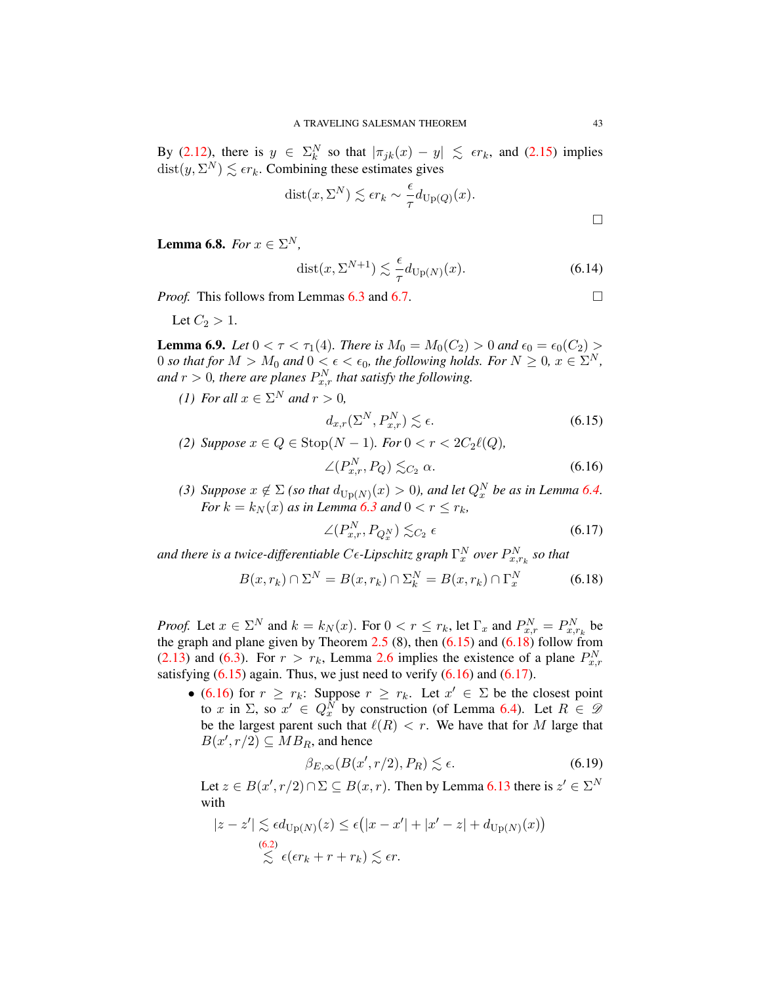By [\(2.12\)](#page-15-2), there is  $y \in \Sigma_k^N$  so that  $|\pi_{jk}(x) - y| \leq \epsilon r_k$ , and [\(2.15\)](#page-16-1) implies  $dist(y, \Sigma^N) \lesssim \epsilon r_k$ . Combining these estimates gives

dist
$$
(x, \Sigma^N)
$$
  $\lesssim \epsilon r_k \sim \frac{\epsilon}{\tau} d_{\text{Up}(Q)}(x)$ .

**Lemma 6.8.** *For*  $x \in \Sigma^N$ ,

$$
dist(x, \Sigma^{N+1}) \lesssim \frac{\epsilon}{\tau} d_{\text{Up}(N)}(x). \tag{6.14}
$$

*Proof.* This follows from Lemmas  $6.3$  and  $6.7$ .

Let  $C_2 > 1$ .

**Lemma 6.9.** *Let*  $0 < \tau < \tau_1(4)$ *. There is*  $M_0 = M_0(C_2) > 0$  *and*  $\epsilon_0 = \epsilon_0(C_2) > 0$ 0 so that for  $M > M_0$  and  $0 < \epsilon < \epsilon_0$ , the following holds. For  $N \geq 0$ ,  $x \in \Sigma^N$ , and  $r > 0$ , there are planes  $P_{x,r}^N$  that satisfy the following.

*(1) For all*  $x \in \Sigma^N$  *and*  $r > 0$ *,* 

<span id="page-43-2"></span><span id="page-43-0"></span>
$$
d_{x,r}(\Sigma^N, P_{x,r}^N) \lesssim \epsilon. \tag{6.15}
$$

- *(2) Suppose*  $x \in Q$  ∈ Stop( $N 1$ *). For*  $0 < r < 2C_2\ell(Q)$ *,*  $\angle (P_{x,r}^N, P_Q) \lesssim_{C_2} \alpha.$  (6.16)
- *(3) Suppose*  $x \notin \Sigma$  *(so that*  $d_{\text{Up}(N)}(x) > 0$ *), and let*  $Q_x^N$  *be as in Lemma* [6.4.](#page-40-4) *For*  $k = k_N(x)$  *as in Lemma* [6.3](#page-39-5) *and*  $0 < r \leq r_k$ ,

<span id="page-43-3"></span>
$$
\angle(P_{x,r}^N, P_{Q_x^N}) \lesssim_{C_2} \epsilon \tag{6.17}
$$

and there is a twice-differentiable C $\epsilon$ -Lipschitz graph  $\Gamma^N_x$  over  $P^N_{x,r_k}$  so that

<span id="page-43-1"></span>
$$
B(x, r_k) \cap \Sigma^N = B(x, r_k) \cap \Sigma_k^N = B(x, r_k) \cap \Gamma_x^N \tag{6.18}
$$

*Proof.* Let  $x \in \Sigma^N$  and  $k = k_N(x)$ . For  $0 < r \le r_k$ , let  $\Gamma_x$  and  $P_{x,r}^N = P_{x,r_k}^N$  be the graph and plane given by Theorem [2.5](#page-16-0) (8), then  $(6.15)$  and  $(6.18)$  follow from [\(2.13\)](#page-15-3) and [\(6.3\)](#page-39-3). For  $r > r_k$ , Lemma [2.6](#page-16-3) implies the existence of a plane  $P_{x,r}^N$ satisfying  $(6.15)$  again. Thus, we just need to verify  $(6.16)$  and  $(6.17)$ .

• [\(6.16\)](#page-43-2) for  $r \geq r_k$ : Suppose  $r \geq r_k$ . Let  $x' \in \Sigma$  be the closest point to x in  $\Sigma$ , so  $x' \in Q_x^N$  by construction (of Lemma [6.4\)](#page-40-4). Let  $R \in \mathcal{D}$ be the largest parent such that  $\ell(R) < r$ . We have that for M large that  $B(x', r/2) \subseteq MB_R$ , and hence

<span id="page-43-4"></span>
$$
\beta_{E,\infty}(B(x',r/2),P_R) \lesssim \epsilon. \tag{6.19}
$$

Let  $z \in B(x', r/2) \cap \Sigma \subseteq B(x, r)$ . Then by Lemma [6.13](#page-42-0) there is  $z' \in \Sigma^N$ with

$$
|z - z'| \lesssim \epsilon d_{\text{Up}(N)}(z) \le \epsilon (|x - x'| + |x' - z| + d_{\text{Up}(N)}(x))
$$
  
\n
$$
\lesssim \epsilon (\epsilon r_k + r + r_k) \lesssim \epsilon r.
$$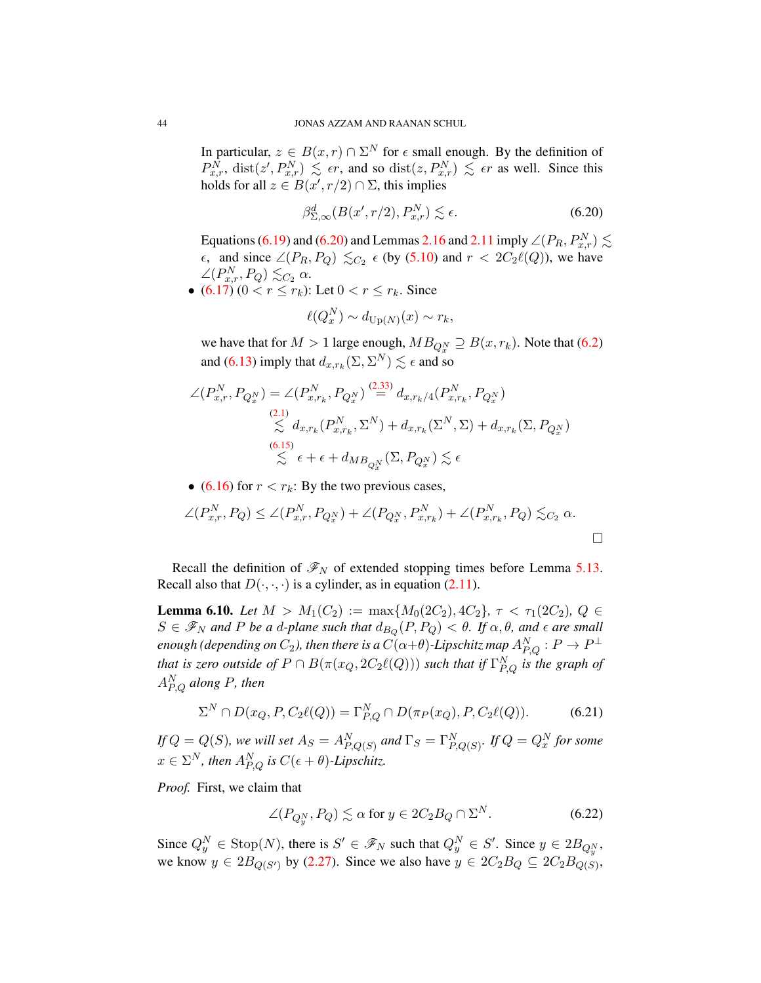In particular,  $z \in B(x,r) \cap \Sigma^N$  for  $\epsilon$  small enough. By the definition of  $P_{x,r}^{\tilde{N}}$ , dist $(z', P_{x,r}^N) \leq \epsilon r$ , and so dist $(z, P_{x,r}^N) \leq \epsilon r$  as well. Since this holds for all  $z \in B(x', r/2) \cap \Sigma$ , this implies

<span id="page-44-0"></span>
$$
\beta_{\Sigma,\infty}^d(B(x',r/2),P_{x,r}^N) \lesssim \epsilon. \tag{6.20}
$$

Equations [\(6.19\)](#page-43-4) and [\(6.20\)](#page-44-0) and Lemmas [2.16](#page-22-0) and [2.11](#page-19-0) imply  $\angle (P_R, P_{x,r}^N) \lesssim$  $\epsilon$ , and since ∠( $P_R, P_Q$ )  $\leq_{C_2} \epsilon$  (by [\(5.10\)](#page-36-3) and  $r < 2C_2\ell(Q)$ ), we have  $\angle (P_{x,r}^N, P_Q) \lesssim_{C_2} \alpha.$ 

• [\(6.17\)](#page-43-3)  $(0 < r \le r_k)$ : Let  $0 < r \le r_k$ . Since

$$
\ell(Q_x^N) \sim d_{\text{Up}(N)}(x) \sim r_k,
$$

we have that for  $M > 1$  large enough,  $MB_{Q_x^N} \supseteq B(x, r_k)$ . Note that [\(6.2\)](#page-39-0) and [\(6.13\)](#page-42-0) imply that  $d_{x,r_k}(\Sigma, \Sigma^N) \lesssim \epsilon$  and so

$$
\angle(P_{x,r}^N, P_{Q_x^N}) = \angle(P_{x,r_k}^N, P_{Q_x^N}) \stackrel{(2.33)}{=} d_{x,r_k/4}(P_{x,r_k}^N, P_{Q_x^N})
$$
\n
$$
\stackrel{(2.1)}{\leq} d_{x,r_k}(P_{x,r_k}^N, \Sigma^N) + d_{x,r_k}(\Sigma^N, \Sigma) + d_{x,r_k}(\Sigma, P_{Q_x^N})
$$
\n
$$
\stackrel{(6.15)}{\leq} \epsilon + \epsilon + d_{MB_{Q_x^N}}(\Sigma, P_{Q_x^N}) \lesssim \epsilon
$$

• [\(6.16\)](#page-43-2) for  $r < r_k$ : By the two previous cases,

$$
\angle(P_{x,r}^N, P_Q) \le \angle(P_{x,r}^N, P_{Q_x^N}) + \angle(P_{Q_x^N}, P_{x,r_k}^N) + \angle(P_{x,r_k}^N, P_Q) \lesssim_{C_2} \alpha.
$$

Recall the definition of  $\mathcal{F}_N$  of extended stopping times before Lemma [5.13.](#page-38-1) Recall also that  $D(\cdot, \cdot, \cdot)$  is a cylinder, as in equation [\(2.11\)](#page-15-5).

**Lemma 6.10.** *Let*  $M > M_1(C_2) := \max\{M_0(2C_2), 4C_2\}, \tau < \tau_1(2C_2), Q \in$  $S \in \mathscr{F}_N$  and P be a d-plane such that  $d_{B_Q}(P,P_Q) < \theta$ . If  $\alpha, \theta$ , and  $\epsilon$  are small enough (depending on  $C_2$ ), then there is a  $C(\alpha+\theta)$ -Lipschitz map  $A^N_{P,Q} : P \to P^\perp$ *that is zero outside of*  $P \cap B(\pi(x_Q, 2C_2\ell(Q)))$  *such that if*  $\Gamma^N_{P,Q}$  *is the graph of* A<sup>N</sup> P,Q *along* P*, then*

<span id="page-44-2"></span>
$$
\Sigma^N \cap D(x_Q, P, C_2\ell(Q)) = \Gamma_{P,Q}^N \cap D(\pi_P(x_Q), P, C_2\ell(Q)).
$$
 (6.21)

*If*  $Q = Q(S)$ , we will set  $A_S = A_{P,Q(S)}^N$  and  $\Gamma_S = \Gamma_{P,Q(S)}^N$ . If  $Q = Q_x^N$  for some  $x \in \Sigma^N$ , then  $A_{P,Q}^N$  is  $C(\epsilon + \theta)$ -Lipschitz.

*Proof.* First, we claim that

<span id="page-44-1"></span>
$$
\angle(P_{Q_y^N}, P_Q) \lesssim \alpha \text{ for } y \in 2C_2B_Q \cap \Sigma^N. \tag{6.22}
$$

Since  $Q_y^N \in \text{Stop}(N)$ , there is  $S' \in \mathcal{F}_N$  such that  $Q_y^N \in S'$ . Since  $y \in 2B_{Q_y^N}$ , we know  $y \in 2B_{Q(S')}$  by [\(2.27\)](#page-19-1). Since we also have  $y \in 2C_2B_Q \subseteq 2C_2B_{Q(S)}$ ,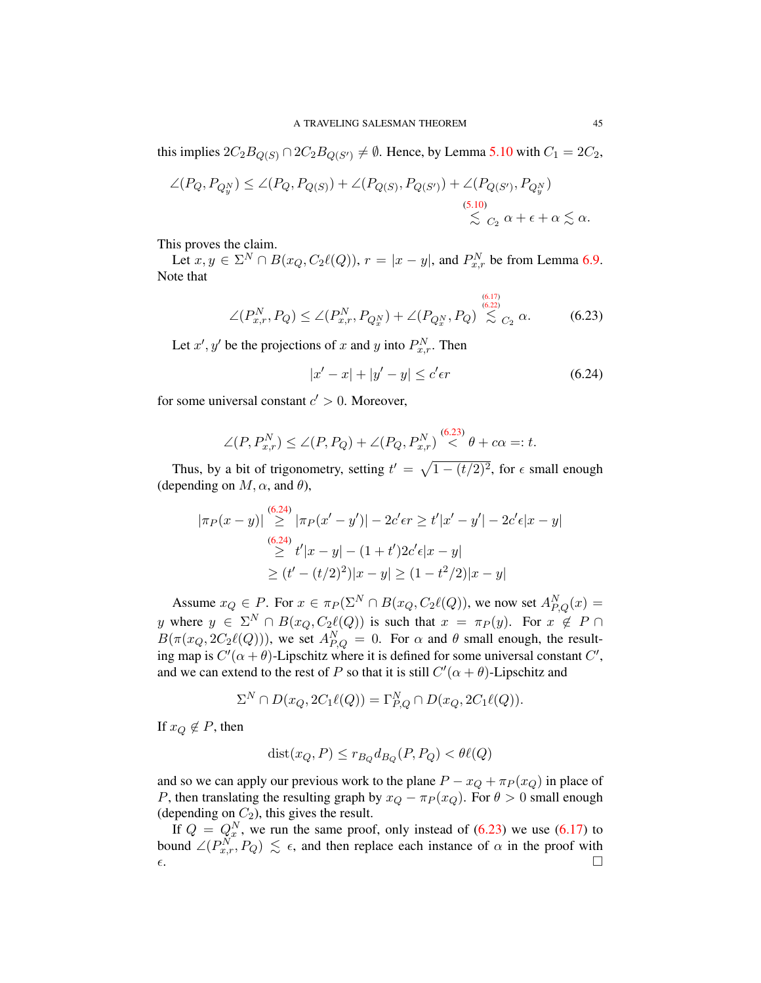this implies  $2C_2B_{Q(S)} \cap 2C_2B_{Q(S')} \neq \emptyset$ . Hence, by Lemma [5.10](#page-35-0) with  $C_1 = 2C_2$ ,

$$
\angle(P_Q, P_{Q_y^N}) \le \angle(P_Q, P_{Q(S)}) + \angle(P_{Q(S)}, P_{Q(S')}) + \angle(P_{Q(S'), P_{Q_y^N}})
$$
\n
$$
\le \frac{(5.10)}{\le C_2} \alpha + \epsilon + \alpha \le \alpha.
$$

This proves the claim.

Let  $x, y \in \Sigma^N \cap B(x_Q, C_2\ell(Q)), r = |x - y|$ , and  $P_{x,r}^N$  be from Lemma [6.9.](#page-43-1) Note that

<span id="page-45-0"></span>
$$
\angle(P_{x,r}^N, P_Q) \le \angle(P_{x,r}^N, P_{Q_x^N}) + \angle(P_{Q_x^N}, P_Q) \mathop{\lesssim}\limits^{\scriptscriptstyle(6.17)\atop \scriptscriptstyle (6.22)\atop \scriptscriptstyle (6.23)}}_{\sim C_2} \alpha.
$$

Let  $x'$ ,  $y'$  be the projections of x and y into  $P_{x,r}^N$ . Then

<span id="page-45-1"></span>
$$
|x'-x| + |y'-y| \le c'\epsilon r \tag{6.24}
$$

for some universal constant  $c' > 0$ . Moreover,

$$
\angle(P, P_{x,r}^N) \le \angle(P, P_Q) + \angle(P_Q, P_{x,r}^N) \stackrel{(6.23)}{<} \theta + c\alpha =: t.
$$

Thus, by a bit of trigonometry, setting  $t' = \sqrt{1 - (t/2)^2}$ , for  $\epsilon$  small enough (depending on  $M, \alpha$ , and  $\theta$ ),

$$
|\pi_P(x-y)| \stackrel{(6.24)}{\ge} |\pi_P(x'-y')| - 2c'\epsilon r \ge t'|x'-y'| - 2c'\epsilon|x-y|
$$
  
\n
$$
\stackrel{(6.24)}{\ge} t'|x-y| - (1+t')2c'\epsilon|x-y|
$$
  
\n
$$
\ge (t' - (t/2)^2)|x-y| \ge (1-t^2/2)|x-y|
$$

Assume  $x_Q \in P$ . For  $x \in \pi_P(\Sigma^N \cap B(x_Q, C_2\ell(Q)))$ , we now set  $A_{P,Q}^N(x) =$ y where  $y \in \Sigma^N \cap B(x_Q, C_2\ell(Q))$  is such that  $x = \pi_P(y)$ . For  $x \notin P \cap$  $B(\pi(x_Q, 2C_2\ell(Q))),$  we set  $A_{P,Q}^N = 0$ . For  $\alpha$  and  $\theta$  small enough, the resulting map is  $C'(\alpha + \theta)$ -Lipschitz where it is defined for some universal constant  $C'$ , and we can extend to the rest of P so that it is still  $C'(\alpha + \theta)$ -Lipschitz and

$$
\Sigma^N \cap D(x_Q, 2C_1\ell(Q)) = \Gamma_{P,Q}^N \cap D(x_Q, 2C_1\ell(Q)).
$$

If  $x_Q \notin P$ , then

$$
dist(x_Q, P) \le r_{B_Q} d_{B_Q}(P, P_Q) < \theta \ell(Q)
$$

and so we can apply our previous work to the plane  $P - x_Q + \pi_P(x_Q)$  in place of P, then translating the resulting graph by  $x_Q - \pi_P(x_Q)$ . For  $\theta > 0$  small enough (depending on  $C_2$ ), this gives the result.

If  $Q = Q_x^N$ , we run the same proof, only instead of [\(6.23\)](#page-45-0) we use [\(6.17\)](#page-43-3) to bound  $\angle (P_{x,r}^{\overline{N}}, P_Q) \leq \epsilon$ , and then replace each instance of  $\alpha$  in the proof with  $\epsilon$ .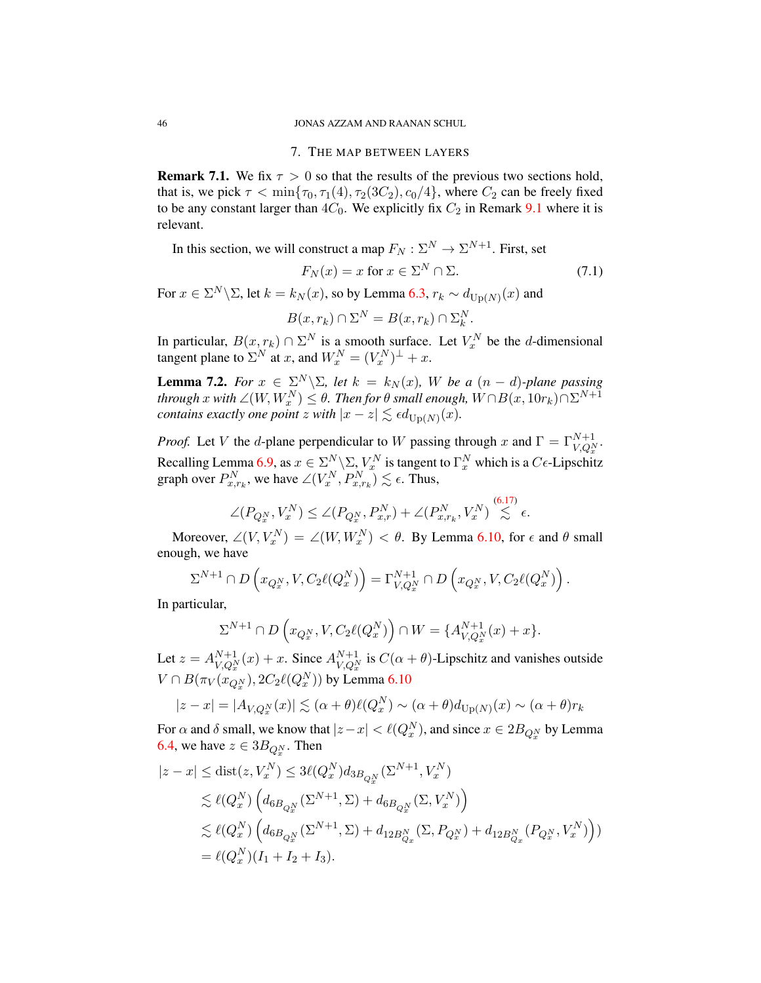### 7. THE MAP BETWEEN LAYERS

**Remark 7.1.** We fix  $\tau > 0$  so that the results of the previous two sections hold, that is, we pick  $\tau < \min{\lbrace \tau_0, \tau_1(4), \tau_2(3C_2), c_0/4 \rbrace}$ , where  $C_2$  can be freely fixed to be any constant larger than  $4C_0$ . We explicitly fix  $C_2$  in Remark [9.1](#page-56-0) where it is relevant.

In this section, we will construct a map  $F_N : \Sigma^N \to \Sigma^{N+1}$ . First, set

$$
F_N(x) = x \text{ for } x \in \Sigma^N \cap \Sigma. \tag{7.1}
$$

For  $x \in \Sigma^N \backslash \Sigma$ , let  $k = k_N(x)$ , so by Lemma [6.3,](#page-39-3)  $r_k \sim d_{\text{Up}(N)}(x)$  and

$$
B(x,r_k) \cap \Sigma^N = B(x,r_k) \cap \Sigma_k^N.
$$

In particular,  $B(x, r_k) \cap \Sigma^N$  is a smooth surface. Let  $V_x^N$  be the *d*-dimensional tangent plane to  $\Sigma^N$  at x, and  $W_x^N = (V_x^N)^{\perp} + x$ .

<span id="page-46-0"></span>**Lemma 7.2.** *For*  $x \in \Sigma^N \setminus \Sigma$ , *let*  $k = k_N(x)$ , *W be* a  $(n - d)$ *-plane passing through*  $x$  *with*  $\angle(W, W_x^N) \le \theta$ *. Then for*  $\theta$  *small enough,*  $W \cap B(x, 10r_k) \cap \Sigma^{N+1}$ *contains exactly one point*  $z$  *with*  $|x - z| \lesssim \epsilon d_{\text{Up}(N)}(x)$ *.* 

*Proof.* Let V the d-plane perpendicular to W passing through x and  $\Gamma = \Gamma_{V,Q_x^N}^{N+1}$ . Recalling Lemma [6.9,](#page-43-1) as  $x \in \sum_{i=1}^{N} \sum_{i=1}^{N} Y_x^N$  is tangent to  $\Gamma_x^N$  which is a  $C\epsilon$ -Lipschitz graph over  $P_{x,r_k}^N$ , we have  $\angle(V_x^N, P_{x,r_k}^N) \lesssim \epsilon$ . Thus,

$$
\angle(P_{Q_x^N}, V_x^N) \le \angle(P_{Q_x^N}, P_{x,r}^N) + \angle(P_{x,r_k}^N, V_x^N) \mathop{\lesssim}^{(6.17)} \epsilon.
$$

Moreover,  $\angle(V, V_x^N) = \angle(W, W_x^N) < \theta$ . By Lemma [6.10,](#page-44-2) for  $\epsilon$  and  $\theta$  small enough, we have

$$
\Sigma^{N+1}\cap D\left(x_{Q_x^N},V,C_2\ell(Q_x^N)\right)=\Gamma_{V,Q_x^N}^{N+1}\cap D\left(x_{Q_x^N},V,C_2\ell(Q_x^N)\right).
$$

In particular,

$$
\Sigma^{N+1} \cap D\left(x_{Q_x^N}, V, C_2\ell(Q_x^N)\right) \cap W = \{A_{V,Q_x^N}^{N+1}(x) + x\}.
$$

Let  $z = A_{VQ}^{N+1}$  $N+1}_{V,Q_x^N}(x) + x$ . Since  $A_{V,Q_x^N}^{N+1}$  $\int_{V,Q_x^N}^{N+1}$  is  $C(\alpha + \theta)$ -Lipschitz and vanishes outside  $V \cap B(\pi_V(x_{Q_x^N}), 2C_2\ell(Q_x^N))$  by Lemma [6.10](#page-44-2)

$$
|z - x| = |A_{V,Q_x^N}(x)| \lesssim (\alpha + \theta) \ell(Q_x^N) \sim (\alpha + \theta) d_{\text{Up}(N)}(x) \sim (\alpha + \theta) r_k
$$

For  $\alpha$  and  $\delta$  small, we know that  $|z-x| < \ell(Q_x^N)$ , and since  $x \in 2B_{Q_x^N}$  by Lemma [6.4,](#page-40-4) we have  $z \in 3B_{Q_x^N}$ . Then

$$
|z - x| \le \text{dist}(z, V_x^N) \le 3\ell(Q_x^N) d_{3B_{Q_x^N}}(\Sigma^{N+1}, V_x^N)
$$
  
\$\le \ell(Q\_x^N) \left( d\_{6B\_{Q\_x^N}}(\Sigma^{N+1}, \Sigma) + d\_{6B\_{Q\_x^N}}(\Sigma, V\_x^N) \right)\$  
\$\le \ell(Q\_x^N) \left( d\_{6B\_{Q\_x^N}}(\Sigma^{N+1}, \Sigma) + d\_{12B\_{Q\_x}^N}(\Sigma, P\_{Q\_x^N}) + d\_{12B\_{Q\_x}^N}(P\_{Q\_x^N}, V\_x^N) \right)\$  
= \ell(Q\_x^N)(I\_1 + I\_2 + I\_3).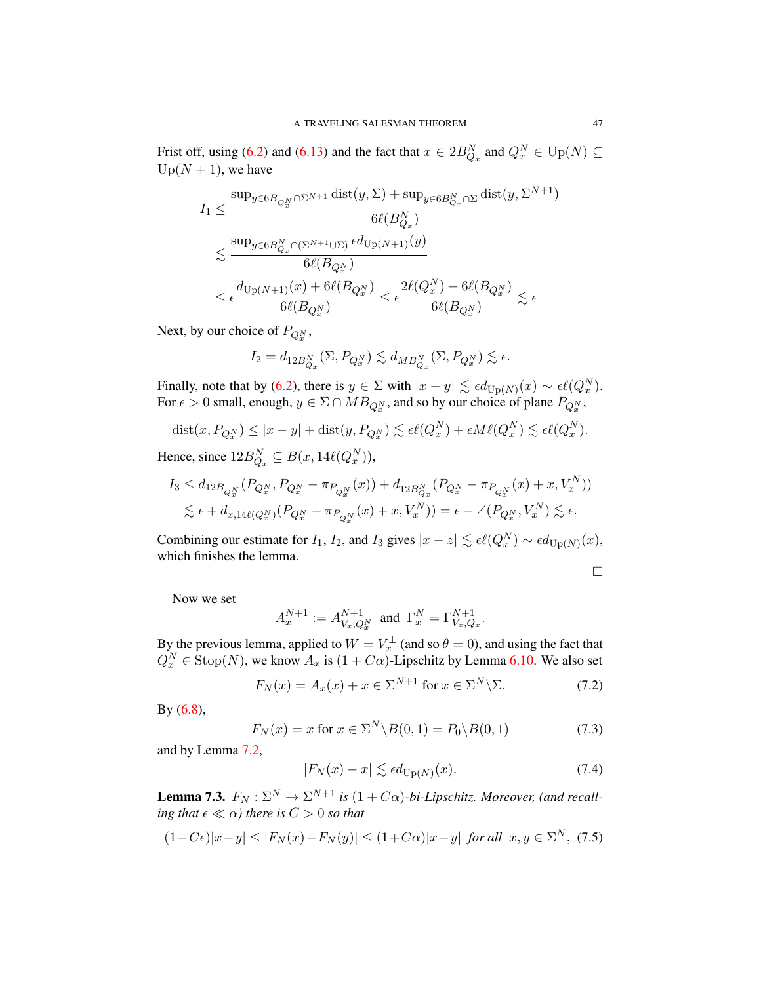Frist off, using [\(6.2\)](#page-39-0) and [\(6.13\)](#page-42-0) and the fact that  $x \in 2B_{Q_x}^N$  and  $Q_x^N \in \mathrm{Up}(N) \subseteq$  $Up(N + 1)$ , we have

$$
\begin{aligned} I_1 & \leq \frac{\sup_{y \in 6B_{Q_x^N} \cap \Sigma^{N+1}} \operatorname{dist}(y, \Sigma) + \sup_{y \in 6B_{Q_x}^N \cap \Sigma} \operatorname{dist}(y, \Sigma^{N+1})}{6\ell(B_{Q_x}^N)} \\ & \lesssim \frac{\sup_{y \in 6B_{Q_x}^N \cap (\Sigma^{N+1} \cup \Sigma)} \epsilon d_{\operatorname{Up}(N+1)}(y)}{6\ell(B_{Q_x^N})} \\ & \leq \epsilon \frac{d_{\operatorname{Up}(N+1)}(x) + 6\ell(B_{Q_x^N})}{6\ell(B_{Q_x^N})} \leq \epsilon \frac{2\ell(Q_x^N) + 6\ell(B_{Q_x^N})}{6\ell(B_{Q_x^N})} \lesssim \epsilon \end{aligned}
$$

Next, by our choice of  $P_{Q_x^N}$ ,

$$
I_2=d_{12{B_{Q_x}^N}}(\Sigma,P_{Q_x^N})\lesssim d_{MB_{Q_x}^N}(\Sigma,P_{Q_x^N})\lesssim \epsilon.
$$

Finally, note that by [\(6.2\)](#page-39-0), there is  $y \in \Sigma$  with  $|x - y| \lesssim \epsilon d_{\text{Up}(N)}(x) \sim \epsilon \ell(Q_x^N)$ . For  $\epsilon > 0$  small, enough,  $y \in \Sigma \cap MB_{Q_x^N}$ , and so by our choice of plane  $P_{Q_x^N}$ ,

$$
dist(x, P_{Q_x^N}) \le |x - y| + dist(y, P_{Q_x^N}) \lesssim \epsilon \ell(Q_x^N) + \epsilon M \ell(Q_x^N) \lesssim \epsilon \ell(Q_x^N).
$$

Hence, since  $12B_{Q_x}^N \subseteq B(x, 14\ell(Q_x^N)),$ 

$$
I_3 \leq d_{12B_{Q_x^N}}(P_{Q_x^N}, P_{Q_x^N} - \pi_{P_{Q_x^N}}(x)) + d_{12B_{Q_x}^N}(P_{Q_x^N} - \pi_{P_{Q_x^N}}(x) + x, V_x^N))
$$
  
\$\leq \epsilon + d\_{x,14\ell(Q\_x^N)}(P\_{Q\_x^N} - \pi\_{P\_{Q\_x^N}}(x) + x, V\_x^N)) = \epsilon + \angle(P\_{Q\_x^N}, V\_x^N) \leq \epsilon\$.

Combining our estimate for  $I_1$ ,  $I_2$ , and  $I_3$  gives  $|x - z| \lesssim \epsilon \ell(Q_x^N) \sim \epsilon d_{\text{Up}(N)}(x)$ , which finishes the lemma.

$$
\Box
$$

Now we set

$$
A_x^{N+1}:=A^{N+1}_{V_x,Q_x^N}\ \ \text{and}\ \ \Gamma_x^N=\Gamma_{V_x,Q_x}^{N+1}.
$$

By the previous lemma, applied to  $W = V_x^{\perp}$  (and so  $\theta = 0$ ), and using the fact that  $Q_x^N \in \text{Stop}(N)$ , we know  $A_x$  is  $(1 + C\alpha)$ -Lipschitz by Lemma [6.10.](#page-44-2) We also set

$$
F_N(x) = A_x(x) + x \in \Sigma^{N+1} \text{ for } x \in \Sigma^N \backslash \Sigma. \tag{7.2}
$$

By [\(6.8\)](#page-40-3),

<span id="page-47-2"></span>
$$
F_N(x) = x \text{ for } x \in \Sigma^N \backslash B(0,1) = P_0 \backslash B(0,1) \tag{7.3}
$$

and by Lemma [7.2,](#page-46-0)

<span id="page-47-0"></span>
$$
|F_N(x) - x| \lesssim \epsilon d_{\text{Up}(N)}(x). \tag{7.4}
$$

**Lemma 7.3.**  $F_N: \Sigma^N \to \Sigma^{N+1}$  is  $(1+C\alpha)$ -bi-Lipschitz. Moreover, (and recall*ing that*  $\epsilon \ll \alpha$ *) there is*  $C > 0$  *so that* 

<span id="page-47-1"></span>
$$
(1-C\epsilon)|x-y| \le |F_N(x)-F_N(y)| \le (1+C\alpha)|x-y| \text{ for all } x,y \in \Sigma^N, (7.5)
$$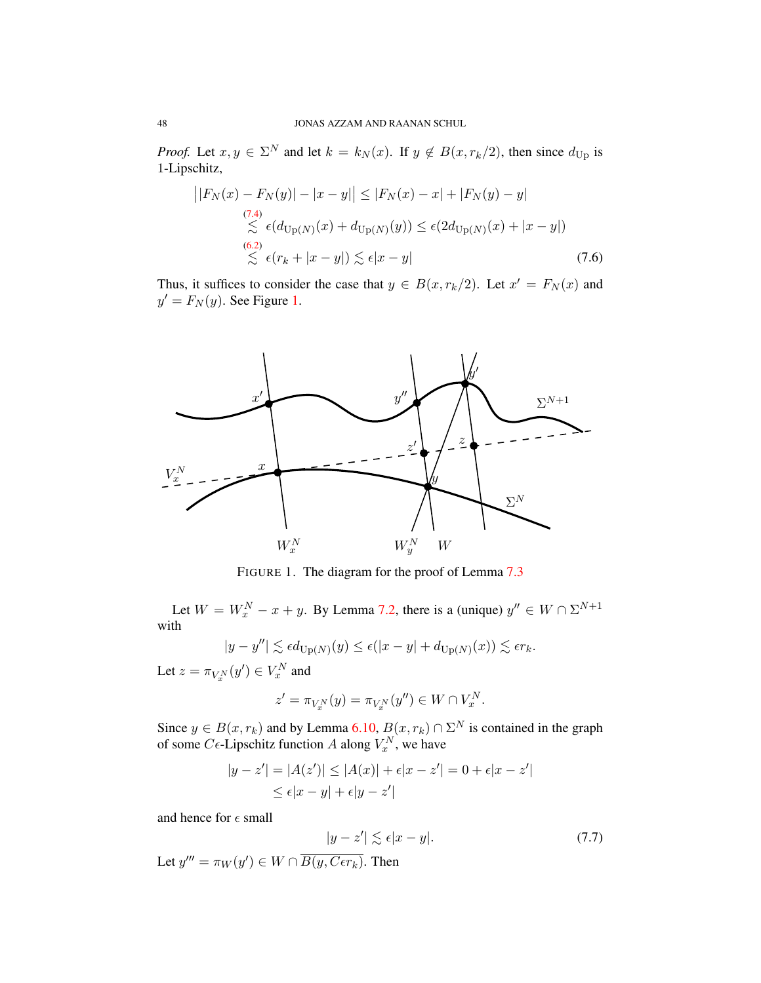*Proof.* Let  $x, y \in \Sigma^N$  and let  $k = k_N(x)$ . If  $y \notin B(x, r_k/2)$ , then since  $d_{\text{Up}}$  is 1-Lipschitz,

<span id="page-48-2"></span>
$$
\left| |F_N(x) - F_N(y)| - |x - y| \right| \le |F_N(x) - x| + |F_N(y) - y|
$$
  
\n
$$
\lesssim \epsilon (d_{\text{Up}(N)}(x) + d_{\text{Up}(N)}(y)) \le \epsilon (2d_{\text{Up}(N)}(x) + |x - y|)
$$
  
\n(6.2)  
\n
$$
\lesssim \epsilon (r_k + |x - y|) \lesssim \epsilon |x - y|
$$
\n(7.6)

Thus, it suffices to consider the case that  $y \in B(x, r_k/2)$ . Let  $x' = F_N(x)$  and  $y' = F_N(y)$ . See Figure [1.](#page-48-0)

<span id="page-48-0"></span>

FIGURE 1. The diagram for the proof of Lemma [7.3](#page-47-1)

Let  $W = W_x^N - x + y$ . By Lemma [7.2,](#page-46-0) there is a (unique)  $y'' \in W \cap \Sigma^{N+1}$ with

$$
|y - y''| \lesssim \epsilon d_{\text{Up}(N)}(y) \le \epsilon (|x - y| + d_{\text{Up}(N)}(x)) \lesssim \epsilon r_k.
$$

Let  $z = \pi_{V_x^N}(y') \in V_x^N$  and

$$
z'=\pi_{V_x^N}(y)=\pi_{V_x^N}(y'')\in W\cap V_x^N
$$

.

Since  $y \in B(x, r_k)$  and by Lemma [6.10,](#page-44-2)  $B(x, r_k) \cap \Sigma^N$  is contained in the graph of some  $C\epsilon$ -Lipschitz function A along  $V_x^N$ , we have

<span id="page-48-1"></span>
$$
|y - z'| = |A(z')| \le |A(x)| + \epsilon |x - z'| = 0 + \epsilon |x - z'|
$$
  

$$
\le \epsilon |x - y| + \epsilon |y - z'|
$$

and hence for  $\epsilon$  small

$$
|y - z'| \lesssim \epsilon |x - y|.
$$
\nLet  $y''' = \pi_W(y') \in W \cap \overline{B(y, C\epsilon r_k)}$ . Then

\n
$$
(7.7)
$$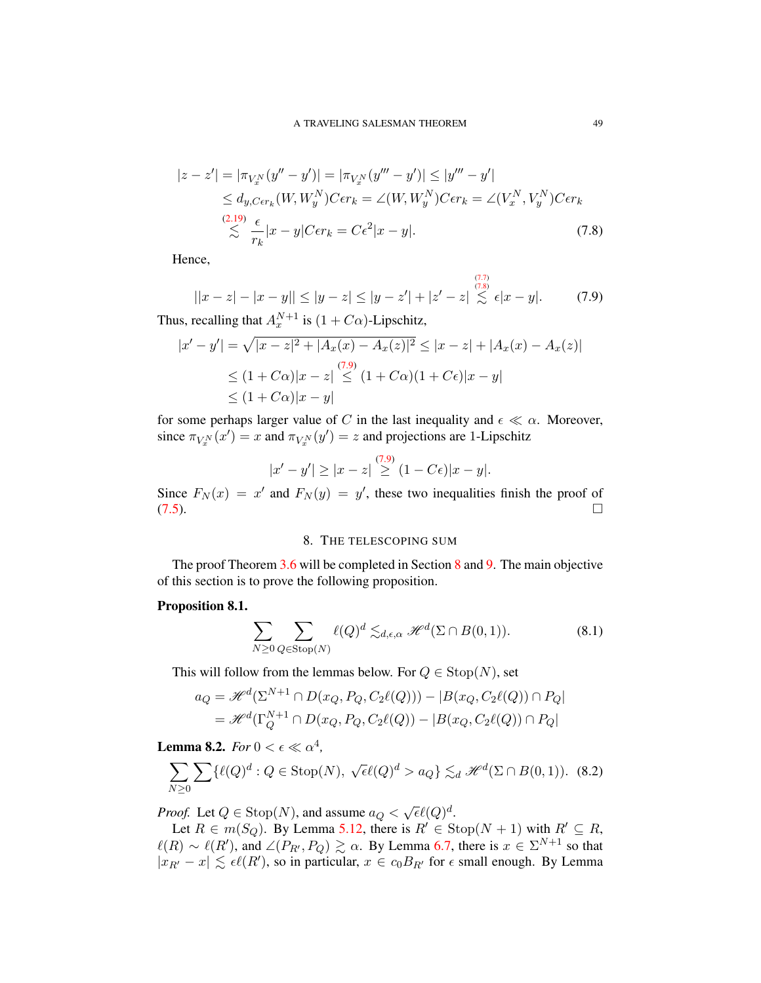$$
|z - z'| = |\pi_{V_x^N}(y'' - y')| = |\pi_{V_x^N}(y''' - y')| \le |y''' - y'|
$$
  
\n
$$
\le d_{y,C\epsilon r_k}(W, W_y^N)C\epsilon r_k = \angle(W, W_y^N)C\epsilon r_k = \angle(V_x^N, V_y^N)C\epsilon r_k
$$
  
\n(2.19)  
\n
$$
\lesssim \frac{\epsilon}{r_k}|x - y|C\epsilon r_k = C\epsilon^2|x - y|.
$$
  
\n(7.8)

Hence,

<span id="page-49-1"></span>
$$
||x - z| - |x - y|| \le |y - z| \le |y - z'| + |z' - z| \lesssim \epsilon |x - y|.
$$
 (7.9)

<span id="page-49-0"></span> $(7.7)$ 

Thus, recalling that  $A_x^{N+1}$  is  $(1 + C\alpha)$ -Lipschitz,

$$
|x'-y'| = \sqrt{|x-z|^2 + |A_x(x) - A_x(z)|^2} \le |x-z| + |A_x(x) - A_x(z)|
$$
  
\n
$$
\le (1+C\alpha)|x-z| \le (1+C\alpha)(1+C\epsilon)|x-y|
$$
  
\n
$$
\le (1+C\alpha)|x-y|
$$

for some perhaps larger value of C in the last inequality and  $\epsilon \ll \alpha$ . Moreover, since  $\pi_{V_x^N}(x') = x$  and  $\pi_{V_x^N}(y') = z$  and projections are 1-Lipschitz

$$
|x'-y'| \ge |x-z| \overset{(7.9)}{\ge} (1-C\epsilon)|x-y|.
$$

Since  $F_N(x) = x'$  and  $F_N(y) = y'$ , these two inequalities finish the proof of  $(7.5)$ .

# 8. THE TELESCOPING SUM

<span id="page-49-2"></span>The proof Theorem [3.6](#page-30-1) will be completed in Section [8](#page-49-2) and [9.](#page-55-0) The main objective of this section is to prove the following proposition.

### <span id="page-49-4"></span>Proposition 8.1.

<span id="page-49-6"></span>
$$
\sum_{N\geq 0}\sum_{Q\in \operatorname{Stop}(N)}\ell(Q)^d\lesssim_{d,\epsilon,\alpha}\mathscr{H}^d(\Sigma\cap B(0,1)).\tag{8.1}
$$

This will follow from the lemmas below. For  $Q \in \text{Stop}(N)$ , set

$$
a_Q = \mathcal{H}^d(\Sigma^{N+1} \cap D(x_Q, P_Q, C_2\ell(Q))) - |B(x_Q, C_2\ell(Q)) \cap P_Q|
$$
  
= 
$$
\mathcal{H}^d(\Gamma_Q^{N+1} \cap D(x_Q, P_Q, C_2\ell(Q)) - |B(x_Q, C_2\ell(Q)) \cap P_Q|
$$

<span id="page-49-5"></span>**Lemma 8.2.** *For*  $0 < \epsilon \ll \alpha^4$ ,

<span id="page-49-3"></span>
$$
\sum_{N\geq 0} \sum \{ \ell(Q)^d : Q \in \text{Stop}(N), \sqrt{\epsilon} \ell(Q)^d > a_Q \} \lesssim_d \mathcal{H}^d(\Sigma \cap B(0,1)). \tag{8.2}
$$

*Proof.* Let  $Q \in \text{Stop}(N)$ , and assume  $a_Q < \sqrt{\epsilon} \ell(Q)^d$ .

Let  $R \in m(S_Q)$ . By Lemma [5.12,](#page-37-5) there is  $R' \in \text{Stop}(N + 1)$  with  $R' \subseteq R$ ,  $\ell(R) \sim \ell(R')$ , and  $\angle(P_{R'}, P_Q) \gtrsim \alpha$ . By Lemma [6.7,](#page-42-0) there is  $x \in \Sigma^{N+1}$  so that  $|x_{R'}-x| \lesssim \epsilon \ell(R')$ , so in particular,  $x \in c_0B_{R'}$  for  $\epsilon$  small enough. By Lemma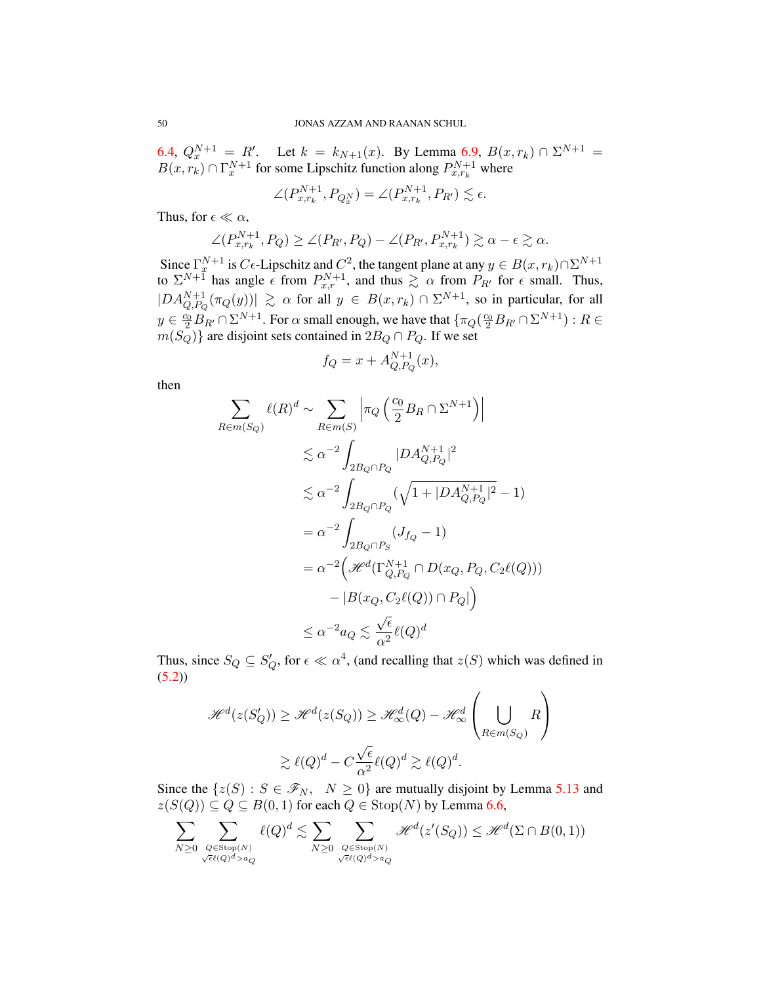[6.4,](#page-40-4)  $Q_x^{N+1} = R'$ . Let  $k = k_{N+1}(x)$ . By Lemma [6.9,](#page-43-1)  $B(x, r_k) \cap \Sigma^{N+1} =$  $B(x, r_k) \cap \Gamma_x^{N+1}$  for some Lipschitz function along  $P_{x,r_k}^{N+1}$  where

$$
\angle(P_{x,r_k}^{N+1}, P_{Q_x^N}) = \angle(P_{x,r_k}^{N+1}, P_{R'}) \lesssim \epsilon.
$$

Thus, for  $\epsilon \ll \alpha$ ,

$$
\angle(P_{x,r_k}^{N+1}, P_Q) \ge \angle(P_{R'}, P_Q) - \angle(P_{R'}, P_{x,r_k}^{N+1}) \gtrsim \alpha - \epsilon \gtrsim \alpha.
$$

Since  $\Gamma_x^{N+1}$  is  $C\epsilon$ -Lipschitz and  $C^2$ , the tangent plane at any  $y \in B(x, r_k) \cap \Sigma^{N+1}$ to  $\Sigma^{N+\overline{1}}$  has angle  $\epsilon$  from  $P_{x,r}^{N+1}$ , and thus  $\gtrsim \alpha$  from  $P_{R'}$  for  $\epsilon$  small. Thus,  $|DA_{Q,P_Q}^{N+1}(\pi_Q(y))| \ge \alpha$  for all  $y \in B(x,r_k) \cap \Sigma^{N+1}$ , so in particular, for all  $y \in \frac{c_0}{2} B_{R'} \cap \Sigma^{N+1}$ . For  $\alpha$  small enough, we have that  $\{\pi_Q(\frac{c_0}{2} B_{R'} \cap \Sigma^{N+1}): R \in$  $m(S_Q)$ } are disjoint sets contained in  $2B_Q \cap P_Q$ . If we set

$$
f_Q = x + A_{Q, P_Q}^{N+1}(x),
$$

then

$$
\sum_{R \in m(S_Q)} \ell(R)^d \sim \sum_{R \in m(S)} \left| \pi_Q \left( \frac{c_0}{2} B_R \cap \Sigma^{N+1} \right) \right|
$$
  
\n
$$
\lesssim \alpha^{-2} \int_{2B_Q \cap P_Q} |DA_{Q, P_Q}^{N+1}|^2
$$
  
\n
$$
\lesssim \alpha^{-2} \int_{2B_Q \cap P_Q} (\sqrt{1 + |DA_{Q, P_Q}^{N+1}|^2} - 1)
$$
  
\n
$$
= \alpha^{-2} \int_{2B_Q \cap P_S} (J_{f_Q} - 1)
$$
  
\n
$$
= \alpha^{-2} \left( \mathcal{H}^d(\Gamma_{Q, P_Q}^{N+1} \cap D(x_Q, P_Q, C_2 \ell(Q))) - |B(x_Q, C_2 \ell(Q)) \cap P_Q| \right)
$$
  
\n
$$
\leq \alpha^{-2} a_Q \lesssim \frac{\sqrt{\epsilon}}{\alpha^2} \ell(Q)^d
$$

Thus, since  $S_Q \subseteq S'_Q$ , for  $\epsilon \ll \alpha^4$ , (and recalling that  $z(S)$  which was defined in  $(5.2)$ 

$$
\mathcal{H}^{d}(z(S'_{Q})) \geq \mathcal{H}^{d}(z(S_{Q})) \geq \mathcal{H}^{d}_{\infty}(Q) - \mathcal{H}^{d}_{\infty}\left(\bigcup_{R \in m(S_{Q})} R\right)
$$

$$
\geq \ell(Q)^{d} - C\frac{\sqrt{\epsilon}}{\alpha^{2}}\ell(Q)^{d} \geq \ell(Q)^{d}.
$$

Since the  $\{z(S): S \in \mathcal{F}_N, \ N \geq 0\}$  are mutually disjoint by Lemma [5.13](#page-38-1) and  $z(S(Q)) \subseteq Q \subseteq B(0, 1)$  for each  $Q \in \text{Stop}(N)$  by Lemma [6.6,](#page-42-1)

$$
\sum_{N\geq 0}\sum_{Q\in {\rm Stop}(N)\atop \sqrt{\epsilon\ell(Q)^d>a_Q}}\ell(Q)^d\lesssim \sum_{N\geq 0}\sum_{Q\in {\rm Stop}(N)\atop \sqrt{\epsilon\ell(Q)^d>a_Q}}\mathscr{H}^d(z'(S_Q))\leq \mathscr{H}^d(\Sigma\cap B(0,1))
$$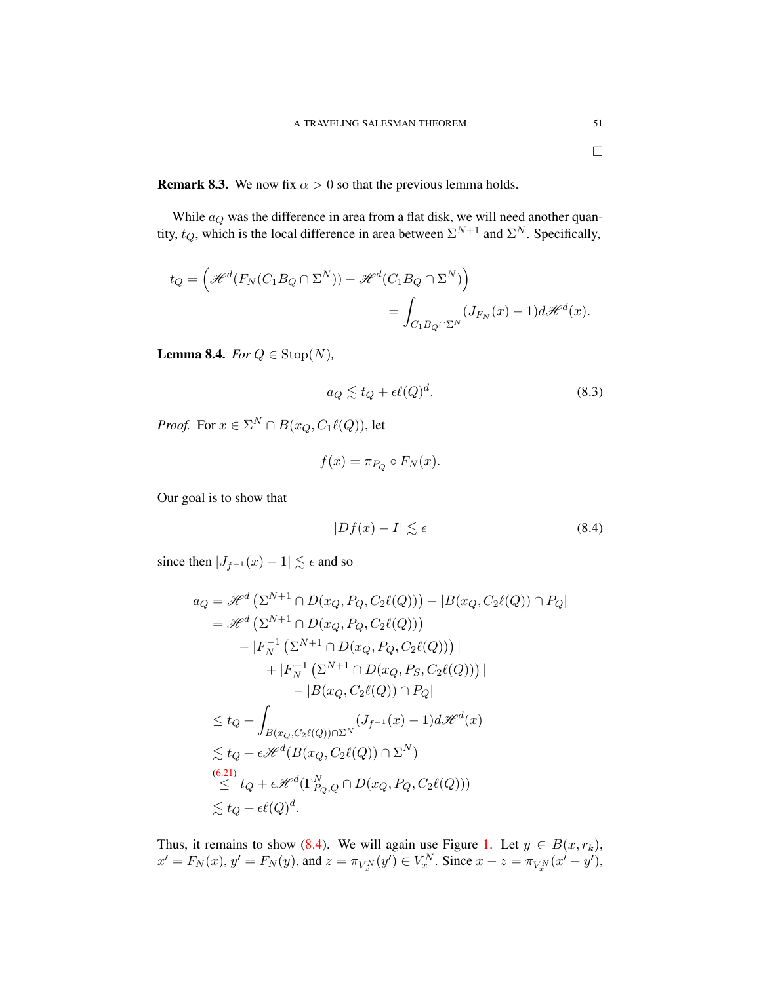While  $a_Q$  was the difference in area from a flat disk, we will need another quantity,  $t_Q$ , which is the local difference in area between  $\Sigma^{N+1}$  and  $\Sigma^N$ . Specifically,

$$
t_Q = \left(\mathcal{H}^d(F_N(C_1B_Q \cap \Sigma^N)) - \mathcal{H}^d(C_1B_Q \cap \Sigma^N)\right)
$$
  
= 
$$
\int_{C_1B_Q \cap \Sigma^N} (J_{F_N}(x) - 1)d\mathcal{H}^d(x).
$$

**Lemma 8.4.** *For*  $Q \in \text{Stop}(N)$ *,* 

<span id="page-51-1"></span>
$$
a_Q \lesssim t_Q + \epsilon \ell(Q)^d. \tag{8.3}
$$

*Proof.* For  $x \in \Sigma^N \cap B(x_Q, C_1\ell(Q))$ , let

$$
f(x) = \pi_{P_Q} \circ F_N(x).
$$

Our goal is to show that

<span id="page-51-0"></span>
$$
|Df(x) - I| \lesssim \epsilon \tag{8.4}
$$

since then  $|J_{f^{-1}}(x) - 1| \lesssim \epsilon$  and so

$$
a_Q = \mathcal{H}^d \left( \Sigma^{N+1} \cap D(x_Q, P_Q, C_2\ell(Q)) \right) - |B(x_Q, C_2\ell(Q)) \cap P_Q|
$$
  
\n
$$
= \mathcal{H}^d \left( \Sigma^{N+1} \cap D(x_Q, P_Q, C_2\ell(Q)) \right)
$$
  
\n
$$
- |F_N^{-1} \left( \Sigma^{N+1} \cap D(x_Q, P_Q, C_2\ell(Q)) \right)|
$$
  
\n
$$
+ |F_N^{-1} \left( \Sigma^{N+1} \cap D(x_Q, P_S, C_2\ell(Q)) \right)|
$$
  
\n
$$
- |B(x_Q, C_2\ell(Q)) \cap P_Q|
$$
  
\n
$$
\leq t_Q + \int_{B(x_Q, C_2\ell(Q)) \cap \Sigma^N} (J_{f^{-1}}(x) - 1) d\mathcal{H}^d(x)
$$
  
\n
$$
\lesssim t_Q + \epsilon \mathcal{H}^d (B(x_Q, C_2\ell(Q)) \cap \Sigma^N)
$$
  
\n(6.21)  
\n
$$
\leq t_Q + \epsilon \mathcal{H}^d (\Gamma_{P_Q, Q}^N \cap D(x_Q, P_Q, C_2\ell(Q)))
$$
  
\n
$$
\lesssim t_Q + \epsilon \ell(Q)^d.
$$

Thus, it remains to show [\(8.4\)](#page-51-0). We will again use Figure [1.](#page-48-0) Let  $y \in B(x, r_k)$ ,  $x' = F_N(x)$ ,  $y' = F_N(y)$ , and  $z = \pi_{V_x^N}(y') \in V_x^N$ . Since  $x - z = \pi_{V_x^N}(x' - y')$ ,

 $\Box$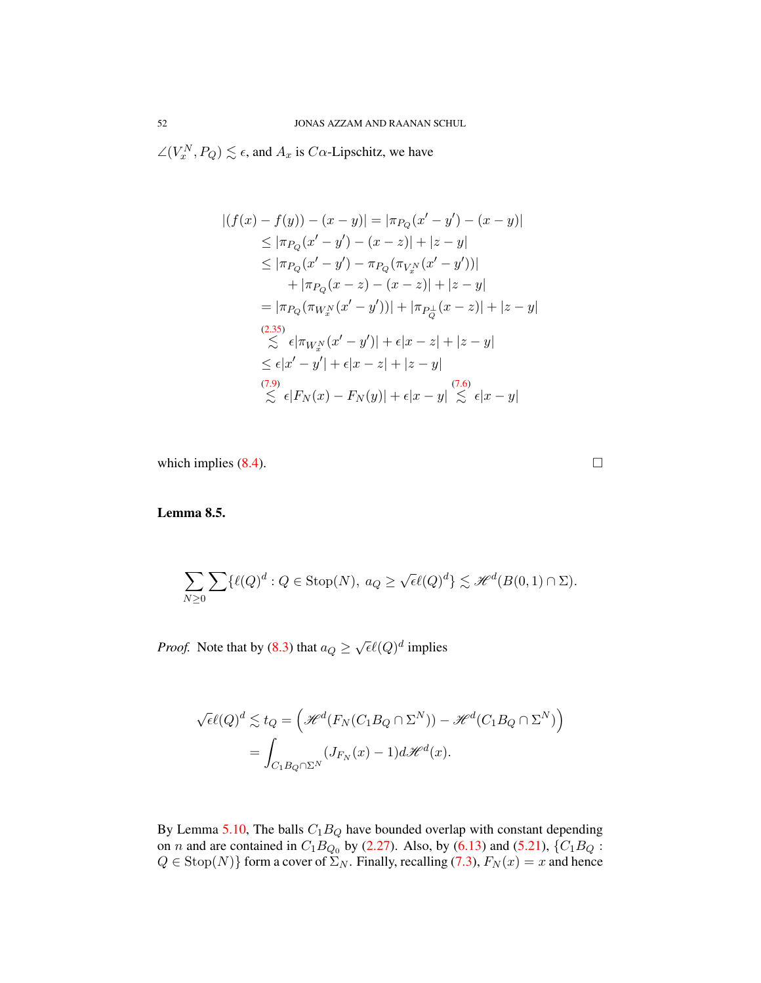$\angle(V_x^N, P_Q) \lesssim \epsilon$ , and  $A_x$  is  $C\alpha$ -Lipschitz, we have

$$
|(f(x) - f(y)) - (x - y)| = |\pi_{P_Q}(x' - y') - (x - y)|
$$
  
\n
$$
\leq |\pi_{P_Q}(x' - y') - (x - z)| + |z - y|
$$
  
\n
$$
\leq |\pi_{P_Q}(x' - y') - \pi_{P_Q}(\pi_{V_x^N}(x' - y'))|
$$
  
\n
$$
+ |\pi_{P_Q}(x - z) - (x - z)| + |z - y|
$$
  
\n
$$
= |\pi_{P_Q}(\pi_{W_x^N}(x' - y'))| + |\pi_{P_Q^{\perp}}(x - z)| + |z - y|
$$
  
\n(2.35)  
\n
$$
\lesssim \epsilon |\pi_{W_x^N}(x' - y')| + \epsilon |x - z| + |z - y|
$$
  
\n
$$
\leq \epsilon |x' - y'| + \epsilon |x - z| + |z - y|
$$
  
\n(7.9)  
\n
$$
\lesssim \epsilon |F_N(x) - F_N(y)| + \epsilon |x - y| \lesssim \epsilon |x - y|
$$

which implies  $(8.4)$ .

<span id="page-52-0"></span>Lemma 8.5.

$$
\sum_{N\geq 0} \sum \{ \ell(Q)^d : Q \in \text{Stop}(N), \ a_Q \geq \sqrt{\epsilon} \ell(Q)^d \} \lesssim \mathcal{H}^d(B(0,1) \cap \Sigma).
$$

*Proof.* Note that by [\(8.3\)](#page-51-1) that  $a_Q \ge \sqrt{\epsilon} \ell(Q)^d$  implies

$$
\sqrt{\epsilon \ell(Q)^d} \lesssim t_Q = \left( \mathcal{H}^d(F_N(C_1 B_Q \cap \Sigma^N)) - \mathcal{H}^d(C_1 B_Q \cap \Sigma^N) \right)
$$
  
= 
$$
\int_{C_1 B_Q \cap \Sigma^N} (J_{F_N}(x) - 1) d\mathcal{H}^d(x).
$$

By Lemma [5.10,](#page-35-0) The balls  $C_1B_Q$  have bounded overlap with constant depending on *n* and are contained in  $C_1B_{Q_0}$  by [\(2.27\)](#page-19-1). Also, by [\(6.13\)](#page-42-0) and [\(5.21\)](#page-38-0), { $C_1B_Q$ :  $Q \in \text{Stop}(N)$  form a cover of  $\Sigma_N$ . Finally, recalling [\(7.3\)](#page-47-2),  $F_N(x) = x$  and hence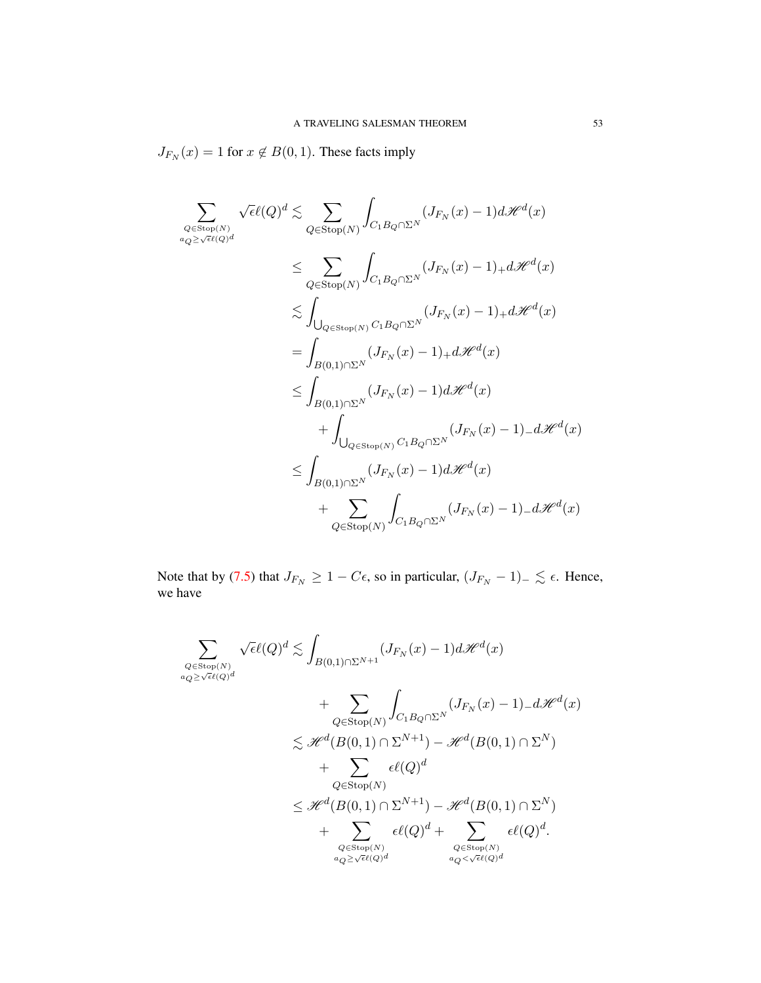$J_{F_N}(x) = 1$  for  $x \notin B(0, 1)$ . These facts imply

$$
\sum_{Q \in \text{Stop}(N)} \sqrt{\epsilon \ell(Q)^d} \lesssim \sum_{Q \in \text{Stop}(N)} \int_{C_1B_Q \cap \Sigma^N} (J_{F_N}(x) - 1) d\mathcal{H}^d(x)
$$
\n
$$
\leq \sum_{Q \in \text{Stop}(N)} \int_{C_1B_Q \cap \Sigma^N} (J_{F_N}(x) - 1)_+ d\mathcal{H}^d(x)
$$
\n
$$
\lesssim \int_{\bigcup_{Q \in \text{Stop}(N)} C_1B_Q \cap \Sigma^N} (J_{F_N}(x) - 1)_+ d\mathcal{H}^d(x)
$$
\n
$$
= \int_{B(0,1) \cap \Sigma^N} (J_{F_N}(x) - 1)_+ d\mathcal{H}^d(x)
$$
\n
$$
\leq \int_{B(0,1) \cap \Sigma^N} (J_{F_N}(x) - 1) d\mathcal{H}^d(x)
$$
\n
$$
+ \int_{\bigcup_{Q \in \text{Stop}(N)} C_1B_Q \cap \Sigma^N} (J_{F_N}(x) - 1)_- d\mathcal{H}^d(x)
$$
\n
$$
+ \sum_{Q \in \text{Stop}(N)} \int_{C_1B_Q \cap \Sigma^N} (J_{F_N}(x) - 1)_- d\mathcal{H}^d(x)
$$

Note that by [\(7.5\)](#page-47-1) that  $J_{F_N} \geq 1 - C\epsilon$ , so in particular,  $(J_{F_N} - 1)_- \lesssim \epsilon$ . Hence, we have

$$
\sum_{\substack{Q \in \text{Stop}(N) \\ a_Q \ge \sqrt{\epsilon}\ell(Q)^d}} \sqrt{\epsilon} \ell(Q)^d \lesssim \int_{B(0,1) \cap \Sigma^{N+1}} (J_{F_N}(x) - 1) d\mathcal{H}^d(x) \n+ \sum_{Q \in \text{Stop}(N)} \int_{C_1B_Q \cap \Sigma^N} (J_{F_N}(x) - 1) - d\mathcal{H}^d(x) \n\lesssim \mathcal{H}^d(B(0,1) \cap \Sigma^{N+1}) - \mathcal{H}^d(B(0,1) \cap \Sigma^N) \n+ \sum_{Q \in \text{Stop}(N)} \epsilon\ell(Q)^d \n+ \sum_{Q \in \text{Stop}(N)} \epsilon\ell(Q)^d + \sum_{\substack{Q \in \text{Stop}(N) \\ a_Q \ge \sqrt{\epsilon}\ell(Q)^d}} \epsilon\ell(Q)^d + \sum_{\substack{Q \in \text{Stop}(N) \\ a_Q < \sqrt{\epsilon}\ell(Q)^d}} \epsilon\ell(Q)^d.
$$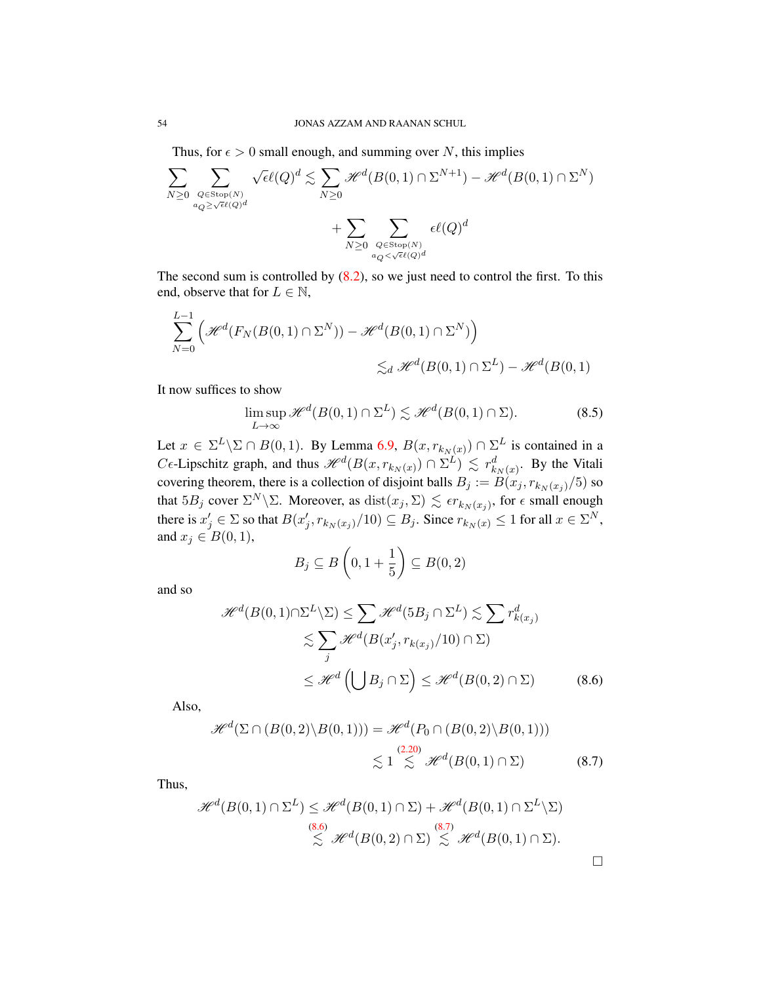Thus, for  $\epsilon > 0$  small enough, and summing over N, this implies

$$
\sum_{N\geq 0} \sum_{\substack{Q\in \text{Stop}(N)\\ a_Q\geq \sqrt{\epsilon}\ell(Q)^d}} \sqrt{\epsilon}\ell(Q)^d \lesssim \sum_{N\geq 0} \mathcal{H}^d(B(0,1) \cap \Sigma^{N+1}) - \mathcal{H}^d(B(0,1) \cap \Sigma^N) + \sum_{N\geq 0} \sum_{\substack{Q\in \text{Stop}(N)\\ a_Q < \sqrt{\epsilon}\ell(Q)^d}} \epsilon\ell(Q)^d
$$

The second sum is controlled by  $(8.2)$ , so we just need to control the first. To this end, observe that for  $L \in \mathbb{N}$ ,

$$
\sum_{N=0}^{L-1} \left( \mathcal{H}^d(F_N(B(0,1) \cap \Sigma^N)) - \mathcal{H}^d(B(0,1) \cap \Sigma^N) \right)
$$
  

$$
\lesssim_d \mathcal{H}^d(B(0,1) \cap \Sigma^L) - \mathcal{H}^d(B(0,1)
$$

It now suffices to show

$$
\limsup_{L \to \infty} \mathcal{H}^d(B(0,1) \cap \Sigma^L) \lesssim \mathcal{H}^d(B(0,1) \cap \Sigma). \tag{8.5}
$$

Let  $x \in \Sigma^L \backslash \Sigma \cap B(0,1)$ . By Lemma [6.9,](#page-43-1)  $B(x, r_{k_N(x)}) \cap \Sigma^L$  is contained in a  $C \epsilon$ -Lipschitz graph, and thus  $\mathcal{H}^{d}(B(x, r_{k_N(x)}) \cap \Sigma^{L}) \leq r_{k_N(x)}^{d}$ . By the Vitali covering theorem, there is a collection of disjoint balls  $B_j := B(x_j, r_{k_N(x_j)}/5)$  so that  $5B_j$  cover  $\Sigma^N \backslash \Sigma$ . Moreover, as  $dist(x_j, \Sigma) \lesssim \epsilon r_{k_N(x_j)}$ , for  $\epsilon$  small enough there is  $x'_j \in \Sigma$  so that  $B(x'_j, r_{k_N(x_j)}/10) \subseteq B_j$ . Since  $r_{k_N(x)} \le 1$  for all  $x \in \Sigma^N$ , and  $x_j \in B(0,1)$ ,

<span id="page-54-1"></span><span id="page-54-0"></span>
$$
B_j \subseteq B\left(0, 1 + \frac{1}{5}\right) \subseteq B(0, 2)
$$

and so

$$
\mathcal{H}^{d}(B(0,1)\cap\Sigma^{L}\backslash\Sigma) \leq \sum_{j} \mathcal{H}^{d}(5B_{j}\cap\Sigma^{L}) \lesssim \sum_{r} r_{k(x_{j})}^{d}
$$

$$
\lesssim \sum_{j} \mathcal{H}^{d}(B(x'_{j}, r_{k(x_{j})}/10) \cap \Sigma)
$$

$$
\leq \mathcal{H}^{d}\left(\bigcup B_{j} \cap \Sigma\right) \leq \mathcal{H}^{d}(B(0,2) \cap \Sigma) \tag{8.6}
$$

Also,

$$
\mathcal{H}^{d}(\Sigma \cap (B(0,2) \setminus B(0,1))) = \mathcal{H}^{d}(P_0 \cap (B(0,2) \setminus B(0,1)))
$$
  

$$
\lesssim 1 \underset{\sim}{\leq} \mathcal{H}^{d}(B(0,1) \cap \Sigma)
$$
 (8.7)

Thus,

$$
\mathcal{H}^{d}(B(0,1)\cap\Sigma^{L}) \leq \mathcal{H}^{d}(B(0,1)\cap\Sigma) + \mathcal{H}^{d}(B(0,1)\cap\Sigma^{L}\backslash\Sigma)
$$
  

$$
\stackrel{(8.6)}{\lesssim} \mathcal{H}^{d}(B(0,2)\cap\Sigma) \stackrel{(8.7)}{\lesssim} \mathcal{H}^{d}(B(0,1)\cap\Sigma).
$$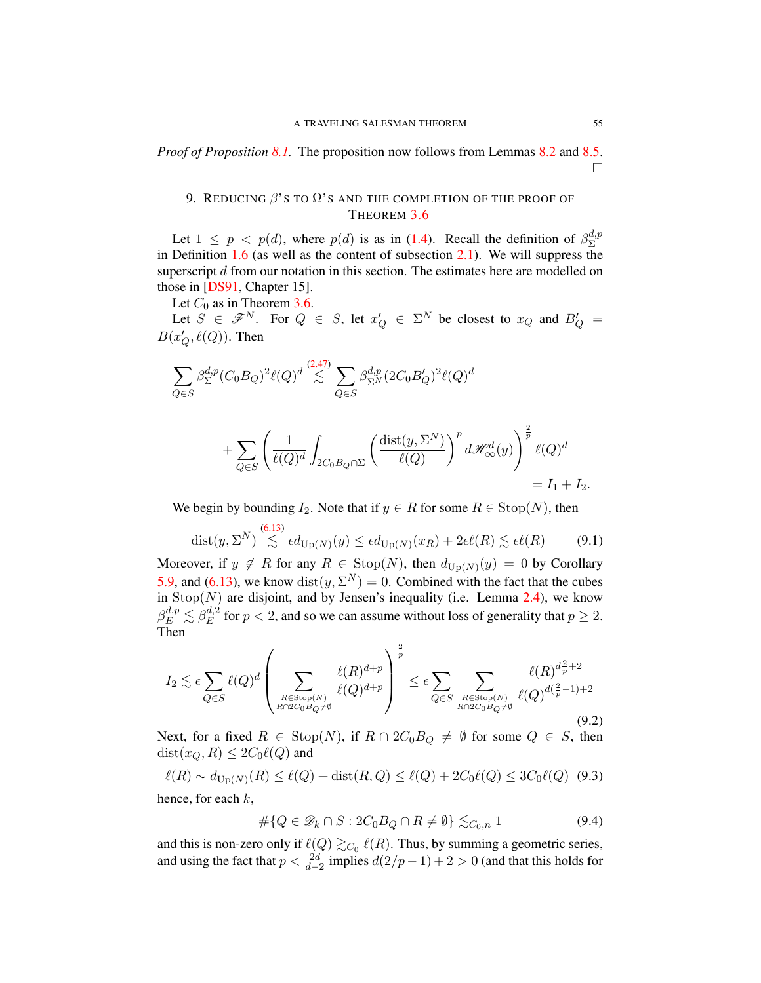*Proof of Proposition [8.1.](#page-49-4)* The proposition now follows from Lemmas [8.2](#page-49-5) and [8.5.](#page-52-0)  $\Box$ 

# <span id="page-55-0"></span>9. REDUCING  $\beta$ 's to  $\Omega$ 's and the completion of the proof of THEOREM [3.6](#page-30-1)

Let  $1 \leq p \leq p(d)$ , where  $p(d)$  is as in [\(1.4\)](#page-3-0). Recall the definition of  $\beta_{\Sigma}^{d,p}$ Σ in Definition [1.6](#page-5-0) (as well as the content of subsection [2.1\)](#page-13-1). We will suppress the superscript d from our notation in this section. The estimates here are modelled on those in [\[DS91,](#page-78-0) Chapter 15].

Let  $C_0$  as in Theorem [3.6.](#page-30-1)

Let  $S \in \mathscr{F}^N$ . For  $Q \in S$ , let  $x'_Q \in \Sigma^N$  be closest to  $x_Q$  and  $B'_Q =$  $B(x'_Q, \ell(Q))$ . Then

$$
\sum_{Q\in S} \beta_{\Sigma}^{d,p} (C_0 B_Q)^2 \ell(Q)^d \stackrel{(2.47)}{\lesssim} \sum_{Q\in S} \beta_{\Sigma^N}^{d,p} (2C_0 B_Q')^2 \ell(Q)^d
$$

$$
+ \sum_{Q \in S} \left( \frac{1}{\ell(Q)^d} \int_{2C_0B_Q \cap \Sigma} \left( \frac{\text{dist}(y, \Sigma^N)}{\ell(Q)} \right)^p d\mathcal{H}^d_{\infty}(y) \right)^{\frac{2}{p}} \ell(Q)^d \\ = I_1 + I_2.
$$

We begin by bounding  $I_2$ . Note that if  $y \in R$  for some  $R \in \text{Stop}(N)$ , then

$$
\text{dist}(y, \Sigma^N) \stackrel{(6.13)}{\lesssim} \epsilon d_{\text{Up}(N)}(y) \leq \epsilon d_{\text{Up}(N)}(x_R) + 2\epsilon \ell(R) \lesssim \epsilon \ell(R) \tag{9.1}
$$

Moreover, if  $y \notin R$  for any  $R \in \text{Stop}(N)$ , then  $d_{\text{Up}(N)}(y) = 0$  by Corollary [5.9,](#page-35-1) and [\(6.13\)](#page-42-0), we know  $dist(y, \Sigma^N) = 0$ . Combined with the fact that the cubes in  $\text{Stop}(N)$  are disjoint, and by Jensen's inequality (i.e. Lemma [2.4\)](#page-14-0), we know  $\beta_E^{d,p}\lesssim \beta_E^{d,2}$  $E^{a,2}$  for  $p < 2$ , and so we can assume without loss of generality that  $p \ge 2$ . Then

<span id="page-55-2"></span>
$$
I_2 \lesssim \epsilon \sum_{Q \in S} \ell(Q)^d \left( \sum_{\substack{R \in \text{Stop}(N) \\ R \cap 2C_0B_Q \neq \emptyset}} \frac{\ell(R)^{d+p}}{\ell(Q)^{d+p}} \right)^{\frac{2}{p}} \le \epsilon \sum_{Q \in S} \sum_{\substack{R \in \text{Stop}(N) \\ R \cap 2C_0B_Q \neq \emptyset}} \frac{\ell(R)^{d_p^2 + 2}}{\ell(Q)^{d(\frac{2}{p} - 1) + 2}} \tag{9.2}
$$

Next, for a fixed  $R \in \text{Stop}(N)$ , if  $R \cap 2C_0B_Q \neq \emptyset$  for some  $Q \in S$ , then  $dist(x_Q, R) \leq 2C_0\ell(Q)$  and

<span id="page-55-1"></span>
$$
\ell(R) \sim d_{\text{Up}(N)}(R) \le \ell(Q) + \text{dist}(R, Q) \le \ell(Q) + 2C_0 \ell(Q) \le 3C_0 \ell(Q) \tag{9.3}
$$
  
hence, for each  $k$ ,

$$
\#\{Q \in \mathcal{D}_k \cap S : 2C_0B_Q \cap R \neq \emptyset\} \lesssim_{C_0,n} 1\tag{9.4}
$$

and this is non-zero only if  $\ell(Q) \gtrsim_{C_0} \ell(R)$ . Thus, by summing a geometric series, and using the fact that  $p < \frac{2d}{d-2}$  implies  $d(2/p-1) + 2 > 0$  (and that this holds for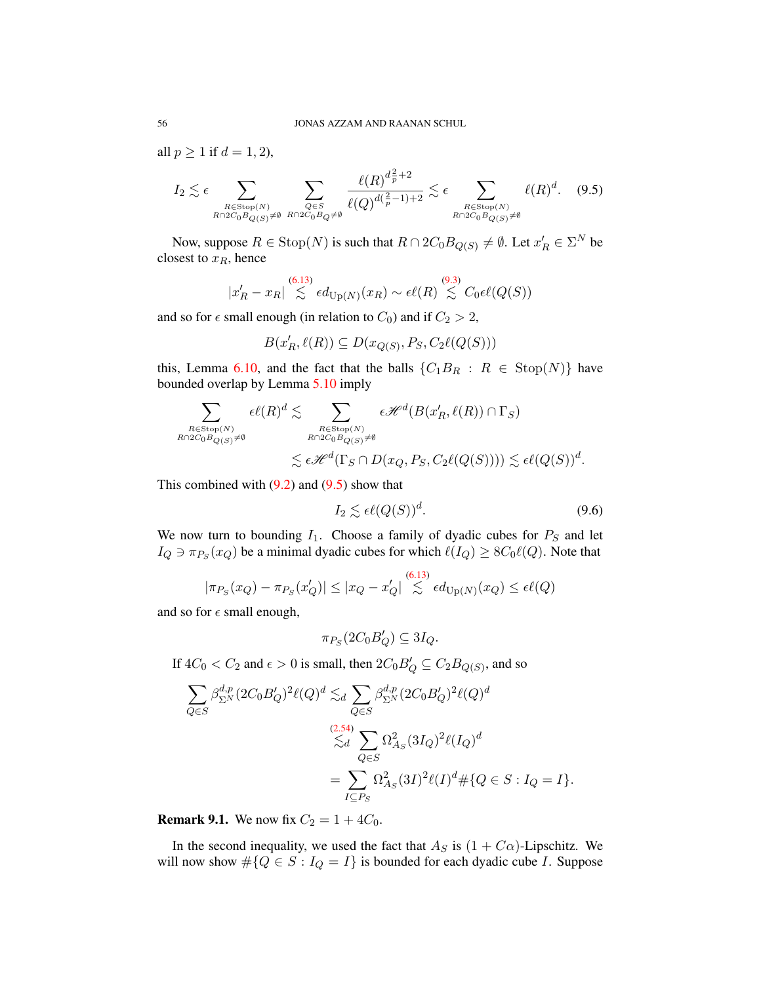all  $p \geq 1$  if  $d = 1, 2$ ),

<span id="page-56-1"></span>
$$
I_2 \lesssim \epsilon \sum_{\substack{R \in \text{Stop}(N) \\ R \cap 2C_0B_{Q(S)} \neq \emptyset}} \sum_{\substack{Q \in S \\ R \cap 2C_0B_Q \neq \emptyset}} \frac{\ell(R)^{d_p^2 + 2}}{\ell(Q)^{d(\frac{2}{p} - 1) + 2}} \lesssim \epsilon \sum_{\substack{R \in \text{Stop}(N) \\ R \cap 2C_0B_{Q(S)} \neq \emptyset}} \ell(R)^d. \tag{9.5}
$$

Now, suppose  $R \in \text{Stop}(N)$  is such that  $R \cap 2C_0B_{Q(S)} \neq \emptyset$ . Let  $x'_R \in \Sigma^N$  be closest to  $x_R$ , hence

$$
|x'_R - x_R| \overset{(6.13)}{\lesssim} \epsilon d_{\text{Up}(N)}(x_R) \sim \epsilon \ell(R) \overset{(9.3)}{\lesssim} C_0 \epsilon \ell(Q(S))
$$

and so for  $\epsilon$  small enough (in relation to  $C_0$ ) and if  $C_2 > 2$ ,

$$
B(x'_R, \ell(R)) \subseteq D(x_{Q(S)}, P_S, C_2\ell(Q(S)))
$$

this, Lemma [6.10,](#page-44-2) and the fact that the balls  ${C_1B_R : R \in \text{Stop}(N)}$  have bounded overlap by Lemma [5.10](#page-35-0) imply

$$
\sum_{\substack{R \in \text{Stop}(N) \\ R \cap 2C_0B_{Q(S)} \neq \emptyset}} \epsilon \ell(R)^d \lesssim \sum_{\substack{R \in \text{Stop}(N) \\ R \cap 2C_0B_{Q(S)} \neq \emptyset}} \epsilon \mathcal{H}^d(B(x_R', \ell(R)) \cap \Gamma_S)
$$
  

$$
\lesssim \epsilon \mathcal{H}^d(\Gamma_S \cap D(x_Q, P_S, C_2\ell(Q(S)))) \lesssim \epsilon \ell(Q(S))^d.
$$

This combined with  $(9.2)$  and  $(9.5)$  show that

$$
I_2 \lesssim \epsilon \ell(Q(S))^d. \tag{9.6}
$$

We now turn to bounding  $I_1$ . Choose a family of dyadic cubes for  $P_S$  and let  $I_Q \ni \pi_{P_S}(x_Q)$  be a minimal dyadic cubes for which  $\ell(I_Q) \geq 8C_0\ell(Q)$ . Note that

$$
|\pi_{P_S}(x_Q) - \pi_{P_S}(x'_Q)| \le |x_Q - x'_Q| \stackrel{(6.13)}{\lesssim} \epsilon d_{\text{Up}(N)}(x_Q) \le \epsilon \ell(Q)
$$

and so for  $\epsilon$  small enough,

$$
\pi_{P_S}(2C_0B'_Q) \subseteq 3I_Q.
$$

If  $4C_0 < C_2$  and  $\epsilon > 0$  is small, then  $2C_0B_Q' \subseteq C_2B_{Q(S)}$ , and so

$$
\sum_{Q \in S} \beta_{\Sigma^N}^{d,p} (2C_0 B_Q')^2 \ell(Q)^d \lesssim_d \sum_{Q \in S} \beta_{\Sigma^N}^{d,p} (2C_0 B_Q')^2 \ell(Q)^d
$$
  

$$
\lesssim_d \sum_{Q \in S} \Omega_{A_S}^2 (3I_Q)^2 \ell(I_Q)^d
$$
  

$$
= \sum_{I \subseteq P_S} \Omega_{A_S}^2 (3I)^2 \ell(I)^d \# \{Q \in S : I_Q = I\}.
$$

<span id="page-56-0"></span>**Remark 9.1.** We now fix  $C_2 = 1 + 4C_0$ .

In the second inequality, we used the fact that  $A_S$  is  $(1 + C\alpha)$ -Lipschitz. We will now show  $\#\{Q \in S : I_Q = I\}$  is bounded for each dyadic cube *I*. Suppose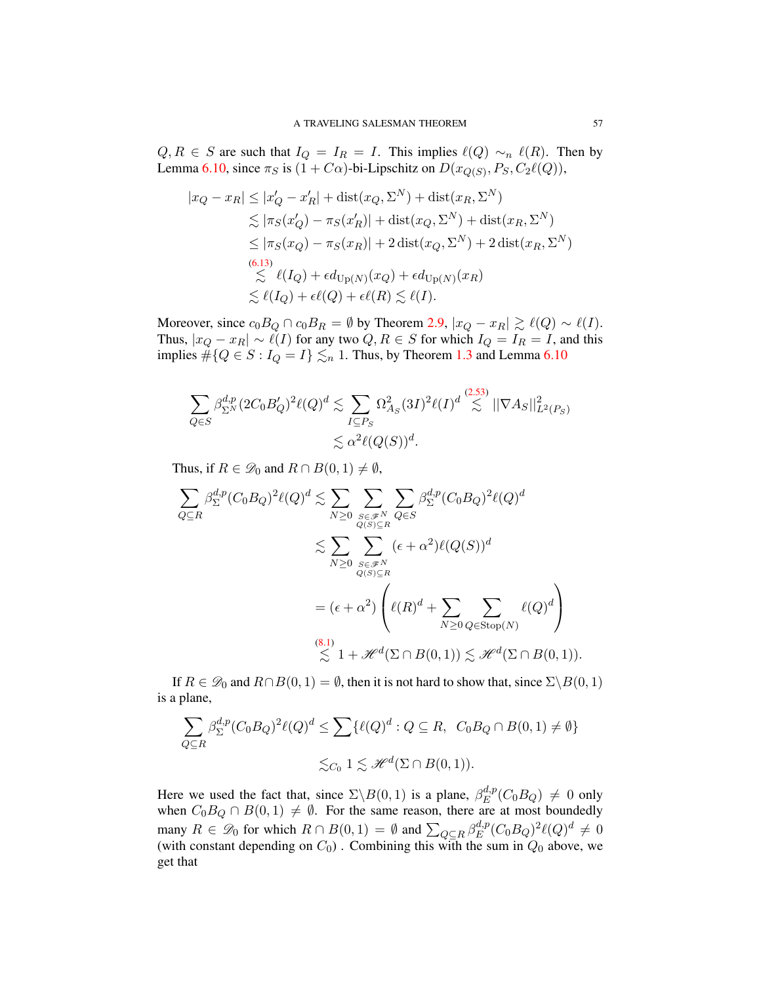$Q, R \in S$  are such that  $I_Q = I_R = I$ . This implies  $\ell(Q) \sim_n \ell(R)$ . Then by Lemma [6.10,](#page-44-2) since  $\pi_S$  is  $(1 + C\alpha)$ -bi-Lipschitz on  $D(x_{Q(S)}, P_S, C_2\ell(Q)),$ 

$$
|x_Q - x_R| \le |x'_Q - x'_R| + \text{dist}(x_Q, \Sigma^N) + \text{dist}(x_R, \Sigma^N)
$$
  
\n
$$
\lesssim |\pi_S(x'_Q) - \pi_S(x'_R)| + \text{dist}(x_Q, \Sigma^N) + \text{dist}(x_R, \Sigma^N)
$$
  
\n
$$
\le |\pi_S(x_Q) - \pi_S(x_R)| + 2 \text{dist}(x_Q, \Sigma^N) + 2 \text{dist}(x_R, \Sigma^N)
$$
  
\n(6.13)  
\n
$$
\lesssim \ell(I_Q) + \epsilon d_{\text{Up}(N)}(x_Q) + \epsilon d_{\text{Up}(N)}(x_R)
$$
  
\n
$$
\lesssim \ell(I_Q) + \epsilon \ell(Q) + \epsilon \ell(R) \lesssim \ell(I).
$$

Moreover, since  $c_0B_Q \cap c_0B_R = \emptyset$  by Theorem [2.9,](#page-18-0)  $|x_Q - x_R| \gtrsim \ell(Q) \sim \ell(I)$ . Thus,  $|x_Q - x_R| \sim \ell(I)$  for any two  $Q, R \in S$  for which  $I_Q = I_R = I$ , and this implies  $\#\{Q \in S : I_Q = I\} \lesssim_n 1$ . Thus, by Theorem [1.3](#page-3-0) and Lemma [6.10](#page-44-2)

$$
\sum_{Q \in S} \beta_{\Sigma^N}^{d,p} (2C_0 B_Q')^2 \ell(Q)^d \lesssim \sum_{I \subseteq P_S} \Omega_{A_S}^2 (3I)^2 \ell(I)^d \stackrel{(2.53)}{\lesssim} ||\nabla A_S||_{L^2(P_S)}^2
$$
  

$$
\lesssim \alpha^2 \ell(Q(S))^d.
$$

Thus, if  $R \in \mathcal{D}_0$  and  $R \cap B(0,1) \neq \emptyset$ ,

$$
\sum_{Q \subseteq R} \beta_{\Sigma}^{d,p} (C_0 B_Q)^2 \ell(Q)^d \lesssim \sum_{N \ge 0} \sum_{\substack{S \in \mathscr{F}^N \\ Q(S) \subseteq R}} \sum_{Q \in S} \beta_{\Sigma}^{d,p} (C_0 B_Q)^2 \ell(Q)^d
$$
  

$$
\lesssim \sum_{N \ge 0} \sum_{\substack{S \in \mathscr{F}^N \\ Q(S) \subseteq R}} (\epsilon + \alpha^2) \ell(Q(S))^d
$$
  

$$
= (\epsilon + \alpha^2) \left( \ell(R)^d + \sum_{N \ge 0} \sum_{Q \in \text{Stop}(N)} \ell(Q)^d \right)
$$
  

$$
\lesssim 1 + \mathscr{H}^d(\Sigma \cap B(0, 1)) \lesssim \mathscr{H}^d(\Sigma \cap B(0, 1)).
$$

If  $R \in \mathcal{D}_0$  and  $R \cap B(0, 1) = \emptyset$ , then it is not hard to show that, since  $\Sigma \setminus B(0, 1)$ is a plane,

$$
\sum_{Q \subseteq R} \beta_{\Sigma}^{d,p} (C_0 B_Q)^2 \ell(Q)^d \le \sum \{ \ell(Q)^d : Q \subseteq R, \ C_0 B_Q \cap B(0,1) \ne \emptyset \}
$$
  

$$
\lesssim_{C_0} 1 \lesssim \mathcal{H}^d(\Sigma \cap B(0,1)).
$$

Here we used the fact that, since  $\Sigma \backslash B(0,1)$  is a plane,  $\beta_E^{d,p}$  $E^{a,p}(C_0B_Q) \neq 0$  only when  $C_0B_Q \cap B(0,1) \neq \emptyset$ . For the same reason, there are at most boundedly many  $R \in \mathscr{D}_0$  for which  $R \cap B(0,1) = \emptyset$  and  $\sum_{Q \subseteq R} \beta_E^{d,p}$  ${}_{E}^{d,p}(C_0B_Q)^2\ell(Q)^d \neq 0$ (with constant depending on  $C_0$ ). Combining this with the sum in  $Q_0$  above, we get that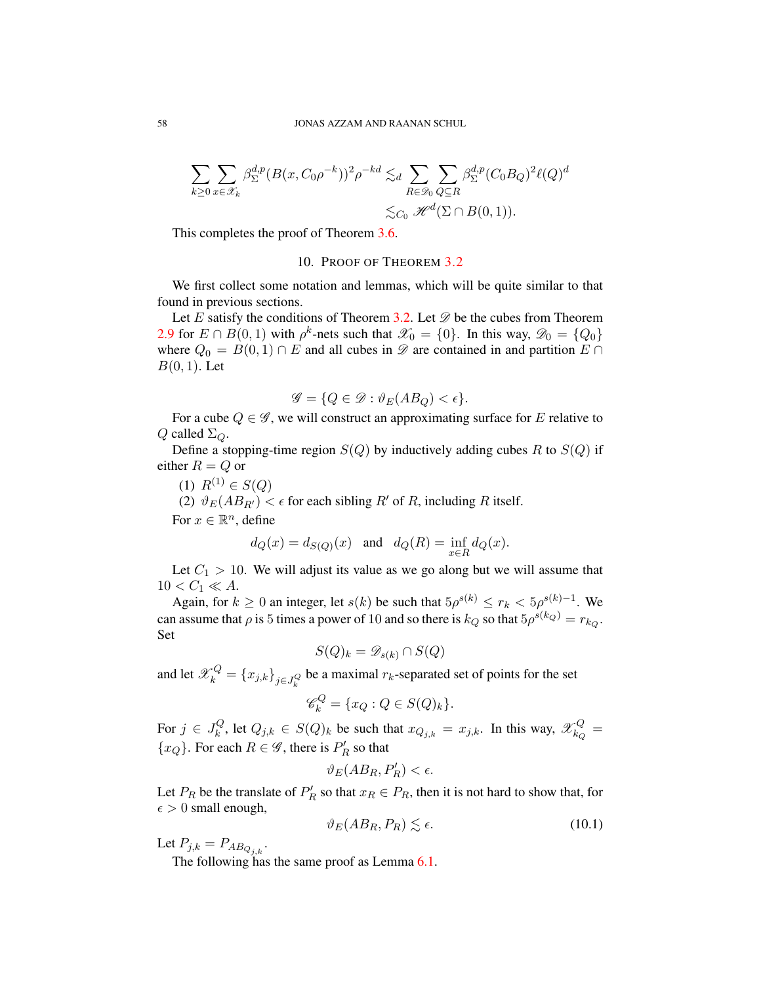$$
\sum_{k\geq 0}\sum_{x\in\mathscr{X}_k}\beta_{\Sigma}^{d,p}(B(x,C_0\rho^{-k}))^2\rho^{-kd} \lesssim_d \sum_{R\in\mathscr{D}_0}\sum_{Q\subseteq R}\beta_{\Sigma}^{d,p}(C_0B_Q)^2\ell(Q)^d
$$
  

$$
\lesssim_{C_0}\mathscr{H}^d(\Sigma\cap B(0,1)).
$$

This completes the proof of Theorem [3.6.](#page-30-1)

#### 10. PROOF OF THEOREM [3.2](#page-29-0)

We first collect some notation and lemmas, which will be quite similar to that found in previous sections.

Let E satisfy the conditions of Theorem [3.2.](#page-29-0) Let  $\mathscr D$  be the cubes from Theorem [2.9](#page-18-0) for  $E \cap B(0,1)$  with  $\rho^k$ -nets such that  $\mathscr{X}_0 = \{0\}$ . In this way,  $\mathscr{D}_0 = \{Q_0\}$ where  $Q_0 = B(0, 1) \cap E$  and all cubes in  $\mathscr D$  are contained in and partition  $E \cap E$  $B(0, 1)$ . Let

$$
\mathscr{G} = \{ Q \in \mathscr{D} : \vartheta_E(AB_Q) < \epsilon \}.
$$

For a cube  $Q \in \mathscr{G}$ , we will construct an approximating surface for E relative to Q called  $\Sigma_{\mathcal{Q}}$ .

Define a stopping-time region  $S(Q)$  by inductively adding cubes R to  $S(Q)$  if either  $R = Q$  or

$$
(1) \ \ R^{(1)} \in S(Q)
$$

(2)  $\vartheta_E(AB_{R'}) < \epsilon$  for each sibling R' of R, including R itself.

For  $x \in \mathbb{R}^n$ , define

$$
d_Q(x)=d_{S(Q)}(x)\quad\text{and}\quad d_Q(R)=\inf_{x\in R}d_Q(x).
$$

Let  $C_1 > 10$ . We will adjust its value as we go along but we will assume that  $10 < C_1 \ll A$ .

Again, for  $k \ge 0$  an integer, let  $s(k)$  be such that  $5\rho^{s(k)} \le r_k < 5\rho^{s(k)-1}$ . We can assume that  $\rho$  is 5 times a power of 10 and so there is  $k_Q$  so that  $5\rho^{s(k_Q)} = r_{k_Q}$ . Set

$$
S(Q)_k = \mathscr{D}_{s(k)} \cap S(Q)
$$

and let  $\mathscr{X}_k^Q = \{x_{j,k}\}_{j \in J_k^Q}$  be a maximal  $r_k$ -separated set of points for the set

$$
\mathscr{C}_k^Q = \{ x_Q : Q \in S(Q)_k \}.
$$

For  $j \in J_k^Q$  $k_k^Q$ , let  $Q_{j,k} \in S(Q)_k$  be such that  $x_{Q_{j,k}} = x_{j,k}$ . In this way,  $\mathscr{X}_{k_Q}^Q$  $\frac{dQ}{dQ} =$  $\{x_Q\}$ . For each  $R \in \mathscr{G}$ , there is  $P'_R$  so that

$$
\vartheta_E(AB_R, P'_R) < \epsilon.
$$

Let  $P_R$  be the translate of  $P'_R$  so that  $x_R \in P_R$ , then it is not hard to show that, for  $\epsilon > 0$  small enough,

$$
\vartheta_E(AB_R, P_R) \lesssim \epsilon. \tag{10.1}
$$

Let  $P_{j,k} = P_{AB_{Q_{j,k}}}$ .

The following has the same proof as Lemma [6.1.](#page-39-6)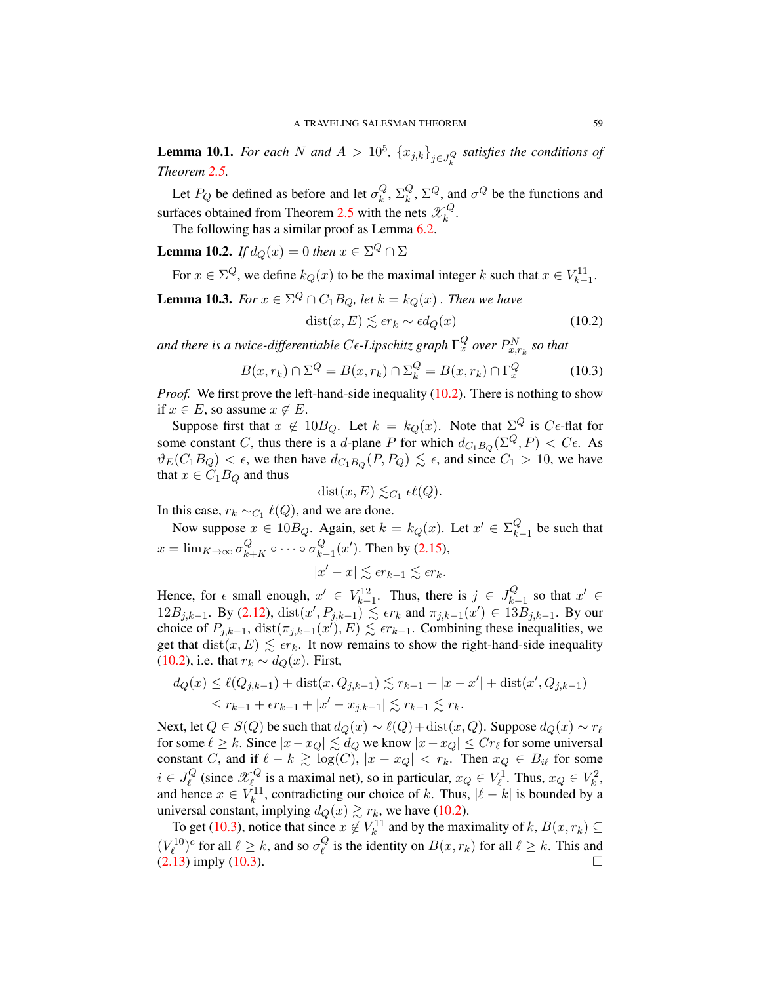**Lemma 10.1.** *For each*  $N$  *and*  $A > 10^5$ ,  $\{x_{j,k}\}_{j \in J_k^Q}$  *satisfies the conditions of Theorem [2.5.](#page-16-0)*

Let  $P_Q$  be defined as before and let  $\sigma_k^Q$  $_k^Q, \Sigma_k^Q$  $k_k^Q$ ,  $\Sigma^Q$ , and  $\sigma^Q$  be the functions and surfaces obtained from Theorem [2.5](#page-16-0) with the nets  $\mathscr{X}_k^Q$  $\frac{1}{k}$ .

The following has a similar proof as Lemma [6.2.](#page-39-4)

**Lemma 10.2.** *If*  $d_Q(x) = 0$  *then*  $x \in \Sigma^Q \cap \Sigma$ 

For  $x \in \Sigma^Q$ , we define  $k_Q(x)$  to be the maximal integer k such that  $x \in V_{k-1}^{11}$ .

<span id="page-59-2"></span>**Lemma 10.3.** *For*  $x \in \Sigma^Q \cap C_1B_Q$ , let  $k = k_Q(x)$  *. Then we have*  $dist(x, E) \leq \epsilon r_k \sim \epsilon d_O(x)$  (10.2)

and there is a twice-differentiable C $\epsilon$ -Lipschitz graph  $\Gamma_x^Q$  over  $P_{x,r_k}^N$  so that

<span id="page-59-1"></span><span id="page-59-0"></span>
$$
B(x, r_k) \cap \Sigma^Q = B(x, r_k) \cap \Sigma^Q_k = B(x, r_k) \cap \Gamma^Q_x \tag{10.3}
$$

*Proof.* We first prove the left-hand-side inequality [\(10.2\)](#page-59-0). There is nothing to show if  $x \in E$ , so assume  $x \notin E$ .

Suppose first that  $x \notin 10B_Q$ . Let  $k = k_Q(x)$ . Note that  $\Sigma^Q$  is  $C \epsilon$ -flat for some constant C, thus there is a d-plane P for which  $d_{C_1B_Q}(\Sigma^Q, P) < C\epsilon$ . As  $\vartheta_E(C_1 B_0) < \epsilon$ , we then have  $d_{C_1 B_0}(P, P_0) \lesssim \epsilon$ , and since  $C_1 > 10$ , we have that  $x \in C_1B_Q$  and thus

$$
dist(x, E) \lesssim_{C_1} \epsilon \ell(Q).
$$

In this case,  $r_k \sim_{C_1} \ell(Q)$ , and we are done.

Now suppose  $x \in 10B_Q$ . Again, set  $k = k_Q(x)$ . Let  $x' \in \Sigma_k^Q$ .  $\begin{bmatrix} 1 \\ k-1 \end{bmatrix}$  be such that  $x = \lim_{K \to \infty} \sigma_{k+K}^Q \circ \cdots \circ \sigma_k^Q$  $_{k-1}^{Q}(x')$ . Then by [\(2.15\)](#page-16-1),

$$
|x'-x| \lesssim \epsilon r_{k-1} \lesssim \epsilon r_k.
$$

Hence, for  $\epsilon$  small enough,  $x' \in V_{k-1}^{12}$ . Thus, there is  $j \in J_{k-1}^Q$  $k-1$  so that  $x'$  ∈ 12B<sub>j,k−1</sub>. By [\(2.12\)](#page-15-2), dist(x', P<sub>j,k−1</sub>)  $\leq$  *ετ<sub>k</sub>* and  $\pi_{j,k-1}(x')$  ∈ 13B<sub>j,k−1</sub>. By our choice of  $P_{j,k-1}$ ,  $dist(\pi_{j,k-1}(x'), E) \leq \epsilon r_{k-1}$ . Combining these inequalities, we get that  $dist(x, E) \leq \epsilon r_k$ . It now remains to show the right-hand-side inequality [\(10.2\)](#page-59-0), i.e. that  $r_k \sim d_Q(x)$ . First,

$$
d_Q(x) \le \ell(Q_{j,k-1}) + \text{dist}(x, Q_{j,k-1}) \lesssim r_{k-1} + |x - x'| + \text{dist}(x', Q_{j,k-1})
$$
  

$$
\le r_{k-1} + \epsilon r_{k-1} + |x' - x_{j,k-1}| \lesssim r_{k-1} \lesssim r_k.
$$

Next, let  $Q \in S(Q)$  be such that  $d_Q(x) \sim \ell(Q) + \text{dist}(x, Q)$ . Suppose  $d_Q(x) \sim r_\ell$ for some  $\ell \geq k$ . Since  $|x-x_Q| \lesssim d_Q$  we know  $|x-x_Q| \leq Cr_\ell$  for some universal constant C, and if  $\ell - k \gtrsim \log(C)$ ,  $|x - x_Q| < r_k$ . Then  $x_Q \in B_{i\ell}$  for some  $i \in J_{\ell}^Q$  $\mathcal{L}_{\ell}^Q$  (since  $\mathcal{X}_{\ell}^Q$  $\mathcal{L}_{\ell}^Q$  is a maximal net), so in particular,  $x_Q \in V_{\ell}^1$ . Thus,  $x_Q \in V_{\ell}^2$ , and hence  $x \in V_k^{11}$ , contradicting our choice of k. Thus,  $|\ell - k|$  is bounded by a universal constant, implying  $d_Q(x) \gtrsim r_k$ , we have [\(10.2\)](#page-59-0).

To get [\(10.3\)](#page-59-1), notice that since  $x \notin V_k^{11}$  and by the maximality of  $k, B(x, r_k) \subseteq$  $(V_{\ell}^{10})^c$  for all  $\ell \geq k$ , and so  $\sigma_{\ell}^Q$  $\mathcal{E}_{\ell}^{\mathcal{G}}$  is the identity on  $B(x, r_k)$  for all  $\ell \geq k$ . This and  $(2.13)$  imply  $(10.3)$ .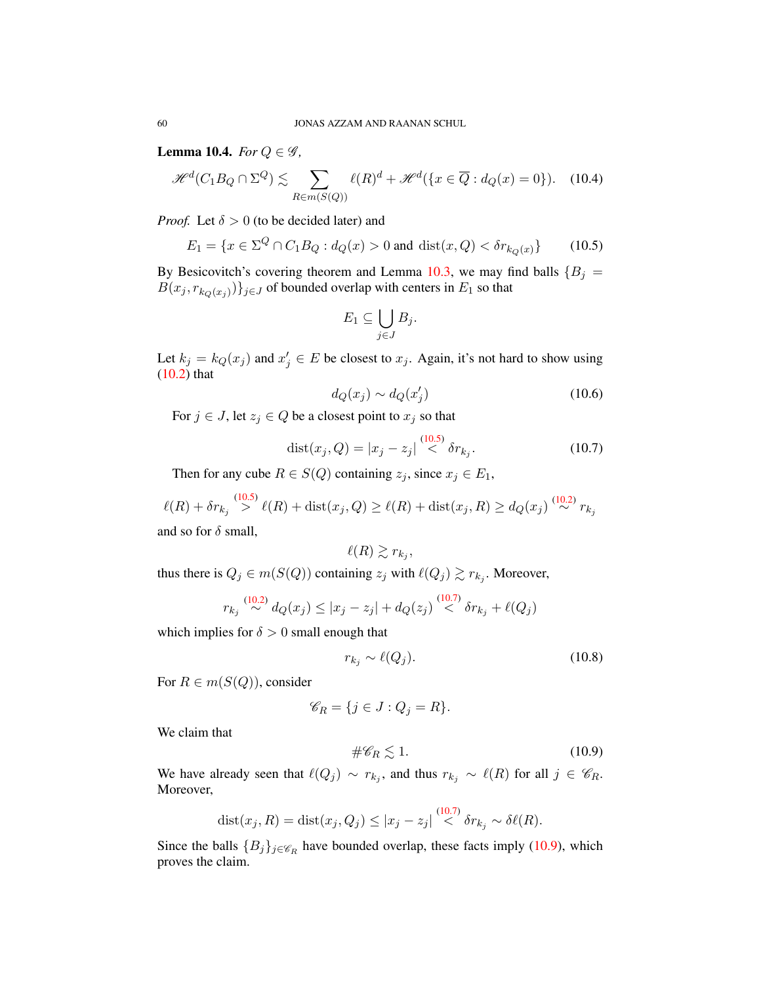Lemma 10.4. *For*  $Q \in \mathscr{G}$ ,

<span id="page-60-3"></span>
$$
\mathcal{H}^{d}(C_1B_Q \cap \Sigma^Q) \lesssim \sum_{R \in m(S(Q))} \ell(R)^d + \mathcal{H}^{d}(\lbrace x \in \overline{Q} : d_Q(x) = 0 \rbrace). \tag{10.4}
$$

*Proof.* Let  $\delta > 0$  (to be decided later) and

<span id="page-60-0"></span>
$$
E_1 = \{ x \in \Sigma^Q \cap C_1 B_Q : d_Q(x) > 0 \text{ and } \text{dist}(x, Q) < \delta r_{k_Q(x)} \} \tag{10.5}
$$

By Besicovitch's covering theorem and Lemma [10.3,](#page-59-2) we may find balls  ${B<sub>j</sub>}$  $B(x_j, r_{k_Q(x_j)})\}_{j\in J}$  of bounded overlap with centers in  $E_1$  so that

$$
E_1 \subseteq \bigcup_{j \in J} B_j.
$$

Let  $k_j = k_Q(x_j)$  and  $x'_j \in E$  be closest to  $x_j$ . Again, it's not hard to show using [\(10.2\)](#page-59-0) that

$$
d_Q(x_j) \sim d_Q(x'_j) \tag{10.6}
$$

For  $j \in J$ , let  $z_j \in Q$  be a closest point to  $x_j$  so that

<span id="page-60-1"></span>
$$
dist(x_j, Q) = |x_j - z_j| \stackrel{(10.5)}{\leq} \delta r_{k_j}.
$$
 (10.7)

Then for any cube  $R \in S(Q)$  containing  $z_j$ , since  $x_j \in E_1$ ,

$$
\ell(R) + \delta r_{k_j} \overset{(10.5)}{>} \ell(R) + \text{dist}(x_j, Q) \ge \ell(R) + \text{dist}(x_j, R) \ge d_Q(x_j) \overset{(10.2)}{\sim} r_{k_j}
$$
 and so for  $\delta$  small,

$$
\ell(R) \gtrsim r_{k_j},
$$

thus there is  $Q_j \in m(S(Q))$  containing  $z_j$  with  $\ell(Q_j) \gtrsim r_{k_j}$ . Moreover,

$$
r_{k_j} \stackrel{(10.2)}{\sim} d_Q(x_j) \le |x_j - z_j| + d_Q(z_j) \stackrel{(10.7)}{\lt} \delta r_{k_j} + \ell(Q_j)
$$

which implies for  $\delta > 0$  small enough that

$$
r_{k_j} \sim \ell(Q_j). \tag{10.8}
$$

For  $R \in m(S(Q))$ , consider

$$
\mathscr{C}_R = \{ j \in J : Q_j = R \}.
$$

We claim that

<span id="page-60-2"></span>
$$
\#\mathscr{C}_R \lesssim 1. \tag{10.9}
$$

We have already seen that  $\ell(Q_j) \sim r_{k_j}$ , and thus  $r_{k_j} \sim \ell(R)$  for all  $j \in \mathscr{C}_R$ . Moreover,

$$
dist(x_j, R) = dist(x_j, Q_j) \le |x_j - z_j| \stackrel{(10.7)}{<} \delta r_{k_j} \sim \delta \ell(R).
$$

Since the balls  ${B_j}_{j \in \mathcal{C}_R}$  have bounded overlap, these facts imply [\(10.9\)](#page-60-2), which proves the claim.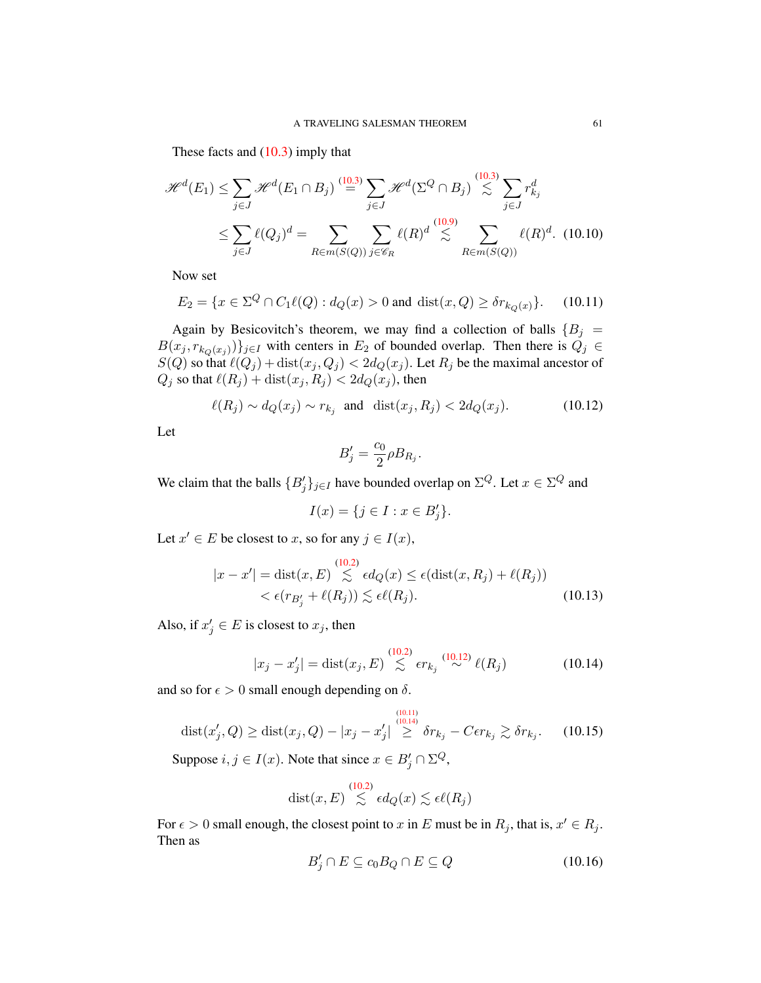These facts and  $(10.3)$  imply that

$$
\mathcal{H}^{d}(E_1) \leq \sum_{j \in J} \mathcal{H}^{d}(E_1 \cap B_j) \stackrel{(10.3)}{=} \sum_{j \in J} \mathcal{H}^{d}(\Sigma^Q \cap B_j) \stackrel{(10.3)}{\lesssim} \sum_{j \in J} r_{k_j}^d
$$

$$
\leq \sum_{j \in J} \ell(Q_j)^d = \sum_{R \in m(S(Q))} \sum_{j \in \mathscr{C}_R} \ell(R)^d \stackrel{(10.9)}{\lesssim} \sum_{R \in m(S(Q))} \ell(R)^d. \quad (10.10)
$$

Now set

<span id="page-61-1"></span>
$$
E_2 = \{ x \in \Sigma^Q \cap C_1 \ell(Q) : d_Q(x) > 0 \text{ and } \text{dist}(x, Q) \ge \delta r_{k_Q(x)} \}. \tag{10.11}
$$

Again by Besicovitch's theorem, we may find a collection of balls  ${B<sub>j</sub>}$  =  $B(x_j, r_{k_Q(x_j)})\}_{j\in I}$  with centers in  $E_2$  of bounded overlap. Then there is  $Q_j \in$  $S(Q)$  so that  $\ell(Q_j) + \text{dist}(x_j, Q_j) < 2d_Q(x_j)$ . Let  $R_j$  be the maximal ancestor of  $Q_j$  so that  $\ell(R_j) + \text{dist}(x_j, R_j) < 2d_Q(x_j)$ , then

<span id="page-61-0"></span>
$$
\ell(R_j) \sim d_Q(x_j) \sim r_{k_j} \quad \text{and} \quad \text{dist}(x_j, R_j) < 2d_Q(x_j). \tag{10.12}
$$

Let

<span id="page-61-5"></span><span id="page-61-4"></span>
$$
B_j' = \frac{c_0}{2} \rho B_{R_j}.
$$

We claim that the balls  $\{B_j'\}_{j\in I}$  have bounded overlap on  $\Sigma^Q$ . Let  $x \in \Sigma^Q$  and

$$
I(x) = \{ j \in I : x \in B'_j \}.
$$

Let  $x' \in E$  be closest to x, so for any  $j \in I(x)$ ,

$$
|x - x'| = \text{dist}(x, E) \overset{(10.2)}{\lesssim} \epsilon d_Q(x) \le \epsilon (\text{dist}(x, R_j) + \ell(R_j))
$$
  
<  $\epsilon (r_{B'_j} + \ell(R_j)) \lesssim \epsilon \ell(R_j).$  (10.13)

Also, if  $x'_j \in E$  is closest to  $x_j$ , then

<span id="page-61-2"></span>
$$
|x_j - x'_j| = \text{dist}(x_j, E) \stackrel{(10.2)}{\lesssim} \epsilon r_{k_j} \stackrel{(10.12)}{\sim} \ell(R_j)
$$
 (10.14)

and so for  $\epsilon > 0$  small enough depending on  $\delta$ .

<span id="page-61-3"></span>dist
$$
(x'_j, Q)
$$
  $\ge$  dist $(x_j, Q) - |x_j - x'_j| \overset{\text{(10.11)}}{\ge} \delta r_{k_j} - C\epsilon r_{k_j} \gtrsim \delta r_{k_j}.$  (10.15)

Suppose  $i, j \in I(x)$ . Note that since  $x \in B'_j \cap \Sigma^Q$ ,

$$
\mathop\mathrm{dist}(x,E) \stackrel{(10.2)}{\lesssim} \epsilon d_Q(x) \lesssim \epsilon \ell(R_j)
$$

For  $\epsilon > 0$  small enough, the closest point to x in E must be in  $R_j$ , that is,  $x' \in R_j$ . Then as

$$
B'_j \cap E \subseteq c_0 B_Q \cap E \subseteq Q \tag{10.16}
$$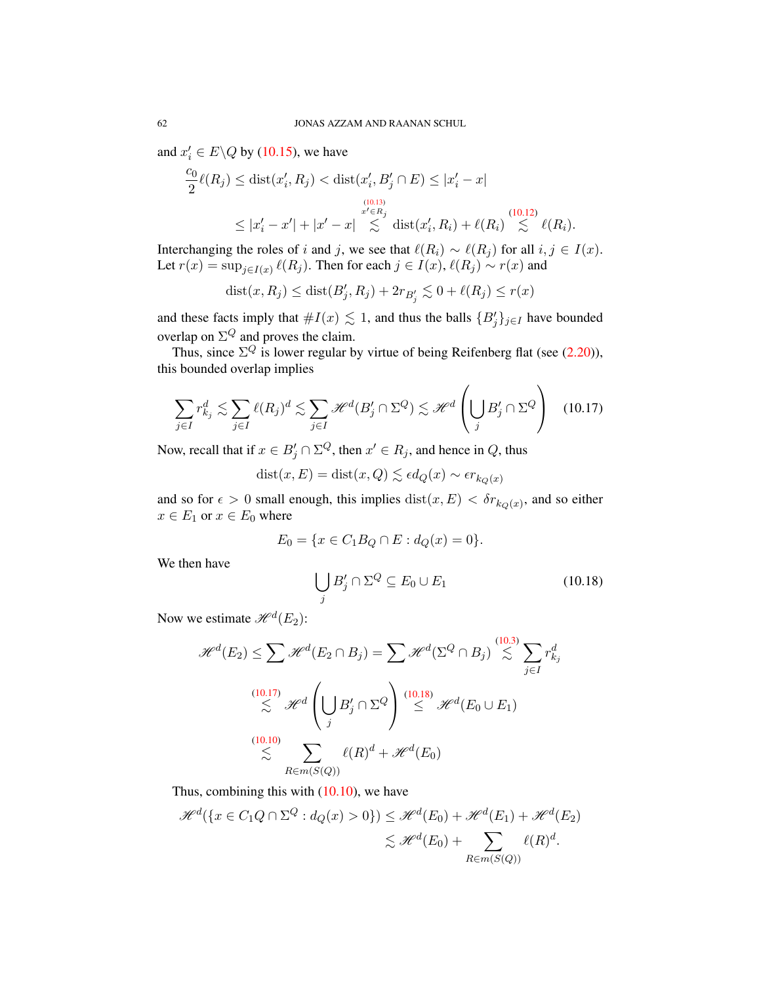and  $x'_i \in E \backslash Q$  by [\(10.15\)](#page-61-3), we have

$$
\frac{c_0}{2}\ell(R_j) \leq \text{dist}(x'_i, R_j) < \text{dist}(x'_i, B'_j \cap E) \leq |x'_i - x|
$$
\n
$$
\leq |x'_i - x'| + |x' - x| \leq \text{dist}(x'_i, R_i) + \ell(R_i) \leq \ell(R_i).
$$
\n(10.12)

Interchanging the roles of i and j, we see that  $\ell(R_i) \sim \ell(R_j)$  for all  $i, j \in I(x)$ . Let  $r(x) = \sup_{j \in I(x)} \ell(R_j)$ . Then for each  $j \in I(x)$ ,  $\ell(R_j) \sim r(x)$  and

$$
dist(x, R_j) \leq dist(B'_j, R_j) + 2r_{B'_j} \lesssim 0 + \ell(R_j) \leq r(x)
$$

and these facts imply that  $#I(x) \lesssim 1$ , and thus the balls  ${B'_j}_{j \in I}$  have bounded overlap on  $\Sigma^Q$  and proves the claim.

Thus, since  $\Sigma^Q$  is lower regular by virtue of being Reifenberg flat (see [\(2.20\)](#page-16-0)), this bounded overlap implies

<span id="page-62-0"></span>
$$
\sum_{j\in I} r_{k_j}^d \lesssim \sum_{j\in I} \ell(R_j)^d \lesssim \sum_{j\in I} \mathcal{H}^d(B'_j \cap \Sigma^Q) \lesssim \mathcal{H}^d \left(\bigcup_j B'_j \cap \Sigma^Q\right) \quad (10.17)
$$

Now, recall that if  $x \in B'_j \cap \Sigma^Q$ , then  $x' \in R_j$ , and hence in  $Q$ , thus

 $dist(x, E) = dist(x, Q) \lesssim \epsilon d_Q(x) \sim \epsilon r_{k_Q(x)}$ 

and so for  $\epsilon > 0$  small enough, this implies  $dist(x, E) < \delta r_{k_Q(x)}$ , and so either  $x \in E_1$  or  $x \in E_0$  where

$$
E_0 = \{ x \in C_1 B_Q \cap E : d_Q(x) = 0 \}.
$$

We then have

<span id="page-62-1"></span>
$$
\bigcup_{j} B'_j \cap \Sigma^Q \subseteq E_0 \cup E_1 \tag{10.18}
$$

Now we estimate  $\mathcal{H}^d(E_2)$ :

$$
\mathcal{H}^{d}(E_2) \leq \sum \mathcal{H}^{d}(E_2 \cap B_j) = \sum \mathcal{H}^{d}(\Sigma^Q \cap B_j) \stackrel{(10.3)}{\leq} \sum_{j \in I} r_{k_j}^d
$$
  

$$
\stackrel{(10.17)}{\leq} \mathcal{H}^{d} \left( \bigcup_j B'_j \cap \Sigma^Q \right) \stackrel{(10.18)}{\leq} \mathcal{H}^{d}(E_0 \cup E_1)
$$
  

$$
\stackrel{(10.10)}{\leq} \sum_{R \in m(S(Q))} \ell(R)^d + \mathcal{H}^d(E_0)
$$

Thus, combining this with [\(10.10\)](#page-61-5), we have

$$
\mathcal{H}^d(\lbrace x \in C_1Q \cap \Sigma^Q : d_Q(x) > 0 \rbrace) \leq \mathcal{H}^d(E_0) + \mathcal{H}^d(E_1) + \mathcal{H}^d(E_2)
$$
  

$$
\lesssim \mathcal{H}^d(E_0) + \sum_{R \in m(S(Q))} \ell(R)^d.
$$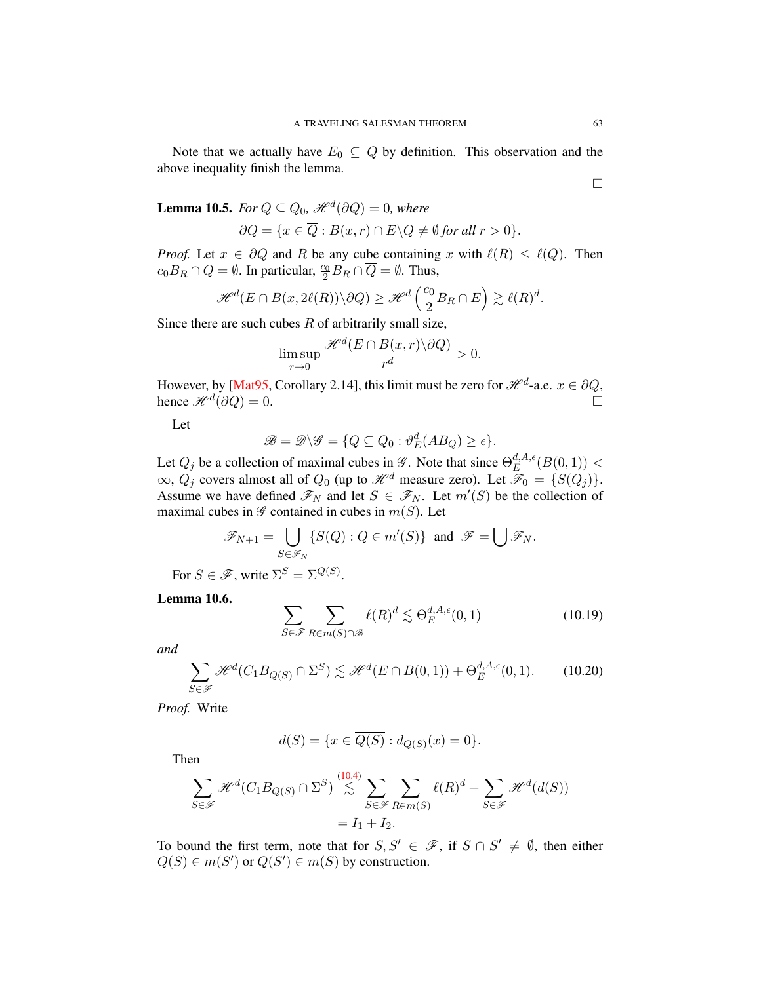Note that we actually have  $E_0 \subseteq \overline{Q}$  by definition. This observation and the above inequality finish the lemma.

<span id="page-63-1"></span>**Lemma 10.5.** For  $Q \subseteq Q_0$ ,  $\mathscr{H}^d(\partial Q) = 0$ , where

$$
\partial Q = \{ x \in \overline{Q} : B(x,r) \cap E \backslash Q \neq \emptyset \text{ for all } r > 0 \}.
$$

*Proof.* Let  $x \in \partial Q$  and R be any cube containing x with  $\ell(R) \leq \ell(Q)$ . Then  $c_0B_R \cap Q = \emptyset$ . In particular,  $\frac{c_0}{2}B_R \cap \overline{Q} = \emptyset$ . Thus,

$$
\mathscr{H}^d(E\cap B(x,2\ell(R))\backslash \partial Q)\geq \mathscr{H}^d\left(\frac{c_0}{2}B_R\cap E\right)\gtrsim \ell(R)^d.
$$

Since there are such cubes  $R$  of arbitrarily small size,

$$
\limsup_{r\to 0}\frac{\mathscr{H}^d(E\cap B(x,r)\backslash\partial Q)}{r^d}>0.
$$

However, by [\[Mat95,](#page-78-1) Corollary 2.14], this limit must be zero for  $\mathcal{H}^d$ -a.e.  $x \in \partial Q$ , hence  $\mathcal{H}^d(\partial Q) = 0$ .

Let

$$
\mathscr{B} = \mathscr{D} \backslash \mathscr{G} = \{ Q \subseteq Q_0 : \vartheta_E^d(AB_Q) \ge \epsilon \}.
$$

Let  $Q_j$  be a collection of maximal cubes in  $\mathscr G$ . Note that since  $\Theta_E^{d,A,\epsilon}$  $_{E}^{a,A,\epsilon}(B(0,1)) <$  $\infty$ ,  $Q_j$  covers almost all of  $Q_0$  (up to  $\mathcal{H}^d$  measure zero). Let  $\mathcal{F}_0 = \{S(Q_j)\}.$ Assume we have defined  $\mathscr{F}_N$  and let  $S \in \mathscr{F}_N$ . Let  $m'(S)$  be the collection of maximal cubes in  $\mathscr G$  contained in cubes in  $m(S)$ . Let

$$
\mathscr{F}_{N+1} = \bigcup_{S \in \mathscr{F}_N} \{ S(Q) : Q \in m'(S) \} \text{ and } \mathscr{F} = \bigcup \mathscr{F}_N.
$$

For  $S \in \mathcal{F}$ , write  $\Sigma^S = \Sigma^{Q(S)}$ .

Lemma 10.6.

<span id="page-63-0"></span>
$$
\sum_{S \in \mathcal{F}} \sum_{R \in m(S) \cap \mathcal{B}} \ell(R)^d \lesssim \Theta_E^{d, A, \epsilon}(0, 1) \tag{10.19}
$$

*and*

<span id="page-63-2"></span>
$$
\sum_{S \in \mathcal{F}} \mathcal{H}^d(C_1 B_{Q(S)} \cap \Sigma^S) \lesssim \mathcal{H}^d(E \cap B(0,1)) + \Theta_E^{d,A,\epsilon}(0,1). \tag{10.20}
$$

*Proof.* Write

$$
d(S) = \{x \in \overline{Q(S)} : d_{Q(S)}(x) = 0\}.
$$

Then

$$
\sum_{S \in \mathcal{F}} \mathcal{H}^d(C_1 B_{Q(S)} \cap \Sigma^S) \stackrel{(10.4)}{\lesssim} \sum_{S \in \mathcal{F}} \sum_{R \in m(S)} \ell(R)^d + \sum_{S \in \mathcal{F}} \mathcal{H}^d(d(S))
$$

$$
= I_1 + I_2.
$$

To bound the first term, note that for  $S, S' \in \mathscr{F}$ , if  $S \cap S' \neq \emptyset$ , then either  $Q(S) \in m(S')$  or  $Q(S') \in m(S)$  by construction.

 $\Box$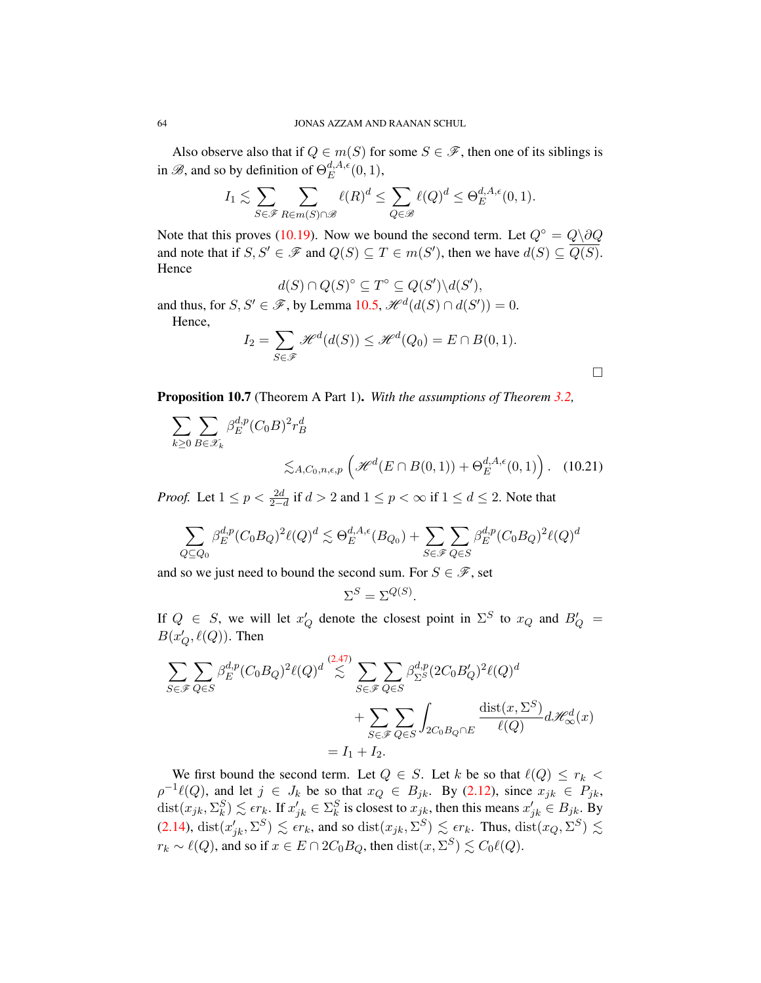Also observe also that if  $Q \in m(S)$  for some  $S \in \mathcal{F}$ , then one of its siblings is in  $\mathscr{B}$ , and so by definition of  $\Theta^{d,A,\epsilon}_E$  $_{E}^{a,A,\epsilon}(0,1),$ 

$$
I_1 \lesssim \sum_{S \in \mathscr{F}} \sum_{R \in m(S) \cap \mathscr{B}} \ell(R)^d \le \sum_{Q \in \mathscr{B}} \ell(Q)^d \le \Theta_E^{d, A, \epsilon}(0, 1).
$$

Note that this proves [\(10.19\)](#page-63-0). Now we bound the second term. Let  $Q^{\circ} = Q \backslash \partial Q$ and note that if  $S, S' \in \mathscr{F}$  and  $Q(S) \subseteq T \in m(S')$ , then we have  $d(S) \subseteq \overline{Q(S)}$ . **Hence** 

$$
d(S) \cap Q(S)^{\circ} \subseteq T^{\circ} \subseteq Q(S') \backslash d(S'),
$$

and thus, for  $S, S' \in \mathcal{F}$ , by Lemma [10.5,](#page-63-1)  $\mathcal{H}^d(d(S) \cap d(S')) = 0$ . Hence,

$$
I_2 = \sum_{S \in \mathscr{F}} \mathscr{H}^d(d(S)) \leq \mathscr{H}^d(Q_0) = E \cap B(0,1).
$$

<span id="page-64-0"></span> $\Box$ 

<span id="page-64-1"></span>Proposition 10.7 (Theorem A Part 1). *With the assumptions of Theorem [3.2,](#page-29-0)*

$$
\sum_{k\geq 0} \sum_{B\in\mathscr{X}_k} \beta_E^{d,p} (C_0 B)^2 r_B^d
$$
\n
$$
\lesssim_{A,C_0,n,\epsilon,p} \left( \mathcal{H}^d(E \cap B(0,1)) + \Theta_E^{d,A,\epsilon}(0,1) \right). \quad (10.21)
$$

*Proof.* Let  $1 \le p < \frac{2d}{2-d}$  if  $d > 2$  and  $1 \le p < \infty$  if  $1 \le d \le 2$ . Note that

$$
\sum_{Q \subseteq Q_0} \beta_E^{d,p} (C_0 B_Q)^2 \ell(Q)^d \lesssim \Theta_E^{d,A,\epsilon}(B_{Q_0}) + \sum_{S \in \mathscr{F}} \sum_{Q \in S} \beta_E^{d,p} (C_0 B_Q)^2 \ell(Q)^d
$$

and so we just need to bound the second sum. For  $S \in \mathcal{F}$ , set

$$
\Sigma^S = \Sigma^{Q(S)}.
$$

If  $Q \in S$ , we will let  $x'_{Q}$  denote the closest point in  $\Sigma^{S}$  to  $x_{Q}$  and  $B'_{Q} =$  $B(x'_Q, \ell(Q))$ . Then

$$
\sum_{S \in \mathcal{F}} \sum_{Q \in S} \beta_E^{d,p} (C_0 B_Q)^2 \ell(Q)^d \stackrel{(2.47)}{\lesssim} \sum_{S \in \mathcal{F}} \sum_{Q \in S} \beta_{\Sigma^S}^{d,p} (2C_0 B_Q')^2 \ell(Q)^d
$$
  
+ 
$$
\sum_{S \in \mathcal{F}} \sum_{Q \in S} \int_{2C_0 B_Q \cap E} \frac{\text{dist}(x, \Sigma^S)}{\ell(Q)} d\mathcal{H}_{\infty}^d(x)
$$
  
=  $I_1 + I_2.$ 

We first bound the second term. Let  $Q \in S$ . Let k be so that  $\ell(Q) \leq r_k$  $\rho^{-1}\ell(Q)$ , and let  $j \in J_k$  be so that  $x_Q \in B_{jk}$ . By [\(2.12\)](#page-15-2), since  $x_{jk} \in P_{jk}$ ,  $dist(x_{jk}, \Sigma_k^S) \lesssim \epsilon r_k$ . If  $x'_{jk} \in \Sigma_k^S$  is closest to  $x_{jk}$ , then this means  $x'_{jk} \in B_{jk}$ . By [\(2.14\)](#page-16-2),  $dist(x'_{jk}, \Sigma^S) \lesssim \epsilon r_k$ , and so  $dist(x_{jk}, \Sigma^S) \lesssim \epsilon r_k$ . Thus,  $dist(x_Q, \Sigma^S) \lesssim$  $r_k \sim \ell(Q)$ , and so if  $x \in E \cap 2C_0B_Q$ , then  $dist(x, \Sigma^S) \lesssim C_0\ell(Q)$ .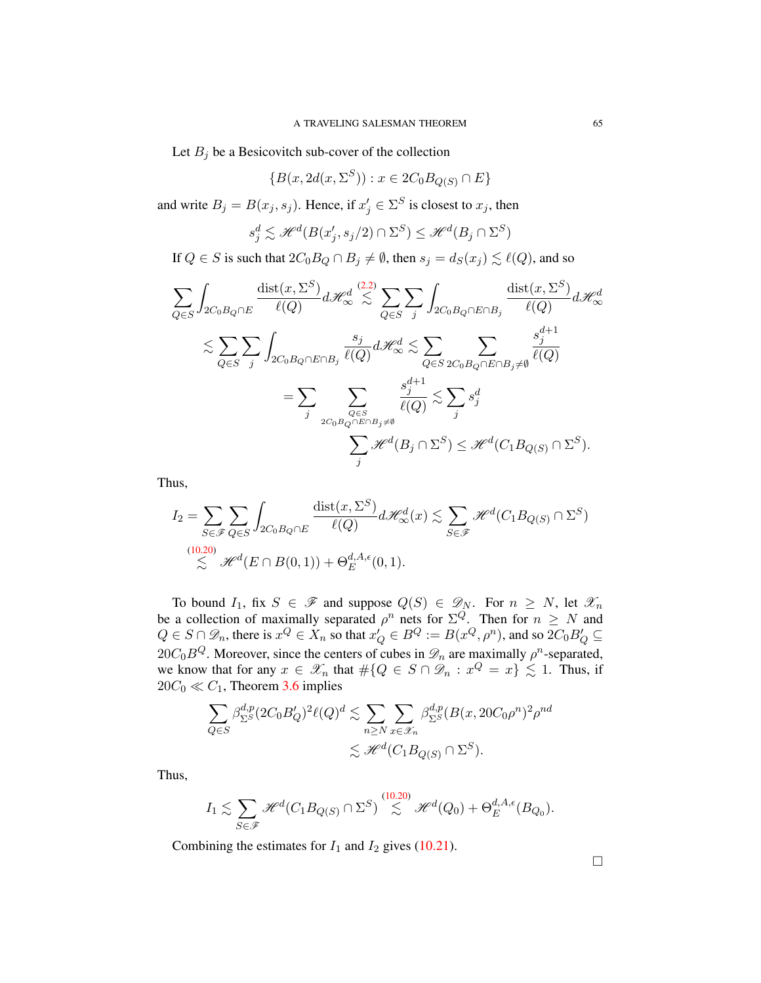Let  $B_j$  be a Besicovitch sub-cover of the collection

$$
\{B(x, 2d(x, \Sigma^S)) : x \in 2C_0B_{Q(S)} \cap E\}
$$

and write  $B_j = B(x_j, s_j)$ . Hence, if  $x'_j \in \Sigma^S$  is closest to  $x_j$ , then

$$
s_j^d \lesssim \mathcal{H}^d(B(x'_j, s_j/2) \cap \Sigma^S) \le \mathcal{H}^d(B_j \cap \Sigma^S)
$$

If  $Q \in S$  is such that  $2C_0B_Q \cap B_j \neq \emptyset$ , then  $s_j = d_S(x_j) \lesssim \ell(Q)$ , and so

$$
\sum_{Q \in S} \int_{2C_0B_Q \cap E} \frac{\text{dist}(x, \Sigma^S)}{\ell(Q)} d\mathcal{H}_{\infty}^d \mathop{\lesssim} \sum_{Q \in S} \sum_j \int_{2C_0B_Q \cap E \cap B_j} \frac{\text{dist}(x, \Sigma^S)}{\ell(Q)} d\mathcal{H}_{\infty}^d
$$

$$
\lesssim \sum_{Q \in S} \sum_j \int_{2C_0B_Q \cap E \cap B_j} \frac{s_j}{\ell(Q)} d\mathcal{H}_{\infty}^d \le \sum_{Q \in S} \sum_{2C_0B_Q \cap E \cap B_j \neq \emptyset} \frac{s_j^{d+1}}{\ell(Q)}
$$

$$
= \sum_j \sum_{\substack{Q \in S \\ 2C_0B_Q \cap E \cap B_j \neq \emptyset}} \frac{s_j^{d+1}}{\ell(Q)} \lesssim \sum_j s_j^d
$$

$$
\sum_j \mathcal{H}^d(B_j \cap \Sigma^S) \le \mathcal{H}^d(C_1B_{Q(S)} \cap \Sigma^S).
$$

Thus,

$$
I_2 = \sum_{S \in \mathscr{F}} \sum_{Q \in S} \int_{2C_0B_Q \cap E} \frac{\text{dist}(x, \Sigma^S)}{\ell(Q)} d\mathscr{H}^d_{\infty}(x) \lesssim \sum_{S \in \mathscr{F}} \mathscr{H}^d(C_1B_{Q(S)} \cap \Sigma^S)
$$
  

$$
\lesssim \mathscr{H}^d(E \cap B(0, 1)) + \Theta_E^{d, A, \epsilon}(0, 1).
$$

To bound  $I_1$ , fix  $S \in \mathcal{F}$  and suppose  $Q(S) \in \mathcal{D}_N$ . For  $n \geq N$ , let  $\mathcal{X}_n$ be a collection of maximally separated  $\rho^n$  nets for  $\Sigma^Q$ . Then for  $n \geq N$  and  $Q \in S \cap \mathscr{D}_n$ , there is  $x^Q \in X_n$  so that  $x'_Q \in B^Q := B(x^Q, \rho^n)$ , and so  $2C_0B'_Q \subseteq$ 20 $C_0B^Q$ . Moreover, since the centers of cubes in  $\mathscr{D}_n$  are maximally  $\rho^n$ -separated, we know that for any  $x \in \mathscr{X}_n$  that  $\#\{Q \in S \cap \mathscr{D}_n : x^Q = x\} \lesssim 1$ . Thus, if  $20C_0 \ll C_1$ , Theorem [3.6](#page-30-1) implies

$$
\sum_{Q \in S} \beta_{\Sigma^S}^{d,p} (2C_0 B'_Q)^2 \ell(Q)^d \lesssim \sum_{n \ge N} \sum_{x \in \mathcal{X}_n} \beta_{\Sigma^S}^{d,p} (B(x, 20C_0 \rho^n)^2 \rho^{nd} \lesssim \mathcal{H}^d(C_1 B_{Q(S)} \cap \Sigma^S).
$$

Thus,

$$
I_1 \lesssim \sum_{S \in \mathscr{F}} \mathscr{H}^d(C_1 B_{Q(S)} \cap \Sigma^S) \stackrel{(10.20)}{\lesssim} \mathscr{H}^d(Q_0) + \Theta^{d, A, \epsilon}_E(B_{Q_0}).
$$

Combining the estimates for  $I_1$  and  $I_2$  gives [\(10.21\)](#page-64-0).

 $\Box$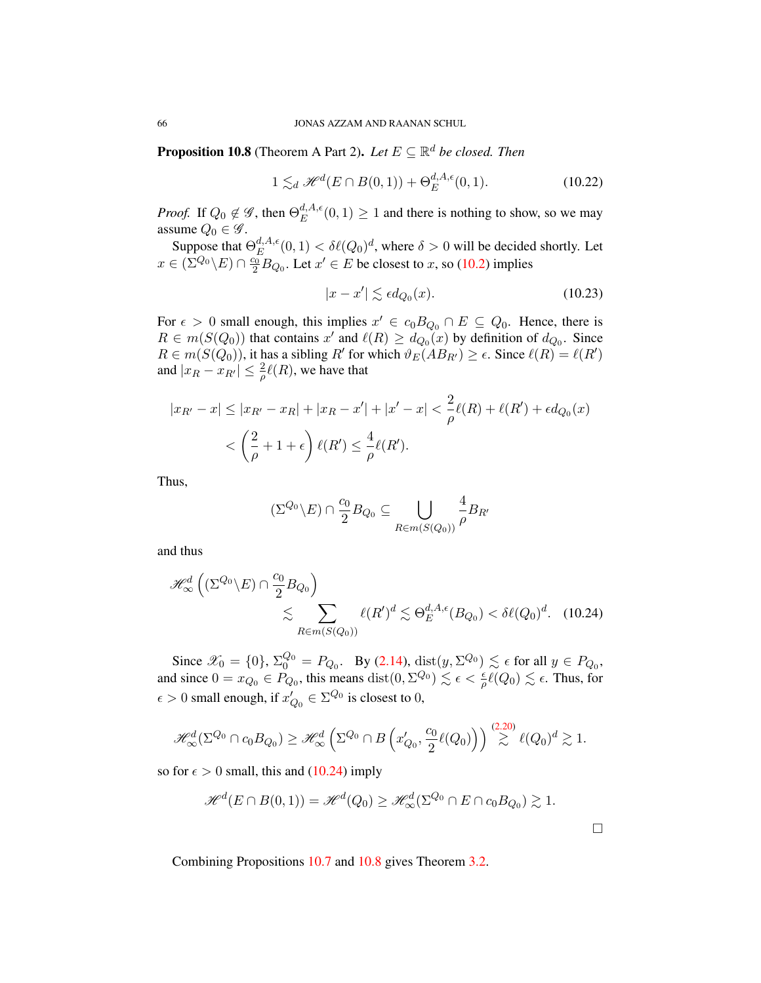<span id="page-66-1"></span>**Proposition 10.8** (Theorem A Part 2). Let  $E \subseteq \mathbb{R}^d$  be closed. Then

$$
1 \lesssim_d \mathcal{H}^d(E \cap B(0,1)) + \Theta_E^{d,A,\epsilon}(0,1). \tag{10.22}
$$

*Proof.* If  $Q_0 \notin \mathscr{G}$ , then  $\Theta^{d, A, \epsilon}_E$  $E^{a,A,\epsilon}(0,1) \geq 1$  and there is nothing to show, so we may assume  $Q_0 \in \mathscr{G}$ .

Suppose that  $\Theta^{d,A,\epsilon}_{E}$  $E^{d,A,\epsilon}(0,1) < \delta\ell(Q_0)^d$ , where  $\delta > 0$  will be decided shortly. Let  $x \in (\Sigma^{Q_0} \backslash E) \cap \frac{c_0}{2} B_{Q_0}.$  Let  $x' \in E$  be closest to x, so [\(10.2\)](#page-59-0) implies

$$
|x - x'| \lesssim \epsilon d_{Q_0}(x). \tag{10.23}
$$

For  $\epsilon > 0$  small enough, this implies  $x' \in c_0 B_{Q_0} \cap E \subseteq Q_0$ . Hence, there is  $R \in m(S(Q_0))$  that contains x' and  $\ell(R) \geq d_{Q_0}(x)$  by definition of  $d_{Q_0}$ . Since  $R \in m(S(Q_0))$ , it has a sibling R' for which  $\vartheta_E(AB_{R'}) \ge \epsilon$ . Since  $\ell(R) = \ell(R')$ and  $|x_R - x_{R'}| \leq \frac{2}{\rho} \ell(R)$ , we have that

$$
|x_{R'} - x| \le |x_{R'} - x_R| + |x_R - x'| + |x' - x| < \frac{2}{\rho} \ell(R) + \ell(R') + \epsilon d_{Q_0}(x)
$$
\n
$$
< \left(\frac{2}{\rho} + 1 + \epsilon\right) \ell(R') \le \frac{4}{\rho} \ell(R').
$$

Thus,

$$
(\Sigma^{Q_0} \backslash E) \cap \frac{c_0}{2} B_{Q_0} \subseteq \bigcup_{R \in m(S(Q_0))} \frac{4}{\rho} B_{R'}
$$

and thus

$$
\mathcal{H}_{\infty}^{d}\left((\Sigma^{Q_0}\backslash E)\cap\frac{c_0}{2}B_{Q_0}\right)
$$
  
\$\lesssim \sum\_{R\in m(S(Q\_0))}\ell(R')^d \lesssim \Theta\_E^{d,A,\epsilon}(B\_{Q\_0}) < \delta\ell(Q\_0)^d. \quad (10.24)\$

Since  $\mathscr{X}_0 = \{0\}$ ,  $\Sigma_0^{Q_0} = P_{Q_0}$ . By [\(2.14\)](#page-16-2),  $\text{dist}(y, \Sigma^{Q_0}) \lesssim \epsilon$  for all  $y \in P_{Q_0}$ , and since  $0 = x_{Q_0} \in P_{Q_0}$ , this means  $dist(0, \Sigma^{Q_0}) \lesssim \epsilon < \frac{\epsilon}{\rho} \ell(Q_0) \lesssim \epsilon$ . Thus, for  $\epsilon > 0$  small enough, if  $x'_{Q_0} \in \Sigma^{Q_0}$  is closest to 0,

$$
\mathscr{H}^d_{\infty}(\Sigma^{Q_0} \cap c_0 B_{Q_0}) \geq \mathscr{H}^d_{\infty}(\Sigma^{Q_0} \cap B\left(x'_{Q_0}, \frac{c_0}{2}\ell(Q_0)\right)) \stackrel{(2.20)}{\gtrsim} \ell(Q_0)^d \gtrsim 1.
$$

so for  $\epsilon > 0$  small, this and [\(10.24\)](#page-66-0) imply

$$
\mathscr{H}^d(E \cap B(0,1)) = \mathscr{H}^d(Q_0) \ge \mathscr{H}^d_{\infty}(\Sigma^{Q_0} \cap E \cap c_0 B_{Q_0}) \gtrsim 1.
$$

Combining Propositions [10.7](#page-64-1) and [10.8](#page-66-1) gives Theorem [3.2.](#page-29-0)

<span id="page-66-0"></span>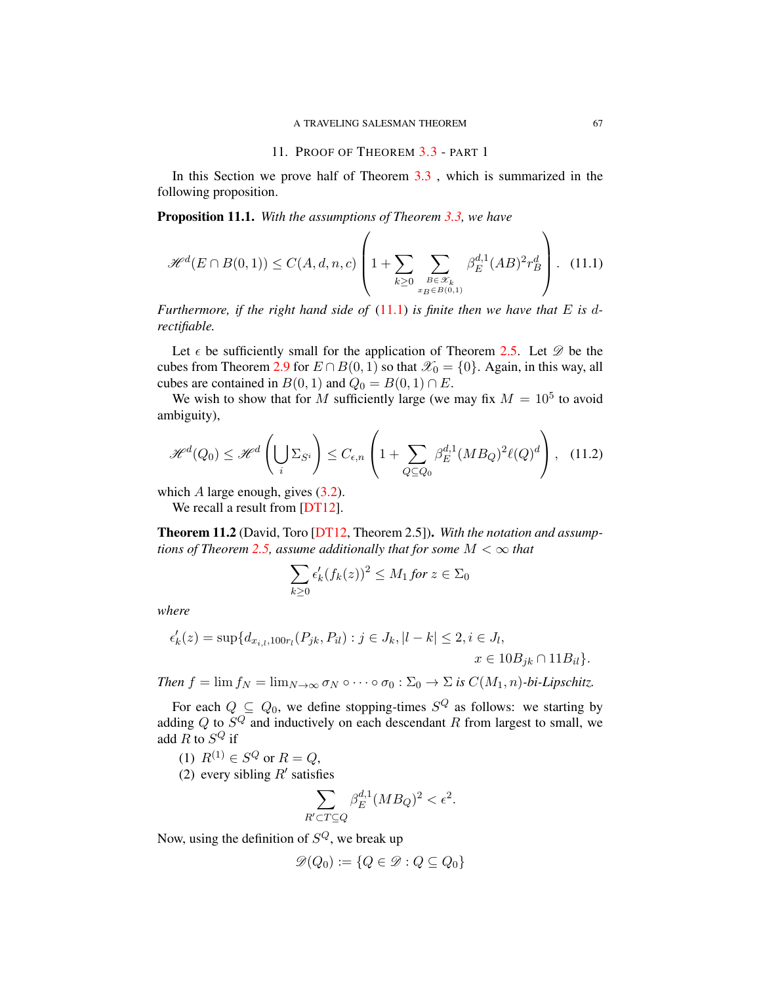### 11. PROOF OF THEOREM [3.3](#page-29-1) - PART 1

<span id="page-67-4"></span>In this Section we prove half of Theorem  $3.3$ , which is summarized in the following proposition.

<span id="page-67-3"></span>Proposition 11.1. *With the assumptions of Theorem [3.3,](#page-29-1) we have*

<span id="page-67-0"></span>
$$
\mathcal{H}^{d}(E \cap B(0,1)) \le C(A,d,n,c) \left(1 + \sum_{k \ge 0} \sum_{\substack{B \in \mathcal{K}_{k} \\ x_B \in B(0,1)}} \beta_E^{d,1}(AB)^2 r_B^d \right). \tag{11.1}
$$

*Furthermore, if the right hand side of* [\(11.1\)](#page-67-0) *is finite then we have that* E *is* d*rectifiable.*

Let  $\epsilon$  be sufficiently small for the application of Theorem [2.5.](#page-16-0) Let  $\mathscr D$  be the cubes from Theorem [2.9](#page-18-0) for  $E \cap B(0, 1)$  so that  $\mathcal{X}_0 = \{0\}$ . Again, in this way, all cubes are contained in  $B(0, 1)$  and  $Q_0 = B(0, 1) \cap E$ .

We wish to show that for M sufficiently large (we may fix  $M = 10^5$  to avoid ambiguity),

<span id="page-67-2"></span>
$$
\mathcal{H}^{d}(Q_{0}) \leq \mathcal{H}^{d}\left(\bigcup_{i} \Sigma_{S^{i}}\right) \leq C_{\epsilon,n} \left(1 + \sum_{Q \subseteq Q_{0}} \beta_{E}^{d,1} (MB_{Q})^{2} \ell(Q)^{d}\right), \quad (11.2)
$$

which  $A$  large enough, gives  $(3.2)$ .

We recall a result from [\[DT12\]](#page-78-2).

<span id="page-67-1"></span>Theorem 11.2 (David, Toro [\[DT12,](#page-78-2) Theorem 2.5]). *With the notation and assump-tions of Theorem [2.5,](#page-16-0) assume additionally that for some*  $M < \infty$  *that* 

$$
\sum_{k\geq 0} \epsilon'_k (f_k(z))^2 \leq M_1 \text{ for } z \in \Sigma_0
$$

*where*

$$
\epsilon'_k(z) = \sup \{ d_{x_{i,l},100r_l}(P_{jk}, P_{il}) : j \in J_k, |l - k| \le 2, i \in J_l, x \in 10B_{jk} \cap 11B_{il} \}.
$$

*Then*  $f = \lim f_N = \lim_{N \to \infty} \sigma_N \circ \cdots \circ \sigma_0 : \Sigma_0 \to \Sigma$  *is*  $C(M_1, n)$ *-bi-Lipschitz.* 

For each  $Q \subseteq Q_0$ , we define stopping-times  $S^Q$  as follows: we starting by adding Q to  $S^Q$  and inductively on each descendant R from largest to small, we add R to  $S^Q$  if

- (1)  $R^{(1)} \in S^Q$  or  $R = Q$ ,
- (2) every sibling  $R'$  satisfies

$$
\sum_{R' \subset T \subseteq Q} \beta_E^{d,1} (MB_Q)^2 < \epsilon^2.
$$

Now, using the definition of  $S^Q$ , we break up

$$
\mathscr{D}(Q_0) := \{ Q \in \mathscr{D} : Q \subseteq Q_0 \}
$$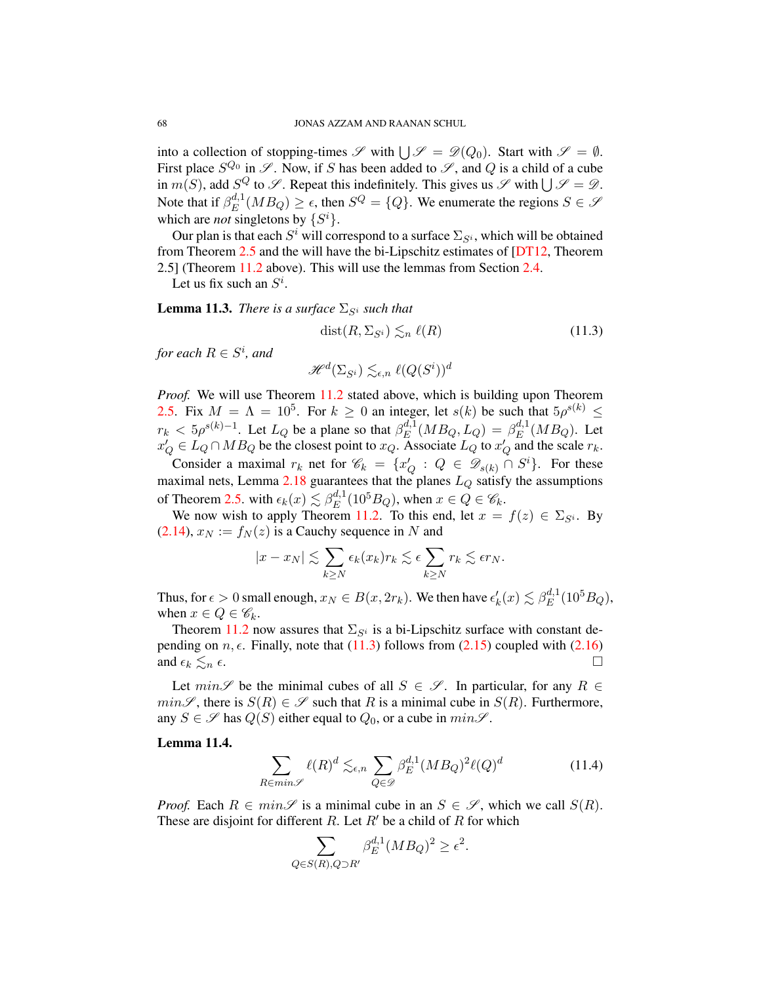into a collection of stopping-times  $\mathscr S$  with  $\bigcup \mathscr S = \mathscr D(Q_0)$ . Start with  $\mathscr S = \emptyset$ . First place  $S^{Q_0}$  in  $\mathscr{S}$ . Now, if S has been added to  $\mathscr{S}$ , and Q is a child of a cube in  $m(S)$ , add  $S^Q$  to  $\mathscr S$ . Repeat this indefinitely. This gives us  $\mathscr S$  with  $\bigcup \mathscr S = \mathscr D$ . Note that if  $\beta_E^{d,1}$  $E^{d,1}(MB_Q) \geq \epsilon$ , then  $S^Q = \{Q\}$ . We enumerate the regions  $S \in \mathcal{S}$ which are *not* singletons by  $\{S^i\}$ .

Our plan is that each  $S^i$  will correspond to a surface  $\Sigma_{S^i}$ , which will be obtained from Theorem [2.5](#page-16-0) and the will have the bi-Lipschitz estimates of [\[DT12,](#page-78-2) Theorem 2.5] (Theorem [11.2](#page-67-1) above). This will use the lemmas from Section [2.4.](#page-19-2)

Let us fix such an  $S^i$ .

**Lemma 11.3.** *There is a surface*  $\Sigma_{S_i}$  *such that* 

<span id="page-68-0"></span>
$$
dist(R, \Sigma_{S^i}) \lesssim_n \ell(R) \tag{11.3}
$$

for each  $R \in S^i$ , and

 $\mathscr{H}^{d}(\Sigma_{S^{i}})\lesssim_{\epsilon,n} \ell(Q(S^{i}))^{d}$ 

*Proof.* We will use Theorem [11.2](#page-67-1) stated above, which is building upon Theorem [2.5.](#page-16-0) Fix  $M = \Lambda = 10^5$ . For  $k \ge 0$  an integer, let  $s(k)$  be such that  $5\rho^{s(k)} \le$  $r_k < 5\rho^{s(k)-1}$ . Let  $L_Q$  be a plane so that  $\beta_E^{d,1}$  $_{E}^{d,1}(MB_Q,L_Q)=\beta_E^{d,1}$  $_{E}^{a,1}(MB_Q)$ . Let  $x'_Q \in L_Q \cap MB_Q$  be the closest point to  $x_Q$ . Associate  $L_Q$  to  $x'_Q$  and the scale  $r_k$ .

Consider a maximal  $r_k$  net for  $\mathscr{C}_k = \{x_Q : Q \in \mathscr{D}_{s(k)} \cap S^i\}$ . For these maximal nets, Lemma [2.18](#page-23-0) guarantees that the planes  $L_Q$  satisfy the assumptions of Theorem [2.5.](#page-16-0) with  $\epsilon_k(x) \lesssim \beta_E^{d,1}$  $_{E}^{d,1}(10^{5}B_{Q})$ , when  $x \in Q \in \mathscr{C}_{k}$ .

We now wish to apply Theorem [11.2.](#page-67-1) To this end, let  $x = f(z) \in \Sigma_{S^i}$ . By  $(2.14), x_N := f_N(z)$  $(2.14), x_N := f_N(z)$  is a Cauchy sequence in N and

$$
|x - x_N| \lesssim \sum_{k \ge N} \epsilon_k(x_k) r_k \lesssim \epsilon \sum_{k \ge N} r_k \lesssim \epsilon r_N.
$$

Thus, for  $\epsilon > 0$  small enough,  $x_N \in B(x, 2r_k)$ . We then have  $\epsilon'_k(x) \lesssim \beta_E^{d,1}$  $_{E}^{d,1}(10^{5}B_{Q}),$ when  $x \in Q \in \mathscr{C}_k$ .

Theorem [11.2](#page-67-1) now assures that  $\Sigma_{S_i}$  is a bi-Lipschitz surface with constant depending on  $n, \epsilon$ . Finally, note that [\(11.3\)](#page-68-0) follows from [\(2.15\)](#page-16-1) coupled with [\(2.16\)](#page-16-5) and  $\epsilon_k \lesssim_n \epsilon$ .

Let  $min\mathscr{S}$  be the minimal cubes of all  $S \in \mathscr{S}$ . In particular, for any  $R \in$  $min\mathscr{S}$ , there is  $S(R) \in \mathscr{S}$  such that R is a minimal cube in  $S(R)$ . Furthermore, any  $S \in \mathscr{S}$  has  $Q(S)$  either equal to  $Q_0$ , or a cube in  $min\mathscr{S}$ .

# <span id="page-68-1"></span>Lemma 11.4.

$$
\sum_{R \in min\mathscr{S}} \ell(R)^d \lesssim_{\epsilon,n} \sum_{Q \in \mathscr{D}} \beta_E^{d,1} (MB_Q)^2 \ell(Q)^d \tag{11.4}
$$

*Proof.* Each  $R \in min\mathscr{S}$  is a minimal cube in an  $S \in \mathscr{S}$ , which we call  $S(R)$ . These are disjoint for different R. Let  $R'$  be a child of R for which

$$
\sum_{Q \in S(R), Q \supset R'} \beta_E^{d,1} (MB_Q)^2 \ge \epsilon^2.
$$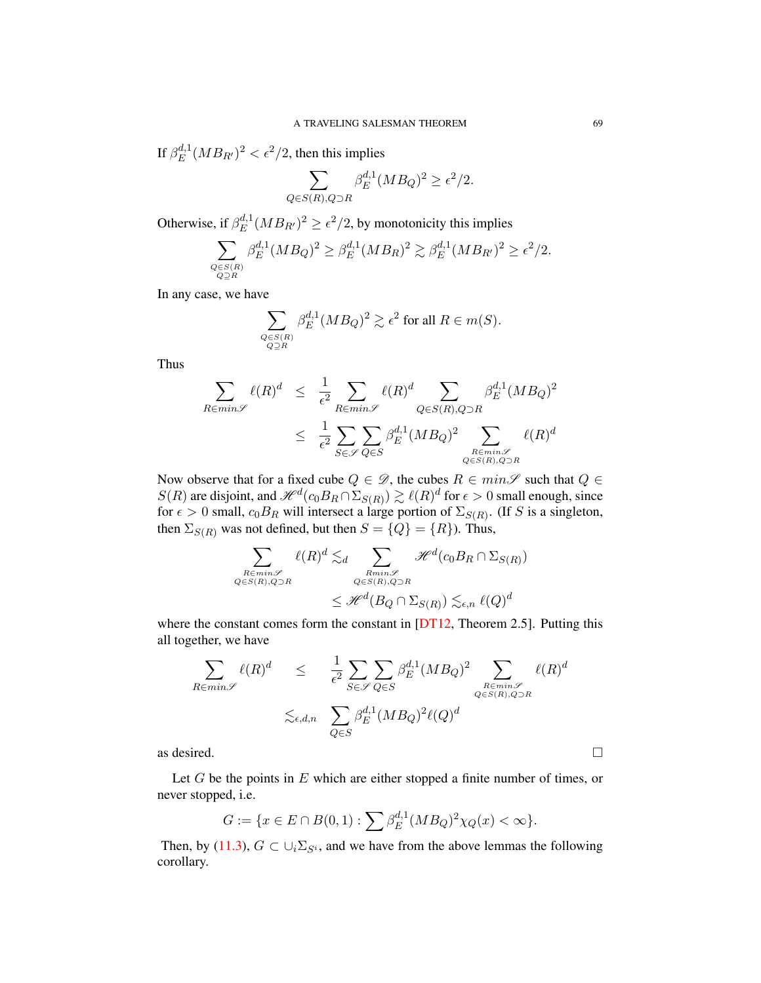If  $\beta_E^{d,1}$  $\int_E^{d,1} (MB_{R'})^2 < \epsilon^2/2$ , then this implies

$$
\sum_{Q \in S(R), Q \supset R} \beta_E^{d,1} (MB_Q)^2 \ge \epsilon^2/2.
$$

Otherwise, if  $\beta_E^{d,1}$  $\epsilon^{d,1} (MB_{R'})^2 \geq \epsilon^2/2$ , by monotonicity this implies

$$
\sum_{\substack{Q \in S(R) \\ Q \supseteq R}} \beta_E^{d,1} (MB_Q)^2 \geq \beta_E^{d,1} (MB_R)^2 \gtrsim \beta_E^{d,1} (MB_{R'})^2 \geq \epsilon^2/2.
$$

In any case, we have

$$
\sum_{\substack{Q \in S(R) \\ Q \supseteq R}} \beta_E^{d,1} (M B_Q)^2 \gtrsim \epsilon^2 \text{ for all } R \in m(S).
$$

Thus

$$
\sum_{R \in min\mathscr{S}} \ell(R)^d \leq \frac{1}{\epsilon^2} \sum_{R \in min\mathscr{S}} \ell(R)^d \sum_{Q \in S(R), Q \supset R} \beta_E^{d,1} (MB_Q)^2
$$

$$
\leq \frac{1}{\epsilon^2} \sum_{S \in \mathscr{S}} \sum_{Q \in S} \beta_E^{d,1} (MB_Q)^2 \sum_{\substack{R \in min\mathscr{S} \\ Q \in S(R), Q \supset R}} \ell(R)^d
$$

Now observe that for a fixed cube  $Q \in \mathcal{D}$ , the cubes  $R \in min\mathcal{S}$  such that  $Q \in$  $S(R)$  are disjoint, and  $\mathscr{H}^d(c_0B_R \cap \Sigma_{S(R)}) \gtrsim \ell(R)^d$  for  $\epsilon > 0$  small enough, since for  $\epsilon > 0$  small,  $c_0B_R$  will intersect a large portion of  $\Sigma_{S(R)}$ . (If S is a singleton, then  $\Sigma_{S(R)}$  was not defined, but then  $S = \{Q\} = \{R\}$ ). Thus,

$$
\sum_{\substack{R \in min\mathcal{S} \\ Q \in S(R), Q \supset R}} \ell(R)^d \lesssim_d \sum_{\substack{Rmin\mathcal{S} \\ Q \in S(R), Q \supset R}} \mathcal{H}^d(c_0 B_R \cap \Sigma_{S(R)})
$$
  

$$
\leq \mathcal{H}^d(B_Q \cap \Sigma_{S(R)}) \lesssim_{\epsilon,n} \ell(Q)^d
$$

where the constant comes form the constant in [\[DT12,](#page-78-2) Theorem 2.5]. Putting this all together, we have

$$
\sum_{R \in min\mathscr{S}} \ell(R)^d \leq \frac{1}{\epsilon^2} \sum_{S \in \mathscr{S}} \sum_{Q \in S} \beta_E^{d,1} (MB_Q)^2 \sum_{\substack{R \in min\mathscr{S} \\ Q \in S(R), Q \supset R}} \ell(R)^d
$$
\n
$$
\lesssim_{\epsilon,d,n} \sum_{Q \in S} \beta_E^{d,1} (MB_Q)^2 \ell(Q)^d
$$
\nas desired.

Let  $G$  be the points in  $E$  which are either stopped a finite number of times, or never stopped, i.e.

$$
G := \{ x \in E \cap B(0,1) : \sum \beta_E^{d,1} (MB_Q)^2 \chi_Q(x) < \infty \}.
$$

Then, by [\(11.3\)](#page-68-0),  $G \subset \bigcup_i \Sigma_{S^i}$ , and we have from the above lemmas the following corollary.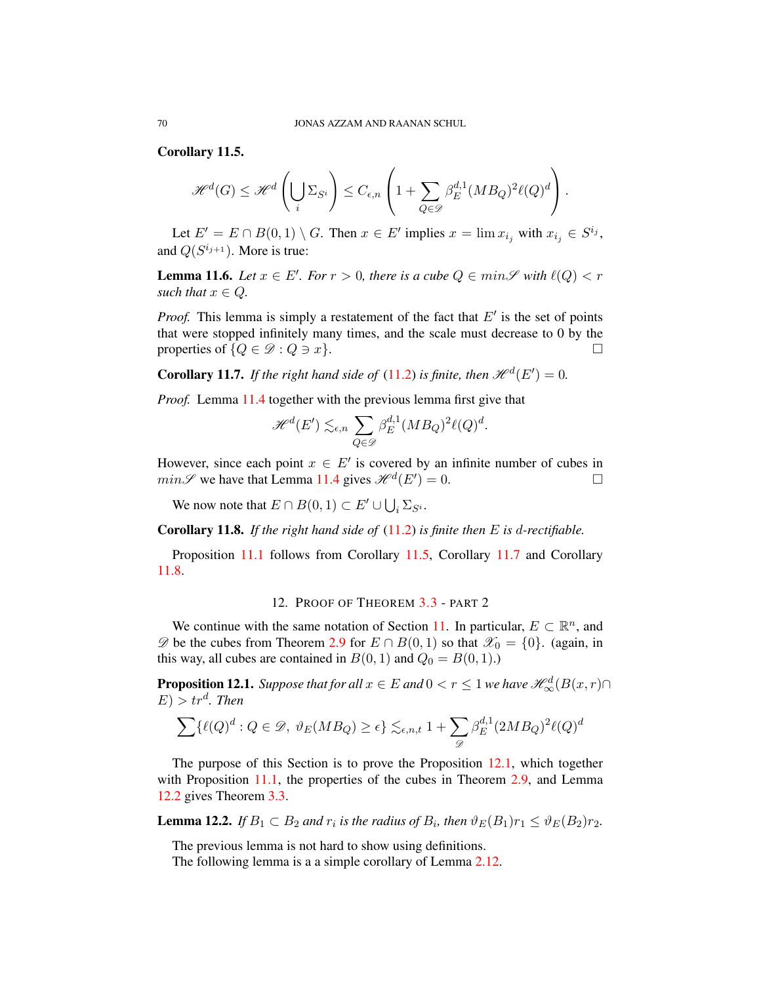<span id="page-70-0"></span>Corollary 11.5.

$$
\mathscr{H}^d(G) \leq \mathscr{H}^d\left(\bigcup_i \Sigma_{S^i}\right) \leq C_{\epsilon,n}\left(1 + \sum_{Q \in \mathscr{D}} \beta_E^{d,1}(MB_Q)^2 \ell(Q)^d\right).
$$

Let  $E' = E \cap B(0,1) \setminus G$ . Then  $x \in E'$  implies  $x = \lim x_{i_j}$  with  $x_{i_j} \in S^{i_j}$ , and  $Q(S^{i_{j+1}})$ . More is true:

**Lemma 11.6.** *Let*  $x \in E'$ *. For*  $r > 0$ *, there is a cube*  $Q \in min\mathscr{S}$  *with*  $\ell(Q) < r$ *such that*  $x \in Q$ *.* 

*Proof.* This lemma is simply a restatement of the fact that  $E'$  is the set of points that were stopped infinitely many times, and the scale must decrease to 0 by the properties of  $\{Q \in \mathcal{D} : Q \ni x\}.$ 

<span id="page-70-1"></span>**Corollary 11.7.** If the right hand side of [\(11.2\)](#page-67-2) is finite, then  $\mathcal{H}^d(E') = 0$ .

*Proof.* Lemma [11.4](#page-68-1) together with the previous lemma first give that

$$
\mathcal{H}^{d}(E') \lesssim_{\epsilon,n} \sum_{Q \in \mathcal{D}} \beta_E^{d,1} (MB_Q)^2 \ell(Q)^d.
$$

However, since each point  $x \in E'$  is covered by an infinite number of cubes in  $min\mathscr{S}$  we have that Lemma [11.4](#page-68-1) gives  $\mathscr{H}^d(E') = 0$ .

We now note that  $E \cap B(0,1) \subset E' \cup \bigcup_i \Sigma_{S^i}$ .

<span id="page-70-2"></span>Corollary 11.8. *If the right hand side of* [\(11.2\)](#page-67-2) *is finite then* E *is* d*-rectifiable.*

Proposition [11.1](#page-67-3) follows from Corollary [11.5,](#page-70-0) Corollary [11.7](#page-70-1) and Corollary [11.8.](#page-70-2)

# 12. PROOF OF THEOREM [3.3](#page-29-1) - PART 2

We continue with the same notation of Section [11.](#page-67-4) In particular,  $E \subset \mathbb{R}^n$ , and  $\mathscr{D}$  be the cubes from Theorem [2.9](#page-18-0) for  $E \cap B(0,1)$  so that  $\mathscr{X}_0 = \{0\}$ . (again, in this way, all cubes are contained in  $B(0, 1)$  and  $Q_0 = B(0, 1)$ .)

<span id="page-70-3"></span>**Proposition 12.1.** *Suppose that for all*  $x \in E$  *and*  $0 < r \leq 1$  *we have*  $\mathscr{H}^{d}_{\infty}(B(x,r) \cap$  $(E) > tr<sup>d</sup>$ *. Then* 

$$
\sum \{ \ell(Q)^d : Q \in \mathcal{D}, \ \vartheta_E(MB_Q) \ge \epsilon \} \lesssim_{\epsilon,n,t} 1 + \sum_{\mathcal{D}} \beta_E^{d,1} (2MB_Q)^2 \ell(Q)^d
$$

The purpose of this Section is to prove the Proposition [12.1,](#page-70-3) which together with Proposition [11.1,](#page-67-3) the properties of the cubes in Theorem [2.9,](#page-18-0) and Lemma [12.2](#page-70-4) gives Theorem [3.3.](#page-29-1)

<span id="page-70-4"></span>**Lemma 12.2.** *If*  $B_1 \subset B_2$  *and*  $r_i$  *is the radius of*  $B_i$ *, then*  $\vartheta_E(B_1)r_1 \leq \vartheta_E(B_2)r_2$ *.* 

The previous lemma is not hard to show using definitions.

The following lemma is a a simple corollary of Lemma [2.12.](#page-20-0)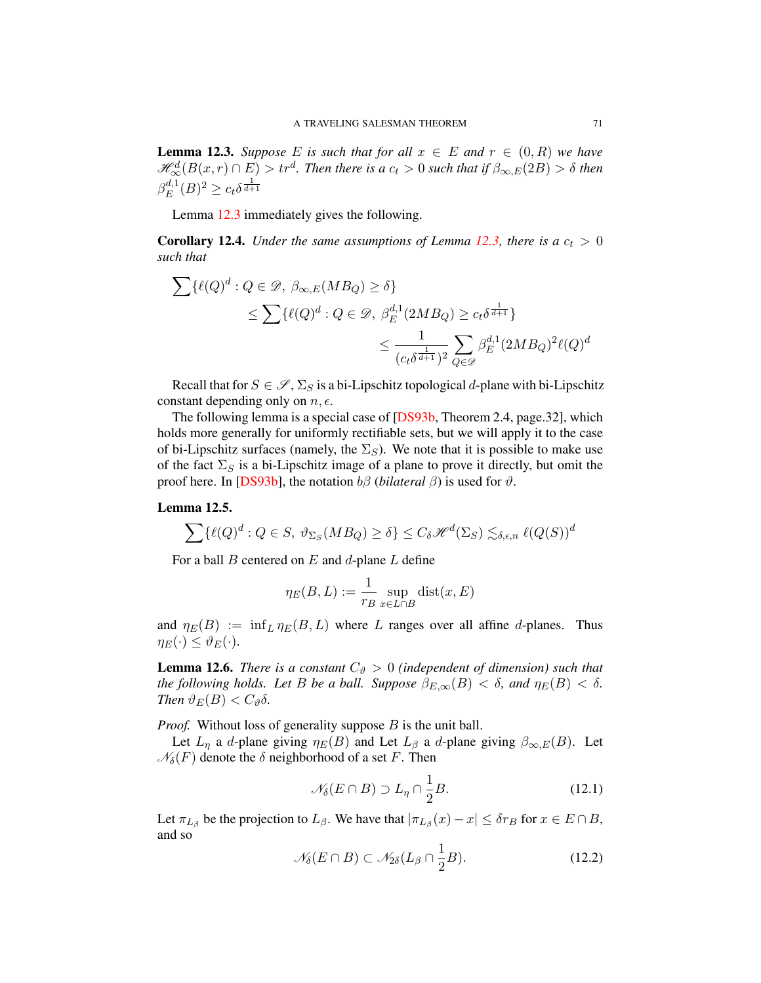<span id="page-71-0"></span>**Lemma 12.3.** *Suppose* E is such that for all  $x \in E$  and  $r \in (0, R)$  we have  $\mathscr{H}^d_\infty(B(x,r)\cap E)>tr^d.$  Then there is a  $c_t>0$  such that if  $\beta_{\infty,E}(2B)>\delta$  then  $\beta_E^{d,1}$  $E^{d,1}(B)^2 \geq c_t \delta^{\frac{1}{d+1}}$ 

Lemma [12.3](#page-71-0) immediately gives the following.

**Corollary 12.4.** *Under the same assumptions of Lemma [12.3,](#page-71-0) there is a*  $c_t > 0$ *such that*

$$
\sum {\{\ell(Q)^d : Q \in \mathcal{D}, \beta_{\infty,E}(MB_Q) \ge \delta} \}
$$
  
\$\leq \sum {\{\ell(Q)^d : Q \in \mathcal{D}, \beta\_E^{d,1}(2MB\_Q) \ge c\_t \delta^{\frac{1}{d+1}}\}\$  
\$\leq \frac{1}{(c\_t \delta^{\frac{1}{d+1}})^2} \sum\_{Q \in \mathcal{D}} \beta\_E^{d,1}(2MB\_Q)^2 \ell(Q)^d\$

Recall that for  $S \in \mathscr{S}$ ,  $\Sigma_S$  is a bi-Lipschitz topological d-plane with bi-Lipschitz constant depending only on  $n, \epsilon$ .

The following lemma is a special case of [\[DS93b,](#page-78-3) Theorem 2.4, page.32], which holds more generally for uniformly rectifiable sets, but we will apply it to the case of bi-Lipschitz surfaces (namely, the  $\Sigma_S$ ). We note that it is possible to make use of the fact  $\Sigma_S$  is a bi-Lipschitz image of a plane to prove it directly, but omit the proof here. In [\[DS93b\]](#page-78-3), the notation  $b\beta$  (*bilateral*  $\beta$ ) is used for  $\vartheta$ .

## Lemma 12.5.

$$
\sum \{ \ell(Q)^d : Q \in S, \ \vartheta_{\Sigma_S}(MB_Q) \ge \delta \} \le C_\delta \mathcal{H}^d(\Sigma_S) \lesssim_{\delta,\epsilon,n} \ell(Q(S))^d
$$

For a ball  $B$  centered on  $E$  and  $d$ -plane  $L$  define

$$
\eta_E(B, L) := \frac{1}{r_B} \sup_{x \in L \cap B} \text{dist}(x, E)
$$

and  $\eta_E(B) := \inf_L \eta_E(B, L)$  where L ranges over all affine d-planes. Thus  $\eta_E(\cdot) \leq \vartheta_E(\cdot).$ 

**Lemma 12.6.** *There is a constant*  $C_{\vartheta} > 0$  *(independent of dimension) such that the following holds. Let* B *be a ball. Suppose*  $\beta_{E,\infty}(B) < \delta$ , and  $\eta_E(B) < \delta$ . *Then*  $\vartheta_E(B) < C_{\vartheta} \delta$ *.* 

*Proof.* Without loss of generality suppose B is the unit ball.

Let  $L_{\eta}$  a d-plane giving  $\eta_E(B)$  and Let  $L_{\beta}$  a d-plane giving  $\beta_{\infty,E}(B)$ . Let  $\mathcal{N}_{\delta}(F)$  denote the  $\delta$  neighborhood of a set F. Then

$$
\mathcal{N}_{\delta}(E \cap B) \supset L_{\eta} \cap \frac{1}{2}B. \tag{12.1}
$$

Let  $\pi_{L_{\beta}}$  be the projection to  $L_{\beta}$ . We have that  $|\pi_{L_{\beta}}(x) - x| \leq \delta r_B$  for  $x \in E \cap B$ , and so

$$
\mathcal{N}_{\delta}(E \cap B) \subset \mathcal{N}_{2\delta}(L_{\beta} \cap \frac{1}{2}B). \tag{12.2}
$$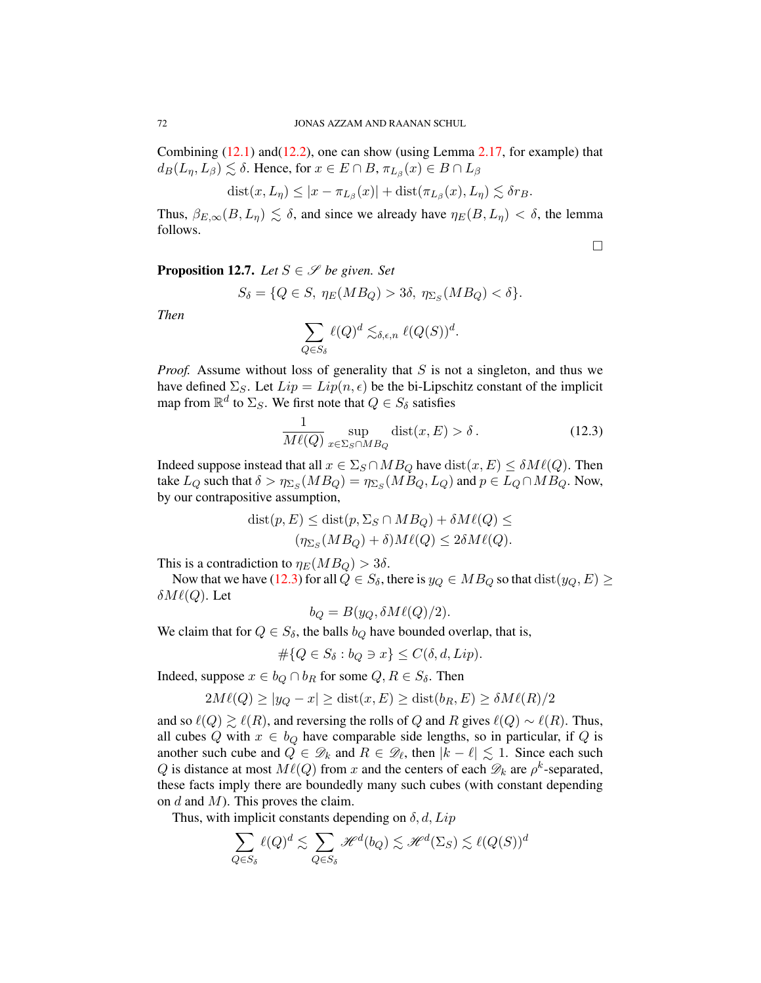Combining  $(12.1)$  and  $(12.2)$ , one can show (using Lemma [2.17,](#page-23-0) for example) that  $d_B(L_\eta, L_\beta) \lesssim \delta$ . Hence, for  $x \in E \cap B$ ,  $\pi_{L_\beta}(x) \in B \cap L_\beta$ 

$$
dist(x, L_{\eta}) \leq |x - \pi_{L_{\beta}}(x)| + dist(\pi_{L_{\beta}}(x), L_{\eta}) \lesssim \delta r_B.
$$

Thus,  $\beta_{E,\infty}(B, L_n) \leq \delta$ , and since we already have  $\eta_E(B, L_n) < \delta$ , the lemma follows.

 $\Box$ 

<span id="page-72-1"></span>**Proposition 12.7.** *Let*  $S \in \mathcal{S}$  *be given. Set* 

$$
S_{\delta} = \{ Q \in S, \eta_E(MB_Q) > 3\delta, \eta_{\Sigma_S}(MB_Q) < \delta \}.
$$

*Then*

$$
\sum_{Q \in S_{\delta}} \ell(Q)^d \lesssim_{\delta, \epsilon, n} \ell(Q(S))^d.
$$

*Proof.* Assume without loss of generality that S is not a singleton, and thus we have defined  $\Sigma$ <sub>S</sub>. Let  $Lip = Lip(n, \epsilon)$  be the bi-Lipschitz constant of the implicit map from  $\mathbb{R}^d$  to  $\Sigma_S$ . We first note that  $Q \in S_\delta$  satisfies

<span id="page-72-0"></span>
$$
\frac{1}{M\ell(Q)} \sup_{x \in \Sigma_S \cap MB_Q} \text{dist}(x, E) > \delta. \tag{12.3}
$$

Indeed suppose instead that all  $x \in \Sigma_S \cap MB_Q$  have  $dist(x, E) \leq \delta M \ell(Q)$ . Then take  $L_Q$  such that  $\delta > \eta_{\Sigma_S}(MB_Q) = \eta_{\Sigma_S}(MB_Q, L_Q)$  and  $p \in L_Q \cap MB_Q$ . Now, by our contrapositive assumption,

$$
dist(p, E) \leq dist(p, \Sigma_S \cap MB_Q) + \delta M\ell(Q) \leq
$$
  

$$
(\eta_{\Sigma_S}(MB_Q) + \delta)M\ell(Q) \leq 2\delta M\ell(Q).
$$

This is a contradiction to  $\eta_E(MB_Q) > 3\delta$ .

Now that we have [\(12.3\)](#page-72-0) for all  $Q \in S_{\delta}$ , there is  $y_Q \in MB_Q$  so that  $dist(y_Q, E) \ge$  $\delta M \ell(Q)$ . Let

$$
b_Q = B(y_Q, \delta M\ell(Q)/2).
$$

We claim that for  $Q \in S_\delta$ , the balls  $b_Q$  have bounded overlap, that is,

$$
\#\{Q \in S_{\delta} : b_Q \ni x\} \le C(\delta, d, Lip).
$$

Indeed, suppose  $x \in b_Q \cap b_R$  for some  $Q, R \in S_\delta$ . Then

$$
2M\ell(Q) \ge |y_Q - x| \ge \text{dist}(x, E) \ge \text{dist}(b_R, E) \ge \delta M\ell(R)/2
$$

and so  $\ell(Q) \gtrsim \ell(R)$ , and reversing the rolls of Q and R gives  $\ell(Q) \sim \ell(R)$ . Thus, all cubes Q with  $x \in b_Q$  have comparable side lengths, so in particular, if Q is another such cube and  $\tilde{Q} \in \mathscr{D}_k$  and  $R \in \mathscr{D}_\ell$ , then  $|k - \ell| \lesssim 1$ . Since each such Q is distance at most  $M\ell(Q)$  from x and the centers of each  $\mathscr{D}_k$  are  $\rho^k$ -separated, these facts imply there are boundedly many such cubes (with constant depending on  $d$  and  $M$ ). This proves the claim.

Thus, with implicit constants depending on  $\delta$ ,  $d$ ,  $Lip$ 

$$
\sum_{Q \in S_{\delta}} \ell(Q)^d \lesssim \sum_{Q \in S_{\delta}} \mathcal{H}^d(b_Q) \lesssim \mathcal{H}^d(\Sigma_S) \lesssim \ell(Q(S))^d
$$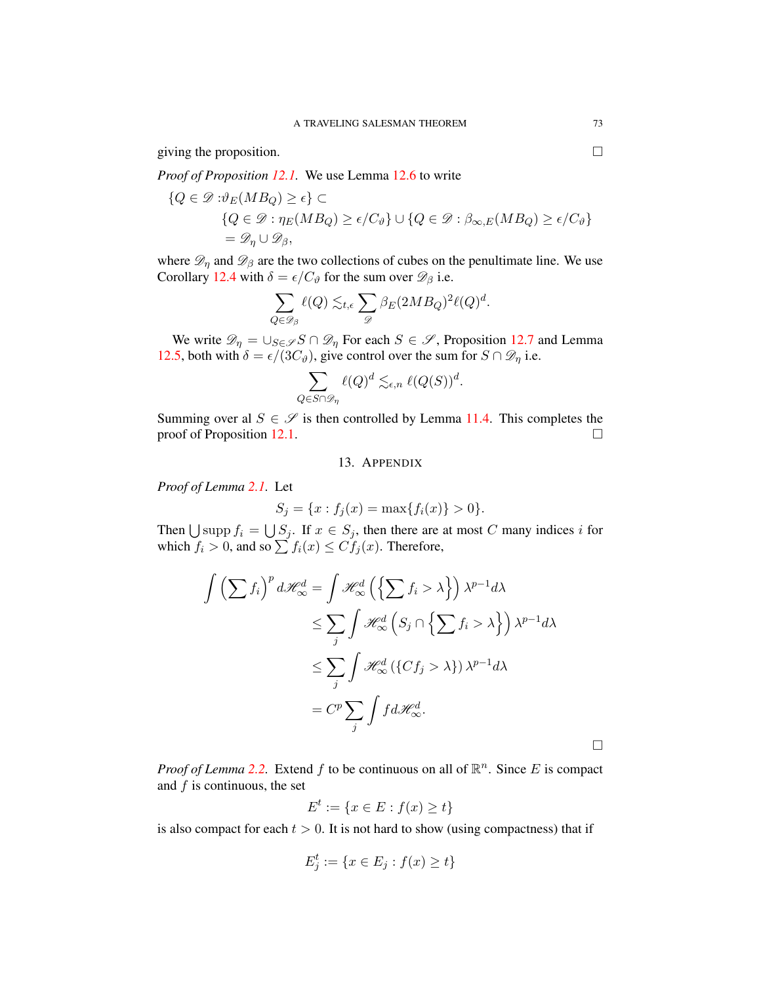giving the proposition.  $\Box$ 

*Proof of Proposition [12.1.](#page-70-0)* We use Lemma [12.6](#page-71-2) to write

$$
\{Q \in \mathcal{D} : \vartheta_E(MB_Q) \ge \epsilon\} \subset
$$
  
\n
$$
\{Q \in \mathcal{D} : \eta_E(MB_Q) \ge \epsilon/C_\vartheta\} \cup \{Q \in \mathcal{D} : \beta_{\infty,E}(MB_Q) \ge \epsilon/C_\vartheta\}
$$
  
\n
$$
= \mathcal{D}_{\eta} \cup \mathcal{D}_{\beta},
$$

where  $\mathscr{D}_\eta$  and  $\mathscr{D}_\beta$  are the two collections of cubes on the penultimate line. We use Corollary [12.4](#page-71-3) with  $\delta = \epsilon / C_{\vartheta}$  for the sum over  $\mathscr{D}_{\beta}$  i.e.

$$
\sum_{Q \in \mathscr{D}_{\beta}} \ell(Q) \lesssim_{t,\epsilon} \sum_{\mathscr{D}} \beta_E(2MB_Q)^2 \ell(Q)^d.
$$

We write  $\mathscr{D}_{\eta} = \bigcup_{S \in \mathscr{S}} S \cap \mathscr{D}_{\eta}$  For each  $S \in \mathscr{S}$ , Proposition [12.7](#page-72-1) and Lemma [12.5,](#page-71-4) both with  $\delta = \epsilon/(3C_{\vartheta})$ , give control over the sum for  $S \cap \mathcal{D}_\eta$  i.e.

$$
\sum_{Q\in S\cap \mathscr D_\eta}\ell(Q)^d\lesssim_{\epsilon,n} \ell(Q(S))^d.
$$

Summing over al  $S \in \mathscr{S}$  is then controlled by Lemma [11.4.](#page-68-0) This completes the proof of Proposition [12.1.](#page-70-0)

## 13. APPENDIX

*Proof of Lemma [2.1.](#page-13-0)* Let

$$
S_j = \{x : f_j(x) = \max\{f_i(x)\} > 0\}.
$$

Then  $\bigcup$  supp  $f_i = \bigcup S_j$ . If  $x \in S_j$ , then there are at most C many indices i for which  $f_i > 0$ , and so  $\sum f_i(x) \leq C f_j(x)$ . Therefore,

$$
\int \left(\sum f_i\right)^p d\mathcal{H}_{\infty}^d = \int \mathcal{H}_{\infty}^d \left(\left\{\sum f_i > \lambda\right\}\right) \lambda^{p-1} d\lambda
$$
  
\n
$$
\leq \sum_j \int \mathcal{H}_{\infty}^d \left(S_j \cap \left\{\sum f_i > \lambda\right\}\right) \lambda^{p-1} d\lambda
$$
  
\n
$$
\leq \sum_j \int \mathcal{H}_{\infty}^d \left(\left\{C f_j > \lambda\right\}\right) \lambda^{p-1} d\lambda
$$
  
\n
$$
= C^p \sum_j \int f d\mathcal{H}_{\infty}^d.
$$

*Proof of Lemma* [2.2.](#page-14-0) Extend  $f$  to be continuous on all of  $\mathbb{R}^n$ . Since E is compact and  $f$  is continuous, the set

$$
E^t := \{ x \in E : f(x) \ge t \}
$$

is also compact for each  $t > 0$ . It is not hard to show (using compactness) that if

$$
E_j^t := \{ x \in E_j : f(x) \ge t \}
$$

 $\Box$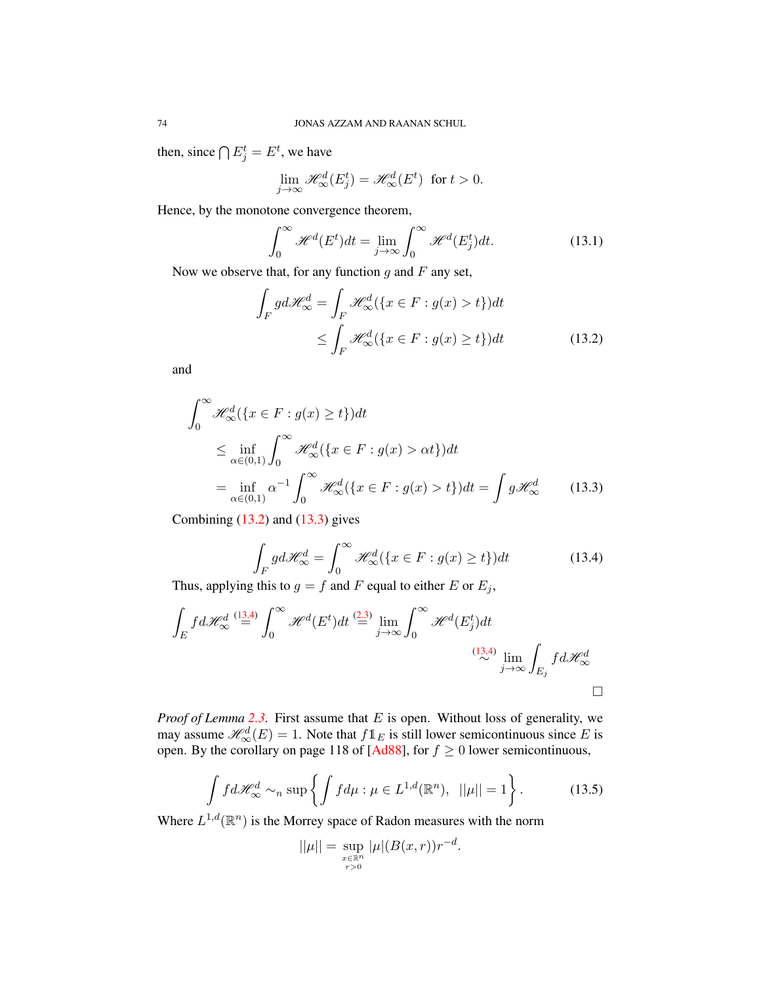then, since  $\bigcap E_j^t = E^t$ , we have

$$
\lim_{j \to \infty} \mathcal{H}^d_{\infty}(E_j^t) = \mathcal{H}^d_{\infty}(E^t) \text{ for } t > 0.
$$

Hence, by the monotone convergence theorem,

<span id="page-74-0"></span>
$$
\int_0^\infty \mathcal{H}^d(E^t)dt = \lim_{j \to \infty} \int_0^\infty \mathcal{H}^d(E_j^t)dt.
$$
 (13.1)

Now we observe that, for any function  $g$  and  $F$  any set,

$$
\int_{F} g d\mathcal{H}_{\infty}^{d} = \int_{F} \mathcal{H}_{\infty}^{d} (\{x \in F : g(x) > t\}) dt
$$
\n
$$
\leq \int_{F} \mathcal{H}_{\infty}^{d} (\{x \in F : g(x) \geq t\}) dt
$$
\n(13.2)

and

$$
\int_0^\infty \mathcal{H}_\infty^d(\{x \in F : g(x) \ge t\})dt
$$
  
\n
$$
\le \inf_{\alpha \in (0,1)} \int_0^\infty \mathcal{H}_\infty^d(\{x \in F : g(x) > \alpha t\})dt
$$
  
\n
$$
= \inf_{\alpha \in (0,1)} \alpha^{-1} \int_0^\infty \mathcal{H}_\infty^d(\{x \in F : g(x) > t\})dt = \int g \mathcal{H}_\infty^d \qquad (13.3)
$$

Combining  $(13.2)$  and  $(13.3)$  gives

<span id="page-74-2"></span><span id="page-74-1"></span>
$$
\int_{F} g d\mathcal{H}_{\infty}^{d} = \int_{0}^{\infty} \mathcal{H}_{\infty}^{d} (\{x \in F : g(x) \ge t\}) dt
$$
\n(13.4)

Thus, applying this to  $g = f$  and F equal to either E or  $E_j$ ,

$$
\int_{E} f d\mathcal{H}_{\infty}^{d} \stackrel{(13.4)}{=} \int_{0}^{\infty} \mathcal{H}^{d}(E^{t}) dt \stackrel{(2.3)}{=} \lim_{j \to \infty} \int_{0}^{\infty} \mathcal{H}^{d}(E_{j}^{t}) dt
$$
\n
$$
\stackrel{(13.4)}{\sim} \lim_{j \to \infty} \int_{E_{j}} f d\mathcal{H}_{\infty}^{d}
$$

*Proof of Lemma* [2.3.](#page-14-2) First assume that E is open. Without loss of generality, we may assume  $\mathcal{H}^d_{\infty}(E) = 1$ . Note that  $f1_E$  is still lower semicontinuous since E is open. By the corollary on page 118 of [\[Ad88\]](#page-77-0), for  $f \ge 0$  lower semicontinuous,

<span id="page-74-3"></span>
$$
\int f d\mathcal{H}_{\infty}^{d} \sim_{n} \sup \left\{ \int f d\mu : \mu \in L^{1,d}(\mathbb{R}^{n}), \ \|\mu\| = 1 \right\}.
$$
 (13.5)

Where  $L^{1,d}(\mathbb{R}^n)$  is the Morrey space of Radon measures with the norm

$$
||\mu|| = \sup_{\substack{x \in \mathbb{R}^n \\ r > 0}} |\mu|(B(x, r))r^{-d}.
$$

<span id="page-74-4"></span>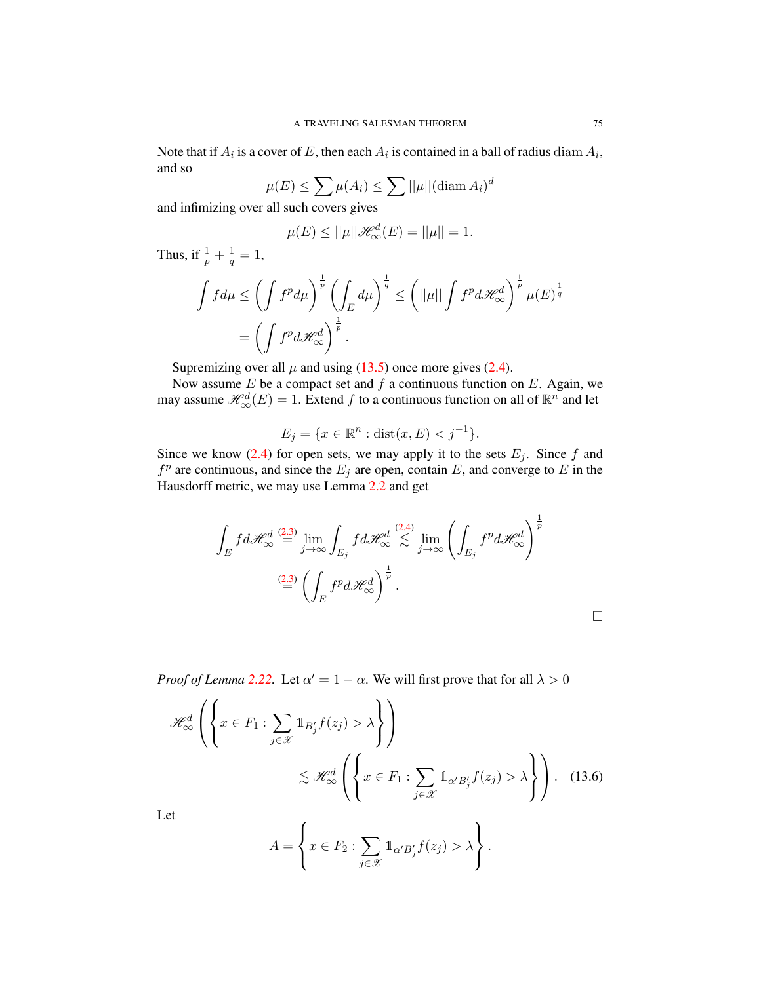Note that if  $A_i$  is a cover of  $E$ , then each  $A_i$  is contained in a ball of radius  $\operatorname{diam} A_i$ , and so

$$
\mu(E) \le \sum \mu(A_i) \le \sum ||\mu||(\text{diam } A_i)^d
$$

and infimizing over all such covers gives

$$
\mu(E) \le ||\mu||\mathcal{H}^d_{\infty}(E) = ||\mu|| = 1.
$$

Thus, if  $\frac{1}{p} + \frac{1}{q}$  $\frac{1}{q}=1,$ 

$$
\int f d\mu \le \left(\int f^p d\mu\right)^{\frac{1}{p}} \left(\int_E d\mu\right)^{\frac{1}{q}} \le \left(||\mu|| \int f^p d\mathcal{H}_{\infty}^d\right)^{\frac{1}{p}} \mu(E)^{\frac{1}{q}}
$$

$$
= \left(\int f^p d\mathcal{H}_{\infty}^d\right)^{\frac{1}{p}}.
$$

Supremizing over all  $\mu$  and using [\(13.5\)](#page-74-3) once more gives [\(2.4\)](#page-14-3).

Now assume  $E$  be a compact set and  $f$  a continuous function on  $E$ . Again, we may assume  $\mathcal{H}^d_{\infty}(E) = 1$ . Extend f to a continuous function on all of  $\mathbb{R}^n$  and let

$$
E_j = \{ x \in \mathbb{R}^n : \text{dist}(x, E) < j^{-1} \}.
$$

Since we know [\(2.4\)](#page-14-3) for open sets, we may apply it to the sets  $E_j$ . Since f and  $f<sup>p</sup>$  are continuous, and since the  $E<sub>j</sub>$  are open, contain E, and converge to E in the Hausdorff metric, we may use Lemma [2.2](#page-14-0) and get

$$
\int_{E} f d\mathcal{H}_{\infty}^{d} \stackrel{(2.3)}{=} \lim_{j \to \infty} \int_{E_{j}} f d\mathcal{H}_{\infty}^{d} \stackrel{(2.4)}{\lesssim} \lim_{j \to \infty} \left( \int_{E_{j}} f^{p} d\mathcal{H}_{\infty}^{d} \right)^{\frac{1}{p}}
$$
\n
$$
\stackrel{(2.3)}{=} \left( \int_{E} f^{p} d\mathcal{H}_{\infty}^{d} \right)^{\frac{1}{p}}.
$$

<span id="page-75-0"></span> $\Box$ 

*Proof of Lemma* [2.22.](#page-25-0) Let  $\alpha' = 1 - \alpha$ . We will first prove that for all  $\lambda > 0$ 

$$
\mathcal{H}_{\infty}^{d}\left(\left\{x \in F_{1}: \sum_{j \in \mathcal{X}} 1_{B'_{j}} f(z_{j}) > \lambda\right\}\right)
$$
\n
$$
\lesssim \mathcal{H}_{\infty}^{d}\left(\left\{x \in F_{1}: \sum_{j \in \mathcal{X}} 1_{\alpha' B'_{j}} f(z_{j}) > \lambda\right\}\right).
$$
\n(13.6)

 $L<sub>6</sub>$ 

$$
A = \left\{ x \in F_2 : \sum_{j \in \mathcal{X}} \mathbb{1}_{\alpha' B'_j} f(z_j) > \lambda \right\}.
$$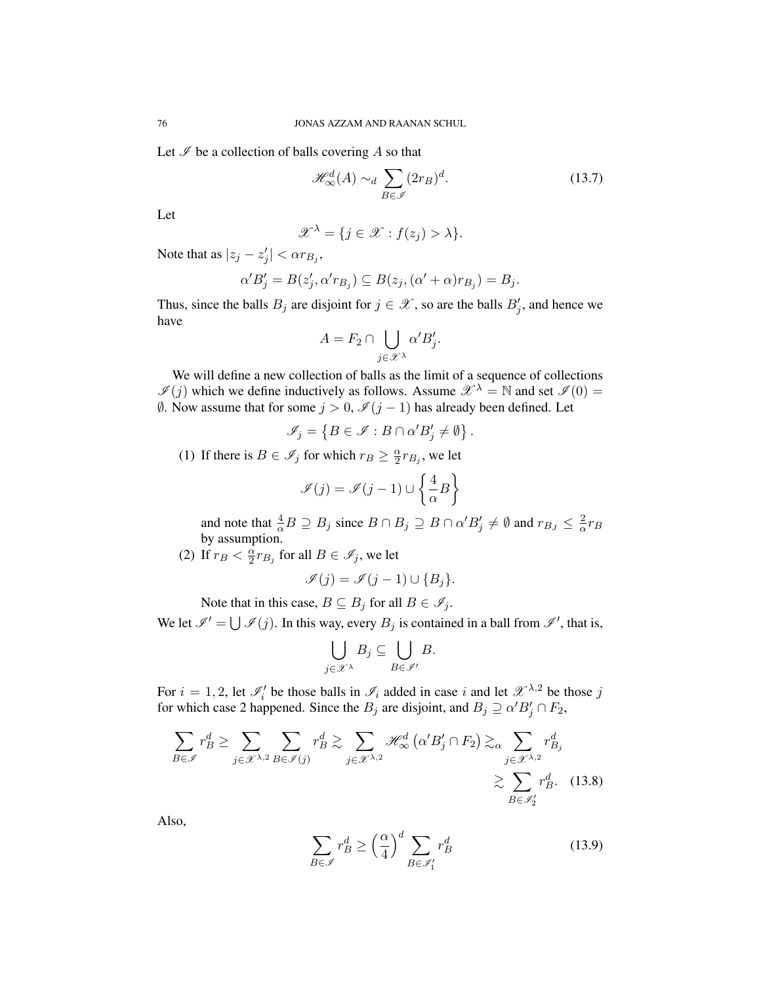Let  $\mathscr I$  be a collection of balls covering A so that

<span id="page-76-0"></span> $\mathscr{H}^d_{\infty}(A) \sim_d \sum$  $B\in\mathscr{I}$  $(2r_B)^d$  $(13.7)$ 

Let

$$
\mathscr{X}^{\lambda} = \{ j \in \mathscr{X} : f(z_j) > \lambda \}.
$$

Note that as  $|z_j - z'_j| < \alpha r_{B_j}$ ,

$$
\alpha'B'_j = B(z'_j, \alpha' r_{B_j}) \subseteq B(z_j, (\alpha' + \alpha)r_{B_j}) = B_j.
$$

Thus, since the balls  $B_j$  are disjoint for  $j \in \mathcal{X}$ , so are the balls  $B'_j$ , and hence we have

$$
A = F_2 \cap \bigcup_{j \in \mathcal{X}^{\lambda}} \alpha' B'_j.
$$

We will define a new collection of balls as the limit of a sequence of collections  $\mathscr{I}(j)$  which we define inductively as follows. Assume  $\mathscr{X}^{\lambda} = \mathbb{N}$  and set  $\mathscr{I}(0) =$  $\emptyset$ . Now assume that for some  $j > 0$ ,  $\mathcal{I}(j-1)$  has already been defined. Let

$$
\mathscr{I}_j = \left\{ B \in \mathscr{I} : B \cap \alpha' B'_j \neq \emptyset \right\}.
$$

(1) If there is  $B \in \mathscr{I}_j$  for which  $r_B \geq \frac{\alpha}{2}$  $\frac{\alpha}{2}r_{B_j}$ , we let

$$
\mathscr{I}(j) = \mathscr{I}(j-1) \cup \left\{\frac{4}{\alpha}B\right\}
$$

and note that  $\frac{4}{\alpha}B \supseteq B_j$  since  $B \cap B_j \supseteq B \cap \alpha' B'_j \neq \emptyset$  and  $r_{B_J} \leq \frac{2}{\alpha}$  $\frac{2}{\alpha}r_B$ by assumption.

(2) If  $r_B < \frac{\alpha}{2}$  $\frac{\alpha}{2}r_{B_j}$  for all  $B\in\mathscr{I}_j,$  we let

$$
\mathscr{I}(j) = \mathscr{I}(j-1) \cup \{B_j\}.
$$

Note that in this case,  $B \subseteq B_j$  for all  $B \in \mathcal{I}_j$ .

We let  $\mathscr{I}' = \bigcup \mathscr{I}(j)$ . In this way, every  $B_j$  is contained in a ball from  $\mathscr{I}'$ , that is,

$$
\bigcup_{j\in\mathscr{X}^\lambda}B_j\subseteq\bigcup_{B\in\mathscr{I}'}B.
$$

For  $i = 1, 2$ , let  $\mathcal{I}'_i$  be those balls in  $\mathcal{I}_i$  added in case i and let  $\mathcal{X}^{\lambda,2}$  be those j for which case 2 happened. Since the  $B_j$  are disjoint, and  $B_j \supseteq \alpha' B'_j \cap F_2$ ,

$$
\sum_{B \in \mathcal{I}} r_B^d \ge \sum_{j \in \mathcal{X}^{\lambda,2}} \sum_{B \in \mathcal{I}(j)} r_B^d \gtrsim \sum_{j \in \mathcal{X}^{\lambda,2}} \mathcal{H}_{\infty}^d \left( \alpha' B'_j \cap F_2 \right) \gtrsim_{\alpha} \sum_{j \in \mathcal{X}^{\lambda,2}} r_{B_j}^d
$$
\n
$$
\gtrsim \sum_{B \in \mathcal{I}_2'} r_B^d. \quad (13.8)
$$

Also,

<span id="page-76-2"></span><span id="page-76-1"></span>
$$
\sum_{B \in \mathcal{I}} r_B^d \ge \left(\frac{\alpha}{4}\right)^d \sum_{B \in \mathcal{I}'_1} r_B^d \tag{13.9}
$$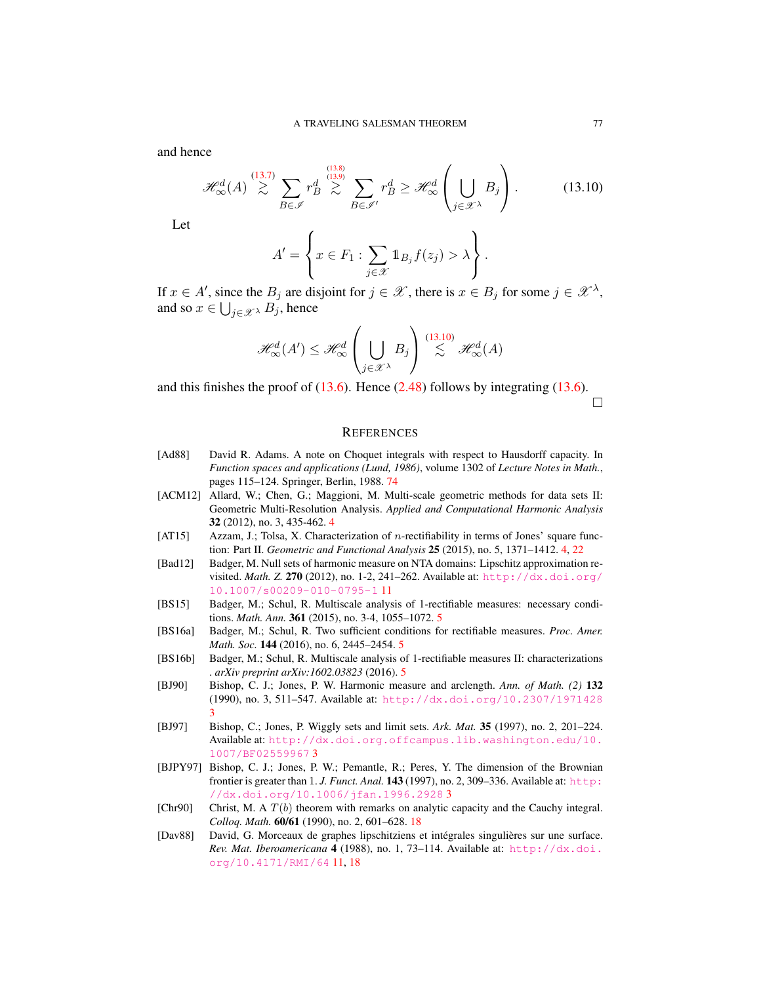and hence

<span id="page-77-1"></span>
$$
\mathcal{H}_{\infty}^{d}(A) \stackrel{(13.7)}{\gtrsim} \sum_{B \in \mathcal{I}} r_B^d \stackrel{(13.8)}{\gtrsim} \sum_{B \in \mathcal{I}'} r_B^d \geq \mathcal{H}_{\infty}^d \left( \bigcup_{j \in \mathcal{X}^{\lambda}} B_j \right). \tag{13.10}
$$

Let

$$
A' = \left\{ x \in F_1 : \sum_{j \in \mathcal{X}} \mathbb{1}_{B_j} f(z_j) > \lambda \right\}.
$$

If  $x \in A'$ , since the  $B_j$  are disjoint for  $j \in \mathscr{X}$ , there is  $x \in B_j$  for some  $j \in \mathscr{X}^{\lambda}$ , and so  $x \in \bigcup_{j \in \mathscr{X}^{\lambda}} B_j$ , hence

$$
\mathcal{H}^d_{\infty}(A') \leq \mathcal{H}^d_{\infty} \left( \bigcup_{j \in \mathcal{X}^{\lambda}} B_j \right) \stackrel{(13.10)}{\lesssim} \mathcal{H}^d_{\infty}(A)
$$

and this finishes the proof of  $(13.6)$ . Hence  $(2.48)$  follows by integrating  $(13.6)$ .  $\Box$ 

## **REFERENCES**

- <span id="page-77-0"></span>[Ad88] David R. Adams. A note on Choquet integrals with respect to Hausdorff capacity. In *Function spaces and applications (Lund, 1986)*, volume 1302 of *Lecture Notes in Math.*, pages 115–124. Springer, Berlin, 1988. [74](#page-74-4)
- [ACM12] Allard, W.; Chen, G.; Maggioni, M. Multi-scale geometric methods for data sets II: Geometric Multi-Resolution Analysis. *Applied and Computational Harmonic Analysis* 32 (2012), no. 3, 435-462. [4](#page-4-0)
- [AT15] Azzam, J.; Tolsa, X. Characterization of n-rectifiability in terms of Jones' square function: Part II. *Geometric and Functional Analysis* 25 (2015), no. 5, 1371–1412. [4,](#page-4-0) [22](#page-22-0)
- [Bad12] Badger, M. Null sets of harmonic measure on NTA domains: Lipschitz approximation revisited. *Math. Z.* 270 (2012), no. 1-2, 241–262. Available at: [http://dx.doi.org/](http://dx.doi.org/10.1007/s00209-010-0795-1) [10.1007/s00209-010-0795-1](http://dx.doi.org/10.1007/s00209-010-0795-1) [11](#page-11-0)
- [BS15] Badger, M.; Schul, R. Multiscale analysis of 1-rectifiable measures: necessary conditions. *Math. Ann.* 361 (2015), no. 3-4, 1055–1072. [5](#page-5-0)
- [BS16a] Badger, M.; Schul, R. Two sufficient conditions for rectifiable measures. *Proc. Amer. Math. Soc.* 144 (2016), no. 6, 2445–2454. [5](#page-5-0)
- [BS16b] Badger, M.; Schul, R. Multiscale analysis of 1-rectifiable measures II: characterizations . *arXiv preprint arXiv:1602.03823* (2016). [5](#page-5-0)
- [BJ90] Bishop, C. J.; Jones, P. W. Harmonic measure and arclength. *Ann. of Math. (2)* 132 (1990), no. 3, 511–547. Available at: <http://dx.doi.org/10.2307/1971428> [3](#page-3-0)
- [BJ97] Bishop, C.; Jones, P. Wiggly sets and limit sets. *Ark. Mat.* 35 (1997), no. 2, 201–224. Available at: [http://dx.doi.org.offcampus.lib.washington.edu/10.](http://dx.doi.org.offcampus.lib.washington.edu/10.1007/BF02559967) [1007/BF02559967](http://dx.doi.org.offcampus.lib.washington.edu/10.1007/BF02559967) [3](#page-3-0)
- [BJPY97] Bishop, C. J.; Jones, P. W.; Pemantle, R.; Peres, Y. The dimension of the Brownian frontier is greater than 1. *J. Funct. Anal*. **143** (1997), no. 2, 309-336. Available at: [http:](http://dx.doi.org/10.1006/jfan.1996.2928) [//dx.doi.org/10.1006/jfan.1996.2928](http://dx.doi.org/10.1006/jfan.1996.2928) [3](#page-3-0)
- [Chr90] Christ, M. A  $T(b)$  theorem with remarks on analytic capacity and the Cauchy integral. *Colloq. Math.* 60/61 (1990), no. 2, 601–628. [18](#page-18-0)
- [Dav88] David, G. Morceaux de graphes lipschitziens et intégrales singulières sur une surface. *Rev. Mat. Iberoamericana* 4 (1988), no. 1, 73–114. Available at: [http://dx.doi.](http://dx.doi.org/10.4171/RMI/64) [org/10.4171/RMI/64](http://dx.doi.org/10.4171/RMI/64) [11,](#page-11-0) [18](#page-18-0)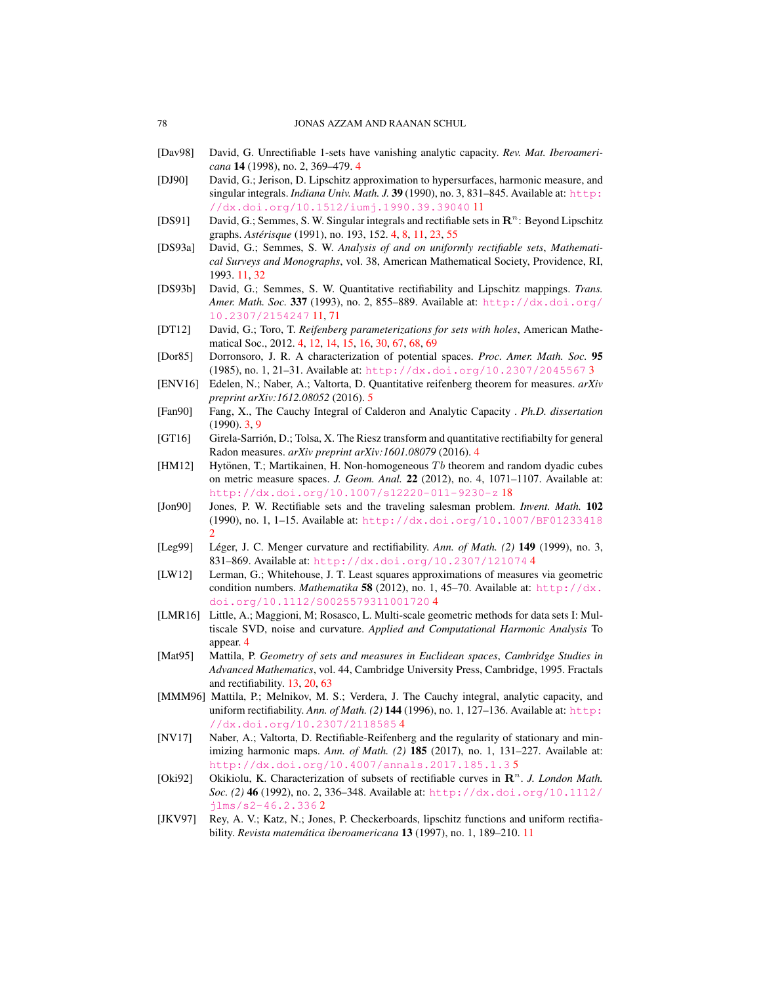- [Dav98] David, G. Unrectifiable 1-sets have vanishing analytic capacity. *Rev. Mat. Iberoamericana* 14 (1998), no. 2, 369–479. [4](#page-4-0)
- [DJ90] David, G.; Jerison, D. Lipschitz approximation to hypersurfaces, harmonic measure, and singular integrals. *Indiana Univ. Math. J.* **39** (1990), no. 3, 831–845. Available at: [http:](http://dx.doi.org/10.1512/iumj.1990.39.39040) [//dx.doi.org/10.1512/iumj.1990.39.39040](http://dx.doi.org/10.1512/iumj.1990.39.39040) [11](#page-11-0)
- [DS91] David, G.; Semmes, S. W. Singular integrals and rectifiable sets in  $\mathbb{R}^n$ : Beyond Lipschitz graphs. *Asterisque ´* (1991), no. 193, 152. [4,](#page-4-0) [8,](#page-8-0) [11,](#page-11-0) [23,](#page-23-1) [55](#page-55-0)
- [DS93a] David, G.; Semmes, S. W. *Analysis of and on uniformly rectifiable sets*, *Mathematical Surveys and Monographs*, vol. 38, American Mathematical Society, Providence, RI, 1993. [11,](#page-11-0) [32](#page-32-0)
- [DS93b] David, G.; Semmes, S. W. Quantitative rectifiability and Lipschitz mappings. *Trans. Amer. Math. Soc.* 337 (1993), no. 2, 855–889. Available at: [http://dx.doi.org/](http://dx.doi.org/10.2307/2154247) [10.2307/2154247](http://dx.doi.org/10.2307/2154247) [11,](#page-11-0) [71](#page-71-5)
- [DT12] David, G.; Toro, T. *Reifenberg parameterizations for sets with holes*, American Mathematical Soc., 2012. [4,](#page-4-0) [12,](#page-12-0) [14,](#page-14-4) [15,](#page-15-0) [16,](#page-16-0) [30,](#page-30-0) [67,](#page-67-0) [68,](#page-68-1) [69](#page-69-0)
- [Dor85] Dorronsoro, J. R. A characterization of potential spaces. *Proc. Amer. Math. Soc.* 95 (1985), no. 1, 21–31. Available at: <http://dx.doi.org/10.2307/2045567> [3](#page-3-0)
- [ENV16] Edelen, N.; Naber, A.; Valtorta, D. Quantitative reifenberg theorem for measures. *arXiv preprint arXiv:1612.08052* (2016). [5](#page-5-0)
- [Fan90] Fang, X., The Cauchy Integral of Calderon and Analytic Capacity . *Ph.D. dissertation* (1990). [3,](#page-3-0) [9](#page-9-0)
- [GT16] Girela-Sarrion, D.; Tolsa, X. The Riesz transform and quantitative rectifiabilty for general Radon measures. *arXiv preprint arXiv:1601.08079* (2016). [4](#page-4-0)
- [HM12] Hytönen, T.; Martikainen, H. Non-homogeneous  $Tb$  theorem and random dyadic cubes on metric measure spaces. *J. Geom. Anal.* 22 (2012), no. 4, 1071–1107. Available at: <http://dx.doi.org/10.1007/s12220-011-9230-z> [18](#page-18-0)
- [Jon90] Jones, P. W. Rectifiable sets and the traveling salesman problem. *Invent. Math.* 102 (1990), no. 1, 1–15. Available at: <http://dx.doi.org/10.1007/BF01233418> [2](#page-2-0)
- [Leg99] Léger, J. C. Menger curvature and rectifiability. Ann. of Math. (2) 149 (1999), no. 3, 831–869. Available at: <http://dx.doi.org/10.2307/121074> [4](#page-4-0)
- [LW12] Lerman, G.; Whitehouse, J. T. Least squares approximations of measures via geometric condition numbers. *Mathematika* 58 (2012), no. 1, 45-70. Available at: [http://dx.](http://dx.doi.org/10.1112/S0025579311001720) [doi.org/10.1112/S0025579311001720](http://dx.doi.org/10.1112/S0025579311001720) [4](#page-4-0)
- [LMR16] Little, A.; Maggioni, M; Rosasco, L. Multi-scale geometric methods for data sets I: Multiscale SVD, noise and curvature. *Applied and Computational Harmonic Analysis* To appear. [4](#page-4-0)
- [Mat95] Mattila, P. *Geometry of sets and measures in Euclidean spaces*, *Cambridge Studies in Advanced Mathematics*, vol. 44, Cambridge University Press, Cambridge, 1995. Fractals and rectifiability. [13,](#page-13-1) [20,](#page-20-0) [63](#page-63-0)
- [MMM96] Mattila, P.; Melnikov, M. S.; Verdera, J. The Cauchy integral, analytic capacity, and uniform rectifiability. *Ann. of Math. (2)* 144 (1996), no. 1, 127–136. Available at: [http:](http://dx.doi.org/10.2307/2118585) [//dx.doi.org/10.2307/2118585](http://dx.doi.org/10.2307/2118585) [4](#page-4-0)
- [NV17] Naber, A.; Valtorta, D. Rectifiable-Reifenberg and the regularity of stationary and minimizing harmonic maps. *Ann. of Math. (2)* 185 (2017), no. 1, 131–227. Available at: <http://dx.doi.org/10.4007/annals.2017.185.1.3> [5](#page-5-0)
- [Oki92] Okikiolu, K. Characterization of subsets of rectifiable curves in  $\mathbb{R}^n$ . J. London Math. *Soc. (2)* 46 (1992), no. 2, 336–348. Available at: [http://dx.doi.org/10.1112/](http://dx.doi.org/10.1112/jlms/s2-46.2.336) [jlms/s2-46.2.336](http://dx.doi.org/10.1112/jlms/s2-46.2.336) [2](#page-2-0)
- [JKV97] Rey, A. V.; Katz, N.; Jones, P. Checkerboards, lipschitz functions and uniform rectifiability. *Revista matematica iberoamericana ´* 13 (1997), no. 1, 189–210. [11](#page-11-0)